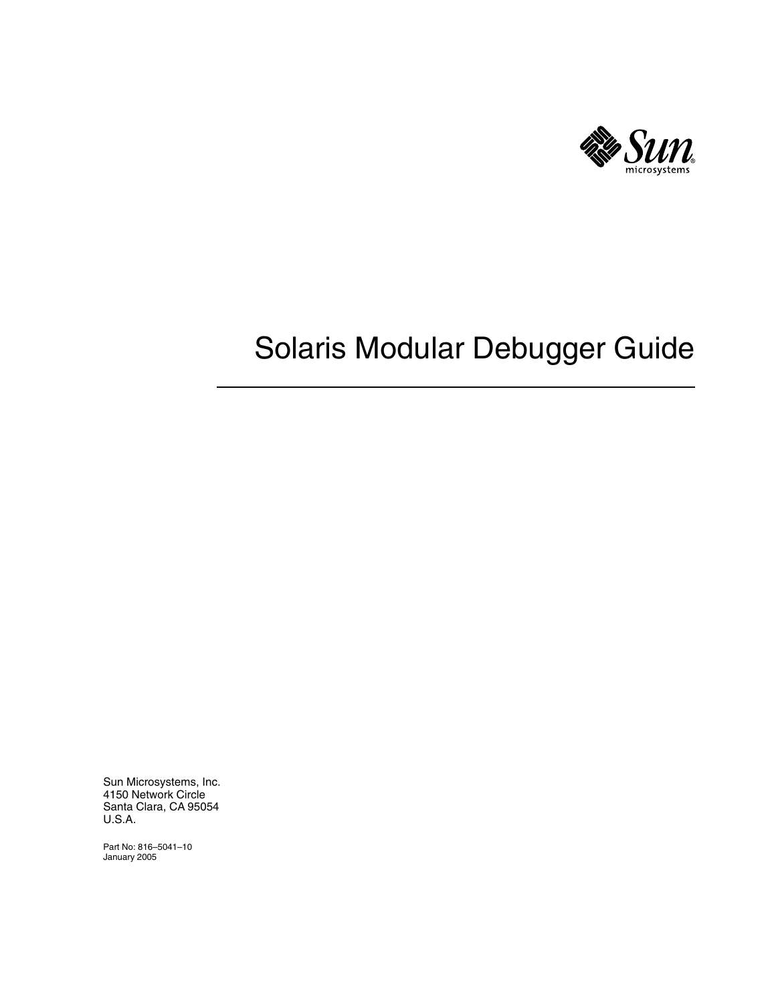

# Solaris Modular Debugger Guide

Sun Microsystems, Inc. 4150 Network Circle Santa Clara, CA 95054 U.S.A.

Part No: 816–5041–10 January 2005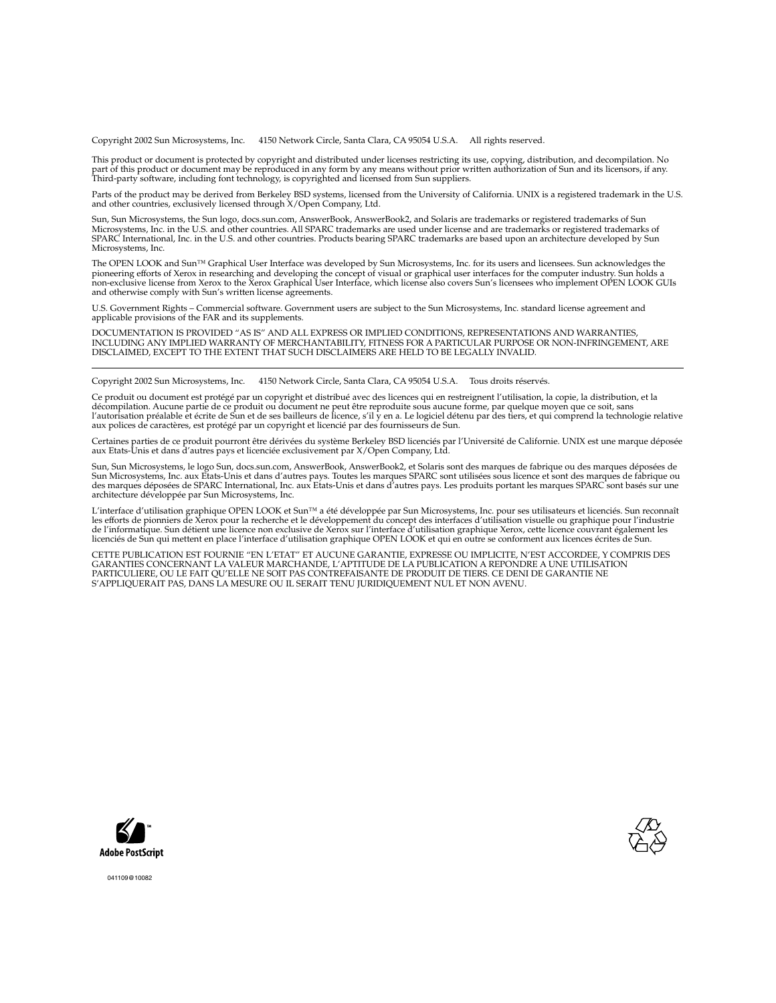Copyright 2002 Sun Microsystems, Inc. 4150 Network Circle, Santa Clara, CA 95054 U.S.A. All rights reserved.

This product or document is protected by copyright and distributed under licenses restricting its use, copying, distribution, and decompilation. No part of this product or document may be reproduced in any form by any means without prior written authorization of Sun and its licensors, if any.<br>Third-party software, including font technology, is copyrighted and licensed

Parts of the product may be derived from Berkeley BSD systems, licensed from the University of California. UNIX is a registered trademark in the U.S. and other countries, exclusively licensed through X/Open Company, Ltd.

Sun, Sun Microsystems, the Sun logo, docs.sun.com, AnswerBook, AnswerBook2, and Solaris are trademarks or registered trademarks of Sun<br>Microsystems, Inc. in the U.S. and other countries. All SPARC trademarks are used under Microsystems, Inc.

The OPEN LOOK and Sun™ Graphical User Interface was developed by Sun Microsystems, Inc. for its users and licensees. Sun acknowledges the pioneering efforts of Xerox in researching and developing the concept of visual or graphical user interfaces for the computer industry. Sun holds a<br>non-exclusive license from Xerox to the Xerox Graphical User Interface, wh and otherwise comply with Sun's written license agreements.

U.S. Government Rights – Commercial software. Government users are subject to the Sun Microsystems, Inc. standard license agreement and applicable provisions of the FAR and its supplements.

DOCUMENTATION IS PROVIDED "AS IS" AND ALL EXPRESS OR IMPLIED CONDITIONS, REPRESENTATIONS AND WARRANTIES,<br>INCLUDING ANY IMPLIED WARRANTY OF MERCHANTABILITY, FITNESS FOR A PARTICULAR PURPOSE OR NON-INFRINGEMENT, ARE<br>DISCLAIM

Copyright 2002 Sun Microsystems, Inc. 4150 Network Circle, Santa Clara, CA 95054 U.S.A. Tous droits réservés.

Ce produit ou document est protégé par un copyright et distribué avec des licences qui en restreignent l'utilisation, la copie, la distribution, et la décompilation. Aucune partie de ce produit ou document ne peut être reproduite sous aucune forme, par quelque moyen que ce soit, sans<br>l'autorisation préalable et écrite de Sun et de ses bailleurs de licence, s'il y en a. L

Certaines parties de ce produit pourront être dérivées du système Berkeley BSD licenciés par l'Université de Californie. UNIX est une marque déposée aux Etats-Unis et dans d'autres pays et licenciée exclusivement par X/Open Company, Ltd.

Sun, Sun Microsystems, le logo Sun, docs.sun.com, AnswerBook, AnswerBook2, et Solaris sont des marques de fabrique ou des marques déposées de<br>Sun Microsystems, Inc. aux Etats-Unis et dans d'autres pays. Toutes les marques architecture développée par Sun Microsystems, Inc.

L'interface d'utilisation graphique OPEN LOOK et Sun™a été développée par Sun Microsystems, Inc. pour ses utilisateurs et licenciés. Sun reconnaît<br>les efforts de pionniers de Xerox pour la recherche et le développement du de l'informatique. Sun détient une licence non exclusive de Xerox sur l'interface d'utilisation graphique Xerox, cette licence couvrant également les<br>licenciés de Sun qui mettent en place l'interface d'utilisation graphiqu

CETTE PUBLICATION EST FOURNIE "EN L'ETAT" ET AUCUNE GARANTIE, EXPRESSE OU IMPLICITE, N'EST ACCORDEE, Y COMPRIS DES GARANTIES CONCERNANT LA VALEUR MARCHANDE, L'APTITUDE DE LA PUBLICATION A REPONDRE A UNE UTILISATION<br>PARTICULIERE, OU LE FAIT QU'ELLE NE SOIT PAS CONTREFAISANTE DE PRODUIT DE TIERS. CE DENI DE GARANTIE NE<br>S'APPLIQUERAIT PAS





041109@10082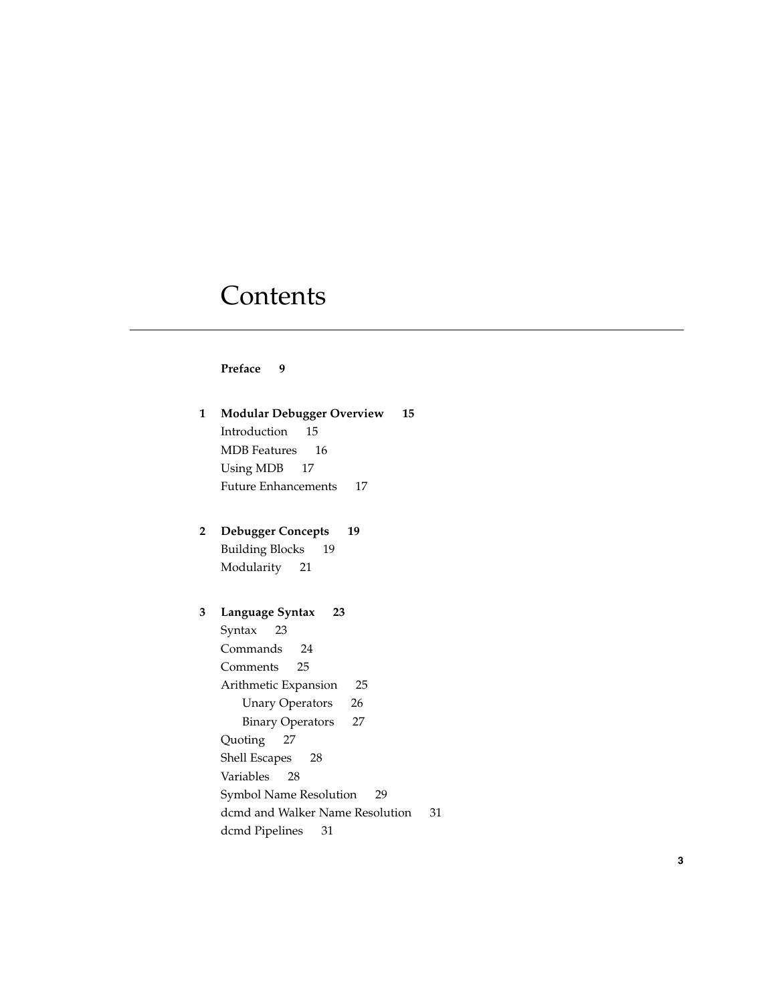## **Contents**

#### **[Preface 9](#page-8-0)**

| $\mathbf{1}$ | <b>Modular Debugger Overview</b><br>15<br>Introduction<br>15<br><b>MDB</b> Features<br>16<br>Using $MDB$ 17<br><b>Future Enhancements</b><br>17                                                                                                                                                                       |
|--------------|-----------------------------------------------------------------------------------------------------------------------------------------------------------------------------------------------------------------------------------------------------------------------------------------------------------------------|
| $\mathbf{2}$ | <b>Debugger Concepts</b><br>19<br><b>Building Blocks</b><br>19<br>Modularity 21                                                                                                                                                                                                                                       |
| 3            | Language Syntax<br>23<br>Syntax 23<br>Commands<br>24<br>Comments 25<br>Arithmetic Expansion<br>25<br><b>Unary Operators</b><br>26<br><b>Binary Operators</b><br>27<br>Quoting 27<br>Shell Escapes 28<br>Variables 28<br>Symbol Name Resolution<br>29<br>dcmd and Walker Name Resolution<br>31<br>dcmd Pipelines<br>31 |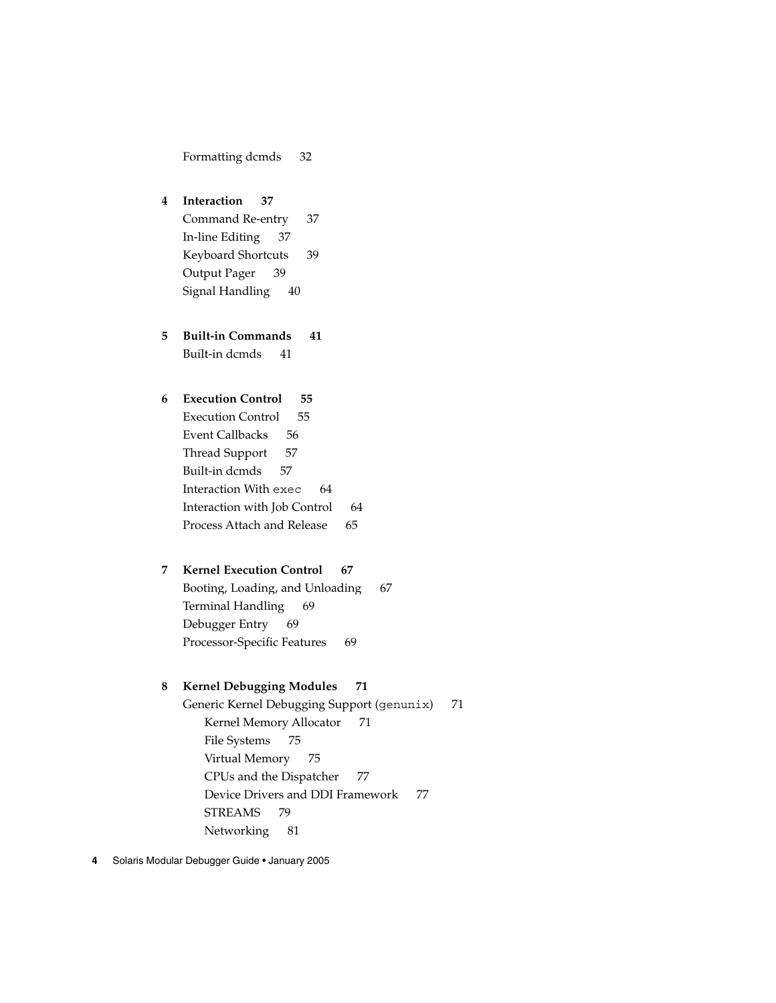[Formatting dcmds 32](#page-31-0)

- **[4 Interaction 37](#page-36-0)** [Command Re-entry 37](#page-36-0) [In-line Editing 37](#page-36-0) [Keyboard Shortcuts 39](#page-38-0) [Output Pager 39](#page-38-0) [Signal Handling 40](#page-39-0)
- **[5 Built-in Commands 41](#page-40-0)** [Built-in dcmds 41](#page-40-0)
- **[6 Execution Control 55](#page-54-0)** [Execution Control 55](#page-54-0) [Event Callbacks 56](#page-55-0) [Thread Support 57](#page-56-0) [Built-in dcmds 57](#page-56-0) [Interaction With](#page-63-0) exec 64 [Interaction with Job Control 64](#page-63-0) [Process Attach and Release 65](#page-64-0)
- **[7 Kernel Execution Control 67](#page-66-0)** [Booting, Loading, and Unloading 67](#page-66-0) [Terminal Handling 69](#page-68-0) [Debugger Entry 69](#page-68-0) [Processor-Specific Features 69](#page-68-0)

#### **[8 Kernel Debugging Modules 71](#page-70-0)**

[Generic Kernel Debugging Support \(](#page-70-0)genunix) 71 [Kernel Memory Allocator 71](#page-70-0) [File Systems 75](#page-74-0) [Virtual Memory 75](#page-74-0) [CPUs and the Dispatcher 77](#page-76-0) [Device Drivers and DDI Framework 77](#page-76-0) [STREAMS 79](#page-78-0) [Networking 81](#page-80-0)

**4** Solaris Modular Debugger Guide • January 2005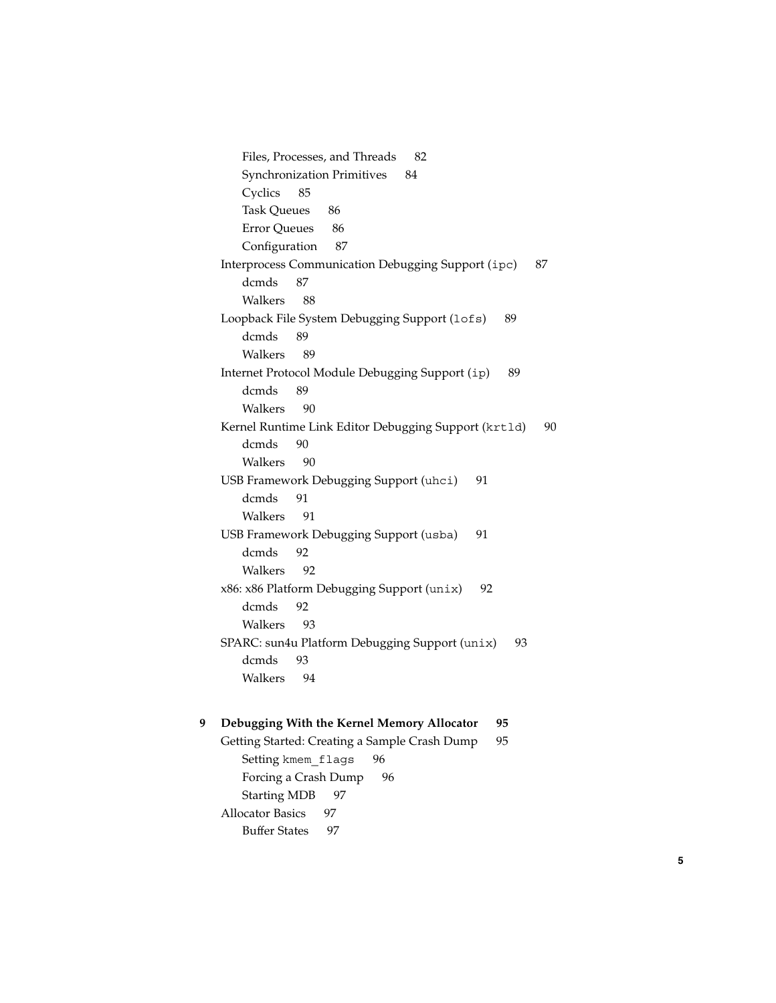```
Files, Processes, and Threads 82
      Synchronization Primitives 84
      Cyclics 85
      Task Queues 86
      Error Queues 86
      Configuration 87
   Interprocess Communication Debugging Support (ipc) 87
      dcmds 87
      Walkers 88
   Loopback File System Debugging Support (lofs) 89
      dcmds 89
      Walkers 89
   Internet Protocol Module Debugging Support (ip) 89
      dcmds 89
      Walkers 90
   Kernel Runtime Link Editor Debugging Support (krtld) 90
      dcmds 90
      Walkers 90
   USB Framework Debugging Support (uhci) 91
      dcmds 91
      Walkers 91
   USB Framework Debugging Support (usba) 91
      dcmds 92
      Walkers 92
   x86: x86 Platform Debugging Support (unix) 92
      dcmds 92
      Walkers 93
   SPARC: sun4u Platform Debugging Support (unix) 93
      dcmds 93
      Walkers 94
9 Debugging With the Kernel Memory Allocator 95
   Getting Started: Creating a Sample Crash Dump 95
      Setting kmem flags 96
      Forcing a Crash Dump 96
```
[Starting MDB 97](#page-96-0) [Allocator Basics 97](#page-96-0)

[Buffer States 97](#page-96-0)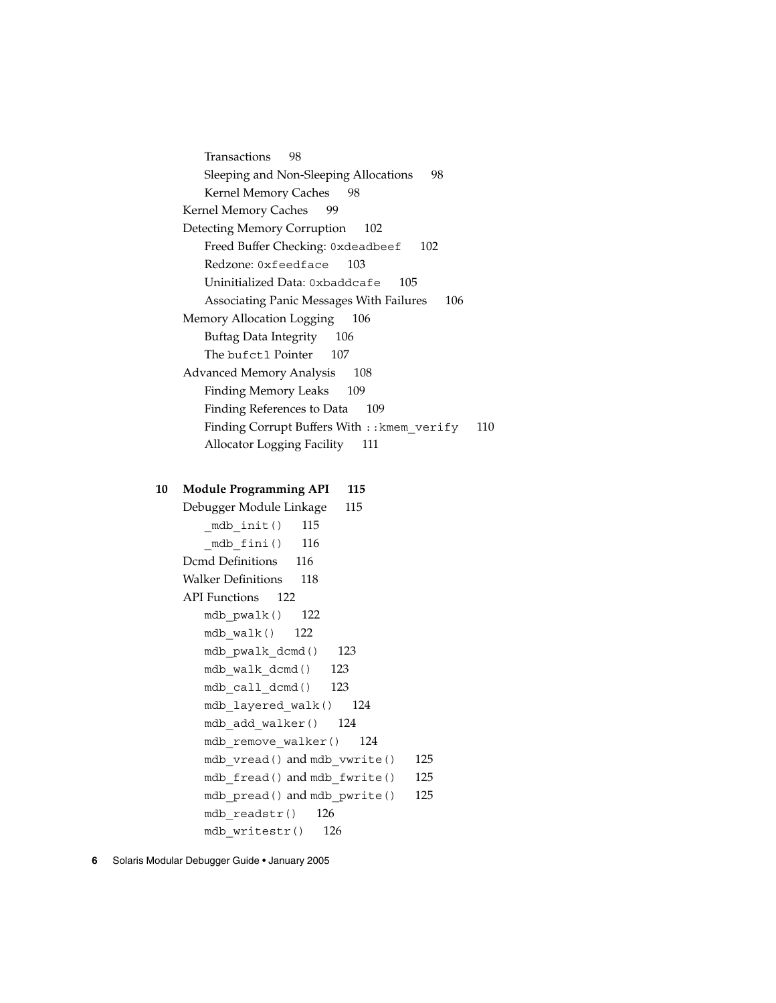[Transactions 98](#page-97-0) [Sleeping and Non-Sleeping Allocations 98](#page-97-0) [Kernel Memory Caches 98](#page-97-0) [Kernel Memory Caches 99](#page-98-0) [Detecting Memory Corruption 102](#page-101-0) [Freed Buffer Checking:](#page-101-0) 0xdeadbeef 102 Redzone: [0xfeedface](#page-102-0) 103 [Uninitialized Data:](#page-104-0) 0xbaddcafe 105 [Associating Panic Messages With Failures 106](#page-105-0) [Memory Allocation Logging 106](#page-105-0) [Buftag Data Integrity 106](#page-105-0) The bufctl [Pointer 107](#page-106-0) [Advanced Memory Analysis 108](#page-107-0) [Finding Memory Leaks 109](#page-108-0) [Finding References to Data 109](#page-108-0) [Finding Corrupt Buffers With](#page-109-0) :: kmem\_verify 110 [Allocator Logging Facility 111](#page-110-0)

#### **[10 Module Programming API 115](#page-114-0)**

```
Debugger Module Linkage 115
   _mdb_init() 115
   _mdb_fini() 116
Dcmd Definitions 116
Walker Definitions 118
API Functions 122
  mdb_pwalk() 122
  mdb_walk() 122
  mdb_pwalk_dcmd() 123
  mdb_walk_dcmd() 123
  mdb_call_dcmd() 123
  mdb_layered_walk() 124
  mdb_add_walker() 124
  mdb remove_walker() 124
  mdb vread() and mdb vwrite() 125
  mdb fread() and mdb fwrite() 125
   mdb pread() and mdb pwrite() 125
  mdb_readstr() 126
  mdb_writestr() 126
```
**6** Solaris Modular Debugger Guide • January 2005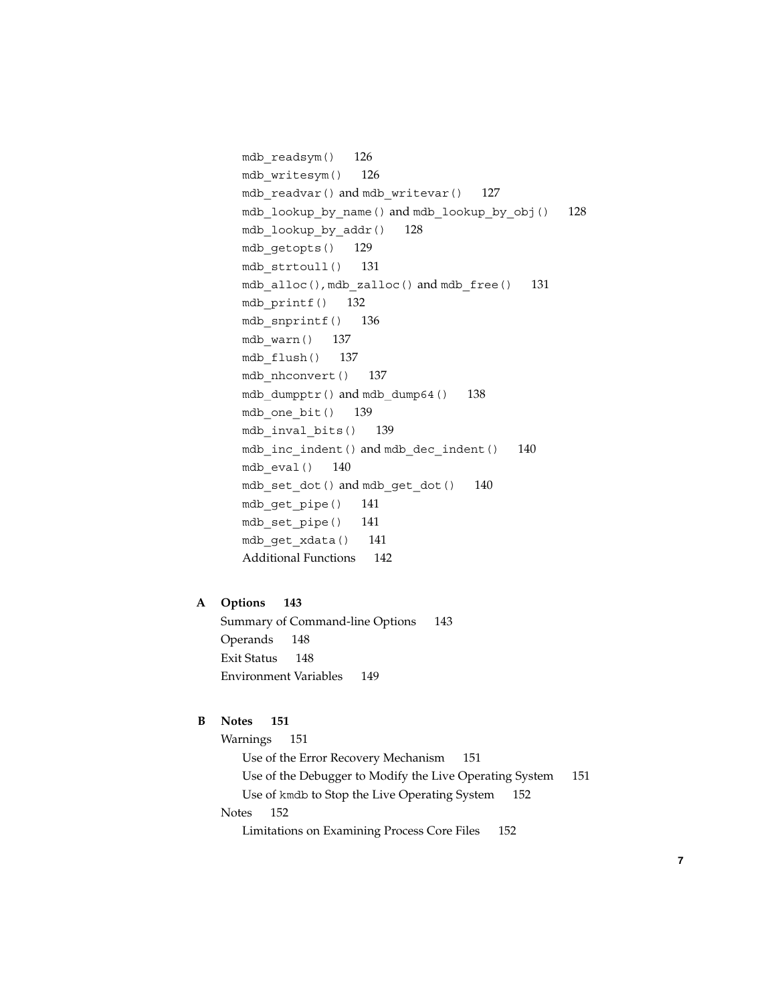```
mdb_readsym() 126
mdb_writesym() 126
mdb readvar() and mdb writevar() 127
mdb_lookup_by_name() and mdb_lookup_by_obj() 128
mdb_lookup_by_addr() 128
mdb_getopts() 129
mdb_strtoull() 131
mdb_alloc(), mdb_zalloc() and mdb_free() 131
mdb_printf() 132
mdb snprintf() 136
mdb_warn() 137
mdb_flush() 137
mdb_nhconvert() 137
mdb dumpptr() and mdb dump64() 138
mdb_one_bit() 139
mdb_inval_bits() 139
mdb_inc_indent() and mdb_dec_indent() 140
mdb eval() 140
mdb_set_dot() and mdb_get_dot() 140
mdb_get_pipe() 141
mdb_set_pipe() 141
mdb_get_xdata() 141
Additional Functions 142
```
#### **[A Options 143](#page-142-0)**

[Summary of Command-line Options 143](#page-142-0) [Operands 148](#page-147-0) [Exit Status 148](#page-147-0) [Environment Variables 149](#page-148-0)

#### **[B Notes 151](#page-150-0)**

[Warnings 151](#page-150-0) [Use of the Error Recovery Mechanism 151](#page-150-0) [Use of the Debugger to Modify the Live Operating System 151](#page-150-0) Use of kmdb [to Stop the Live Operating System 152](#page-151-0) [Notes 152](#page-151-0) [Limitations on Examining Process Core Files 152](#page-151-0)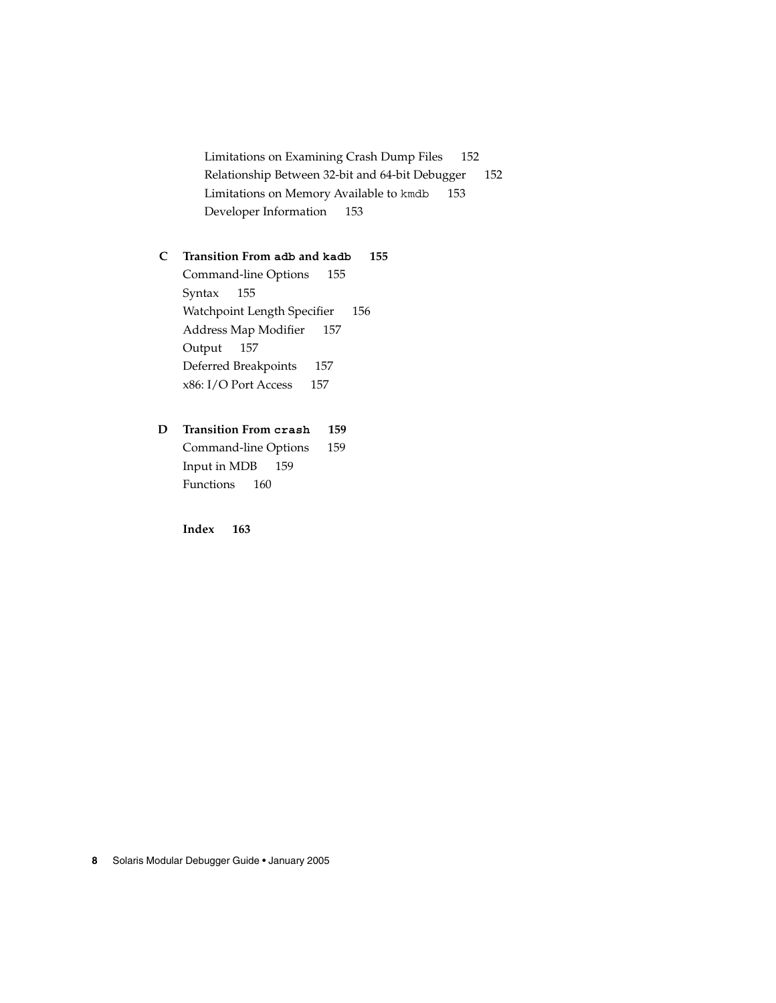[Limitations on Examining Crash Dump Files 152](#page-151-0) [Relationship Between 32-bit and 64-bit Debugger 152](#page-151-0) [Limitations on Memory Available to](#page-152-0) kmdb 153 [Developer Information 153](#page-152-0)

#### **[C Transition From](#page-154-0) adb and kadb 155**

[Command-line Options 155](#page-154-0) [Syntax 155](#page-154-0) [Watchpoint Length Specifier 156](#page-155-0) [Address Map Modifier 157](#page-156-0) [Output 157](#page-156-0) [Deferred Breakpoints 157](#page-156-0) [x86: I/O Port Access 157](#page-156-0)

#### **[D Transition From](#page-158-0) crash 159**

[Command-line Options 159](#page-158-0) [Input in MDB 159](#page-158-0) [Functions 160](#page-159-0)

**[Index 163](#page-162-0)**

**8** Solaris Modular Debugger Guide • January 2005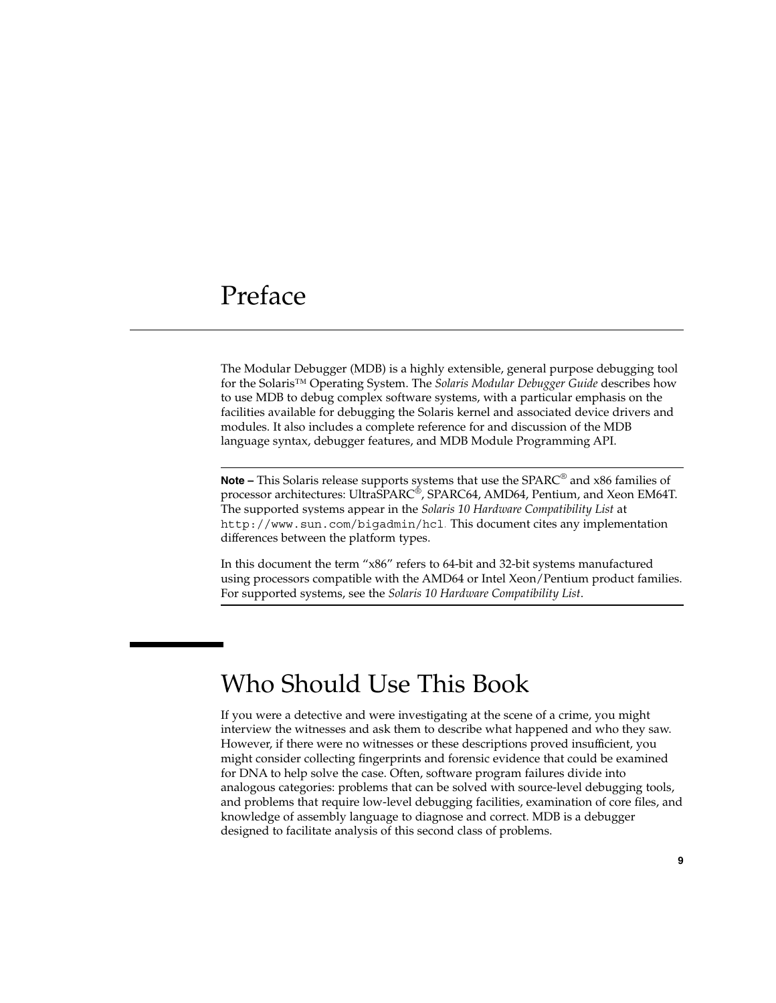#### <span id="page-8-0"></span>Preface

The Modular Debugger (MDB) is a highly extensible, general purpose debugging tool for the Solaris™ Operating System. The *Solaris Modular Debugger Guide* describes how to use MDB to debug complex software systems, with a particular emphasis on the facilities available for debugging the Solaris kernel and associated device drivers and modules. It also includes a complete reference for and discussion of the MDB language syntax, debugger features, and MDB Module Programming API.

**Note –** This Solaris release supports systems that use the SPARC<sup>®</sup> and x86 families of processor architectures: UltraSPARC®, SPARC64, AMD64, Pentium, and Xeon EM64T. The supported systems appear in the *Solaris 10 Hardware Compatibility List* at <http://www.sun.com/bigadmin/hcl>. This document cites any implementation differences between the platform types.

In this document the term "x86" refers to 64-bit and 32-bit systems manufactured using processors compatible with the AMD64 or Intel Xeon/Pentium product families. For supported systems, see the *Solaris 10 Hardware Compatibility List*.

#### Who Should Use This Book

If you were a detective and were investigating at the scene of a crime, you might interview the witnesses and ask them to describe what happened and who they saw. However, if there were no witnesses or these descriptions proved insufficient, you might consider collecting fingerprints and forensic evidence that could be examined for DNA to help solve the case. Often, software program failures divide into analogous categories: problems that can be solved with source-level debugging tools, and problems that require low-level debugging facilities, examination of core files, and knowledge of assembly language to diagnose and correct. MDB is a debugger designed to facilitate analysis of this second class of problems.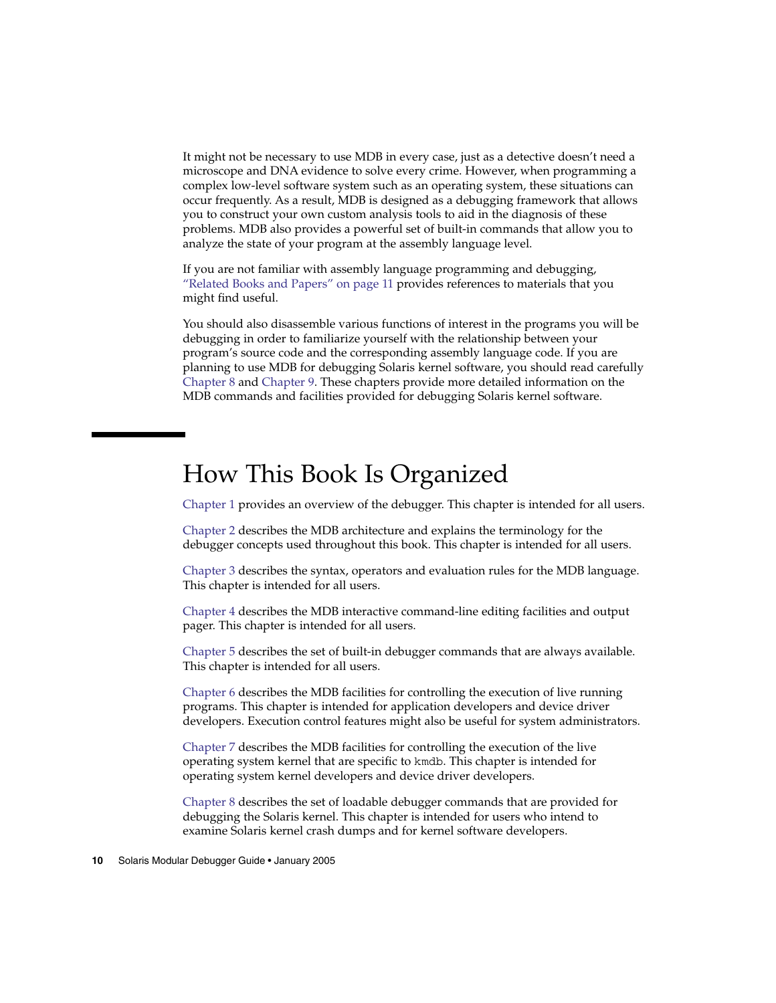It might not be necessary to use MDB in every case, just as a detective doesn't need a microscope and DNA evidence to solve every crime. However, when programming a complex low-level software system such as an operating system, these situations can occur frequently. As a result, MDB is designed as a debugging framework that allows you to construct your own custom analysis tools to aid in the diagnosis of these problems. MDB also provides a powerful set of built-in commands that allow you to analyze the state of your program at the assembly language level.

If you are not familiar with assembly language programming and debugging, ["Related Books and Papers"](#page-10-0) on page 11 provides references to materials that you might find useful.

You should also disassemble various functions of interest in the programs you will be debugging in order to familiarize yourself with the relationship between your program's source code and the corresponding assembly language code. If you are planning to use MDB for debugging Solaris kernel software, you should read carefully [Chapter 8](#page-70-0) and [Chapter 9.](#page-94-0) These chapters provide more detailed information on the MDB commands and facilities provided for debugging Solaris kernel software.

#### How This Book Is Organized

[Chapter 1](#page-14-0) provides an overview of the debugger. This chapter is intended for all users.

[Chapter 2](#page-18-0) describes the MDB architecture and explains the terminology for the debugger concepts used throughout this book. This chapter is intended for all users.

[Chapter 3](#page-22-0) describes the syntax, operators and evaluation rules for the MDB language. This chapter is intended for all users.

[Chapter 4](#page-36-0) describes the MDB interactive command-line editing facilities and output pager. This chapter is intended for all users.

[Chapter 5](#page-40-0) describes the set of built-in debugger commands that are always available. This chapter is intended for all users.

[Chapter 6](#page-54-0) describes the MDB facilities for controlling the execution of live running programs. This chapter is intended for application developers and device driver developers. Execution control features might also be useful for system administrators.

[Chapter 7](#page-66-0) describes the MDB facilities for controlling the execution of the live operating system kernel that are specific to kmdb. This chapter is intended for operating system kernel developers and device driver developers.

[Chapter 8](#page-70-0) describes the set of loadable debugger commands that are provided for debugging the Solaris kernel. This chapter is intended for users who intend to examine Solaris kernel crash dumps and for kernel software developers.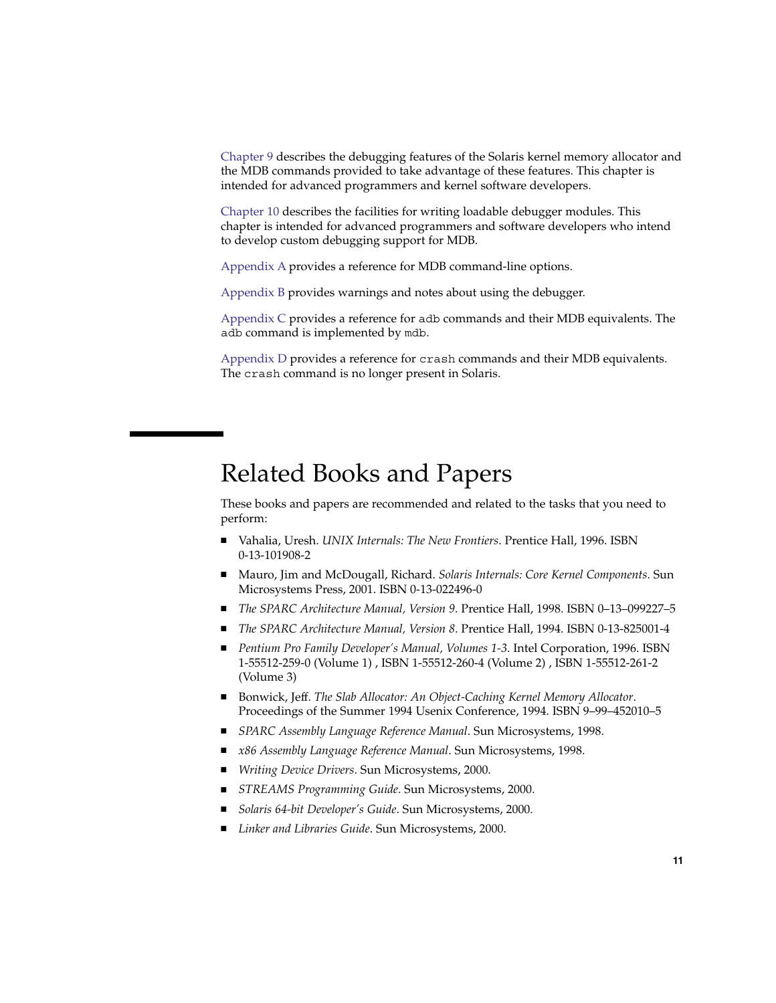<span id="page-10-0"></span>[Chapter 9](#page-94-0) describes the debugging features of the Solaris kernel memory allocator and the MDB commands provided to take advantage of these features. This chapter is intended for advanced programmers and kernel software developers.

[Chapter 10](#page-114-0) describes the facilities for writing loadable debugger modules. This chapter is intended for advanced programmers and software developers who intend to develop custom debugging support for MDB.

[Appendix A](#page-142-0) provides a reference for MDB command-line options.

[Appendix B](#page-150-0) provides warnings and notes about using the debugger.

[Appendix C](#page-154-0) provides a reference for adb commands and their MDB equivalents. The adb command is implemented by mdb.

[Appendix D](#page-158-0) provides a reference for crash commands and their MDB equivalents. The crash command is no longer present in Solaris.

#### Related Books and Papers

These books and papers are recommended and related to the tasks that you need to perform:

- Vahalia, Uresh. *UNIX Internals: The New Frontiers*. Prentice Hall, 1996. ISBN 0-13-101908-2
- Mauro, Jim and McDougall, Richard. *Solaris Internals: Core Kernel Components*. Sun Microsystems Press, 2001. ISBN 0-13-022496-0
- *The SPARC Architecture Manual, Version 9*. Prentice Hall, 1998. ISBN 0-13-099227-5
- *The SPARC Architecture Manual, Version 8*. Prentice Hall, 1994. ISBN 0-13-825001-4
- *Pentium Pro Family Developer's Manual, Volumes 1-3*. Intel Corporation, 1996. ISBN 1-55512-259-0 (Volume 1) , ISBN 1-55512-260-4 (Volume 2) , ISBN 1-55512-261-2 (Volume 3)
- Bonwick, Jeff. *The Slab Allocator: An Object-Caching Kernel Memory Allocator*. Proceedings of the Summer 1994 Usenix Conference, 1994. ISBN 9–99–452010–5
- *SPARC Assembly Language Reference Manual*. Sun Microsystems, 1998.
- *x86 Assembly Language Reference Manual*. Sun Microsystems, 1998.
- *Writing Device Drivers*. Sun Microsystems, 2000.
- *STREAMS Programming Guide*. Sun Microsystems, 2000.
- *Solaris 64-bit Developer's Guide*. Sun Microsystems, 2000.
- *Linker and Libraries Guide*. Sun Microsystems, 2000.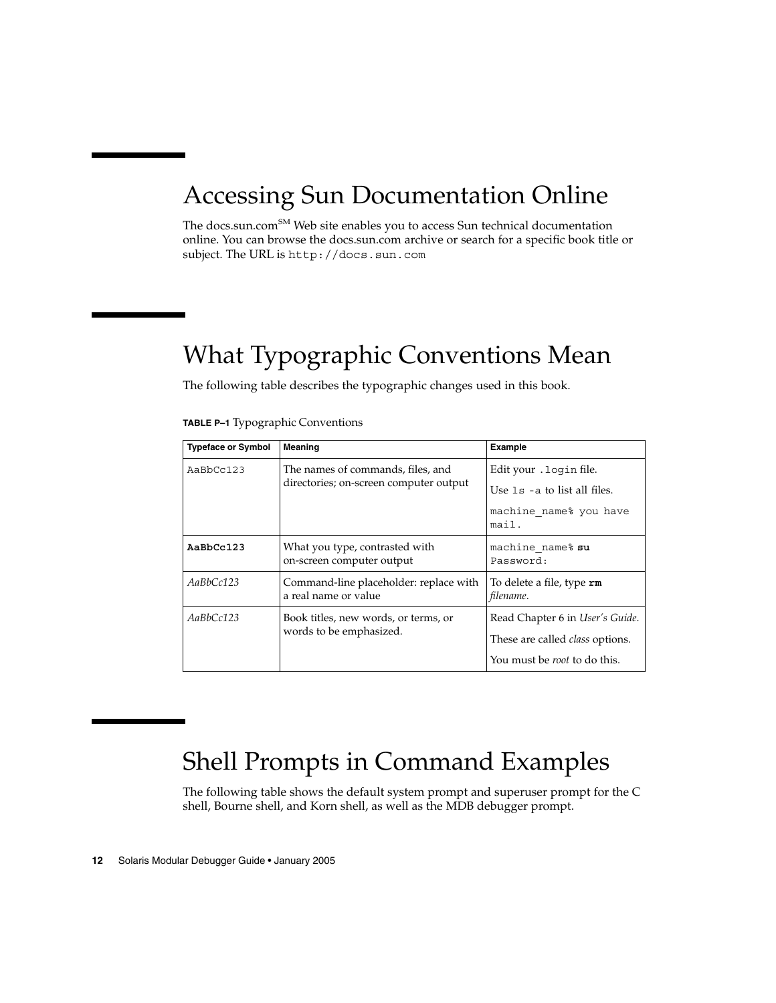## Accessing Sun Documentation Online

The docs.sun.com<sup>SM</sup> Web site enables you to access Sun technical documentation online. You can browse the docs.sun.com archive or search for a specific book title or subject. The URL is <http://docs.sun.com>.

## What Typographic Conventions Mean

The following table describes the typographic changes used in this book.

|  |  |  | <b>TABLE P-1</b> Typographic Conventions |
|--|--|--|------------------------------------------|
|--|--|--|------------------------------------------|

| <b>Typeface or Symbol</b> | <b>Meaning</b>                                                              | Example                                  |
|---------------------------|-----------------------------------------------------------------------------|------------------------------------------|
| AaBbCc123                 | The names of commands, files, and<br>directories; on-screen computer output | Edit your . login file.                  |
|                           |                                                                             | Use $1s$ -a to list all files.           |
|                           |                                                                             | machine name% you have<br>mail.          |
| AaBbCc123                 | What you type, contrasted with<br>on-screen computer output                 | machine name% su<br>Password:            |
| AaBbCc123                 | Command-line placeholder: replace with<br>a real name or value              | To delete a file, type $rm$<br>filename. |
| AaBbCc123                 | Book titles, new words, or terms, or<br>words to be emphasized.             | Read Chapter 6 in User's Guide.          |
|                           |                                                                             | These are called <i>class</i> options.   |
|                           |                                                                             | You must be <i>root</i> to do this.      |

### Shell Prompts in Command Examples

The following table shows the default system prompt and superuser prompt for the C shell, Bourne shell, and Korn shell, as well as the MDB debugger prompt.

**12** Solaris Modular Debugger Guide • January 2005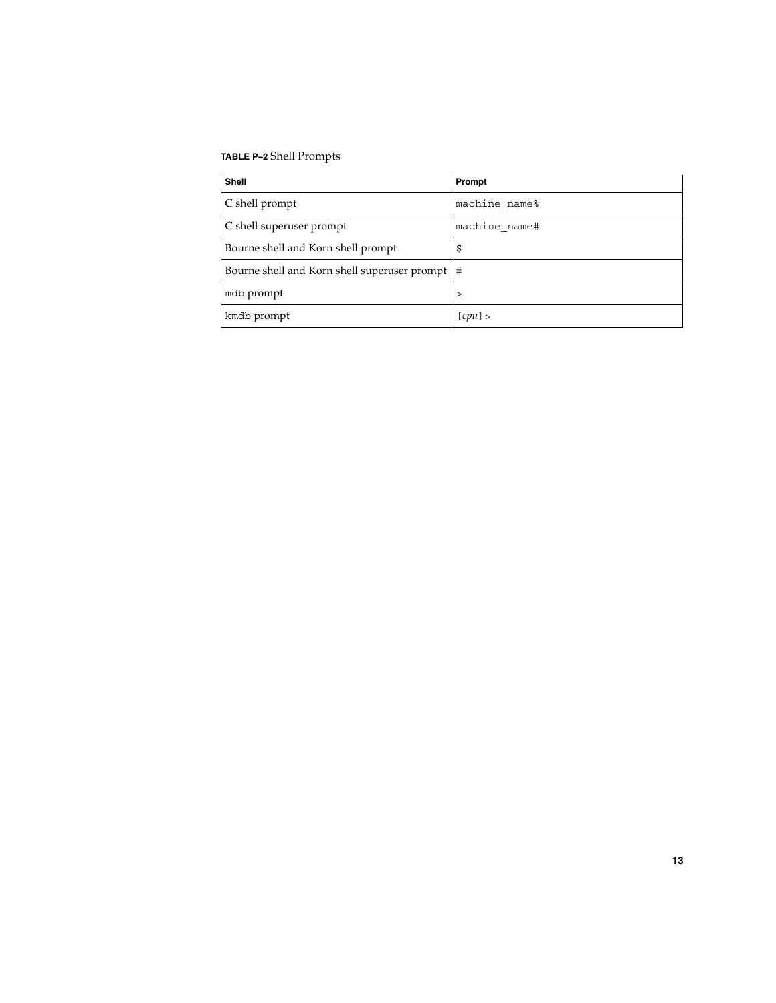#### **TABLE P–2** Shell Prompts

| Shell                                            | Prompt        |
|--------------------------------------------------|---------------|
| C shell prompt                                   | machine name% |
| C shell superuser prompt                         | machine name# |
| Bourne shell and Korn shell prompt               | \$            |
| Bourne shell and Korn shell superuser prompt   # |               |
| mdb prompt                                       | $\geq$        |
| kmdb prompt                                      | [cpu] >       |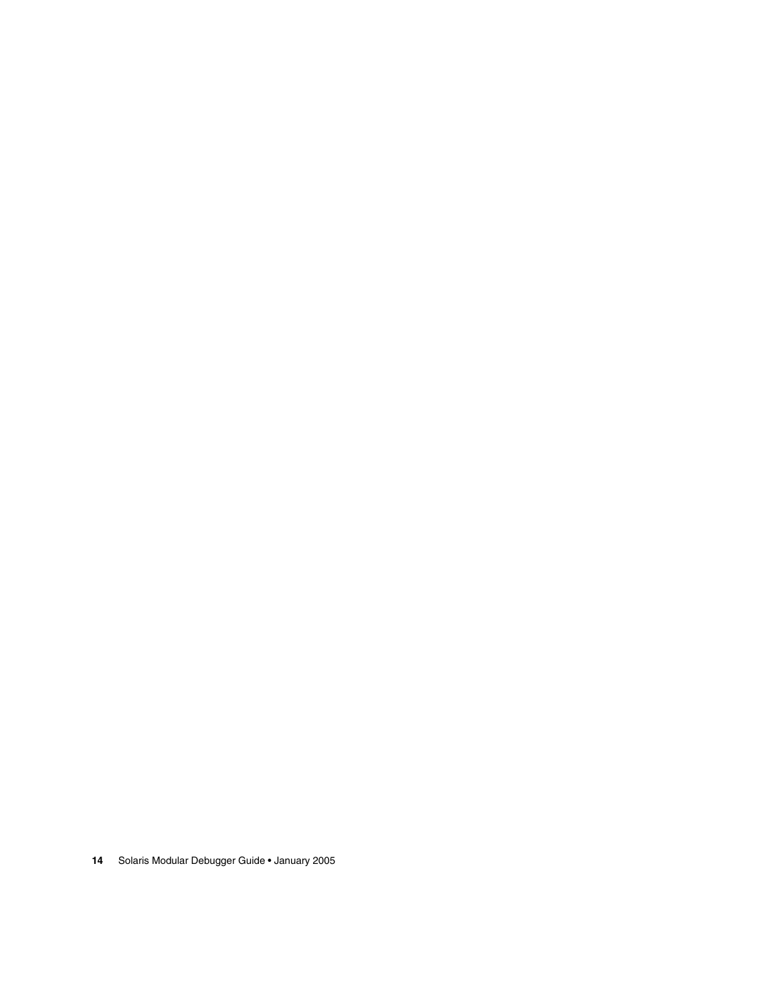Solaris Modular Debugger Guide • January 2005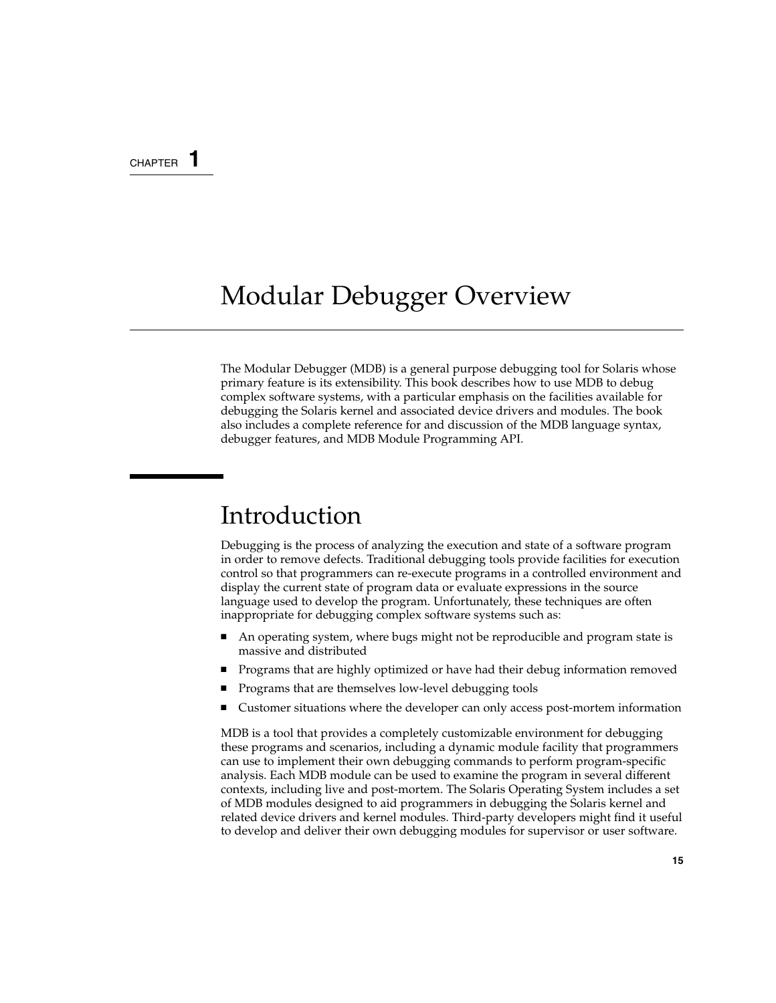#### <span id="page-14-0"></span>CHAPTER **1**

### Modular Debugger Overview

The Modular Debugger (MDB) is a general purpose debugging tool for Solaris whose primary feature is its extensibility. This book describes how to use MDB to debug complex software systems, with a particular emphasis on the facilities available for debugging the Solaris kernel and associated device drivers and modules. The book also includes a complete reference for and discussion of the MDB language syntax, debugger features, and MDB Module Programming API.

#### Introduction

Debugging is the process of analyzing the execution and state of a software program in order to remove defects. Traditional debugging tools provide facilities for execution control so that programmers can re-execute programs in a controlled environment and display the current state of program data or evaluate expressions in the source language used to develop the program. Unfortunately, these techniques are often inappropriate for debugging complex software systems such as:

- An operating system, where bugs might not be reproducible and program state is massive and distributed
- Programs that are highly optimized or have had their debug information removed
- Programs that are themselves low-level debugging tools
- Customer situations where the developer can only access post-mortem information

MDB is a tool that provides a completely customizable environment for debugging these programs and scenarios, including a dynamic module facility that programmers can use to implement their own debugging commands to perform program-specific analysis. Each MDB module can be used to examine the program in several different contexts, including live and post-mortem. The Solaris Operating System includes a set of MDB modules designed to aid programmers in debugging the Solaris kernel and related device drivers and kernel modules. Third-party developers might find it useful to develop and deliver their own debugging modules for supervisor or user software.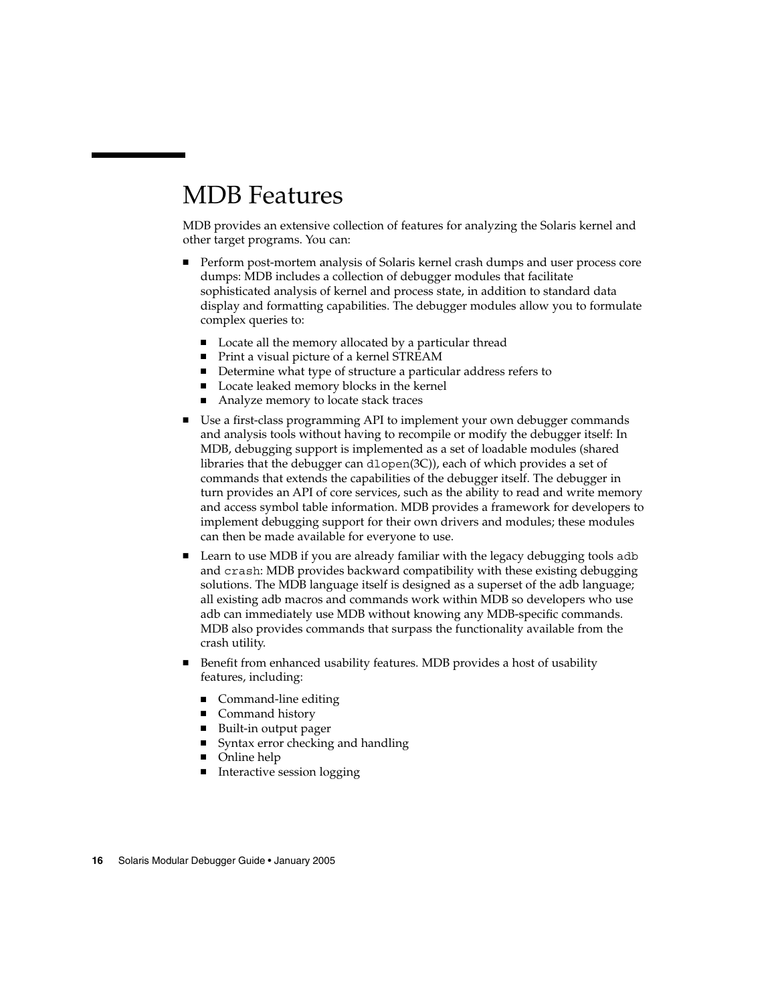## <span id="page-15-0"></span>MDB Features

MDB provides an extensive collection of features for analyzing the Solaris kernel and other target programs. You can:

- Perform post-mortem analysis of Solaris kernel crash dumps and user process core dumps: MDB includes a collection of debugger modules that facilitate sophisticated analysis of kernel and process state, in addition to standard data display and formatting capabilities. The debugger modules allow you to formulate complex queries to:
	- Locate all the memory allocated by a particular thread
	- Print a visual picture of a kernel STREAM
	- Determine what type of structure a particular address refers to
	- Locate leaked memory blocks in the kernel
	- Analyze memory to locate stack traces
- Use a first-class programming API to implement your own debugger commands and analysis tools without having to recompile or modify the debugger itself: In MDB, debugging support is implemented as a set of loadable modules (shared libraries that the debugger can dlopen(3C)), each of which provides a set of commands that extends the capabilities of the debugger itself. The debugger in turn provides an API of core services, such as the ability to read and write memory and access symbol table information. MDB provides a framework for developers to implement debugging support for their own drivers and modules; these modules can then be made available for everyone to use.
- Learn to use MDB if you are already familiar with the legacy debugging tools adb and crash: MDB provides backward compatibility with these existing debugging solutions. The MDB language itself is designed as a superset of the adb language; all existing adb macros and commands work within MDB so developers who use adb can immediately use MDB without knowing any MDB-specific commands. MDB also provides commands that surpass the functionality available from the crash utility.
- Benefit from enhanced usability features. MDB provides a host of usability features, including:
	- Command-line editing
	- Command history
	- Built-in output pager
	- Syntax error checking and handling
	- Online help
	- Interactive session logging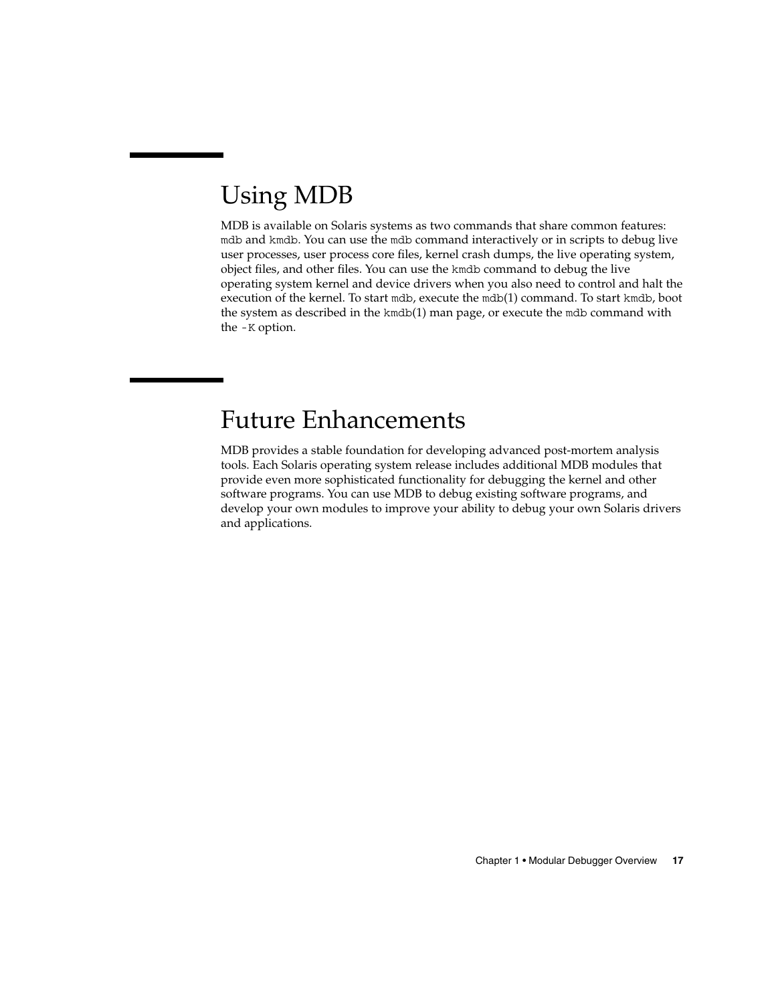## <span id="page-16-0"></span>Using MDB

MDB is available on Solaris systems as two commands that share common features: mdb and kmdb. You can use the mdb command interactively or in scripts to debug live user processes, user process core files, kernel crash dumps, the live operating system, object files, and other files. You can use the kmdb command to debug the live operating system kernel and device drivers when you also need to control and halt the execution of the kernel. To start mdb, execute the mdb(1) command. To start kmdb, boot the system as described in the kmdb(1) man page, or execute the mdb command with the -K option.

#### Future Enhancements

MDB provides a stable foundation for developing advanced post-mortem analysis tools. Each Solaris operating system release includes additional MDB modules that provide even more sophisticated functionality for debugging the kernel and other software programs. You can use MDB to debug existing software programs, and develop your own modules to improve your ability to debug your own Solaris drivers and applications.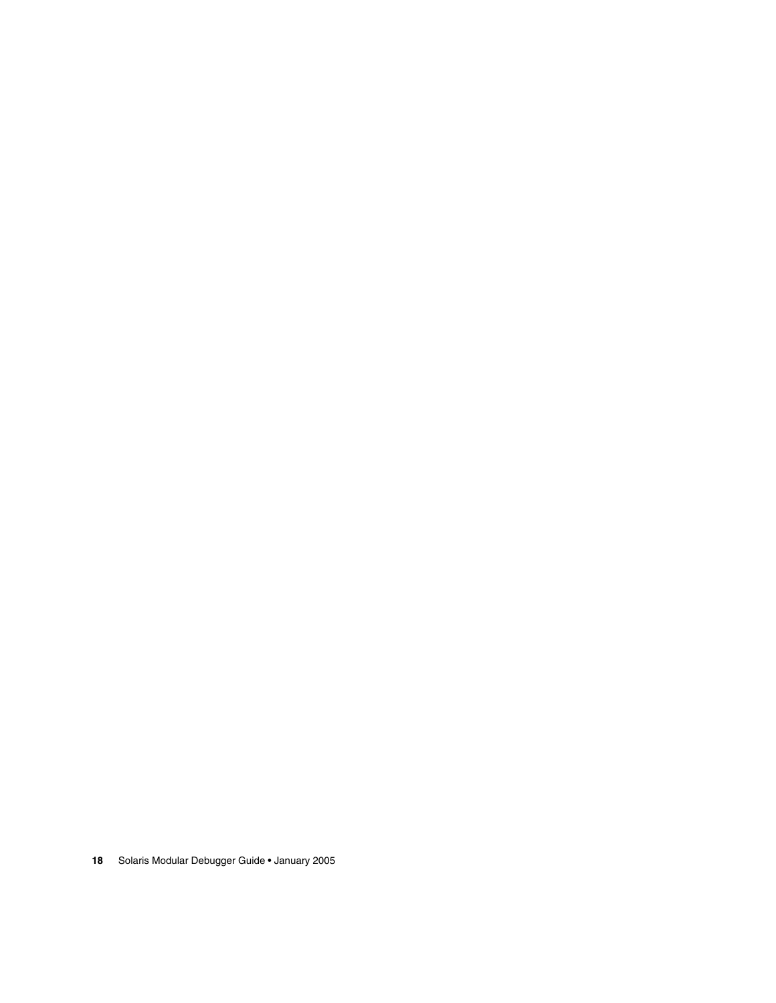Solaris Modular Debugger Guide • January 2005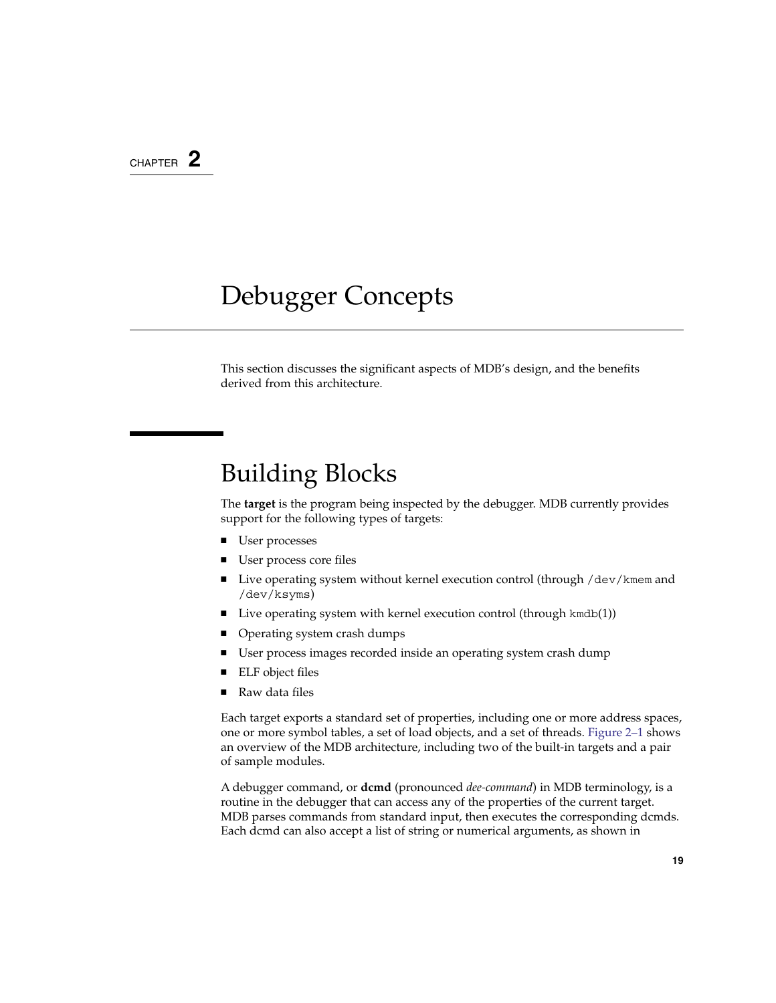#### <span id="page-18-0"></span>CHAPTER **2**

## Debugger Concepts

This section discusses the significant aspects of MDB's design, and the benefits derived from this architecture.

## Building Blocks

The **target** is the program being inspected by the debugger. MDB currently provides support for the following types of targets:

- User processes
- User process core files
- Live operating system without kernel execution control (through /dev/kmem and /dev/ksyms)
- Live operating system with kernel execution control (through kmdb(1))
- Operating system crash dumps
- User process images recorded inside an operating system crash dump
- ELF object files
- Raw data files

Each target exports a standard set of properties, including one or more address spaces, one or more symbol tables, a set of load objects, and a set of threads. [Figure 2–1](#page-19-0) shows an overview of the MDB architecture, including two of the built-in targets and a pair of sample modules.

A debugger command, or **dcmd** (pronounced *dee-command*) in MDB terminology, is a routine in the debugger that can access any of the properties of the current target. MDB parses commands from standard input, then executes the corresponding dcmds. Each dcmd can also accept a list of string or numerical arguments, as shown in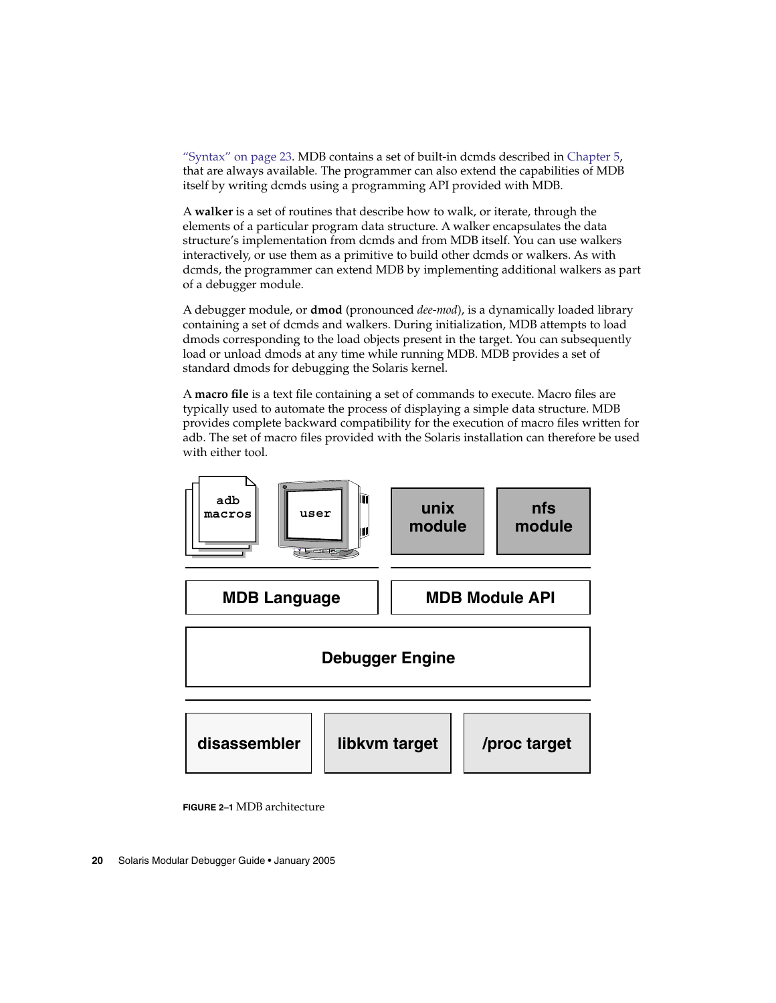<span id="page-19-0"></span>"Syntax" [on page 23.](#page-22-0) MDB contains a set of built-in dcmds described in [Chapter 5,](#page-40-0) that are always available. The programmer can also extend the capabilities of MDB itself by writing dcmds using a programming API provided with MDB.

A **walker** is a set of routines that describe how to walk, or iterate, through the elements of a particular program data structure. A walker encapsulates the data structure's implementation from dcmds and from MDB itself. You can use walkers interactively, or use them as a primitive to build other dcmds or walkers. As with dcmds, the programmer can extend MDB by implementing additional walkers as part of a debugger module.

A debugger module, or **dmod** (pronounced *dee-mod*), is a dynamically loaded library containing a set of dcmds and walkers. During initialization, MDB attempts to load dmods corresponding to the load objects present in the target. You can subsequently load or unload dmods at any time while running MDB. MDB provides a set of standard dmods for debugging the Solaris kernel.

A **macro file** is a text file containing a set of commands to execute. Macro files are typically used to automate the process of displaying a simple data structure. MDB provides complete backward compatibility for the execution of macro files written for adb. The set of macro files provided with the Solaris installation can therefore be used with either tool.



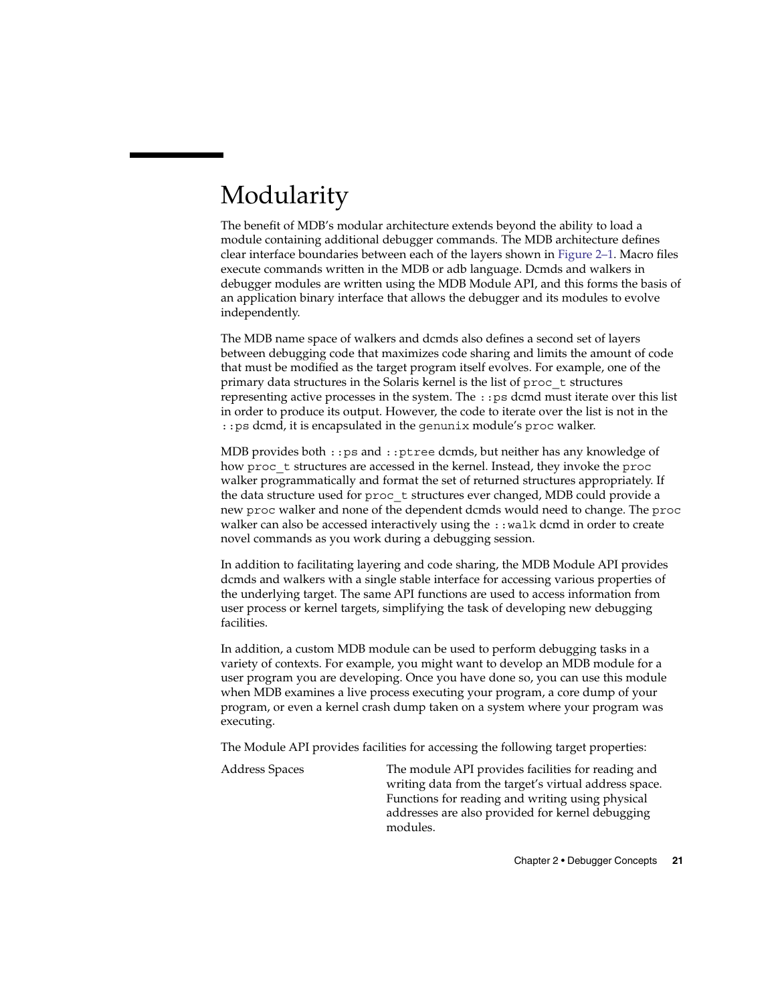## <span id="page-20-0"></span>Modularity

The benefit of MDB's modular architecture extends beyond the ability to load a module containing additional debugger commands. The MDB architecture defines clear interface boundaries between each of the layers shown in [Figure 2–1.](#page-19-0) Macro files execute commands written in the MDB or adb language. Dcmds and walkers in debugger modules are written using the MDB Module API, and this forms the basis of an application binary interface that allows the debugger and its modules to evolve independently.

The MDB name space of walkers and dcmds also defines a second set of layers between debugging code that maximizes code sharing and limits the amount of code that must be modified as the target program itself evolves. For example, one of the primary data structures in the Solaris kernel is the list of proc\_t structures representing active processes in the system. The ::ps dcmd must iterate over this list in order to produce its output. However, the code to iterate over the list is not in the ::ps dcmd, it is encapsulated in the genunix module's proc walker.

MDB provides both ::ps and ::ptree dcmds, but neither has any knowledge of how proc\_t structures are accessed in the kernel. Instead, they invoke the proc walker programmatically and format the set of returned structures appropriately. If the data structure used for proc\_t structures ever changed, MDB could provide a new proc walker and none of the dependent dcmds would need to change. The proc walker can also be accessed interactively using the : : walk dcmd in order to create novel commands as you work during a debugging session.

In addition to facilitating layering and code sharing, the MDB Module API provides dcmds and walkers with a single stable interface for accessing various properties of the underlying target. The same API functions are used to access information from user process or kernel targets, simplifying the task of developing new debugging facilities.

In addition, a custom MDB module can be used to perform debugging tasks in a variety of contexts. For example, you might want to develop an MDB module for a user program you are developing. Once you have done so, you can use this module when MDB examines a live process executing your program, a core dump of your program, or even a kernel crash dump taken on a system where your program was executing.

The Module API provides facilities for accessing the following target properties:

Address Spaces The module API provides facilities for reading and writing data from the target's virtual address space. Functions for reading and writing using physical addresses are also provided for kernel debugging modules.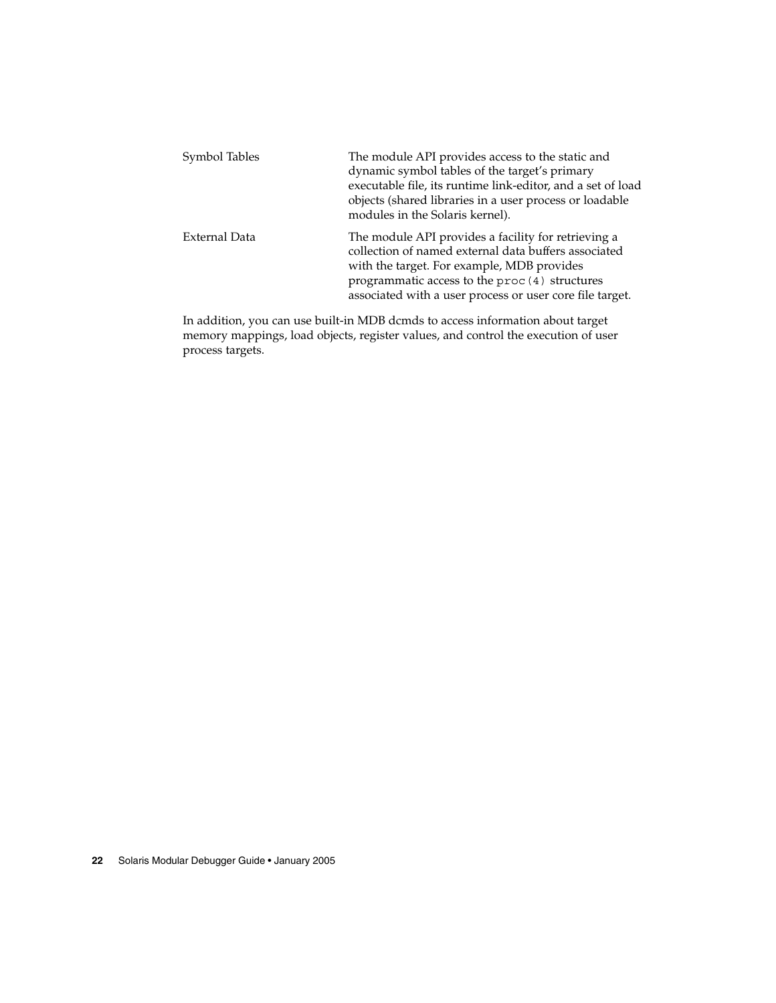| Symbol Tables | The module API provides access to the static and<br>dynamic symbol tables of the target's primary<br>executable file, its runtime link-editor, and a set of load<br>objects (shared libraries in a user process or loadable<br>modules in the Solaris kernel).          |
|---------------|-------------------------------------------------------------------------------------------------------------------------------------------------------------------------------------------------------------------------------------------------------------------------|
| External Data | The module API provides a facility for retrieving a<br>collection of named external data buffers associated<br>with the target. For example, MDB provides<br>programmatic access to the proc (4) structures<br>associated with a user process or user core file target. |

In addition, you can use built-in MDB dcmds to access information about target memory mappings, load objects, register values, and control the execution of user process targets.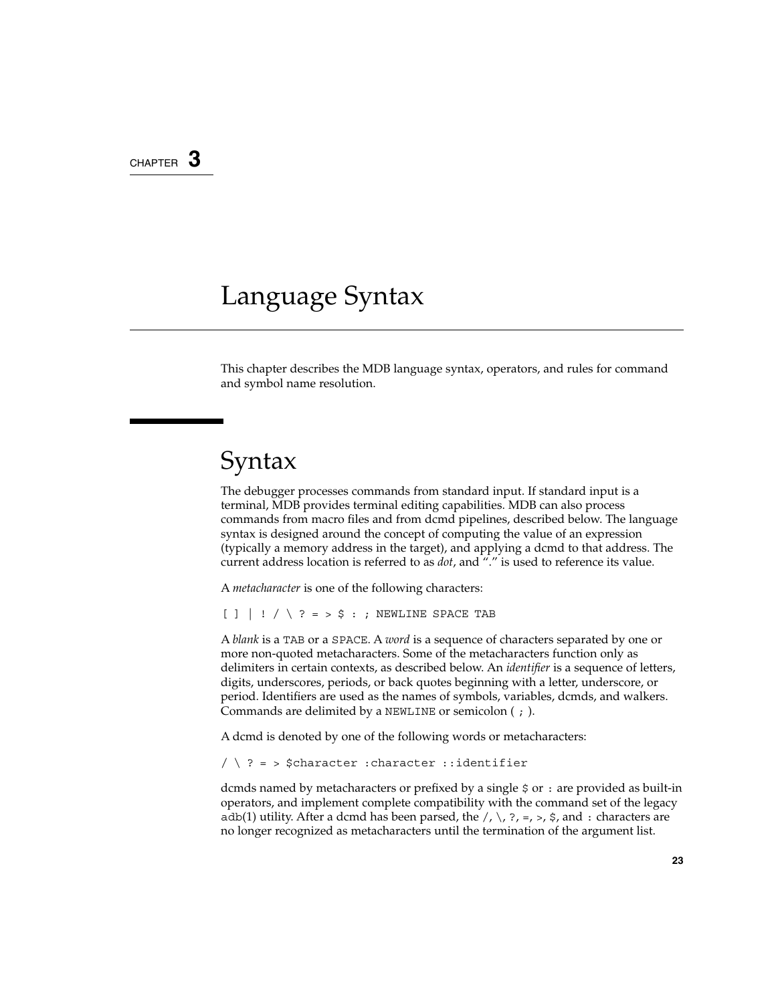#### <span id="page-22-0"></span>CHAPTER **3**

### Language Syntax

This chapter describes the MDB language syntax, operators, and rules for command and symbol name resolution.

#### Syntax

The debugger processes commands from standard input. If standard input is a terminal, MDB provides terminal editing capabilities. MDB can also process commands from macro files and from dcmd pipelines, described below. The language syntax is designed around the concept of computing the value of an expression (typically a memory address in the target), and applying a dcmd to that address. The current address location is referred to as *dot*, and "." is used to reference its value.

A *metacharacter* is one of the following characters:

 $[ ] \mid ! / \ \rangle$  ? = > \$ : ; NEWLINE SPACE TAB

A *blank* is a TAB or a SPACE. A *word* is a sequence of characters separated by one or more non-quoted metacharacters. Some of the metacharacters function only as delimiters in certain contexts, as described below. An *identifier* is a sequence of letters, digits, underscores, periods, or back quotes beginning with a letter, underscore, or period. Identifiers are used as the names of symbols, variables, dcmds, and walkers. Commands are delimited by a NEWLINE or semicolon ( ; ).

A dcmd is denoted by one of the following words or metacharacters:

 $/ \setminus ? =$  > \$character : character : : identifier

dcmds named by metacharacters or prefixed by a single \$ or : are provided as built-in operators, and implement complete compatibility with the command set of the legacy adb(1) utility. After a dcmd has been parsed, the  $/$ ,  $\backslash$ ,  $?$ ,  $=$ ,  $\backsim$ ,  $\lessdot$ , and : characters are no longer recognized as metacharacters until the termination of the argument list.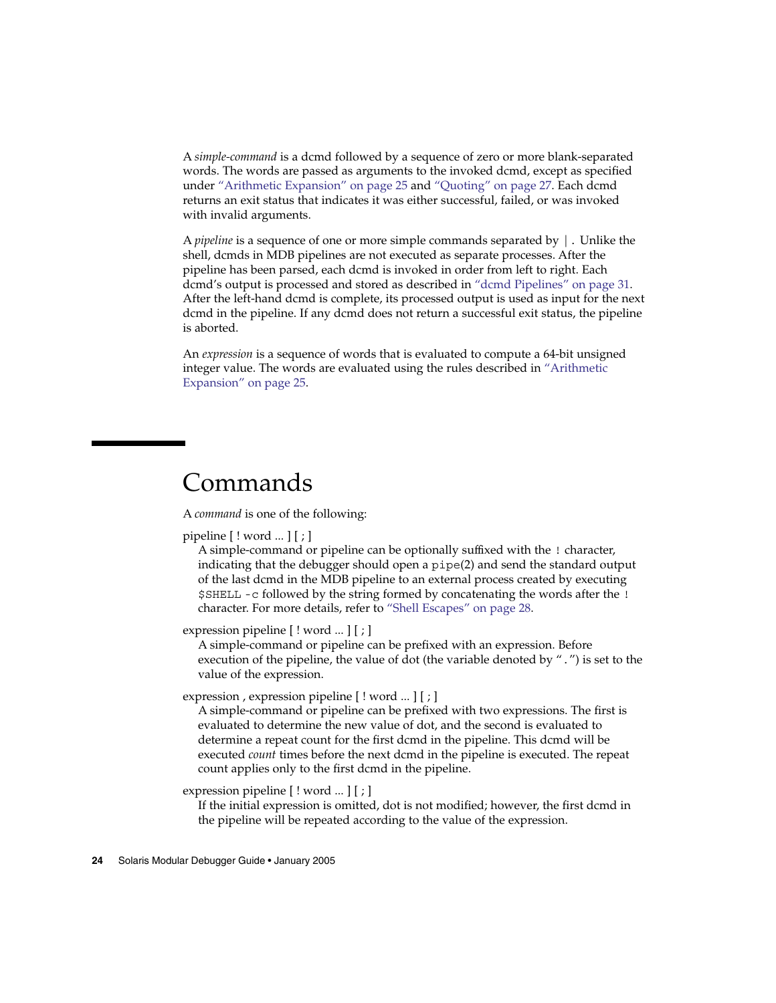<span id="page-23-0"></span>A *simple-command* is a dcmd followed by a sequence of zero or more blank-separated words. The words are passed as arguments to the invoked dcmd, except as specified under ["Arithmetic Expansion"](#page-24-0) on page 25 and "Quoting" [on page 27.](#page-26-0) Each dcmd returns an exit status that indicates it was either successful, failed, or was invoked with invalid arguments.

A *pipeline* is a sequence of one or more simple commands separated by |. Unlike the shell, dcmds in MDB pipelines are not executed as separate processes. After the pipeline has been parsed, each dcmd is invoked in order from left to right. Each dcmd's output is processed and stored as described in ["dcmd Pipelines"](#page-30-0) on page 31. After the left-hand dcmd is complete, its processed output is used as input for the next dcmd in the pipeline. If any dcmd does not return a successful exit status, the pipeline is aborted.

An *expression* is a sequence of words that is evaluated to compute a 64-bit unsigned integer value. The words are evaluated using the rules described in ["Arithmetic](#page-24-0) [Expansion"](#page-24-0) on page 25.

#### Commands

A *command* is one of the following:

#### pipeline [ ! word ... ] [ ; ]

A simple-command or pipeline can be optionally suffixed with the ! character, indicating that the debugger should open a pipe(2) and send the standard output of the last dcmd in the MDB pipeline to an external process created by executing \$SHELL -c followed by the string formed by concatenating the words after the ! character. For more details, refer to ["Shell Escapes"](#page-27-0) on page 28.

expression pipeline [ ! word ... ] [ ; ]

A simple-command or pipeline can be prefixed with an expression. Before execution of the pipeline, the value of dot (the variable denoted by ".") is set to the value of the expression.

expression , expression pipeline [ ! word ... ] [ ; ]

A simple-command or pipeline can be prefixed with two expressions. The first is evaluated to determine the new value of dot, and the second is evaluated to determine a repeat count for the first dcmd in the pipeline. This dcmd will be executed *count* times before the next dcmd in the pipeline is executed. The repeat count applies only to the first dcmd in the pipeline.

expression pipeline [ ! word ... ] [ ; ]

If the initial expression is omitted, dot is not modified; however, the first dcmd in the pipeline will be repeated according to the value of the expression.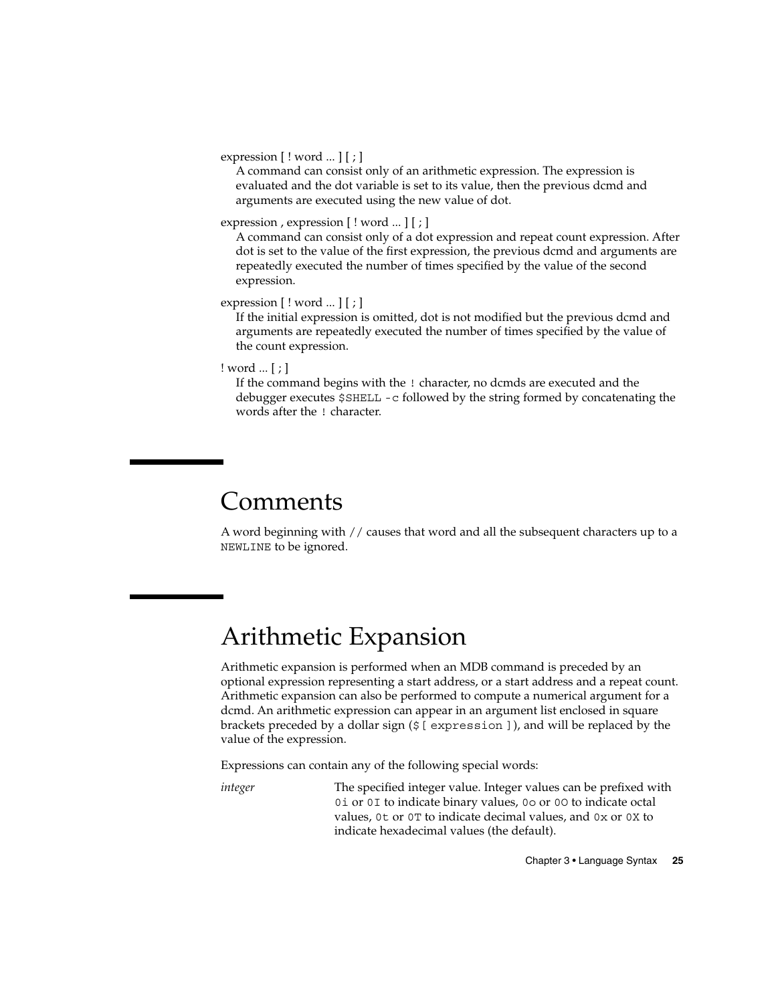<span id="page-24-0"></span>expression  $[$  ! word ...  $]$   $[$  ;  $]$ 

A command can consist only of an arithmetic expression. The expression is evaluated and the dot variable is set to its value, then the previous dcmd and arguments are executed using the new value of dot.

expression , expression [ ! word ... ] [ ; ]

A command can consist only of a dot expression and repeat count expression. After dot is set to the value of the first expression, the previous dcmd and arguments are repeatedly executed the number of times specified by the value of the second expression.

expression  $[$ ! word ...  $]$  $[$ ;  $]$ 

If the initial expression is omitted, dot is not modified but the previous dcmd and arguments are repeatedly executed the number of times specified by the value of the count expression.

#### ! word ... [ ; ]

If the command begins with the ! character, no dcmds are executed and the debugger executes \$SHELL -c followed by the string formed by concatenating the words after the ! character.

#### Comments

A word beginning with // causes that word and all the subsequent characters up to a NEWLINE to be ignored.

## Arithmetic Expansion

Arithmetic expansion is performed when an MDB command is preceded by an optional expression representing a start address, or a start address and a repeat count. Arithmetic expansion can also be performed to compute a numerical argument for a dcmd. An arithmetic expression can appear in an argument list enclosed in square brackets preceded by a dollar sign (\$[ expression ]), and will be replaced by the value of the expression.

Expressions can contain any of the following special words:

*integer* The specified integer value. Integer values can be prefixed with 0i or 0I to indicate binary values, 0o or 0O to indicate octal values, 0t or 0T to indicate decimal values, and 0x or 0X to indicate hexadecimal values (the default).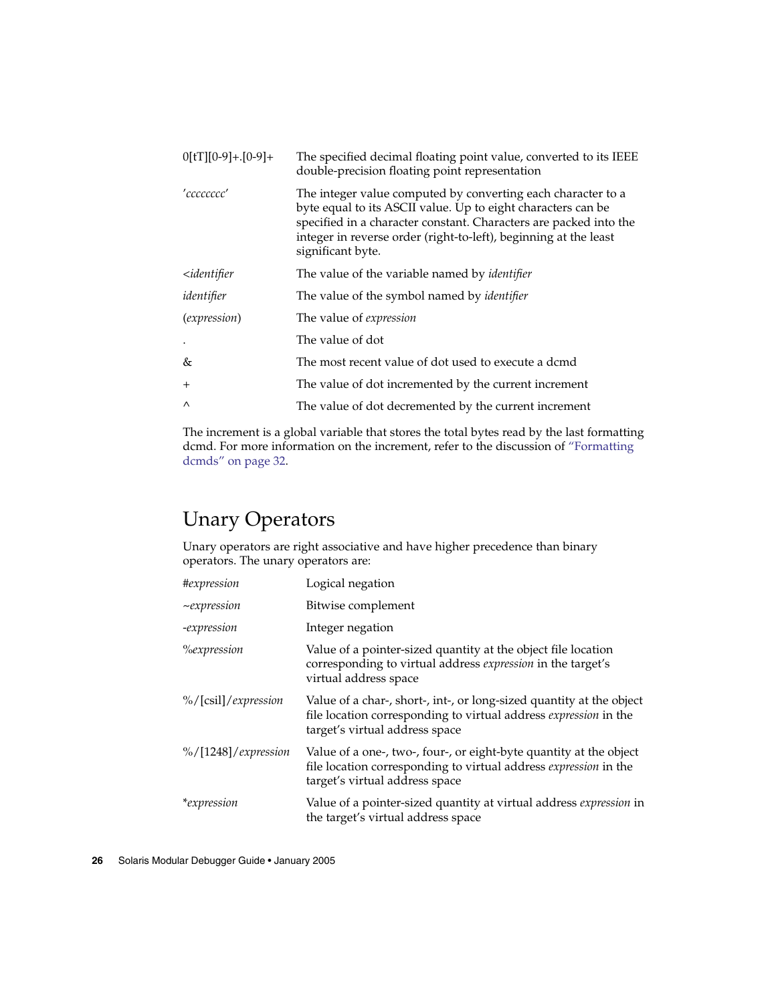<span id="page-25-0"></span>

| $0[tT][0-9]+.[0-9]+$ | The specified decimal floating point value, converted to its IEEE<br>double-precision floating point representation                                                                                                                                                                        |
|----------------------|--------------------------------------------------------------------------------------------------------------------------------------------------------------------------------------------------------------------------------------------------------------------------------------------|
| 'cccccccc'           | The integer value computed by converting each character to a<br>byte equal to its ASCII value. Up to eight characters can be<br>specified in a character constant. Characters are packed into the<br>integer in reverse order (right-to-left), beginning at the least<br>significant byte. |
| identifier           | The value of the variable named by <i>identifier</i>                                                                                                                                                                                                                                       |
| identifier           | The value of the symbol named by <i>identifier</i>                                                                                                                                                                                                                                         |
| (expression)         | The value of <i>expression</i>                                                                                                                                                                                                                                                             |
| $\bullet$            | The value of dot                                                                                                                                                                                                                                                                           |
| &                    | The most recent value of dot used to execute a dcmd                                                                                                                                                                                                                                        |
| $^{+}$               | The value of dot incremented by the current increment                                                                                                                                                                                                                                      |
| $\wedge$             | The value of dot decremented by the current increment                                                                                                                                                                                                                                      |

The increment is a global variable that stores the total bytes read by the last formatting dcmd. For more information on the increment, refer to the discussion of ["Formatting](#page-31-0) dcmds" [on page 32.](#page-31-0)

#### Unary Operators

Unary operators are right associative and have higher precedence than binary operators. The unary operators are:

| #expression         | Logical negation                                                                                                                                                           |
|---------------------|----------------------------------------------------------------------------------------------------------------------------------------------------------------------------|
| $\sim$ expression   | Bitwise complement                                                                                                                                                         |
| -expression         | Integer negation                                                                                                                                                           |
| %expression         | Value of a pointer-sized quantity at the object file location<br>corresponding to virtual address expression in the target's<br>virtual address space                      |
| %/[csil]/expression | Value of a char-, short-, int-, or long-sized quantity at the object<br>file location corresponding to virtual address expression in the<br>target's virtual address space |
| %/[1248]/expression | Value of a one-, two-, four-, or eight-byte quantity at the object<br>file location corresponding to virtual address expression in the<br>target's virtual address space   |
| *expression         | Value of a pointer-sized quantity at virtual address expression in<br>the target's virtual address space                                                                   |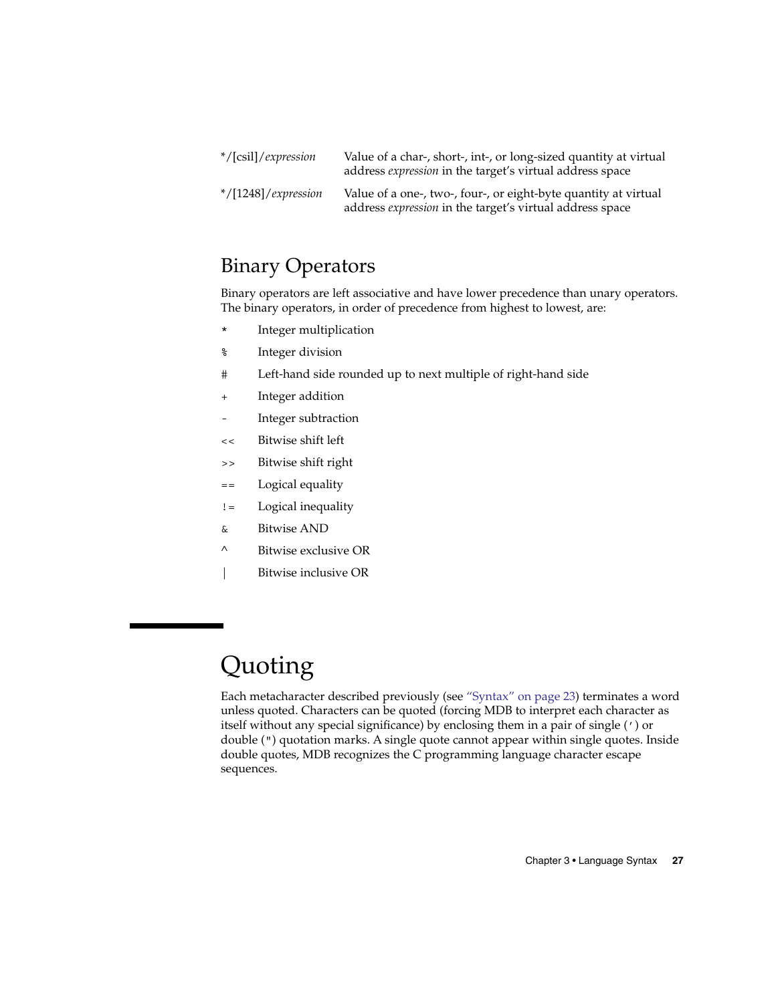<span id="page-26-0"></span>

| */[csil]/expression   | Value of a char-, short-, int-, or long-sized quantity at virtual<br>address <i>expression</i> in the target's virtual address space |
|-----------------------|--------------------------------------------------------------------------------------------------------------------------------------|
| $*/[1248]/expression$ | Value of a one-, two-, four-, or eight-byte quantity at virtual<br>address expression in the target's virtual address space          |

#### Binary Operators

Binary operators are left associative and have lower precedence than unary operators. The binary operators, in order of precedence from highest to lowest, are:

- \* Integer multiplication
- % Integer division
- # Left-hand side rounded up to next multiple of right-hand side
- + Integer addition
- Integer subtraction
- << Bitwise shift left
- >> Bitwise shift right
- == Logical equality
- != Logical inequality
- & Bitwise AND
- ^ Bitwise exclusive OR
- | Bitwise inclusive OR

## Quoting

Each metacharacter described previously (see "Syntax" [on page 23\)](#page-22-0) terminates a word unless quoted. Characters can be quoted (forcing MDB to interpret each character as itself without any special significance) by enclosing them in a pair of single (') or double (") quotation marks. A single quote cannot appear within single quotes. Inside double quotes, MDB recognizes the C programming language character escape sequences.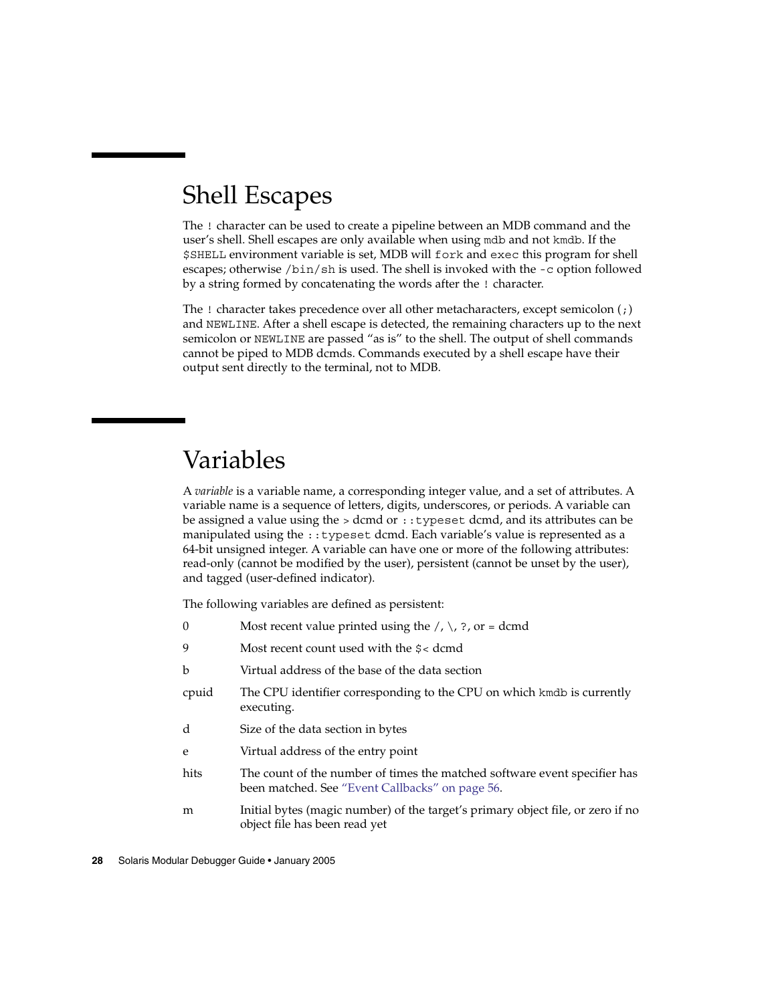### <span id="page-27-0"></span>Shell Escapes

The ! character can be used to create a pipeline between an MDB command and the user's shell. Shell escapes are only available when using mdb and not kmdb. If the \$SHELL environment variable is set, MDB will fork and exec this program for shell escapes; otherwise /bin/sh is used. The shell is invoked with the -c option followed by a string formed by concatenating the words after the ! character.

The ! character takes precedence over all other metacharacters, except semicolon  $($ ;  $)$ and NEWLINE. After a shell escape is detected, the remaining characters up to the next semicolon or NEWLINE are passed "as is" to the shell. The output of shell commands cannot be piped to MDB dcmds. Commands executed by a shell escape have their output sent directly to the terminal, not to MDB.

### Variables

A *variable* is a variable name, a corresponding integer value, and a set of attributes. A variable name is a sequence of letters, digits, underscores, or periods. A variable can be assigned a value using the > dcmd or ::typeset dcmd, and its attributes can be manipulated using the :: typeset dcmd. Each variable's value is represented as a 64-bit unsigned integer. A variable can have one or more of the following attributes: read-only (cannot be modified by the user), persistent (cannot be unset by the user), and tagged (user-defined indicator).

The following variables are defined as persistent:

- 0 Most recent value printed using the  $/$ ,  $\backslash$ ,  $?$ , or = dcmd
- 9 Most recent count used with the \$< dcmd
- b Virtual address of the base of the data section
- cpuid The CPU identifier corresponding to the CPU on which kmdb is currently executing.
- d Size of the data section in bytes
- e Virtual address of the entry point
- hits The count of the number of times the matched software event specifier has been matched. See ["Event Callbacks"](#page-55-0) on page 56.
- m Initial bytes (magic number) of the target's primary object file, or zero if no object file has been read yet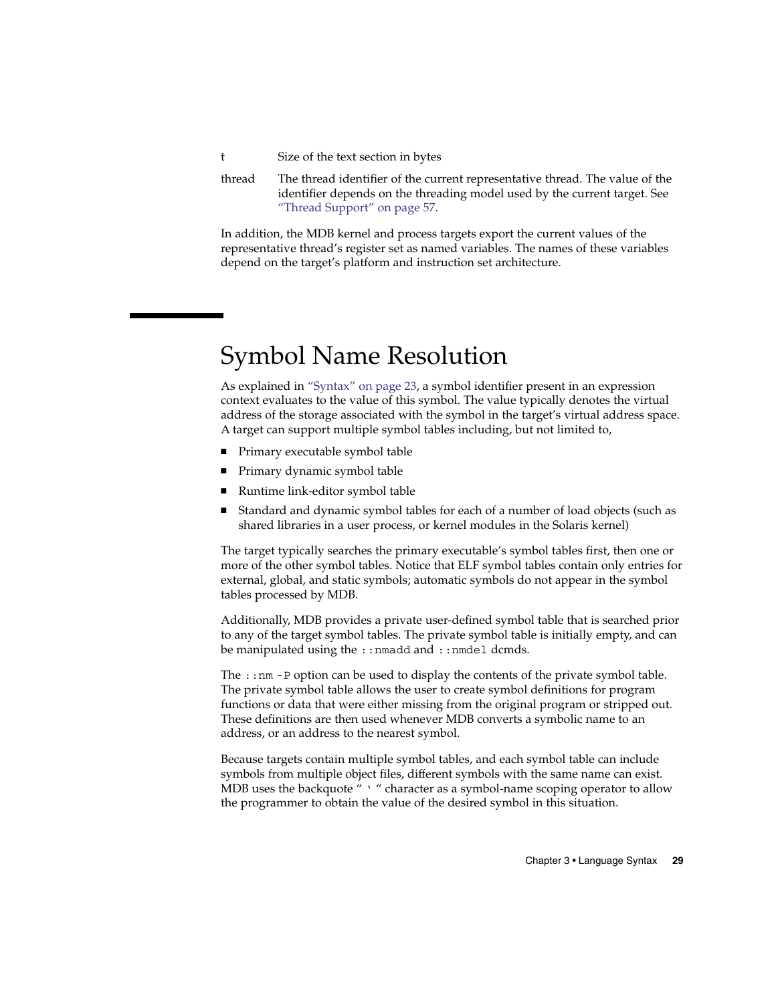#### <span id="page-28-0"></span>t Size of the text section in bytes

thread The thread identifier of the current representative thread. The value of the identifier depends on the threading model used by the current target. See ["Thread Support"](#page-56-0) on page 57.

In addition, the MDB kernel and process targets export the current values of the representative thread's register set as named variables. The names of these variables depend on the target's platform and instruction set architecture.

#### Symbol Name Resolution

As explained in "Syntax" [on page 23,](#page-22-0) a symbol identifier present in an expression context evaluates to the value of this symbol. The value typically denotes the virtual address of the storage associated with the symbol in the target's virtual address space. A target can support multiple symbol tables including, but not limited to,

- Primary executable symbol table
- Primary dynamic symbol table
- Runtime link-editor symbol table
- Standard and dynamic symbol tables for each of a number of load objects (such as shared libraries in a user process, or kernel modules in the Solaris kernel)

The target typically searches the primary executable's symbol tables first, then one or more of the other symbol tables. Notice that ELF symbol tables contain only entries for external, global, and static symbols; automatic symbols do not appear in the symbol tables processed by MDB.

Additionally, MDB provides a private user-defined symbol table that is searched prior to any of the target symbol tables. The private symbol table is initially empty, and can be manipulated using the ::nmadd and ::nmdel dcmds.

The ::nm -P option can be used to display the contents of the private symbol table. The private symbol table allows the user to create symbol definitions for program functions or data that were either missing from the original program or stripped out. These definitions are then used whenever MDB converts a symbolic name to an address, or an address to the nearest symbol.

Because targets contain multiple symbol tables, and each symbol table can include symbols from multiple object files, different symbols with the same name can exist. MDB uses the backquote " ' " character as a symbol-name scoping operator to allow the programmer to obtain the value of the desired symbol in this situation.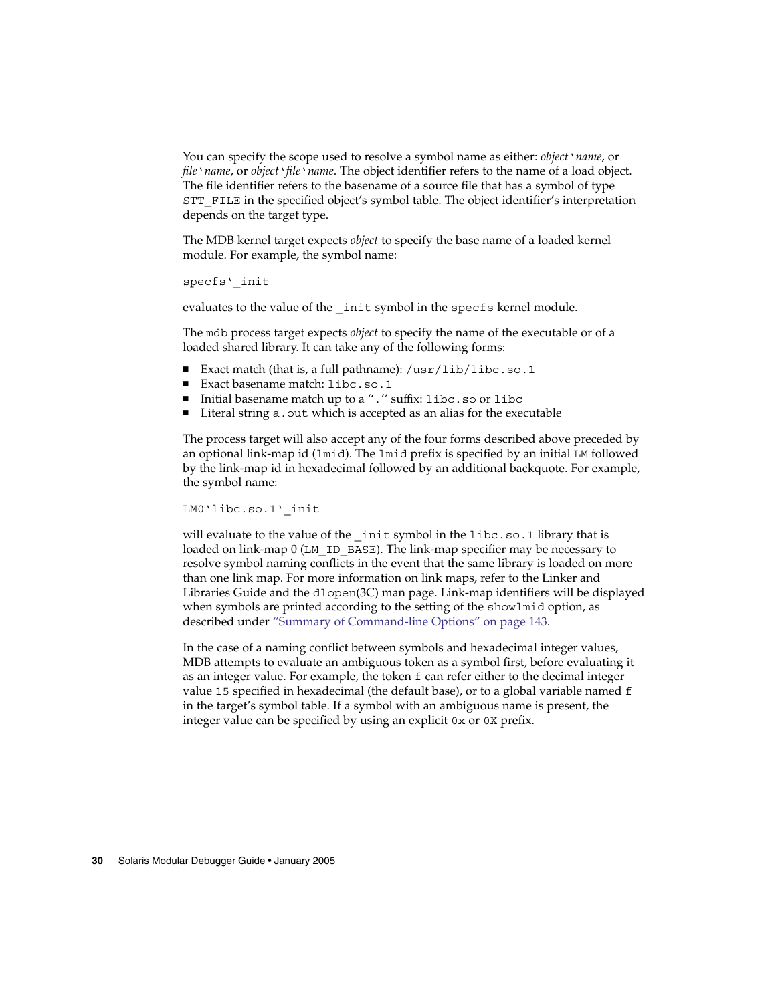You can specify the scope used to resolve a symbol name as either: *object*'*name*, or *file*'*name*, or *object*'*file*'*name*. The object identifier refers to the name of a load object. The file identifier refers to the basename of a source file that has a symbol of type STT\_FILE in the specified object's symbol table. The object identifier's interpretation depends on the target type.

The MDB kernel target expects *object* to specify the base name of a loaded kernel module. For example, the symbol name:

specfs'\_init

evaluates to the value of the init symbol in the specfs kernel module.

The mdb process target expects *object* to specify the name of the executable or of a loaded shared library. It can take any of the following forms:

- Exact match (that is, a full pathname): /usr/lib/libc.so.1
- Exact basename match: libc.so.1
- Initial basename match up to a "." suffix: libc.so or libc
- Literal string a . out which is accepted as an alias for the executable

The process target will also accept any of the four forms described above preceded by an optional link-map id ( $1mid$ ). The  $1mid$  prefix is specified by an initial  $LM$  followed by the link-map id in hexadecimal followed by an additional backquote. For example, the symbol name:

LM0'libc.so.1'\_init

will evaluate to the value of the \_init symbol in the libc.so.1 library that is loaded on link-map 0 (LM\_ID\_BASE). The link-map specifier may be necessary to resolve symbol naming conflicts in the event that the same library is loaded on more than one link map. For more information on link maps, refer to the Linker and Libraries Guide and the dlopen(3C) man page. Link-map identifiers will be displayed when symbols are printed according to the setting of the showlmid option, as described under ["Summary of Command-line Options"](#page-142-0) on page 143.

In the case of a naming conflict between symbols and hexadecimal integer values, MDB attempts to evaluate an ambiguous token as a symbol first, before evaluating it as an integer value. For example, the token f can refer either to the decimal integer value 15 specified in hexadecimal (the default base), or to a global variable named f in the target's symbol table. If a symbol with an ambiguous name is present, the integer value can be specified by using an explicit 0x or 0X prefix.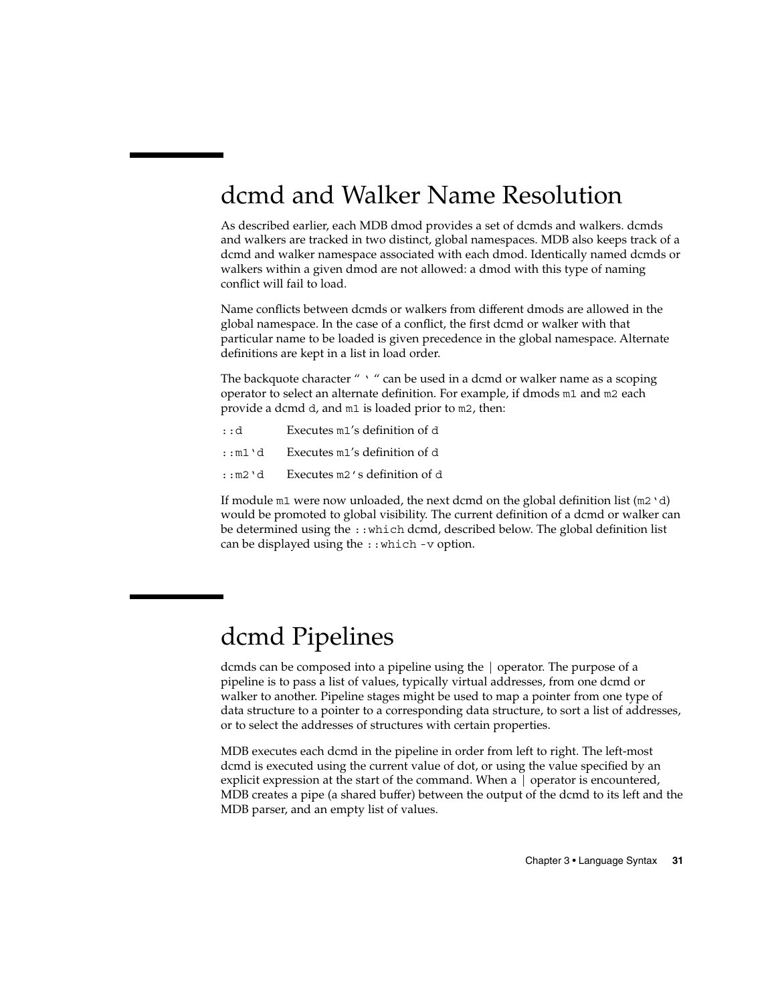## <span id="page-30-0"></span>dcmd and Walker Name Resolution

As described earlier, each MDB dmod provides a set of dcmds and walkers. dcmds and walkers are tracked in two distinct, global namespaces. MDB also keeps track of a dcmd and walker namespace associated with each dmod. Identically named dcmds or walkers within a given dmod are not allowed: a dmod with this type of naming conflict will fail to load.

Name conflicts between dcmds or walkers from different dmods are allowed in the global namespace. In the case of a conflict, the first dcmd or walker with that particular name to be loaded is given precedence in the global namespace. Alternate definitions are kept in a list in load order.

The backquote character " ' " can be used in a dcmd or walker name as a scoping operator to select an alternate definition. For example, if dmods m1 and m2 each provide a dcmd d, and m1 is loaded prior to m2, then:

- ::d Executes m1's definition of d
- ::m1'd Executes m1's definition of d
- ::m2'd Executes m2's definition of d

If module  $m_1$  were now unloaded, the next dcmd on the global definition list ( $m_2 \cdot d$ ) would be promoted to global visibility. The current definition of a dcmd or walker can be determined using the ::which dcmd, described below. The global definition list can be displayed using the ::which -v option.

### dcmd Pipelines

dcmds can be composed into a pipeline using the | operator. The purpose of a pipeline is to pass a list of values, typically virtual addresses, from one dcmd or walker to another. Pipeline stages might be used to map a pointer from one type of data structure to a pointer to a corresponding data structure, to sort a list of addresses, or to select the addresses of structures with certain properties.

MDB executes each dcmd in the pipeline in order from left to right. The left-most dcmd is executed using the current value of dot, or using the value specified by an explicit expression at the start of the command. When a | operator is encountered, MDB creates a pipe (a shared buffer) between the output of the dcmd to its left and the MDB parser, and an empty list of values.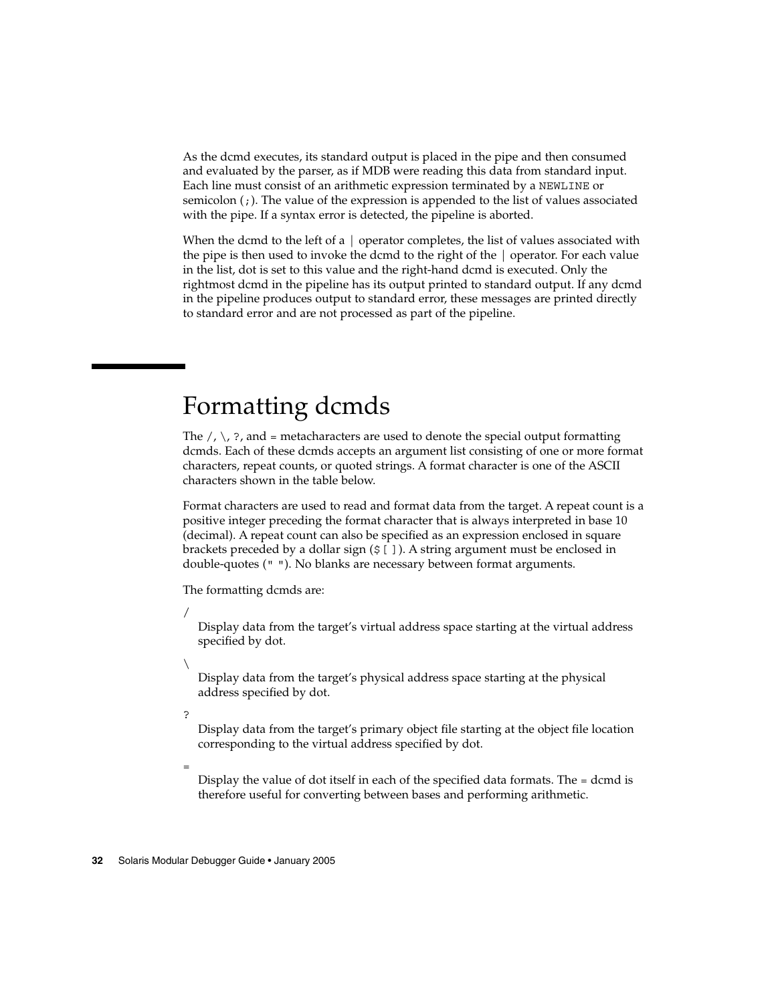<span id="page-31-0"></span>As the dcmd executes, its standard output is placed in the pipe and then consumed and evaluated by the parser, as if MDB were reading this data from standard input. Each line must consist of an arithmetic expression terminated by a NEWLINE or semicolon  $(i)$ . The value of the expression is appended to the list of values associated with the pipe. If a syntax error is detected, the pipeline is aborted.

When the dcmd to the left of a  $\vert$  operator completes, the list of values associated with the pipe is then used to invoke the dcmd to the right of the  $\vert$  operator. For each value in the list, dot is set to this value and the right-hand dcmd is executed. Only the rightmost dcmd in the pipeline has its output printed to standard output. If any dcmd in the pipeline produces output to standard error, these messages are printed directly to standard error and are not processed as part of the pipeline.

#### Formatting dcmds

The  $/$ ,  $\backslash$ ,  $\gamma$ , and = metacharacters are used to denote the special output formatting dcmds. Each of these dcmds accepts an argument list consisting of one or more format characters, repeat counts, or quoted strings. A format character is one of the ASCII characters shown in the table below.

Format characters are used to read and format data from the target. A repeat count is a positive integer preceding the format character that is always interpreted in base 10 (decimal). A repeat count can also be specified as an expression enclosed in square brackets preceded by a dollar sign (\$[ ]). A string argument must be enclosed in double-quotes (" "). No blanks are necessary between format arguments.

The formatting dcmds are:

Display data from the target's virtual address space starting at the virtual address specified by dot.

 $\setminus$ 

/

Display data from the target's physical address space starting at the physical address specified by dot.

?

Display data from the target's primary object file starting at the object file location corresponding to the virtual address specified by dot.

=

Display the value of dot itself in each of the specified data formats. The = dcmd is therefore useful for converting between bases and performing arithmetic.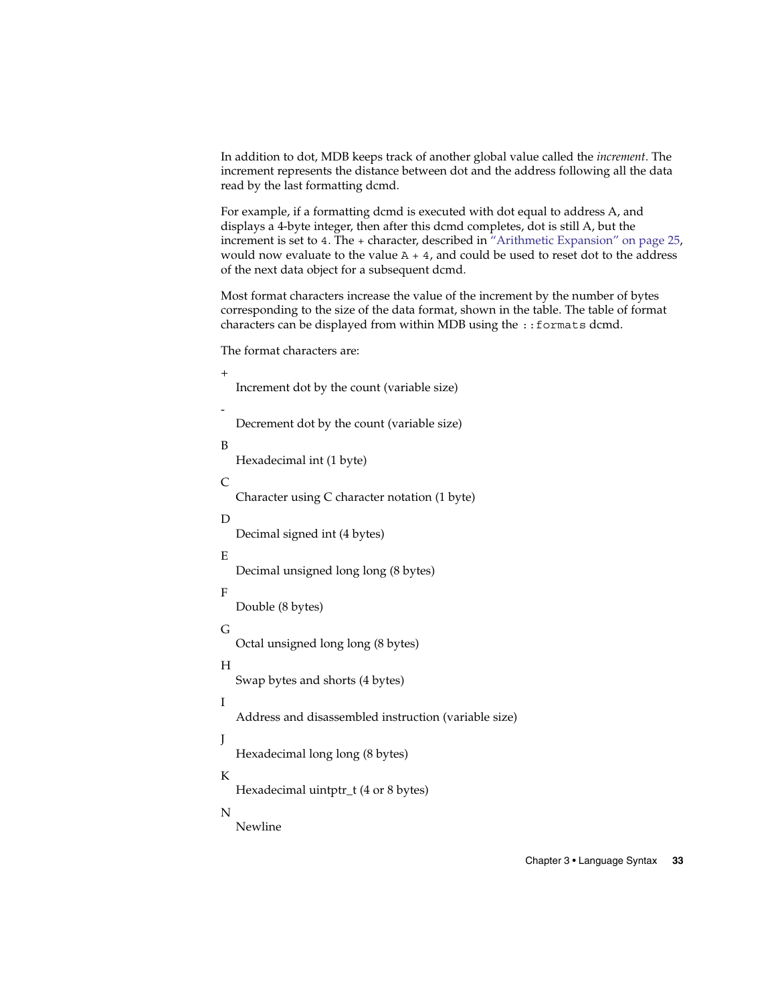In addition to dot, MDB keeps track of another global value called the *increment*. The increment represents the distance between dot and the address following all the data read by the last formatting dcmd.

For example, if a formatting dcmd is executed with dot equal to address A, and displays a 4-byte integer, then after this dcmd completes, dot is still A, but the increment is set to 4. The + character, described in ["Arithmetic Expansion"](#page-24-0) on page 25, would now evaluate to the value  $A + 4$ , and could be used to reset dot to the address of the next data object for a subsequent dcmd.

Most format characters increase the value of the increment by the number of bytes corresponding to the size of the data format, shown in the table. The table of format characters can be displayed from within MDB using the ::formats dcmd.

The format characters are:

| $^{+}$ | Increment dot by the count (variable size)           |
|--------|------------------------------------------------------|
|        |                                                      |
|        | Decrement dot by the count (variable size)           |
| B      | Hexadecimal int (1 byte)                             |
| C      | Character using C character notation (1 byte)        |
| D      | Decimal signed int (4 bytes)                         |
| Ε      | Decimal unsigned long long (8 bytes)                 |
| F      | Double (8 bytes)                                     |
| G      | Octal unsigned long long (8 bytes)                   |
| H      | Swap bytes and shorts (4 bytes)                      |
| I      | Address and disassembled instruction (variable size) |
| J      | Hexadecimal long long (8 bytes)                      |
| K      | Hexadecimal uintptr_t (4 or 8 bytes)                 |
| N      | Newline                                              |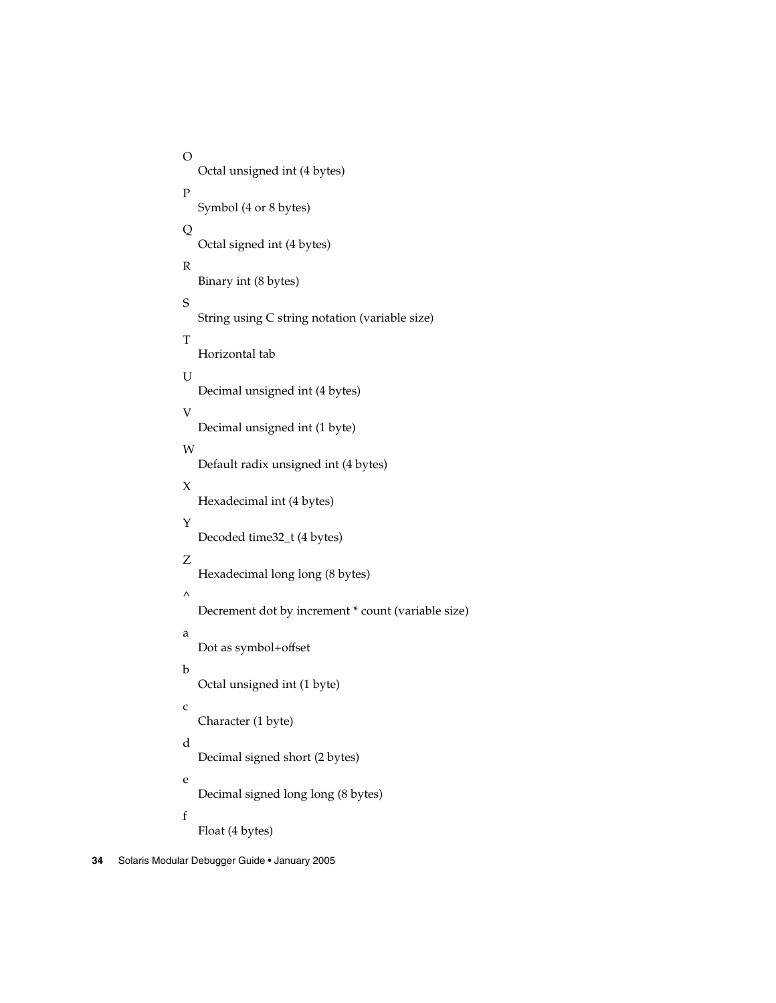O Octal unsigned int (4 bytes) P Symbol (4 or 8 bytes) Q Octal signed int (4 bytes) R Binary int (8 bytes) S String using C string notation (variable size) T Horizontal tab U Decimal unsigned int (4 bytes) V Decimal unsigned int (1 byte) W Default radix unsigned int (4 bytes)  $\mathsf X$ Hexadecimal int (4 bytes) Y Decoded time32\_t (4 bytes) Z Hexadecimal long long (8 bytes)  $\boldsymbol{\wedge}$ Decrement dot by increment \* count (variable size) a Dot as symbol+offset b Octal unsigned int (1 byte) c Character (1 byte) d Decimal signed short (2 bytes) e Decimal signed long long (8 bytes) f Float (4 bytes)

**34** Solaris Modular Debugger Guide • January 2005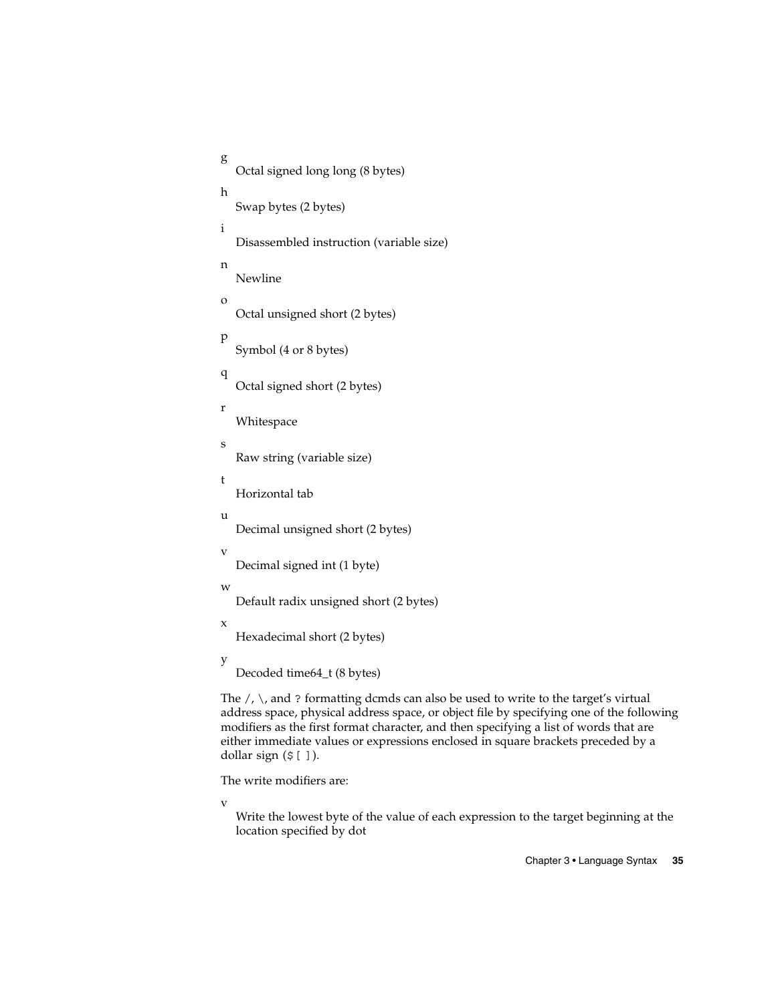g Octal signed long long (8 bytes) h Swap bytes (2 bytes) i Disassembled instruction (variable size) n Newline o Octal unsigned short (2 bytes) p Symbol (4 or 8 bytes) q Octal signed short (2 bytes) r Whitespace s Raw string (variable size) t Horizontal tab u Decimal unsigned short (2 bytes) v Decimal signed int (1 byte) w Default radix unsigned short (2 bytes) x Hexadecimal short (2 bytes) y Decoded time64\_t (8 bytes)

The  $/$ ,  $\backslash$ , and ? formatting dcmds can also be used to write to the target's virtual address space, physical address space, or object file by specifying one of the following modifiers as the first format character, and then specifying a list of words that are either immediate values or expressions enclosed in square brackets preceded by a dollar sign (\$[ ]).

The write modifiers are:

v

Write the lowest byte of the value of each expression to the target beginning at the location specified by dot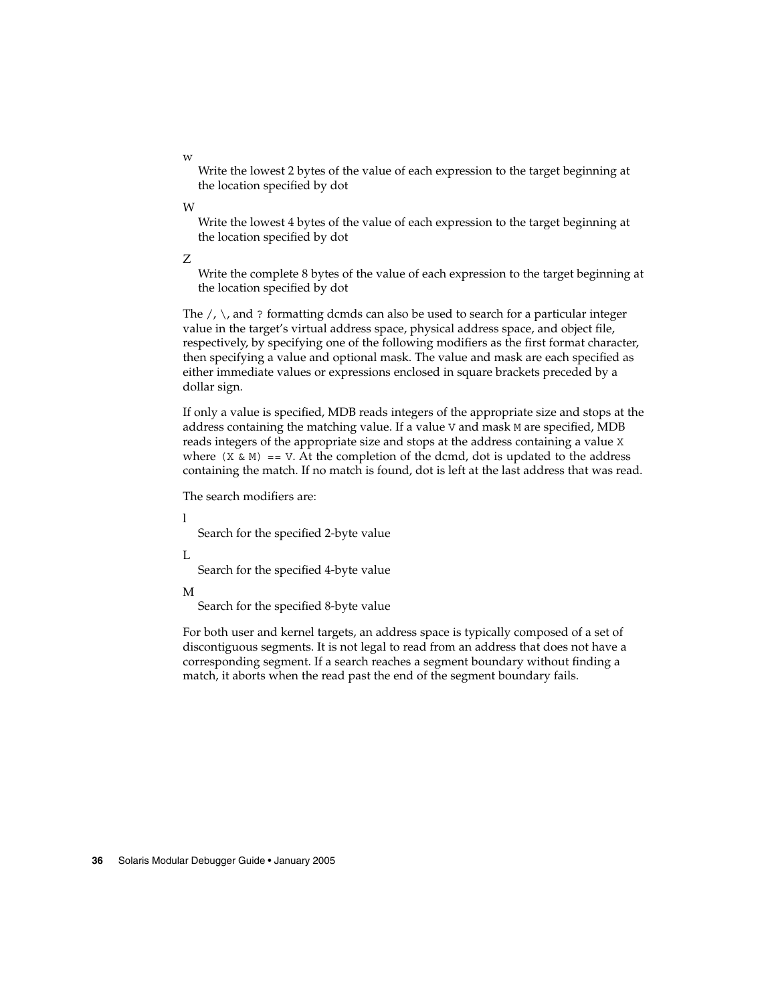Write the lowest 2 bytes of the value of each expression to the target beginning at the location specified by dot

W

Write the lowest 4 bytes of the value of each expression to the target beginning at the location specified by dot

Z

Write the complete 8 bytes of the value of each expression to the target beginning at the location specified by dot

The  $/$ ,  $\lambda$ , and ? formatting dcmds can also be used to search for a particular integer value in the target's virtual address space, physical address space, and object file, respectively, by specifying one of the following modifiers as the first format character, then specifying a value and optional mask. The value and mask are each specified as either immediate values or expressions enclosed in square brackets preceded by a dollar sign.

If only a value is specified, MDB reads integers of the appropriate size and stops at the address containing the matching value. If a value V and mask M are specified, MDB reads integers of the appropriate size and stops at the address containing a value X where  $(X \& M) = V$ . At the completion of the dcmd, dot is updated to the address containing the match. If no match is found, dot is left at the last address that was read.

The search modifiers are:

l

Search for the specified 2-byte value

L

Search for the specified 4-byte value

M

Search for the specified 8-byte value

For both user and kernel targets, an address space is typically composed of a set of discontiguous segments. It is not legal to read from an address that does not have a corresponding segment. If a search reaches a segment boundary without finding a match, it aborts when the read past the end of the segment boundary fails.

w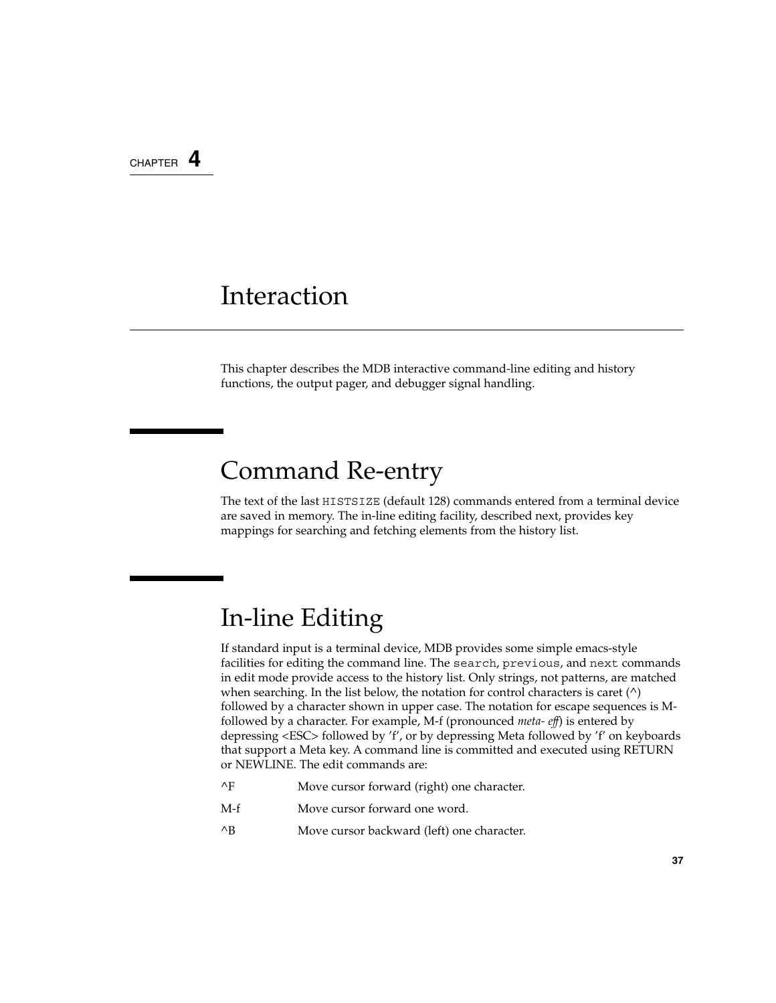CHAPTER **4**

# Interaction

This chapter describes the MDB interactive command-line editing and history functions, the output pager, and debugger signal handling.

# Command Re-entry

The text of the last HISTSIZE (default 128) commands entered from a terminal device are saved in memory. The in-line editing facility, described next, provides key mappings for searching and fetching elements from the history list.

# In-line Editing

If standard input is a terminal device, MDB provides some simple emacs-style facilities for editing the command line. The search, previous, and next commands in edit mode provide access to the history list. Only strings, not patterns, are matched when searching. In the list below, the notation for control characters is caret  $(^\wedge)$ followed by a character shown in upper case. The notation for escape sequences is Mfollowed by a character. For example, M-f (pronounced *meta- eff*) is entered by depressing <ESC> followed by 'f', or by depressing Meta followed by 'f' on keyboards that support a Meta key. A command line is committed and executed using RETURN or NEWLINE. The edit commands are:

- ^F Move cursor forward (right) one character.
- M-f Move cursor forward one word.
- $\triangle$ B Move cursor backward (left) one character.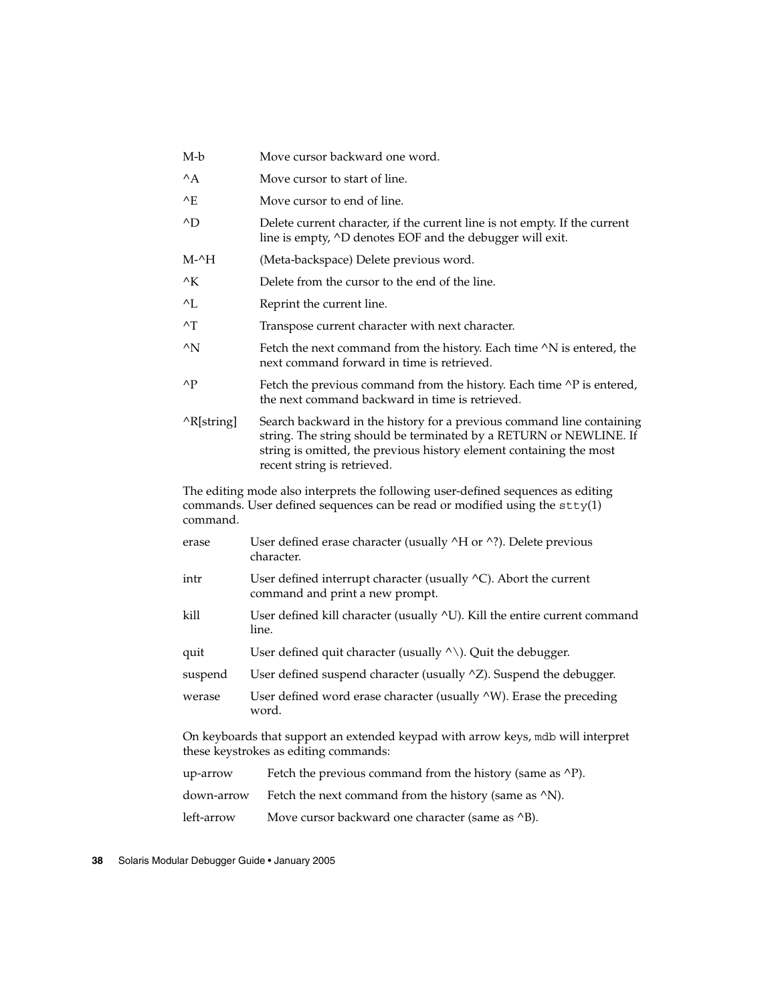- M-b Move cursor backward one word.
- ^A Move cursor to start of line.
- $AE$  Move cursor to end of line.
- ^D Delete current character, if the current line is not empty. If the current line is empty, ^D denotes EOF and the debugger will exit.
- M-^H (Meta-backspace) Delete previous word.
- $\Lambda$ K Delete from the cursor to the end of the line.
- ^L Reprint the current line.
- ^T Transpose current character with next character.
- $^{\wedge}$ N Fetch the next command from the history. Each time  $^{\wedge}$ N is entered, the next command forward in time is retrieved.
- $\triangle$ P Fetch the previous command from the history. Each time  $\triangle$ P is entered, the next command backward in time is retrieved.
- ^R[string] Search backward in the history for a previous command line containing string. The string should be terminated by a RETURN or NEWLINE. If string is omitted, the previous history element containing the most recent string is retrieved.

The editing mode also interprets the following user-defined sequences as editing commands. User defined sequences can be read or modified using the  $\text{stty}(1)$ command.

- erase User defined erase character (usually  $\Delta H$  or  $\Delta$ ?). Delete previous character.
- intr User defined interrupt character (usually  $\wedge$ C). Abort the current command and print a new prompt.
- kill User defined kill character (usually  $\Delta$ U). Kill the entire current command line.
- quit User defined quit character (usually  $\wedge \setminus$ ). Quit the debugger.
- suspend User defined suspend character (usually  $\Delta Z$ ). Suspend the debugger.
- werase User defined word erase character (usually  $\wedge$ W). Erase the preceding word.

On keyboards that support an extended keypad with arrow keys, mdb will interpret these keystrokes as editing commands:

up-arrow Fetch the previous command from the history (same as  $\Delta P$ ). down-arrow Fetch the next command from the history (same as  $\binom{n}{N}$ ).

left-arrow Move cursor backward one character (same as ^B).

**38** Solaris Modular Debugger Guide • January 2005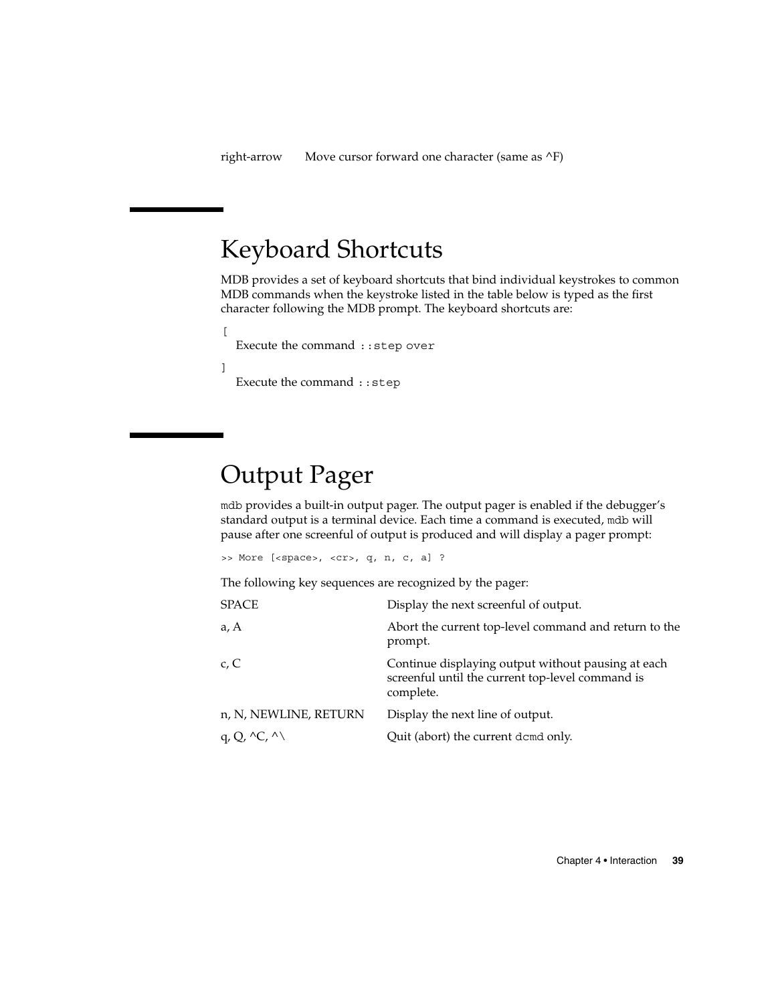# Keyboard Shortcuts

MDB provides a set of keyboard shortcuts that bind individual keystrokes to common MDB commands when the keystroke listed in the table below is typed as the first character following the MDB prompt. The keyboard shortcuts are:

```
Execute the command ::step over
```
]

[

Execute the command ::step

# Output Pager

mdb provides a built-in output pager. The output pager is enabled if the debugger's standard output is a terminal device. Each time a command is executed, mdb will pause after one screenful of output is produced and will display a pager prompt:

>> More [<space>, <cr>, q, n, c, a] ?

The following key sequences are recognized by the pager:

| Abort the current top-level command and return to the<br>a, A<br>prompt.                                                      |  |
|-------------------------------------------------------------------------------------------------------------------------------|--|
| c, $C$<br>Continue displaying output without pausing at each<br>screenful until the current top-level command is<br>complete. |  |
| n, N, NEWLINE, RETURN<br>Display the next line of output.                                                                     |  |
| Quit (abort) the current dcmd only.<br>q, Q, $\wedge$ C, $\wedge$                                                             |  |

Chapter 4 • Interaction **39**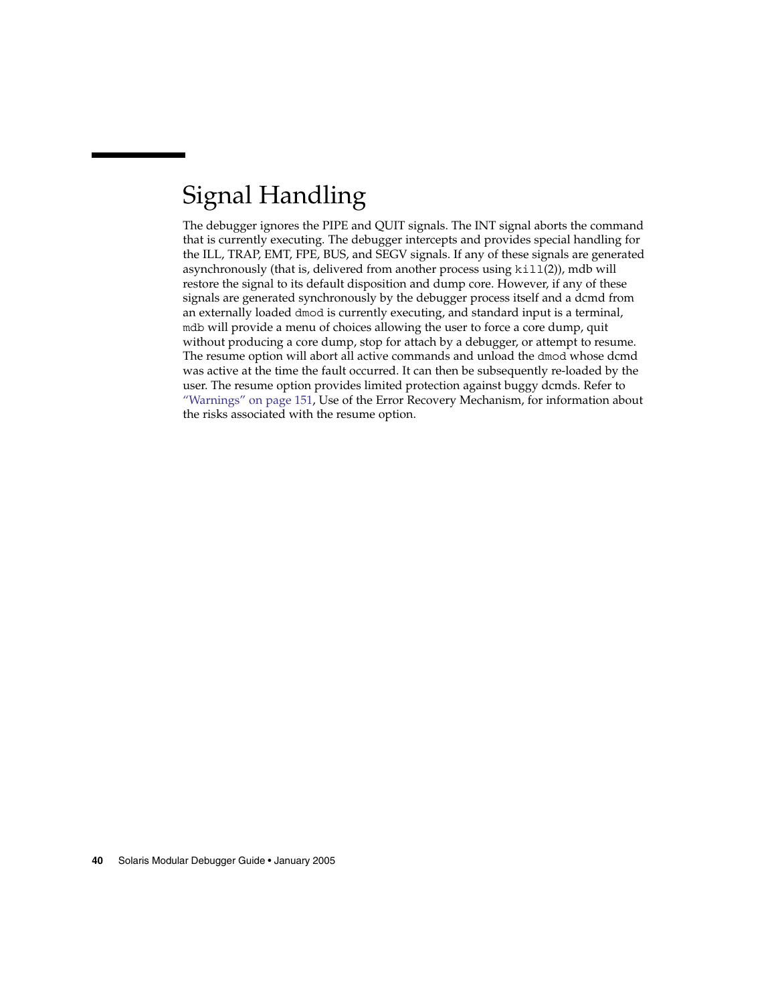# Signal Handling

The debugger ignores the PIPE and QUIT signals. The INT signal aborts the command that is currently executing. The debugger intercepts and provides special handling for the ILL, TRAP, EMT, FPE, BUS, and SEGV signals. If any of these signals are generated asynchronously (that is, delivered from another process using kill(2)), mdb will restore the signal to its default disposition and dump core. However, if any of these signals are generated synchronously by the debugger process itself and a dcmd from an externally loaded dmod is currently executing, and standard input is a terminal, mdb will provide a menu of choices allowing the user to force a core dump, quit without producing a core dump, stop for attach by a debugger, or attempt to resume. The resume option will abort all active commands and unload the dmod whose dcmd was active at the time the fault occurred. It can then be subsequently re-loaded by the user. The resume option provides limited protection against buggy dcmds. Refer to "Warnings" [on page 151,](#page-150-0) Use of the Error Recovery Mechanism, for information about the risks associated with the resume option.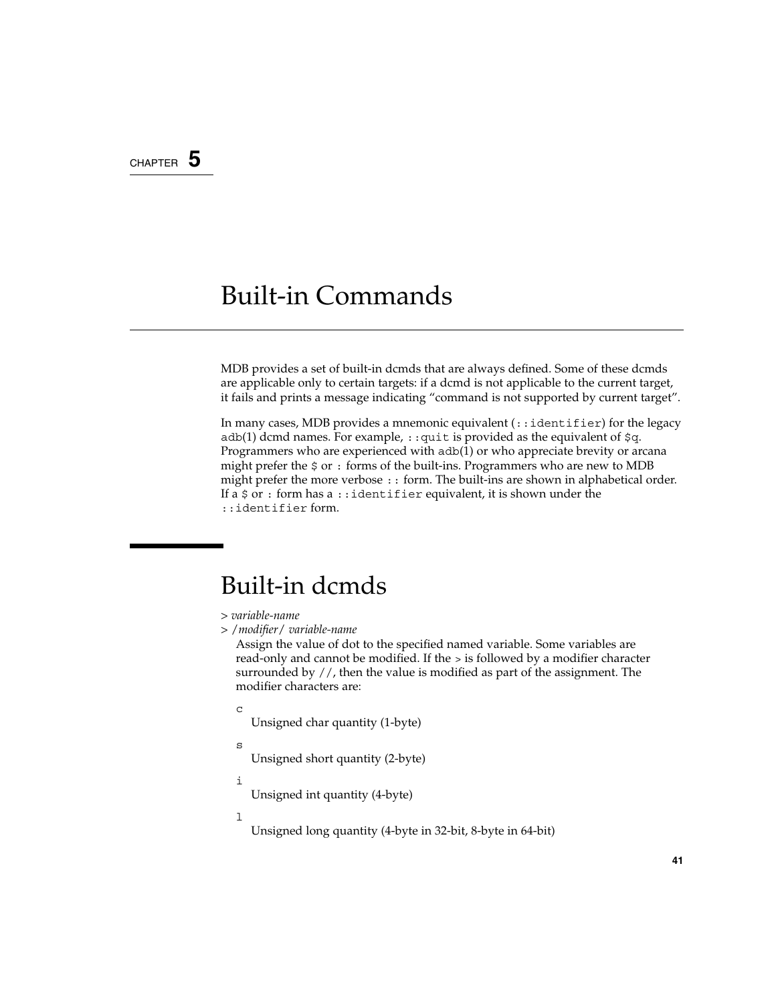### <span id="page-40-0"></span>CHAPTER **5**

# Built-in Commands

MDB provides a set of built-in dcmds that are always defined. Some of these dcmds are applicable only to certain targets: if a dcmd is not applicable to the current target, it fails and prints a message indicating "command is not supported by current target".

In many cases, MDB provides a mnemonic equivalent  $(::ident$ <sub>i</sub> edentifier) for the legacy  $adb(1)$  dcmd names. For example, : : quit is provided as the equivalent of  $a$ . Programmers who are experienced with adb(1) or who appreciate brevity or arcana might prefer the \$ or : forms of the built-ins. Programmers who are new to MDB might prefer the more verbose :: form. The built-ins are shown in alphabetical order. If a  $\circ$  or : form has a ::identifier equivalent, it is shown under the ::identifier form.

# Built-in dcmds

- > *variable-name*
- > /*modifier*/ *variable-name*

Assign the value of dot to the specified named variable. Some variables are read-only and cannot be modified. If the > is followed by a modifier character surrounded by //, then the value is modified as part of the assignment. The modifier characters are:

Unsigned char quantity (1-byte)

s

c

Unsigned short quantity (2-byte)

i

Unsigned int quantity (4-byte)

l

Unsigned long quantity (4-byte in 32-bit, 8-byte in 64-bit)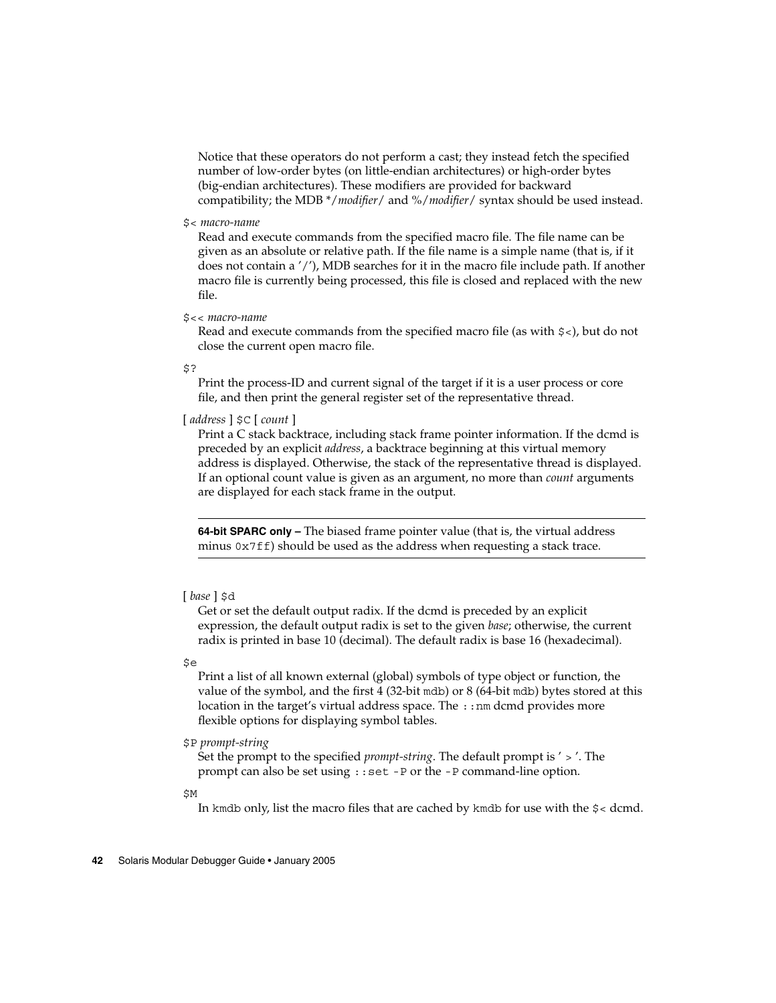Notice that these operators do not perform a cast; they instead fetch the specified number of low-order bytes (on little-endian architectures) or high-order bytes (big-endian architectures). These modifiers are provided for backward compatibility; the MDB \*/*modifier*/ and %/*modifier*/ syntax should be used instead.

\$< *macro-name*

Read and execute commands from the specified macro file. The file name can be given as an absolute or relative path. If the file name is a simple name (that is, if it does not contain a '/'), MDB searches for it in the macro file include path. If another macro file is currently being processed, this file is closed and replaced with the new file.

\$<< *macro-name*

Read and execute commands from the specified macro file (as with \$<), but do not close the current open macro file.

\$?

Print the process-ID and current signal of the target if it is a user process or core file, and then print the general register set of the representative thread.

[ *address* ] \$C [ *count* ]

Print a C stack backtrace, including stack frame pointer information. If the dcmd is preceded by an explicit *address*, a backtrace beginning at this virtual memory address is displayed. Otherwise, the stack of the representative thread is displayed. If an optional count value is given as an argument, no more than *count* arguments are displayed for each stack frame in the output.

**64-bit SPARC only –** The biased frame pointer value (that is, the virtual address minus 0x7ff) should be used as the address when requesting a stack trace.

#### [ *base* ] \$d

Get or set the default output radix. If the dcmd is preceded by an explicit expression, the default output radix is set to the given *base*; otherwise, the current radix is printed in base 10 (decimal). The default radix is base 16 (hexadecimal).

### \$e

Print a list of all known external (global) symbols of type object or function, the value of the symbol, and the first 4 (32-bit mdb) or 8 (64-bit mdb) bytes stored at this location in the target's virtual address space. The :: nm dcmd provides more flexible options for displaying symbol tables.

#### \$P *prompt-string*

Set the prompt to the specified *prompt-string*. The default prompt is ' > '. The prompt can also be set using ::set -P or the -P command-line option.

\$M

In kmdb only, list the macro files that are cached by kmdb for use with the \$< dcmd.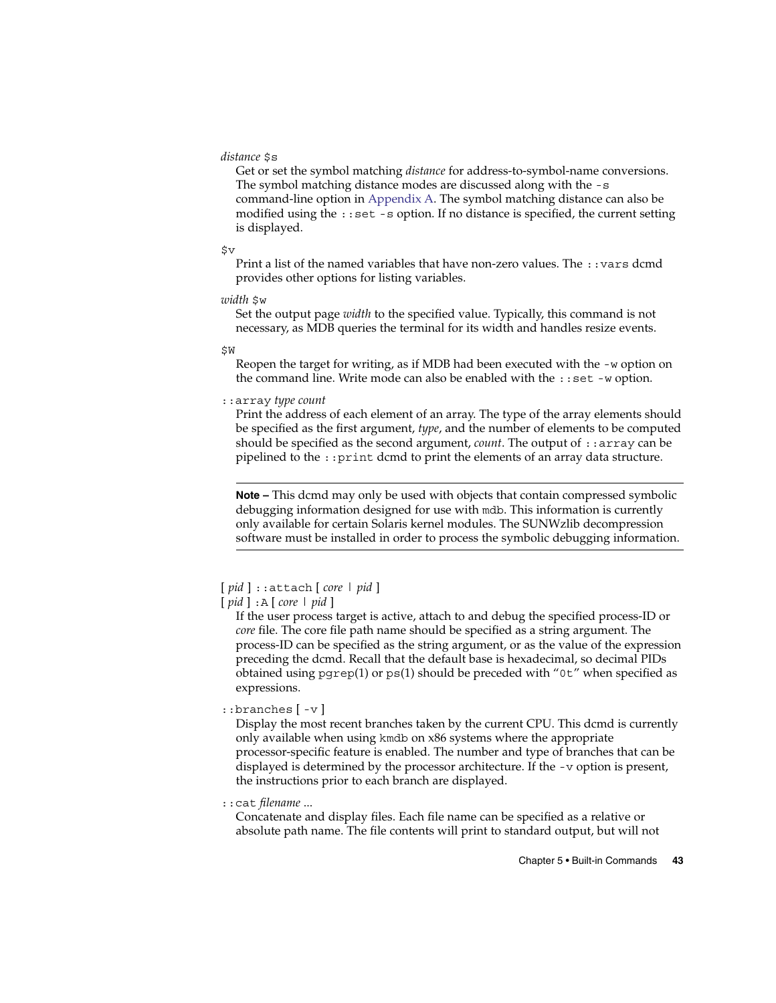#### *distance* \$s

Get or set the symbol matching *distance* for address-to-symbol-name conversions. The symbol matching distance modes are discussed along with the -s command-line option in [Appendix A.](#page-142-0) The symbol matching distance can also be modified using the ::set -s option. If no distance is specified, the current setting is displayed.

\$v

Print a list of the named variables that have non-zero values. The ::vars dcmd provides other options for listing variables.

#### *width* \$w

Set the output page *width* to the specified value. Typically, this command is not necessary, as MDB queries the terminal for its width and handles resize events.

\$W

Reopen the target for writing, as if MDB had been executed with the -w option on the command line. Write mode can also be enabled with the ::set -w option.

::array *type count*

Print the address of each element of an array. The type of the array elements should be specified as the first argument, *type*, and the number of elements to be computed should be specified as the second argument, *count*. The output of : : array can be pipelined to the  $::\text{print}$  dcmd to print the elements of an array data structure.

**Note –** This dcmd may only be used with objects that contain compressed symbolic debugging information designed for use with mdb. This information is currently only available for certain Solaris kernel modules. The SUNWzlib decompression software must be installed in order to process the symbolic debugging information.

### [ *pid* ] ::attach [ *core* | *pid* ]

[ *pid* ] :A [ *core* | *pid* ]

If the user process target is active, attach to and debug the specified process-ID or *core* file. The core file path name should be specified as a string argument. The process-ID can be specified as the string argument, or as the value of the expression preceding the dcmd. Recall that the default base is hexadecimal, so decimal PIDs obtained using  $p<sub>g</sub>$ rep(1) or ps(1) should be preceded with "0t" when specified as expressions.

::branches [ -v ]

Display the most recent branches taken by the current CPU. This dcmd is currently only available when using kmdb on x86 systems where the appropriate processor-specific feature is enabled. The number and type of branches that can be displayed is determined by the processor architecture. If the -v option is present, the instructions prior to each branch are displayed.

::cat *filename* ...

Concatenate and display files. Each file name can be specified as a relative or absolute path name. The file contents will print to standard output, but will not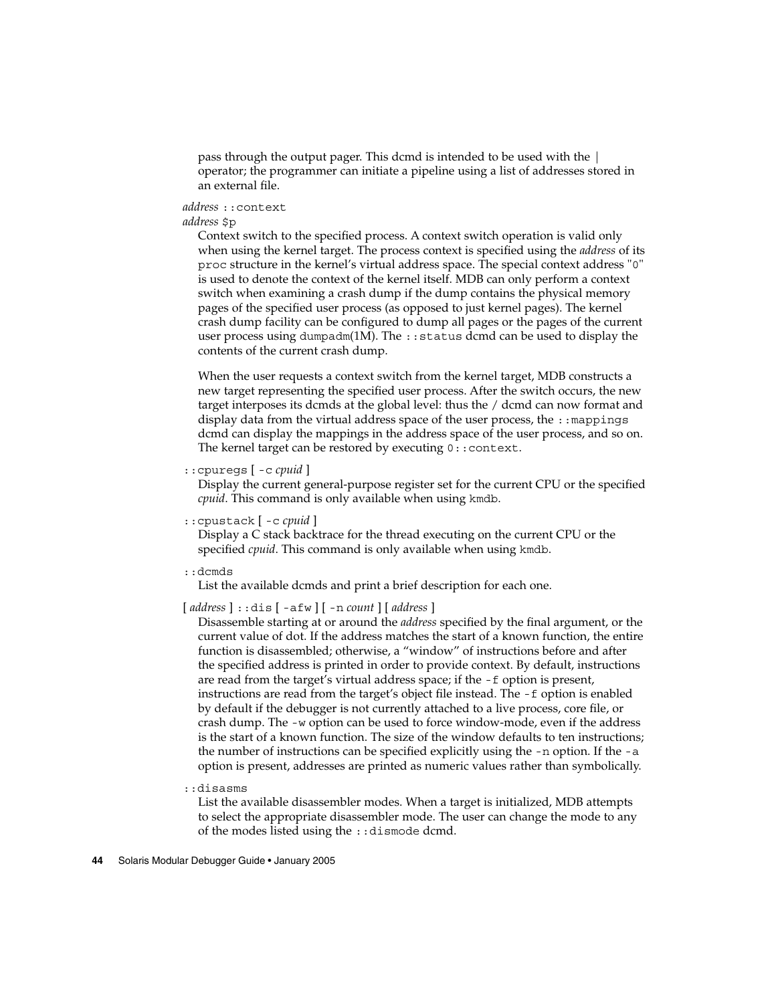pass through the output pager. This dcmd is intended to be used with the | operator; the programmer can initiate a pipeline using a list of addresses stored in an external file.

### *address* ::context

### *address* \$p

Context switch to the specified process. A context switch operation is valid only when using the kernel target. The process context is specified using the *address* of its proc structure in the kernel's virtual address space. The special context address "0" is used to denote the context of the kernel itself. MDB can only perform a context switch when examining a crash dump if the dump contains the physical memory pages of the specified user process (as opposed to just kernel pages). The kernel crash dump facility can be configured to dump all pages or the pages of the current user process using dumpadm(1M). The  $::$  status dcmd can be used to display the contents of the current crash dump.

When the user requests a context switch from the kernel target, MDB constructs a new target representing the specified user process. After the switch occurs, the new target interposes its dcmds at the global level: thus the / dcmd can now format and display data from the virtual address space of the user process, the  $:$  : mappings dcmd can display the mappings in the address space of the user process, and so on. The kernel target can be restored by executing  $0:$ : context.

::cpuregs [ -c *cpuid* ]

Display the current general-purpose register set for the current CPU or the specified *cpuid*. This command is only available when using kmdb.

::cpustack [ -c *cpuid* ]

Display a C stack backtrace for the thread executing on the current CPU or the specified *cpuid*. This command is only available when using kmdb.

::dcmds

List the available dcmds and print a brief description for each one.

#### [ *address* ] ::dis [ -afw ] [ -n *count* ] [ *address* ]

Disassemble starting at or around the *address* specified by the final argument, or the current value of dot. If the address matches the start of a known function, the entire function is disassembled; otherwise, a "window" of instructions before and after the specified address is printed in order to provide context. By default, instructions are read from the target's virtual address space; if the -f option is present, instructions are read from the target's object file instead. The -f option is enabled by default if the debugger is not currently attached to a live process, core file, or crash dump. The -w option can be used to force window-mode, even if the address is the start of a known function. The size of the window defaults to ten instructions; the number of instructions can be specified explicitly using the -n option. If the -a option is present, addresses are printed as numeric values rather than symbolically.

::disasms

List the available disassembler modes. When a target is initialized, MDB attempts to select the appropriate disassembler mode. The user can change the mode to any of the modes listed using the ::dismode dcmd.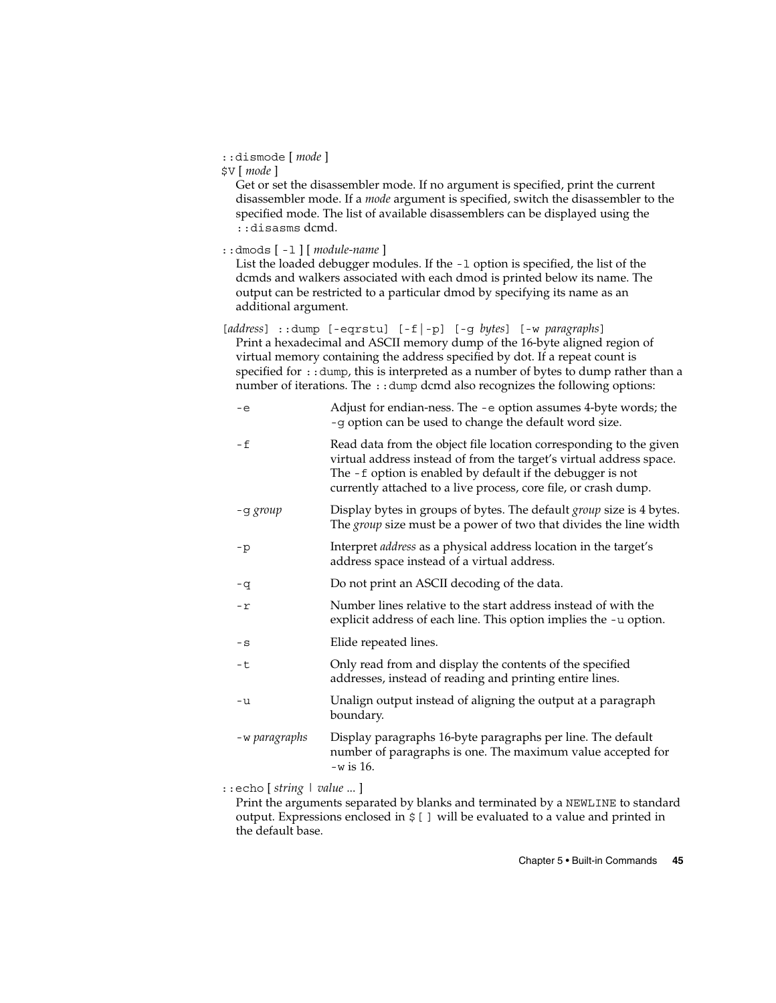::dismode [ *mode* ]

\$V [ *mode* ]

Get or set the disassembler mode. If no argument is specified, print the current disassembler mode. If a *mode* argument is specified, switch the disassembler to the specified mode. The list of available disassemblers can be displayed using the ::disasms dcmd.

::dmods [ -l ] [ *module-name* ]

List the loaded debugger modules. If the -l option is specified, the list of the dcmds and walkers associated with each dmod is printed below its name. The output can be restricted to a particular dmod by specifying its name as an additional argument.

[*address*] ::dump [-eqrstu] [-f|-p] [-g *bytes*] [-w *paragraphs*] Print a hexadecimal and ASCII memory dump of the 16-byte aligned region of virtual memory containing the address specified by dot. If a repeat count is specified for  $: :$  dump, this is interpreted as a number of bytes to dump rather than a number of iterations. The :: dump dcmd also recognizes the following options:

| -e | Adjust for endian-ness. The -e option assumes 4-byte words; the |
|----|-----------------------------------------------------------------|
|    | -g option can be used to change the default word size.          |
|    |                                                                 |

| $- f$    | Read data from the object file location corresponding to the given<br>virtual address instead of from the target's virtual address space.<br>The -f option is enabled by default if the debugger is not<br>currently attached to a live process, core file, or crash dump. |
|----------|----------------------------------------------------------------------------------------------------------------------------------------------------------------------------------------------------------------------------------------------------------------------------|
| -q group | Display bytes in groups of bytes. The default <i>group</i> size is 4 bytes.<br>The <i>group</i> size must be a power of two that divides the line width                                                                                                                    |
| $-p$     | Interpret <i>address</i> as a physical address location in the target's<br>address space instead of a virtual address.                                                                                                                                                     |
| $-q$     | Do not print an ASCII decoding of the data.                                                                                                                                                                                                                                |
| $-1$     | Number lines relative to the start address instead of with the<br>explicit address of each line. This option implies the -u option.                                                                                                                                        |
| $-S$     | Elide repeated lines.                                                                                                                                                                                                                                                      |
| - 11     | Only used from and display the contents of the specified                                                                                                                                                                                                                   |

- -t Only read from and display the contents of the specified addresses, instead of reading and printing entire lines.
- -u Unalign output instead of aligning the output at a paragraph boundary.
- -w *paragraphs* Display paragraphs 16-byte paragraphs per line. The default number of paragraphs is one. The maximum value accepted for -w is 16.

::echo [ *string* | *value* ... ]

Print the arguments separated by blanks and terminated by a NEWLINE to standard output. Expressions enclosed in \$[ ] will be evaluated to a value and printed in the default base.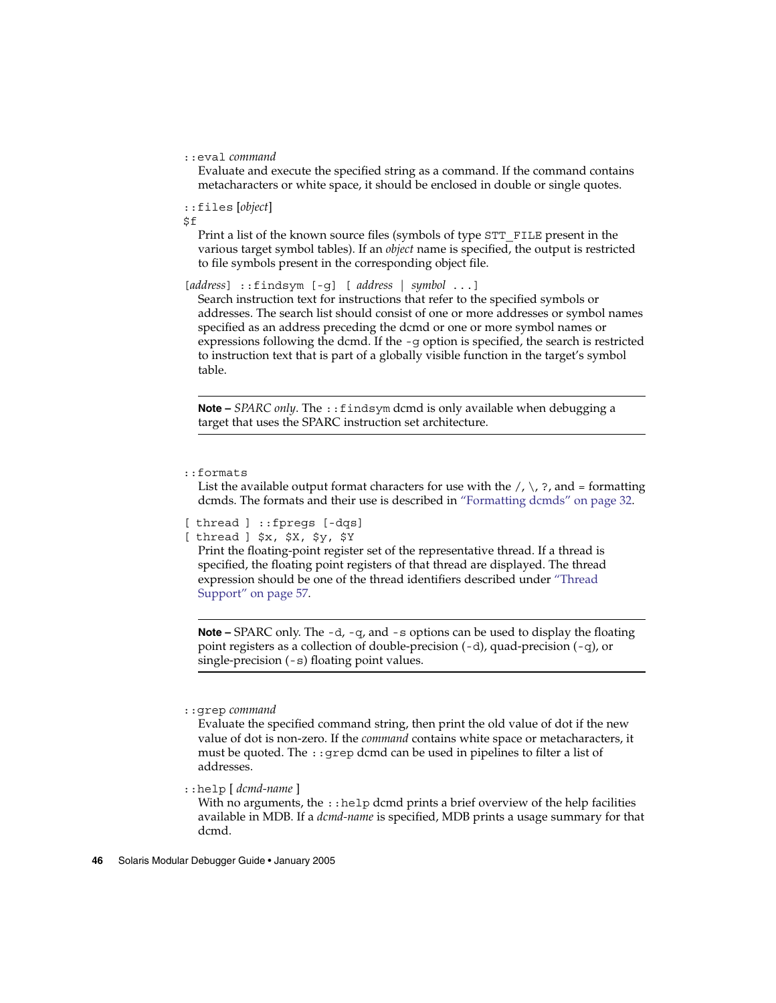#### ::eval *command*

Evaluate and execute the specified string as a command. If the command contains metacharacters or white space, it should be enclosed in double or single quotes.

::files [*object*]

\$f

Print a list of the known source files (symbols of type STT\_FILE present in the various target symbol tables). If an *object* name is specified, the output is restricted to file symbols present in the corresponding object file.

[*address*] ::findsym [-g] [ *address* | *symbol* ...]

Search instruction text for instructions that refer to the specified symbols or addresses. The search list should consist of one or more addresses or symbol names specified as an address preceding the dcmd or one or more symbol names or expressions following the dcmd. If the -g option is specified, the search is restricted to instruction text that is part of a globally visible function in the target's symbol table.

**Note –** *SPARC only*. The ::findsym dcmd is only available when debugging a target that uses the SPARC instruction set architecture.

```
::formats
```
List the available output format characters for use with the  $/$ ,  $\backslash$ ,  $\gamma$ , and = formatting dcmds. The formats and their use is described in ["Formatting dcmds"](#page-31-0) on page 32.

```
[ thread ] ::fpregs [-dqs]
```

```
[ thread ] $x, $X, $y, $Y
```
Print the floating-point register set of the representative thread. If a thread is specified, the floating point registers of that thread are displayed. The thread expression should be one of the thread identifiers described under ["Thread](#page-56-0) Support" [on page 57.](#page-56-0)

**Note –** SPARC only. The -d, -q, and -s options can be used to display the floating point registers as a collection of double-precision (-d), quad-precision (-q), or single-precision (-s) floating point values.

#### ::grep *command*

Evaluate the specified command string, then print the old value of dot if the new value of dot is non-zero. If the *command* contains white space or metacharacters, it must be quoted. The  $: g$ rep dcmd can be used in pipelines to filter a list of addresses.

::help [ *dcmd-name* ]

With no arguments, the  $:$ : help dcmd prints a brief overview of the help facilities available in MDB. If a *dcmd-name* is specified, MDB prints a usage summary for that dcmd.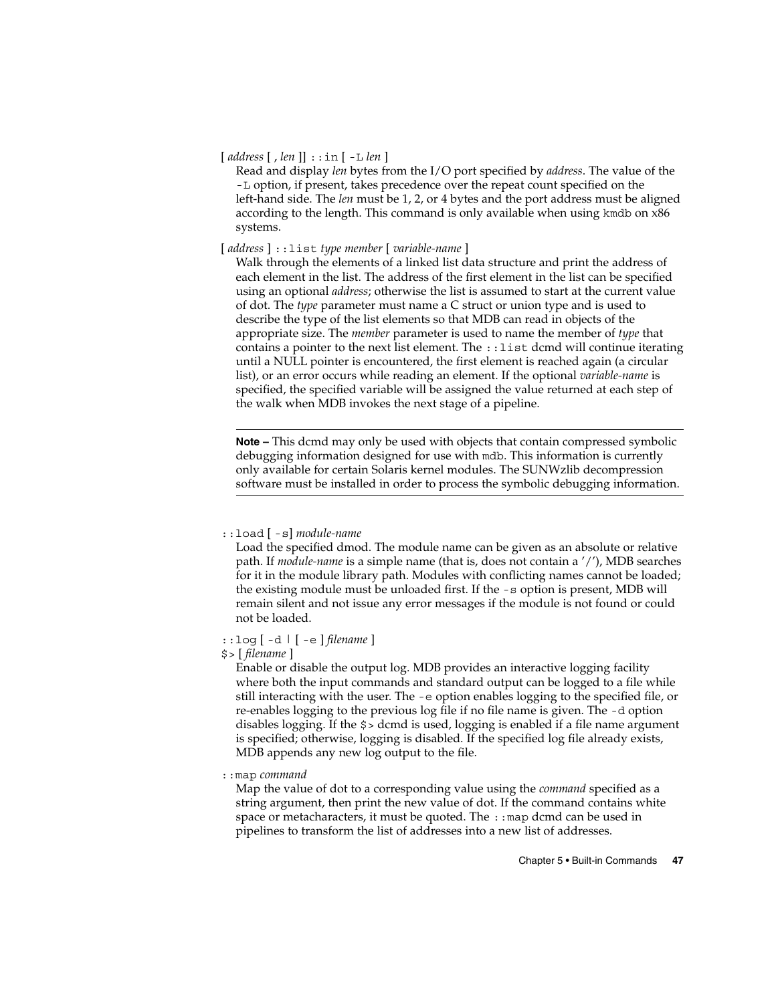#### [ *address* [ , *len* ]] ::in [ -L *len* ]

Read and display *len* bytes from the I/O port specified by *address*. The value of the -L option, if present, takes precedence over the repeat count specified on the left-hand side. The *len* must be 1, 2, or 4 bytes and the port address must be aligned according to the length. This command is only available when using kmdb on x86 systems.

### [ *address* ] ::list *type member* [ *variable-name* ]

Walk through the elements of a linked list data structure and print the address of each element in the list. The address of the first element in the list can be specified using an optional *address*; otherwise the list is assumed to start at the current value of dot. The *type* parameter must name a C struct or union type and is used to describe the type of the list elements so that MDB can read in objects of the appropriate size. The *member* parameter is used to name the member of *type* that contains a pointer to the next list element. The ::list dcmd will continue iterating until a NULL pointer is encountered, the first element is reached again (a circular list), or an error occurs while reading an element. If the optional *variable-name* is specified, the specified variable will be assigned the value returned at each step of the walk when MDB invokes the next stage of a pipeline.

**Note –** This dcmd may only be used with objects that contain compressed symbolic debugging information designed for use with mdb. This information is currently only available for certain Solaris kernel modules. The SUNWzlib decompression software must be installed in order to process the symbolic debugging information.

#### ::load [ -s] *module-name*

Load the specified dmod. The module name can be given as an absolute or relative path. If *module-name* is a simple name (that is, does not contain a '/'), MDB searches for it in the module library path. Modules with conflicting names cannot be loaded; the existing module must be unloaded first. If the -s option is present, MDB will remain silent and not issue any error messages if the module is not found or could not be loaded.

#### ::log [ -d | [ -e ] *filename* ]

\$> [ *filename* ]

Enable or disable the output log. MDB provides an interactive logging facility where both the input commands and standard output can be logged to a file while still interacting with the user. The -e option enables logging to the specified file, or re-enables logging to the previous log file if no file name is given. The -d option disables logging. If the \$> dcmd is used, logging is enabled if a file name argument is specified; otherwise, logging is disabled. If the specified log file already exists, MDB appends any new log output to the file.

::map *command*

Map the value of dot to a corresponding value using the *command* specified as a string argument, then print the new value of dot. If the command contains white space or metacharacters, it must be quoted. The : : map dcmd can be used in pipelines to transform the list of addresses into a new list of addresses.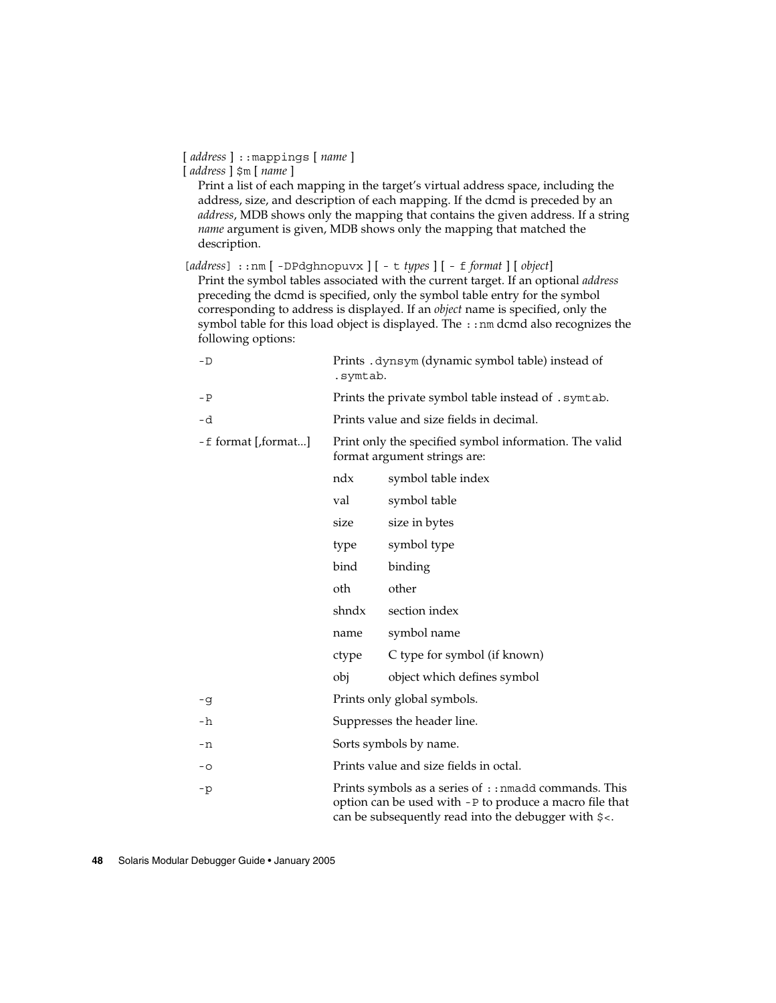### [ *address* ] ::mappings [ *name* ]

[ *address* ] \$m [ *name* ]

Print a list of each mapping in the target's virtual address space, including the address, size, and description of each mapping. If the dcmd is preceded by an *address*, MDB shows only the mapping that contains the given address. If a string *name* argument is given, MDB shows only the mapping that matched the description.

[*address*] ::nm [ -DPdghnopuvx ] [ - t *types* ] [ - f *format* ] [ *object*] Print the symbol tables associated with the current target. If an optional *address* preceding the dcmd is specified, only the symbol table entry for the symbol corresponding to address is displayed. If an *object* name is specified, only the symbol table for this load object is displayed. The :: nm dcmd also recognizes the following options:

| $-D$                | .symtab.                                                                               | Prints . dynsym (dynamic symbol table) instead of                                                                                                                        |  |  |  |
|---------------------|----------------------------------------------------------------------------------------|--------------------------------------------------------------------------------------------------------------------------------------------------------------------------|--|--|--|
| $-P$                |                                                                                        | Prints the private symbol table instead of . symtab.                                                                                                                     |  |  |  |
| -d                  |                                                                                        | Prints value and size fields in decimal.                                                                                                                                 |  |  |  |
| -f format [,format] | Print only the specified symbol information. The valid<br>format argument strings are: |                                                                                                                                                                          |  |  |  |
|                     | $\frac{dx}{ }$                                                                         | symbol table index                                                                                                                                                       |  |  |  |
|                     | val                                                                                    | symbol table                                                                                                                                                             |  |  |  |
|                     | size                                                                                   | size in bytes                                                                                                                                                            |  |  |  |
|                     | type                                                                                   | symbol type                                                                                                                                                              |  |  |  |
|                     | bind                                                                                   | binding                                                                                                                                                                  |  |  |  |
|                     | oth                                                                                    | other                                                                                                                                                                    |  |  |  |
|                     | shndx                                                                                  | section index                                                                                                                                                            |  |  |  |
|                     | name                                                                                   | symbol name                                                                                                                                                              |  |  |  |
|                     | ctype                                                                                  | C type for symbol (if known)                                                                                                                                             |  |  |  |
|                     | obj                                                                                    | object which defines symbol                                                                                                                                              |  |  |  |
| -g                  |                                                                                        | Prints only global symbols.                                                                                                                                              |  |  |  |
| -h                  |                                                                                        | Suppresses the header line.                                                                                                                                              |  |  |  |
| -n                  |                                                                                        | Sorts symbols by name.                                                                                                                                                   |  |  |  |
| -0                  |                                                                                        | Prints value and size fields in octal.                                                                                                                                   |  |  |  |
| -p                  |                                                                                        | Prints symbols as a series of :: nmadd commands. This<br>option can be used with -P to produce a macro file that<br>can be subsequently read into the debugger with \$<. |  |  |  |

**48** Solaris Modular Debugger Guide • January 2005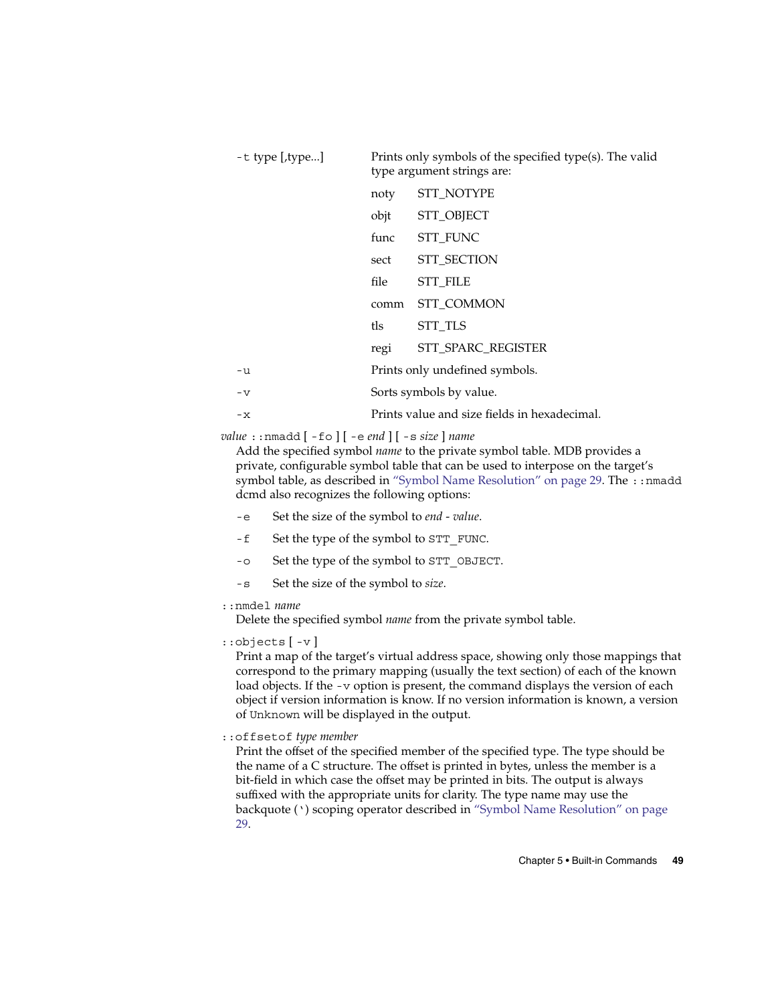| -t type [,type] |                                              | Prints only symbols of the specified type(s). The valid<br>type argument strings are: |  |  |
|-----------------|----------------------------------------------|---------------------------------------------------------------------------------------|--|--|
|                 | noty                                         | STT_NOTYPE                                                                            |  |  |
|                 | objt                                         | STT_OBJECT                                                                            |  |  |
|                 | func                                         | STT_FUNC                                                                              |  |  |
|                 | sect                                         | STT_SECTION                                                                           |  |  |
|                 | file                                         | <b>STT_FILE</b>                                                                       |  |  |
|                 | comm                                         | STT_COMMON                                                                            |  |  |
|                 | tls                                          | STT_TLS                                                                               |  |  |
|                 | regi                                         | STT_SPARC_REGISTER                                                                    |  |  |
| -u              |                                              | Prints only undefined symbols.                                                        |  |  |
| $-\nabla$       |                                              | Sorts symbols by value.                                                               |  |  |
| $-x$            | Prints value and size fields in hexadecimal. |                                                                                       |  |  |

*value* ::nmadd [ -fo ] [ -e *end* ] [ -s *size* ] *name*

Add the specified symbol *name* to the private symbol table. MDB provides a private, configurable symbol table that can be used to interpose on the target's symbol table, as described in ["Symbol Name Resolution"](#page-28-0) on page 29. The :: nmadd dcmd also recognizes the following options:

- -e Set the size of the symbol to *end value*.
- -f Set the type of the symbol to STT FUNC.
- -o Set the type of the symbol to STT\_OBJECT.
- -s Set the size of the symbol to *size*.

### ::nmdel *name*

Delete the specified symbol *name* from the private symbol table.

### ::objects [ -v ]

Print a map of the target's virtual address space, showing only those mappings that correspond to the primary mapping (usually the text section) of each of the known load objects. If the -v option is present, the command displays the version of each object if version information is know. If no version information is known, a version of Unknown will be displayed in the output.

::offsetof *type member*

Print the offset of the specified member of the specified type. The type should be the name of a C structure. The offset is printed in bytes, unless the member is a bit-field in which case the offset may be printed in bits. The output is always suffixed with the appropriate units for clarity. The type name may use the backquote (') scoping operator described in ["Symbol Name Resolution"](#page-28-0) on page [29.](#page-28-0)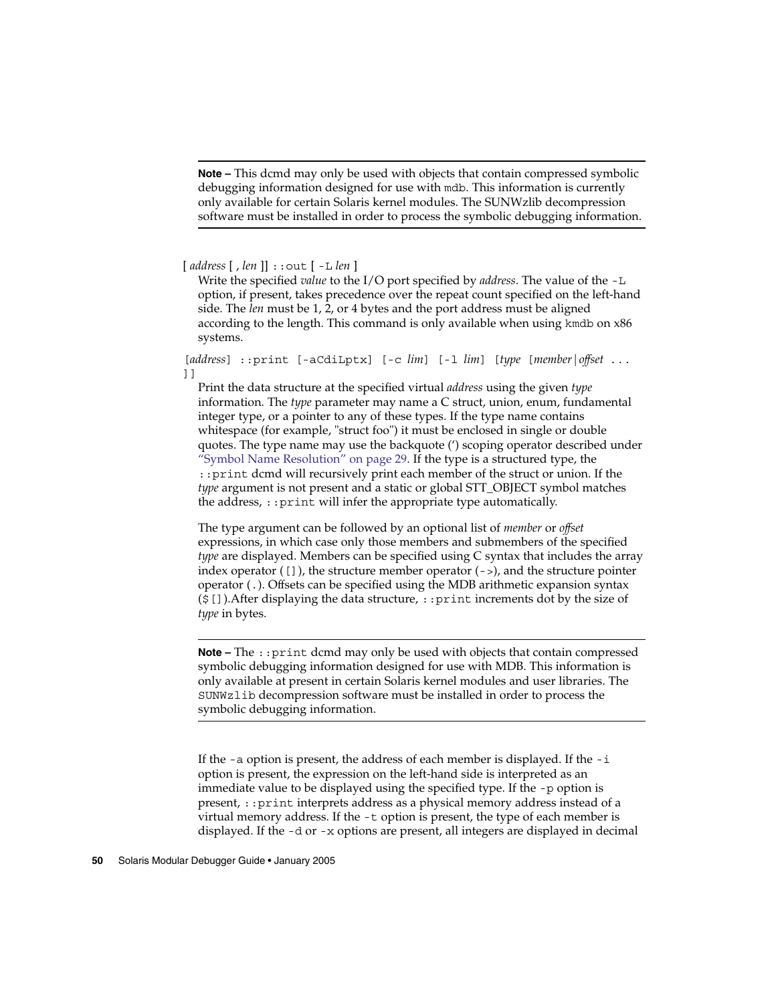**Note –** This dcmd may only be used with objects that contain compressed symbolic debugging information designed for use with mdb. This information is currently only available for certain Solaris kernel modules. The SUNWzlib decompression software must be installed in order to process the symbolic debugging information.

#### [ *address* [ , *len* ]] ::out [ -L *len* ]

Write the specified *value* to the I/O port specified by *address*. The value of the -L option, if present, takes precedence over the repeat count specified on the left-hand side. The *len* must be 1, 2, or 4 bytes and the port address must be aligned according to the length. This command is only available when using kmdb on x86 systems.

[*address*] ::print [-aCdiLptx] [-c *lim*] [-l *lim*] [*type* [*member*|*offset* ... ]]

Print the data structure at the specified virtual *address* using the given *type* information. The *type* parameter may name a C struct, union, enum, fundamental integer type, or a pointer to any of these types. If the type name contains whitespace (for example, "struct foo") it must be enclosed in single or double quotes. The type name may use the backquote (') scoping operator described under ["Symbol Name Resolution"](#page-28-0) on page 29. If the type is a structured type, the ::print dcmd will recursively print each member of the struct or union. If the *type* argument is not present and a static or global STT\_OBJECT symbol matches the address, ::print will infer the appropriate type automatically.

The type argument can be followed by an optional list of *member* or *offset* expressions, in which case only those members and submembers of the specified *type* are displayed. Members can be specified using C syntax that includes the array index operator  $([$ ]), the structure member operator  $(-)$ , and the structure pointer operator (.). Offsets can be specified using the MDB arithmetic expansion syntax  $(\xi[])$ . After displaying the data structure, :: print increments dot by the size of *type* in bytes.

**Note** – The ::print dcmd may only be used with objects that contain compressed symbolic debugging information designed for use with MDB. This information is only available at present in certain Solaris kernel modules and user libraries. The SUNWzlib decompression software must be installed in order to process the symbolic debugging information.

If the -a option is present, the address of each member is displayed. If the -i option is present, the expression on the left-hand side is interpreted as an immediate value to be displayed using the specified type. If the -p option is present, ::print interprets address as a physical memory address instead of a virtual memory address. If the -t option is present, the type of each member is displayed. If the -d or -x options are present, all integers are displayed in decimal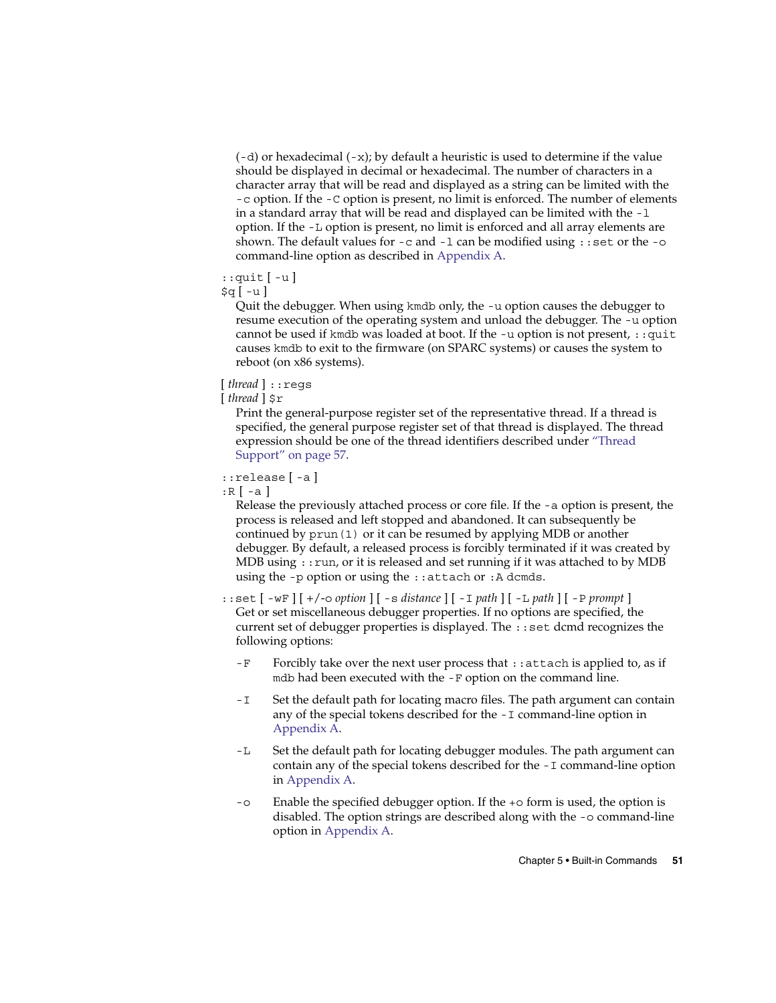$(-d)$  or hexadecimal  $(-x)$ ; by default a heuristic is used to determine if the value should be displayed in decimal or hexadecimal. The number of characters in a character array that will be read and displayed as a string can be limited with the -c option. If the -C option is present, no limit is enforced. The number of elements in a standard array that will be read and displayed can be limited with the  $-1$ option. If the -L option is present, no limit is enforced and all array elements are shown. The default values for -c and -l can be modified using ::set or the -o command-line option as described in [Appendix A.](#page-142-0)

### ::quit [ -u ]

### $\operatorname{sq}$   $\lceil -u \rceil$

Quit the debugger. When using kmdb only, the -u option causes the debugger to resume execution of the operating system and unload the debugger. The -u option cannot be used if kmdb was loaded at boot. If the -u option is not present, ::quit causes kmdb to exit to the firmware (on SPARC systems) or causes the system to reboot (on x86 systems).

### [*thread* ] :: regs

### [ *thread* ] \$r

Print the general-purpose register set of the representative thread. If a thread is specified, the general purpose register set of that thread is displayed. The thread expression should be one of the thread identifiers described under ["Thread](#page-56-0) Support" [on page 57.](#page-56-0)

### ::release [ -a ]

#### :R [ -a ]

Release the previously attached process or core file. If the -a option is present, the process is released and left stopped and abandoned. It can subsequently be continued by prun(1) or it can be resumed by applying MDB or another debugger. By default, a released process is forcibly terminated if it was created by MDB using  $::run$ , or it is released and set running if it was attached to by MDB using the -p option or using the ::attach or :A dcmds.

::set [ -wF ] [ +/-o *option* ] [ -s *distance* ] [ -I *path* ] [ -L *path* ] [ -P *prompt* ] Get or set miscellaneous debugger properties. If no options are specified, the current set of debugger properties is displayed. The ::set dcmd recognizes the following options:

- -F Forcibly take over the next user process that ::attach is applied to, as if mdb had been executed with the -F option on the command line.
- -I Set the default path for locating macro files. The path argument can contain any of the special tokens described for the -I command-line option in [Appendix A.](#page-142-0)
- -L Set the default path for locating debugger modules. The path argument can contain any of the special tokens described for the -I command-line option in [Appendix A.](#page-142-0)
- -o Enable the specified debugger option. If the +o form is used, the option is disabled. The option strings are described along with the -o command-line option in [Appendix A.](#page-142-0)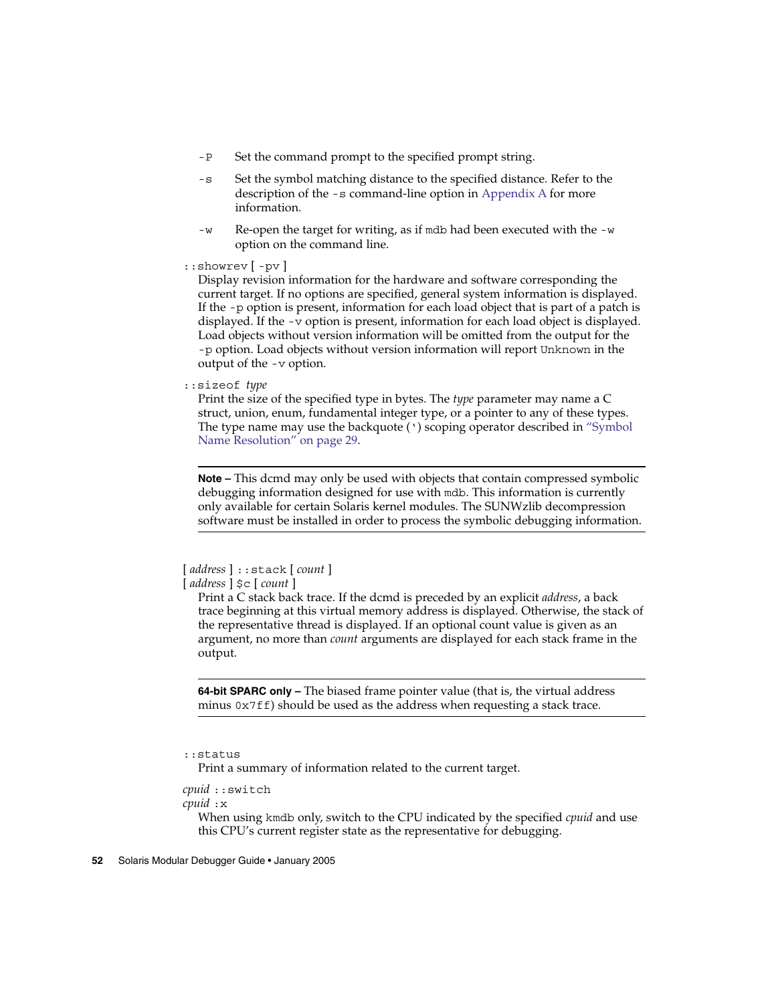- -P Set the command prompt to the specified prompt string.
- -s Set the symbol matching distance to the specified distance. Refer to the description of the -s command-line option in [Appendix A](#page-142-0) for more information.
- $-w$  Re-open the target for writing, as if mdb had been executed with the  $-w$ option on the command line.
- ::showrev [ -pv ]

Display revision information for the hardware and software corresponding the current target. If no options are specified, general system information is displayed. If the -p option is present, information for each load object that is part of a patch is displayed. If the -v option is present, information for each load object is displayed. Load objects without version information will be omitted from the output for the -p option. Load objects without version information will report Unknown in the output of the -v option.

::sizeof *type*

Print the size of the specified type in bytes. The *type* parameter may name a C struct, union, enum, fundamental integer type, or a pointer to any of these types. The type name may use the backquote (') scoping operator described in ["Symbol](#page-28-0) [Name Resolution"](#page-28-0) on page 29.

**Note –** This dcmd may only be used with objects that contain compressed symbolic debugging information designed for use with mdb. This information is currently only available for certain Solaris kernel modules. The SUNWzlib decompression software must be installed in order to process the symbolic debugging information.

```
[ address ] ::stack [ count ]
[ address ] $c [ count ]
```
Print a C stack back trace. If the dcmd is preceded by an explicit *address*, a back trace beginning at this virtual memory address is displayed. Otherwise, the stack of the representative thread is displayed. If an optional count value is given as an argument, no more than *count* arguments are displayed for each stack frame in the output.

**64-bit SPARC only –** The biased frame pointer value (that is, the virtual address minus 0x7ff) should be used as the address when requesting a stack trace.

::status

Print a summary of information related to the current target.

```
cpuid ::switch
```
*cpuid* :x

When using kmdb only, switch to the CPU indicated by the specified *cpuid* and use this CPU's current register state as the representative for debugging.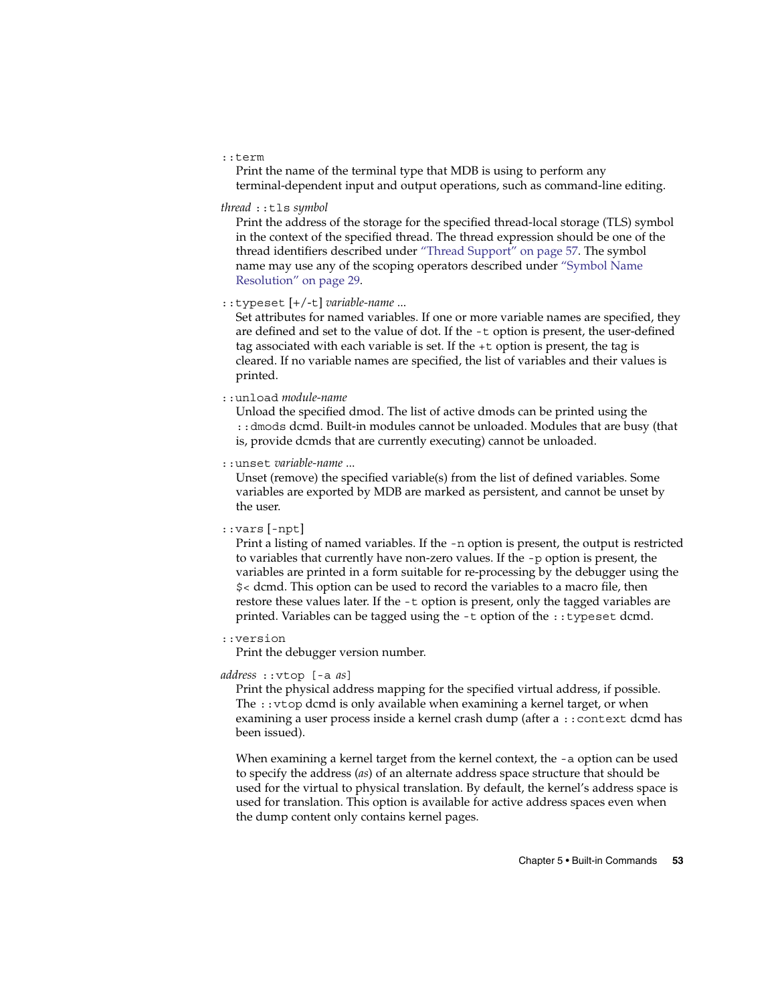::term

Print the name of the terminal type that MDB is using to perform any terminal-dependent input and output operations, such as command-line editing.

#### *thread* ::tls *symbol*

Print the address of the storage for the specified thread-local storage (TLS) symbol in the context of the specified thread. The thread expression should be one of the thread identifiers described under ["Thread Support"](#page-56-0) on page 57. The symbol name may use any of the scoping operators described under ["Symbol Name](#page-28-0) [Resolution"](#page-28-0) on page 29.

::typeset [+/-t] *variable-name* ...

Set attributes for named variables. If one or more variable names are specified, they are defined and set to the value of dot. If the -t option is present, the user-defined tag associated with each variable is set. If the +t option is present, the tag is cleared. If no variable names are specified, the list of variables and their values is printed.

### ::unload *module-name*

Unload the specified dmod. The list of active dmods can be printed using the ::dmods dcmd. Built-in modules cannot be unloaded. Modules that are busy (that is, provide dcmds that are currently executing) cannot be unloaded.

::unset *variable-name* ...

Unset (remove) the specified variable(s) from the list of defined variables. Some variables are exported by MDB are marked as persistent, and cannot be unset by the user.

::vars [-npt]

Print a listing of named variables. If the -n option is present, the output is restricted to variables that currently have non-zero values. If the -p option is present, the variables are printed in a form suitable for re-processing by the debugger using the \$< dcmd. This option can be used to record the variables to a macro file, then restore these values later. If the -t option is present, only the tagged variables are printed. Variables can be tagged using the -t option of the ::typeset dcmd.

::version

Print the debugger version number.

### *address* ::vtop [-a *as*]

Print the physical address mapping for the specified virtual address, if possible. The ::vtop dcmd is only available when examining a kernel target, or when examining a user process inside a kernel crash dump (after a :: context dcmd has been issued).

When examining a kernel target from the kernel context, the -a option can be used to specify the address (*as*) of an alternate address space structure that should be used for the virtual to physical translation. By default, the kernel's address space is used for translation. This option is available for active address spaces even when the dump content only contains kernel pages.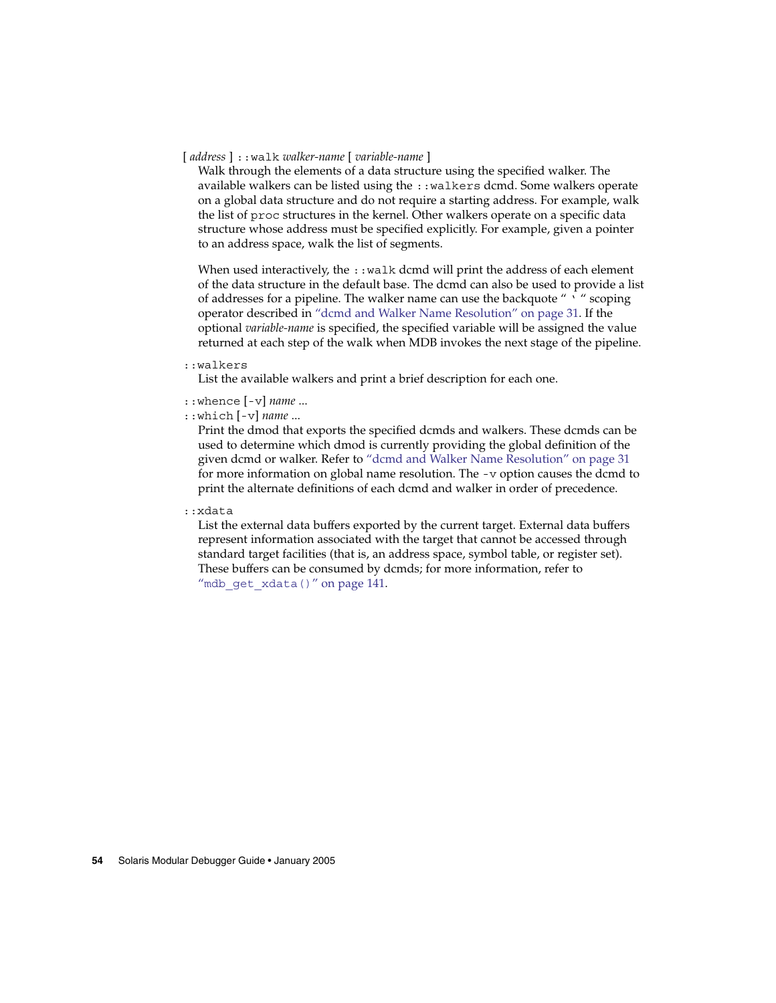#### [ *address* ] ::walk *walker-name* [ *variable-name* ]

Walk through the elements of a data structure using the specified walker. The available walkers can be listed using the : : walkers dcmd. Some walkers operate on a global data structure and do not require a starting address. For example, walk the list of proc structures in the kernel. Other walkers operate on a specific data structure whose address must be specified explicitly. For example, given a pointer to an address space, walk the list of segments.

When used interactively, the  $:$ : walk dcmd will print the address of each element of the data structure in the default base. The dcmd can also be used to provide a list of addresses for a pipeline. The walker name can use the backquote " ' " scoping operator described in ["dcmd and Walker Name Resolution"](#page-30-0) on page 31. If the optional *variable-name* is specified, the specified variable will be assigned the value returned at each step of the walk when MDB invokes the next stage of the pipeline.

#### ::walkers

List the available walkers and print a brief description for each one.

- ::whence [-v] *name* ...
- ::which [-v] *name* ...

Print the dmod that exports the specified dcmds and walkers. These dcmds can be used to determine which dmod is currently providing the global definition of the given dcmd or walker. Refer to ["dcmd and Walker Name Resolution"](#page-30-0) on page 31 for more information on global name resolution. The -v option causes the dcmd to print the alternate definitions of each dcmd and walker in order of precedence.

::xdata

List the external data buffers exported by the current target. External data buffers represent information associated with the target that cannot be accessed through standard target facilities (that is, an address space, symbol table, or register set). These buffers can be consumed by dcmds; for more information, refer to "mdb get xdata()" on page 141.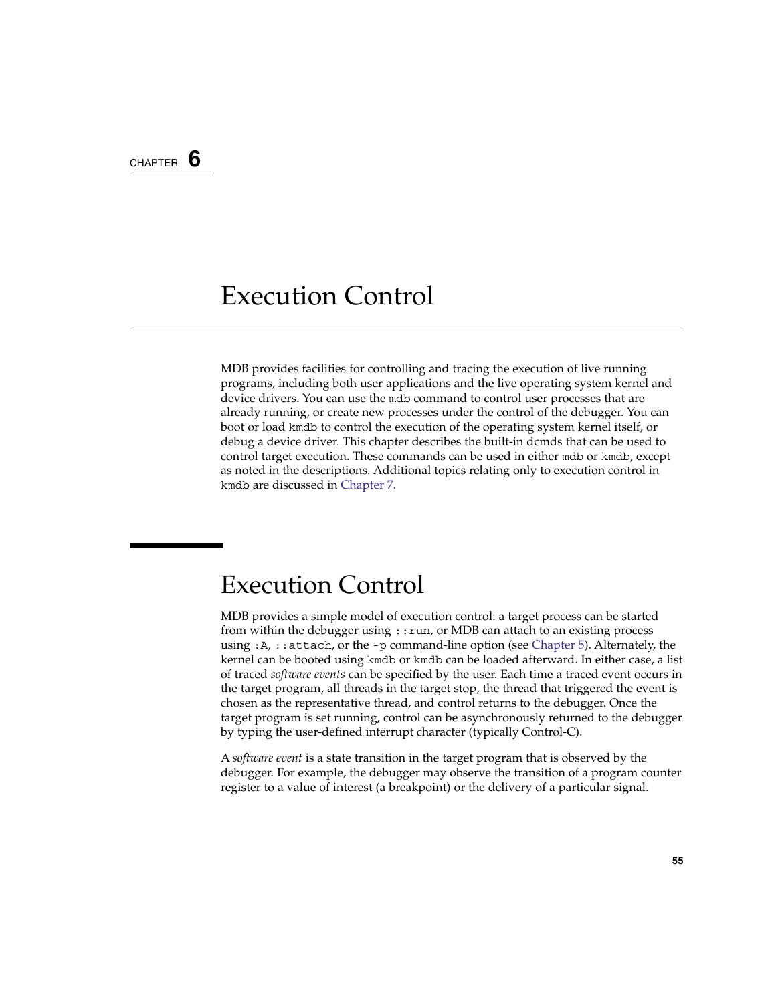### <span id="page-54-0"></span>CHAPTER **6**

# Execution Control

MDB provides facilities for controlling and tracing the execution of live running programs, including both user applications and the live operating system kernel and device drivers. You can use the mdb command to control user processes that are already running, or create new processes under the control of the debugger. You can boot or load kmdb to control the execution of the operating system kernel itself, or debug a device driver. This chapter describes the built-in dcmds that can be used to control target execution. These commands can be used in either mdb or kmdb, except as noted in the descriptions. Additional topics relating only to execution control in kmdb are discussed in [Chapter 7.](#page-66-0)

## Execution Control

MDB provides a simple model of execution control: a target process can be started from within the debugger using  $:$ : run, or MDB can attach to an existing process using :A, ::attach, or the -p command-line option (see [Chapter 5\)](#page-40-0). Alternately, the kernel can be booted using kmdb or kmdb can be loaded afterward. In either case, a list of traced *software events* can be specified by the user. Each time a traced event occurs in the target program, all threads in the target stop, the thread that triggered the event is chosen as the representative thread, and control returns to the debugger. Once the target program is set running, control can be asynchronously returned to the debugger by typing the user-defined interrupt character (typically Control-C).

A *software event* is a state transition in the target program that is observed by the debugger. For example, the debugger may observe the transition of a program counter register to a value of interest (a breakpoint) or the delivery of a particular signal.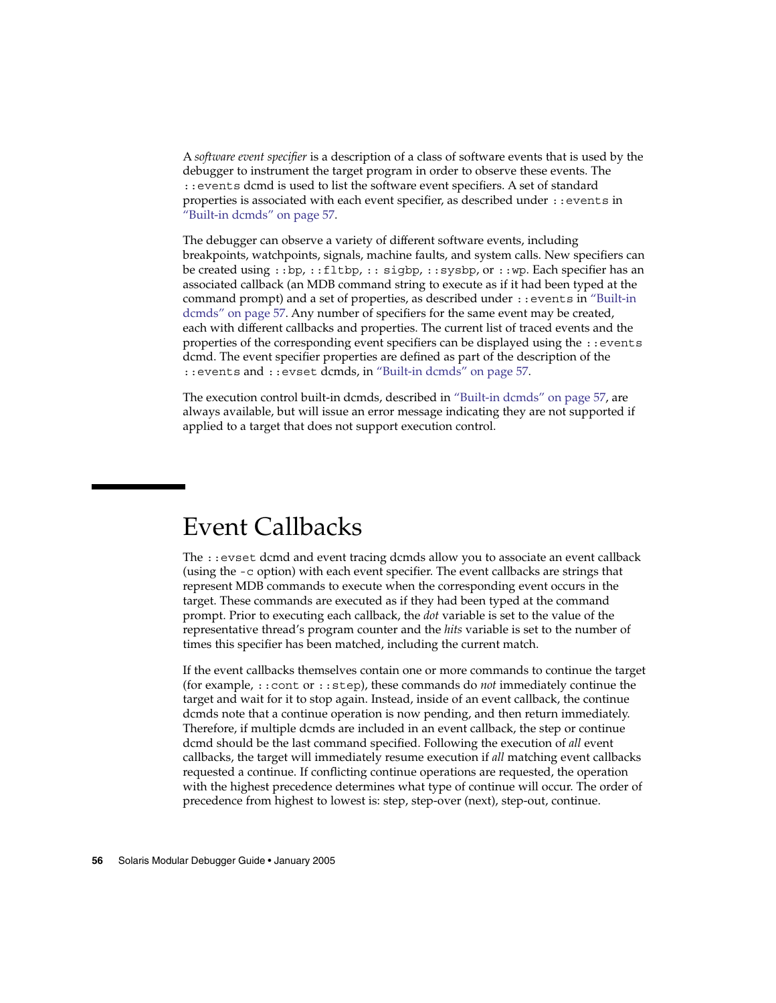A *software event specifier* is a description of a class of software events that is used by the debugger to instrument the target program in order to observe these events. The ::events dcmd is used to list the software event specifiers. A set of standard properties is associated with each event specifier, as described under ::events in ["Built-in dcmds"](#page-56-0) on page 57.

The debugger can observe a variety of different software events, including breakpoints, watchpoints, signals, machine faults, and system calls. New specifiers can be created using ::bp, ::fltbp, :: sigbp, ::sysbp, or ::wp. Each specifier has an associated callback (an MDB command string to execute as if it had been typed at the command prompt) and a set of properties, as described under ::events in ["Built-in](#page-56-0) dcmds" [on page 57.](#page-56-0) Any number of specifiers for the same event may be created, each with different callbacks and properties. The current list of traced events and the properties of the corresponding event specifiers can be displayed using the :: events dcmd. The event specifier properties are defined as part of the description of the ::events and ::evset dcmds, in ["Built-in dcmds"](#page-56-0) on page 57.

The execution control built-in dcmds, described in ["Built-in dcmds"](#page-56-0) on page 57, are always available, but will issue an error message indicating they are not supported if applied to a target that does not support execution control.

## Event Callbacks

The ::evset dcmd and event tracing dcmds allow you to associate an event callback (using the -c option) with each event specifier. The event callbacks are strings that represent MDB commands to execute when the corresponding event occurs in the target. These commands are executed as if they had been typed at the command prompt. Prior to executing each callback, the *dot* variable is set to the value of the representative thread's program counter and the *hits* variable is set to the number of times this specifier has been matched, including the current match.

If the event callbacks themselves contain one or more commands to continue the target (for example, ::cont or ::step), these commands do *not* immediately continue the target and wait for it to stop again. Instead, inside of an event callback, the continue dcmds note that a continue operation is now pending, and then return immediately. Therefore, if multiple dcmds are included in an event callback, the step or continue dcmd should be the last command specified. Following the execution of *all* event callbacks, the target will immediately resume execution if *all* matching event callbacks requested a continue. If conflicting continue operations are requested, the operation with the highest precedence determines what type of continue will occur. The order of precedence from highest to lowest is: step, step-over (next), step-out, continue.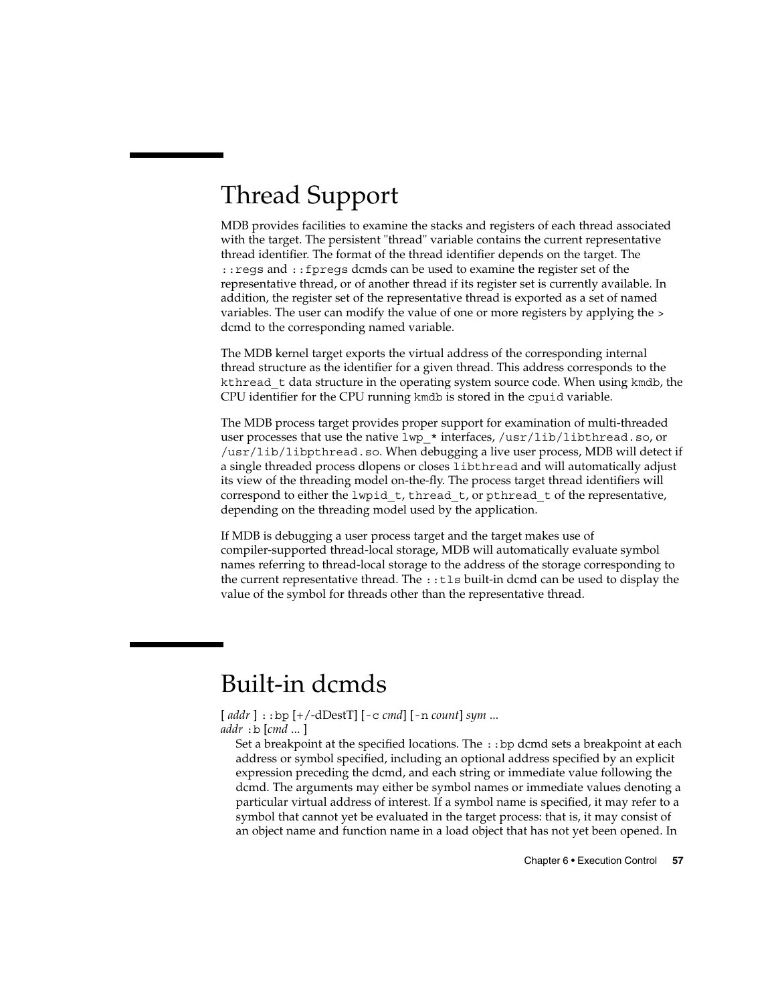# <span id="page-56-0"></span>Thread Support

MDB provides facilities to examine the stacks and registers of each thread associated with the target. The persistent "thread" variable contains the current representative thread identifier. The format of the thread identifier depends on the target. The ::regs and ::fpregs dcmds can be used to examine the register set of the representative thread, or of another thread if its register set is currently available. In addition, the register set of the representative thread is exported as a set of named variables. The user can modify the value of one or more registers by applying the > dcmd to the corresponding named variable.

The MDB kernel target exports the virtual address of the corresponding internal thread structure as the identifier for a given thread. This address corresponds to the kthread t data structure in the operating system source code. When using kmdb, the CPU identifier for the CPU running kmdb is stored in the cpuid variable.

The MDB process target provides proper support for examination of multi-threaded user processes that use the native  $lwp*$  interfaces, /usr/lib/libthread.so, or /usr/lib/libpthread.so. When debugging a live user process, MDB will detect if a single threaded process dlopens or closes libthread and will automatically adjust its view of the threading model on-the-fly. The process target thread identifiers will correspond to either the lwpid  $t$ , thread  $t$ , or pthread  $t$  of the representative, depending on the threading model used by the application.

If MDB is debugging a user process target and the target makes use of compiler-supported thread-local storage, MDB will automatically evaluate symbol names referring to thread-local storage to the address of the storage corresponding to the current representative thread. The ::tls built-in dcmd can be used to display the value of the symbol for threads other than the representative thread.

# Built-in dcmds

[ *addr* ] ::bp [+/-dDestT] [-c *cmd*] [-n *count*] *sym* ... *addr* :b [*cmd* ... ]

Set a breakpoint at the specified locations. The  $: :$  bp dcmd sets a breakpoint at each address or symbol specified, including an optional address specified by an explicit expression preceding the dcmd, and each string or immediate value following the dcmd. The arguments may either be symbol names or immediate values denoting a particular virtual address of interest. If a symbol name is specified, it may refer to a symbol that cannot yet be evaluated in the target process: that is, it may consist of an object name and function name in a load object that has not yet been opened. In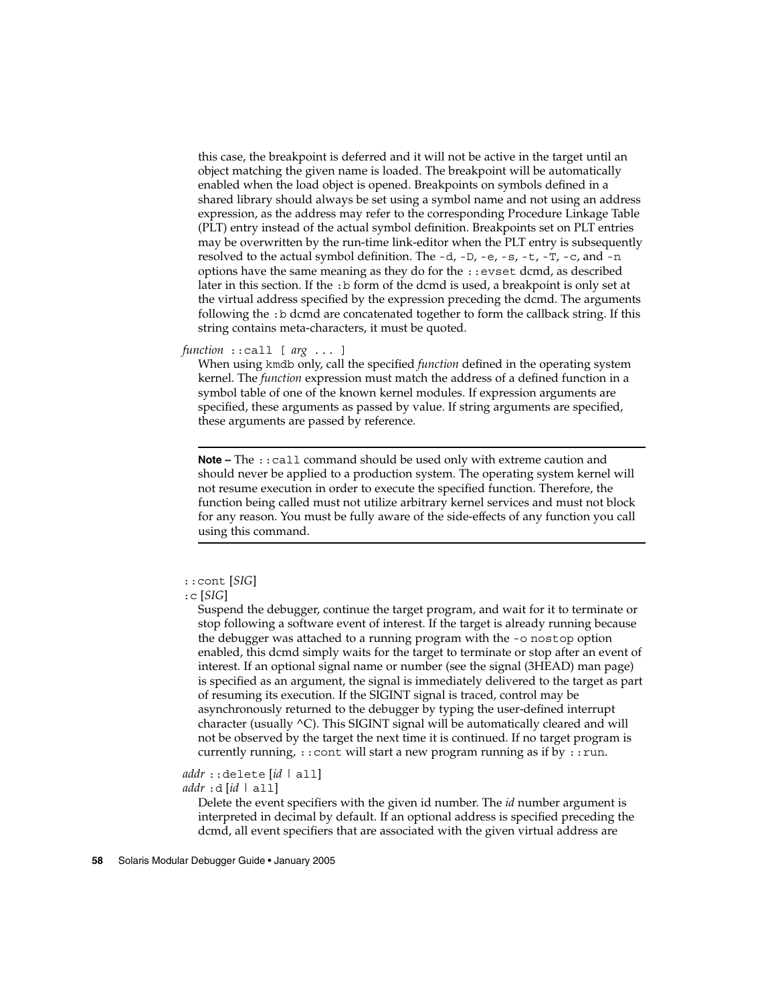this case, the breakpoint is deferred and it will not be active in the target until an object matching the given name is loaded. The breakpoint will be automatically enabled when the load object is opened. Breakpoints on symbols defined in a shared library should always be set using a symbol name and not using an address expression, as the address may refer to the corresponding Procedure Linkage Table (PLT) entry instead of the actual symbol definition. Breakpoints set on PLT entries may be overwritten by the run-time link-editor when the PLT entry is subsequently resolved to the actual symbol definition. The  $-d$ ,  $-D$ ,  $-e$ ,  $-s$ ,  $-t$ ,  $-T$ ,  $-c$ , and  $-n$ options have the same meaning as they do for the ::evset dcmd, as described later in this section. If the :b form of the dcmd is used, a breakpoint is only set at the virtual address specified by the expression preceding the dcmd. The arguments following the :b dcmd are concatenated together to form the callback string. If this string contains meta-characters, it must be quoted.

```
function ::call [ arg ... ]
```
When using kmdb only, call the specified *function* defined in the operating system kernel. The *function* expression must match the address of a defined function in a symbol table of one of the known kernel modules. If expression arguments are specified, these arguments as passed by value. If string arguments are specified, these arguments are passed by reference.

**Note –** The ::call command should be used only with extreme caution and should never be applied to a production system. The operating system kernel will not resume execution in order to execute the specified function. Therefore, the function being called must not utilize arbitrary kernel services and must not block for any reason. You must be fully aware of the side-effects of any function you call using this command.

### ::cont [*SIG*]

### :c [*SIG*]

Suspend the debugger, continue the target program, and wait for it to terminate or stop following a software event of interest. If the target is already running because the debugger was attached to a running program with the -o nostop option enabled, this dcmd simply waits for the target to terminate or stop after an event of interest. If an optional signal name or number (see the signal (3HEAD) man page) is specified as an argument, the signal is immediately delivered to the target as part of resuming its execution. If the SIGINT signal is traced, control may be asynchronously returned to the debugger by typing the user-defined interrupt character (usually ^C). This SIGINT signal will be automatically cleared and will not be observed by the target the next time it is continued. If no target program is currently running,  $:$  cont will start a new program running as if by  $:$   $:$   $:$   $run$ .

### *addr* ::delete [*id* | all]

*addr* :d [*id* | all]

Delete the event specifiers with the given id number. The *id* number argument is interpreted in decimal by default. If an optional address is specified preceding the dcmd, all event specifiers that are associated with the given virtual address are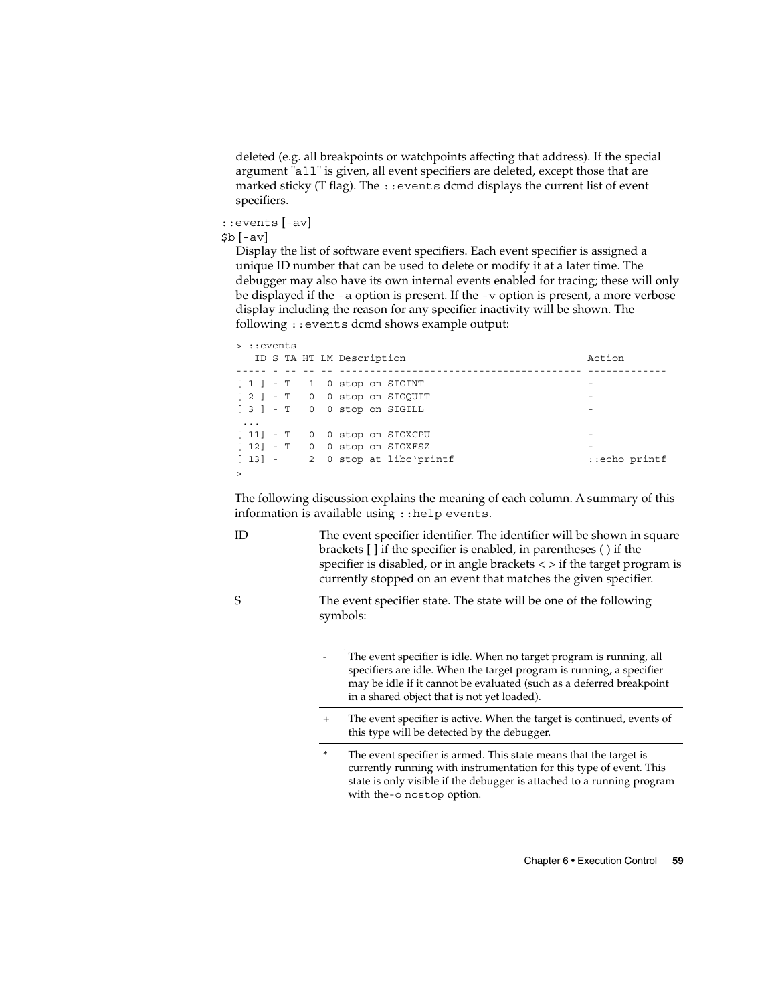deleted (e.g. all breakpoints or watchpoints affecting that address). If the special argument "all" is given, all event specifiers are deleted, except those that are marked sticky (T flag). The ::events dcmd displays the current list of event specifiers.

::events [-av]

 $$b$   $[-av]$ 

Display the list of software event specifiers. Each event specifier is assigned a unique ID number that can be used to delete or modify it at a later time. The debugger may also have its own internal events enabled for tracing; these will only be displayed if the -a option is present. If the -v option is present, a more verbose display including the reason for any specifier inactivity will be shown. The following ::events dcmd shows example output:

|        |                         |  | $>$ : events |  |                           |                                |               |  |
|--------|-------------------------|--|--------------|--|---------------------------|--------------------------------|---------------|--|
|        |                         |  |              |  | ID S TA HT LM Description |                                | Action        |  |
|        |                         |  |              |  |                           |                                |               |  |
|        |                         |  |              |  |                           | $[1]$ - T 1 0 stop on SIGINT   |               |  |
|        |                         |  |              |  |                           | $[2] - T$ 0 0 stop on SIGQUIT  |               |  |
|        |                         |  |              |  |                           | $[3] - T$ 0 0 stop on SIGILL   |               |  |
|        | $\cdot$ $\cdot$ $\cdot$ |  |              |  |                           |                                |               |  |
|        |                         |  |              |  |                           | $[11] - T$ 0 0 stop on SIGXCPU |               |  |
|        |                         |  |              |  |                           | $[12] - T$ 0 0 stop on SIGXFSZ |               |  |
|        |                         |  | $[13] -$     |  |                           | 2 0 stop at libc'printf        | ::echo printf |  |
| $\geq$ |                         |  |              |  |                           |                                |               |  |

The following discussion explains the meaning of each column. A summary of this information is available using ::help events.

ID The event specifier identifier. The identifier will be shown in square brackets [ ] if the specifier is enabled, in parentheses ( ) if the specifier is disabled, or in angle brackets  $\lt$  > if the target program is currently stopped on an event that matches the given specifier.

S The event specifier state. The state will be one of the following symbols:

|    | The event specifier is idle. When no target program is running, all<br>specifiers are idle. When the target program is running, a specifier<br>may be idle if it cannot be evaluated (such as a deferred breakpoint<br>in a shared object that is not yet loaded). |
|----|--------------------------------------------------------------------------------------------------------------------------------------------------------------------------------------------------------------------------------------------------------------------|
|    | The event specifier is active. When the target is continued, events of<br>this type will be detected by the debugger.                                                                                                                                              |
| ×. | The event specifier is armed. This state means that the target is<br>currently running with instrumentation for this type of event. This<br>state is only visible if the debugger is attached to a running program<br>with the-o nostop option.                    |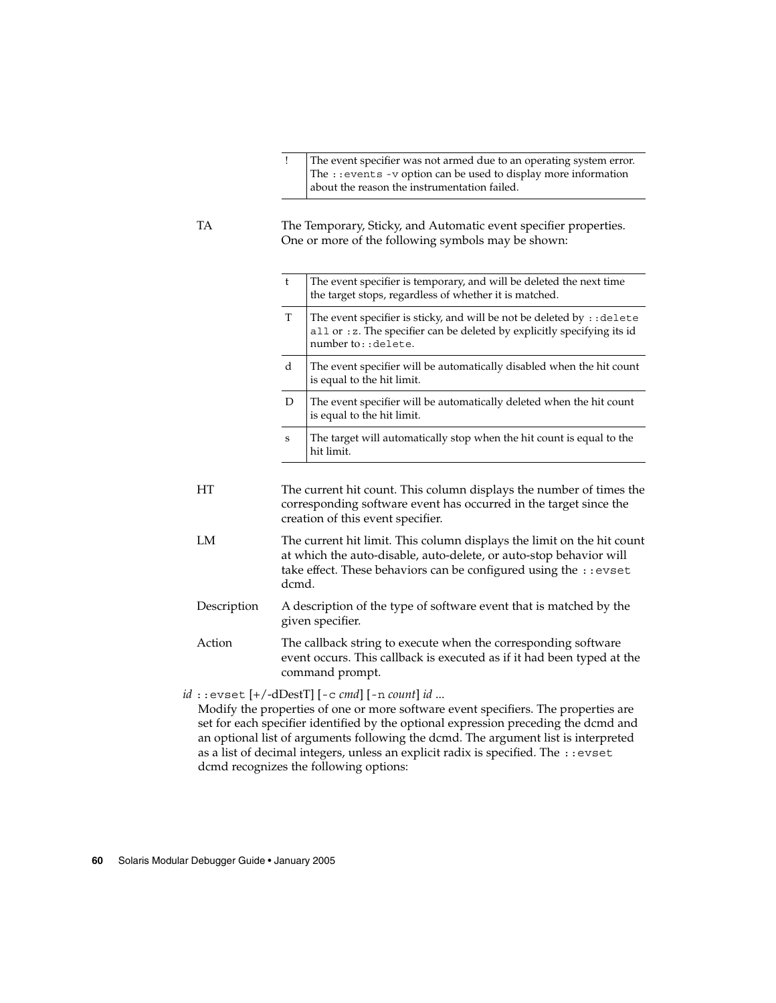| The event specifier was not armed due to an operating system error. |
|---------------------------------------------------------------------|
| The :: events -v option can be used to display more information     |
| about the reason the instrumentation failed.                        |

TA The Temporary, Sticky, and Automatic event specifier properties. One or more of the following symbols may be shown:

| t | The event specifier is temporary, and will be deleted the next time<br>the target stops, regardless of whether it is matched.                                                |
|---|------------------------------------------------------------------------------------------------------------------------------------------------------------------------------|
| T | The event specifier is sticky, and will be not be deleted by $::$ delete<br>all or : z. The specifier can be deleted by explicitly specifying its id<br>number to: : delete. |
| d | The event specifier will be automatically disabled when the hit count<br>is equal to the hit limit.                                                                          |
| D | The event specifier will be automatically deleted when the hit count<br>is equal to the hit limit.                                                                           |
| S | The target will automatically stop when the hit count is equal to the<br>hit limit.                                                                                          |

HT The current hit count. This column displays the number of times the corresponding software event has occurred in the target since the creation of this event specifier.

- LM The current hit limit. This column displays the limit on the hit count at which the auto-disable, auto-delete, or auto-stop behavior will take effect. These behaviors can be configured using the :: evset dcmd.
- Description A description of the type of software event that is matched by the given specifier.
- Action The callback string to execute when the corresponding software event occurs. This callback is executed as if it had been typed at the command prompt.
- *id* ::evset [+/-dDestT] [-c *cmd*] [-n *count*] *id* ...

Modify the properties of one or more software event specifiers. The properties are set for each specifier identified by the optional expression preceding the dcmd and an optional list of arguments following the dcmd. The argument list is interpreted as a list of decimal integers, unless an explicit radix is specified. The :: evset dcmd recognizes the following options: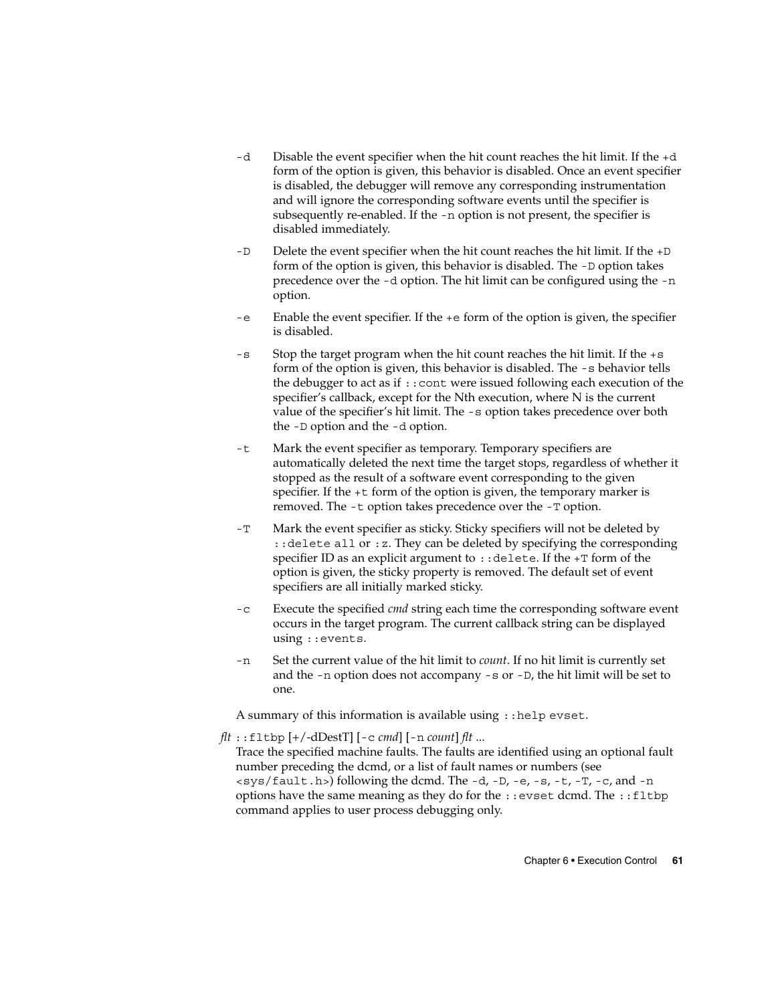- $-d$  Disable the event specifier when the hit count reaches the hit limit. If the  $+d$ form of the option is given, this behavior is disabled. Once an event specifier is disabled, the debugger will remove any corresponding instrumentation and will ignore the corresponding software events until the specifier is subsequently re-enabled. If the -n option is not present, the specifier is disabled immediately.
- -D Delete the event specifier when the hit count reaches the hit limit. If the  $+D$ form of the option is given, this behavior is disabled. The -D option takes precedence over the -d option. The hit limit can be configured using the -n option.
- $-e$  Enable the event specifier. If the  $+e$  form of the option is given, the specifier is disabled.
- -s Stop the target program when the hit count reaches the hit limit. If the +s form of the option is given, this behavior is disabled. The -s behavior tells the debugger to act as if  $\cdot$ : cont were issued following each execution of the specifier's callback, except for the Nth execution, where N is the current value of the specifier's hit limit. The -s option takes precedence over both the -D option and the -d option.
- -t Mark the event specifier as temporary. Temporary specifiers are automatically deleted the next time the target stops, regardless of whether it stopped as the result of a software event corresponding to the given specifier. If the +t form of the option is given, the temporary marker is removed. The -t option takes precedence over the -T option.
- -T Mark the event specifier as sticky. Sticky specifiers will not be deleted by ::delete all or :z. They can be deleted by specifying the corresponding specifier ID as an explicit argument to ::delete. If the +T form of the option is given, the sticky property is removed. The default set of event specifiers are all initially marked sticky.
- -c Execute the specified *cmd* string each time the corresponding software event occurs in the target program. The current callback string can be displayed using ::events.
- -n Set the current value of the hit limit to *count*. If no hit limit is currently set and the -n option does not accompany -s or -D, the hit limit will be set to one.

A summary of this information is available using ::help evset.

*flt* ::fltbp [+/-dDestT] [-c *cmd*] [-n *count*] *flt* ...

Trace the specified machine faults. The faults are identified using an optional fault number preceding the dcmd, or a list of fault names or numbers (see  $\langle \langle \langle s \rangle \rangle$  (start times) following the dcmd. The -d, -D, -e, -s, -t, -T, -c, and -n options have the same meaning as they do for the ::evset dcmd. The ::fltbp command applies to user process debugging only.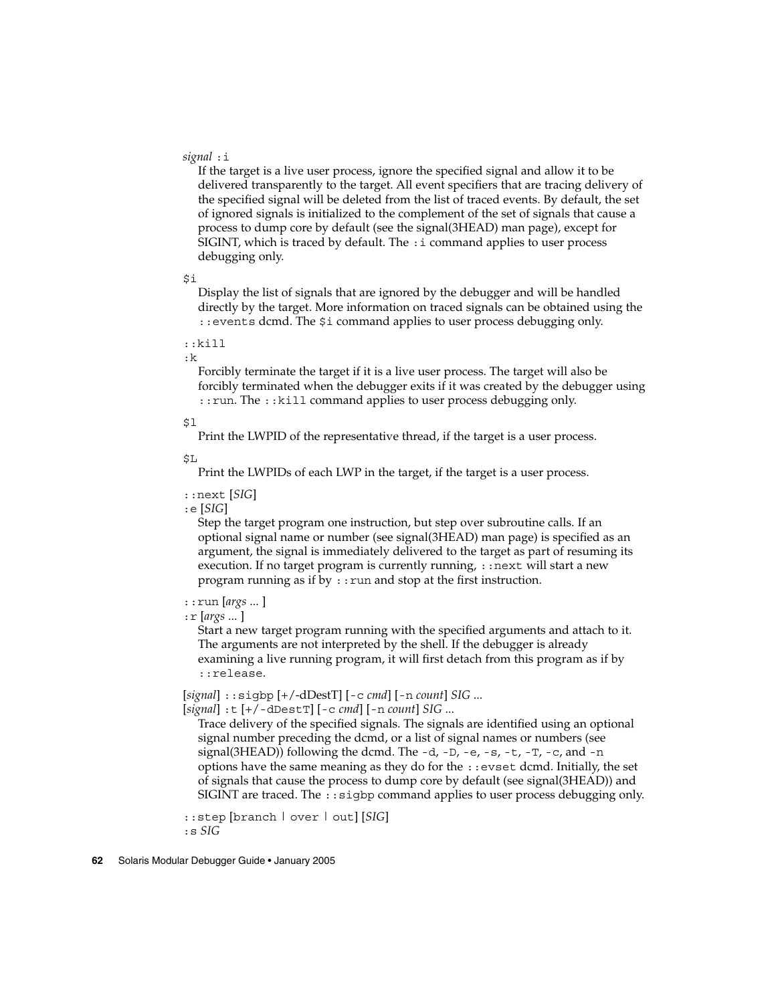#### *signal* :i

If the target is a live user process, ignore the specified signal and allow it to be delivered transparently to the target. All event specifiers that are tracing delivery of the specified signal will be deleted from the list of traced events. By default, the set of ignored signals is initialized to the complement of the set of signals that cause a process to dump core by default (see the signal(3HEAD) man page), except for SIGINT, which is traced by default. The :i command applies to user process debugging only.

#### \$i

Display the list of signals that are ignored by the debugger and will be handled directly by the target. More information on traced signals can be obtained using the ::events dcmd. The \$i command applies to user process debugging only.

### ::kill

:k

Forcibly terminate the target if it is a live user process. The target will also be forcibly terminated when the debugger exits if it was created by the debugger using ::run. The ::kill command applies to user process debugging only.

#### $$1$

Print the LWPID of the representative thread, if the target is a user process.

\$L

Print the LWPIDs of each LWP in the target, if the target is a user process.

#### ::next [*SIG*]

:e [*SIG*]

Step the target program one instruction, but step over subroutine calls. If an optional signal name or number (see signal(3HEAD) man page) is specified as an argument, the signal is immediately delivered to the target as part of resuming its execution. If no target program is currently running, : : next will start a new program running as if by  $::run$  and stop at the first instruction.

#### ::run [*args* ... ]

:r [*args* ... ]

Start a new target program running with the specified arguments and attach to it. The arguments are not interpreted by the shell. If the debugger is already examining a live running program, it will first detach from this program as if by ::release.

[*signal*] ::sigbp [+/-dDestT] [-c *cmd*] [-n *count*] *SIG* ... [*signal*] :t [+/-dDestT] [-c *cmd*] [-n *count*] *SIG* ...

Trace delivery of the specified signals. The signals are identified using an optional

signal number preceding the dcmd, or a list of signal names or numbers (see signal(3HEAD)) following the dcmd. The  $-d$ ,  $-D$ ,  $-e$ ,  $-s$ ,  $-t$ ,  $-T$ ,  $-c$ , and  $-n$ options have the same meaning as they do for the ::evset dcmd. Initially, the set of signals that cause the process to dump core by default (see signal(3HEAD)) and SIGINT are traced. The  $:$ :  $\leq$  igbp command applies to user process debugging only.

::step [branch | over | out] [*SIG*] :s *SIG*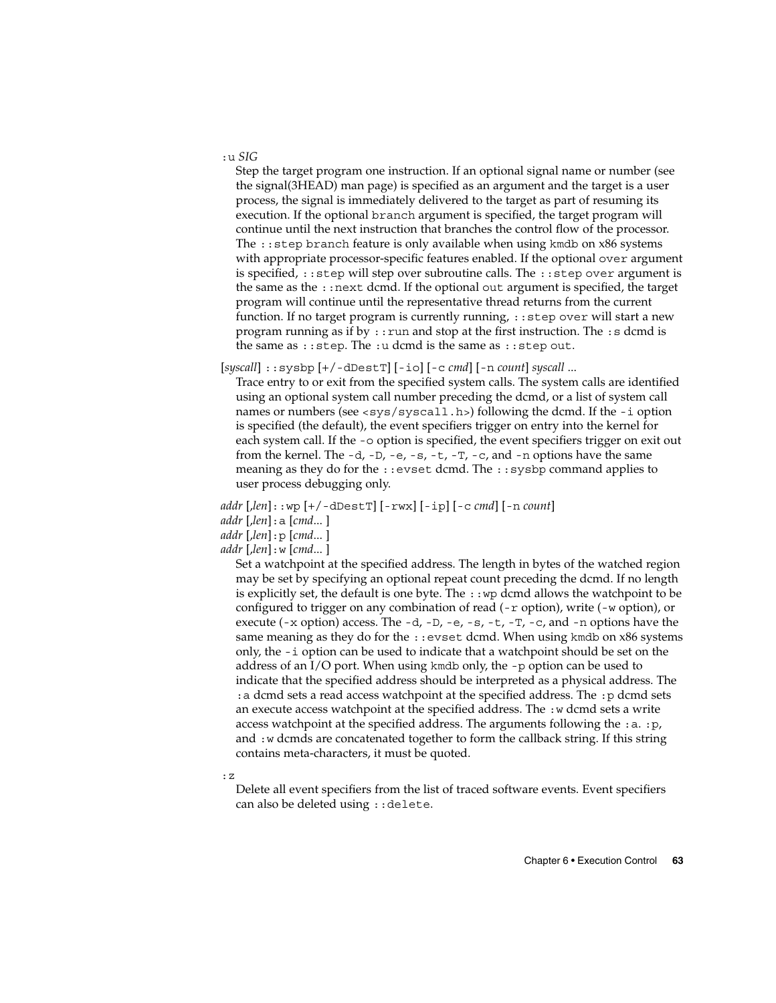:u *SIG*

Step the target program one instruction. If an optional signal name or number (see the signal(3HEAD) man page) is specified as an argument and the target is a user process, the signal is immediately delivered to the target as part of resuming its execution. If the optional branch argument is specified, the target program will continue until the next instruction that branches the control flow of the processor. The  $::$ step branch feature is only available when using kmdb on  $x86$  systems with appropriate processor-specific features enabled. If the optional over argument is specified, ::step will step over subroutine calls. The ::step over argument is the same as the ::next dcmd. If the optional out argument is specified, the target program will continue until the representative thread returns from the current function. If no target program is currently running, ::step over will start a new program running as if by  $::run$  and stop at the first instruction. The  $:s$  dcmd is the same as ::step. The :u dcmd is the same as ::step out.

[*syscall*] ::sysbp [+/-dDestT] [-io] [-c *cmd*] [-n *count*] *syscall* ...

Trace entry to or exit from the specified system calls. The system calls are identified using an optional system call number preceding the dcmd, or a list of system call names or numbers (see <sys/syscall.h>) following the dcmd. If the -i option is specified (the default), the event specifiers trigger on entry into the kernel for each system call. If the -o option is specified, the event specifiers trigger on exit out from the kernel. The -d, -D, -e, -s, -t, -T, -c, and -n options have the same meaning as they do for the ::evset dcmd. The ::sysbp command applies to user process debugging only.

*addr* [,*len*]::wp [+/-dDestT] [-rwx] [-ip] [-c *cmd*] [-n *count*]

*addr* [,*len*]:a [*cmd*... ]

*addr* [,*len*]:p [*cmd*... ]

*addr* [,*len*]:w [*cmd*... ]

Set a watchpoint at the specified address. The length in bytes of the watched region may be set by specifying an optional repeat count preceding the dcmd. If no length is explicitly set, the default is one byte. The  $\cdot:wp$  dcmd allows the watchpoint to be configured to trigger on any combination of read  $(-r \text{ option})$ , write  $(-w \text{ option})$ , or execute ( $-x$  option) access. The  $-d$ ,  $-D$ ,  $-e$ ,  $-s$ ,  $-t$ ,  $-T$ ,  $-c$ , and  $-n$  options have the same meaning as they do for the ::evset dcmd. When using kmdb on x86 systems only, the -i option can be used to indicate that a watchpoint should be set on the address of an I/O port. When using kmdb only, the -p option can be used to indicate that the specified address should be interpreted as a physical address. The :a dcmd sets a read access watchpoint at the specified address. The :p dcmd sets an execute access watchpoint at the specified address. The :w dcmd sets a write access watchpoint at the specified address. The arguments following the :a. :p, and :w dcmds are concatenated together to form the callback string. If this string contains meta-characters, it must be quoted.

:z

Delete all event specifiers from the list of traced software events. Event specifiers can also be deleted using ::delete.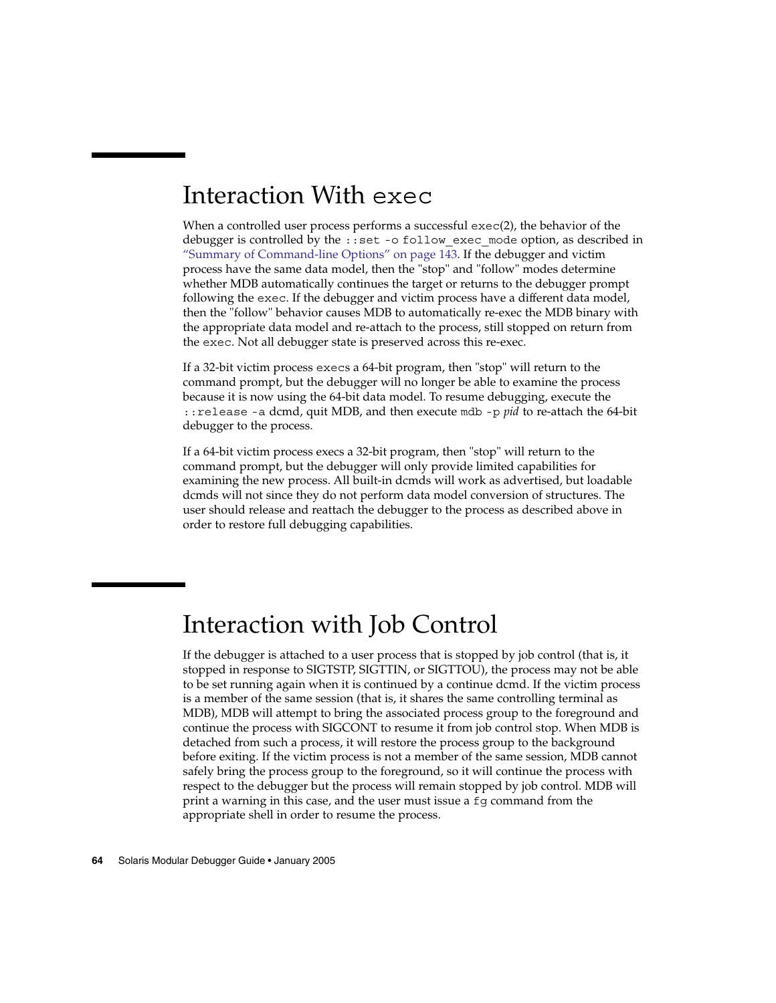# Interaction With exec

When a controlled user process performs a successful  $exec(2)$ , the behavior of the debugger is controlled by the :: set -o follow exec\_mode option, as described in ["Summary of Command-line Options"](#page-142-0) on page 143. If the debugger and victim process have the same data model, then the "stop" and "follow" modes determine whether MDB automatically continues the target or returns to the debugger prompt following the exec. If the debugger and victim process have a different data model, then the "follow" behavior causes MDB to automatically re-exec the MDB binary with the appropriate data model and re-attach to the process, still stopped on return from the exec. Not all debugger state is preserved across this re-exec.

If a 32-bit victim process execs a 64-bit program, then "stop" will return to the command prompt, but the debugger will no longer be able to examine the process because it is now using the 64-bit data model. To resume debugging, execute the ::release -a dcmd, quit MDB, and then execute mdb -p *pid* to re-attach the 64-bit debugger to the process.

If a 64-bit victim process execs a 32-bit program, then "stop" will return to the command prompt, but the debugger will only provide limited capabilities for examining the new process. All built-in dcmds will work as advertised, but loadable dcmds will not since they do not perform data model conversion of structures. The user should release and reattach the debugger to the process as described above in order to restore full debugging capabilities.

# Interaction with Job Control

If the debugger is attached to a user process that is stopped by job control (that is, it stopped in response to SIGTSTP, SIGTTIN, or SIGTTOU), the process may not be able to be set running again when it is continued by a continue dcmd. If the victim process is a member of the same session (that is, it shares the same controlling terminal as MDB), MDB will attempt to bring the associated process group to the foreground and continue the process with SIGCONT to resume it from job control stop. When MDB is detached from such a process, it will restore the process group to the background before exiting. If the victim process is not a member of the same session, MDB cannot safely bring the process group to the foreground, so it will continue the process with respect to the debugger but the process will remain stopped by job control. MDB will print a warning in this case, and the user must issue a fg command from the appropriate shell in order to resume the process.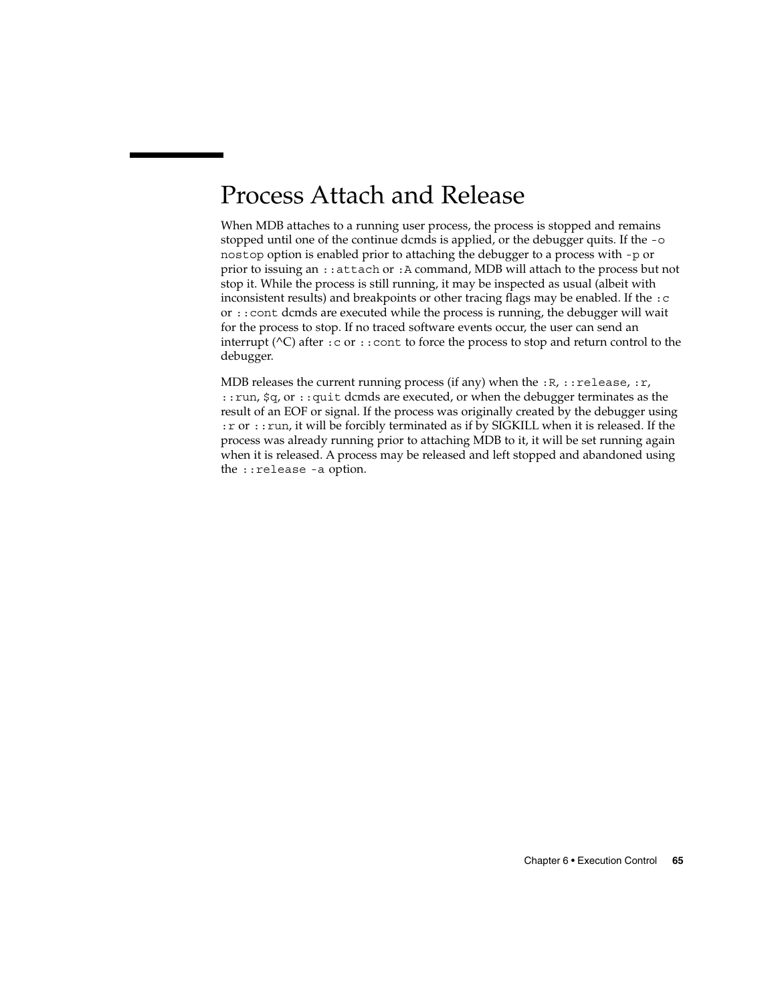# Process Attach and Release

When MDB attaches to a running user process, the process is stopped and remains stopped until one of the continue dcmds is applied, or the debugger quits. If the -o nostop option is enabled prior to attaching the debugger to a process with -p or prior to issuing an ::attach or :A command, MDB will attach to the process but not stop it. While the process is still running, it may be inspected as usual (albeit with inconsistent results) and breakpoints or other tracing flags may be enabled. If the : c or ::cont dcmds are executed while the process is running, the debugger will wait for the process to stop. If no traced software events occur, the user can send an interrupt (^C) after :c or ::cont to force the process to stop and return control to the debugger.

MDB releases the current running process (if any) when the :R, ::release, :r, ::run, \$q, or ::quit dcmds are executed, or when the debugger terminates as the result of an EOF or signal. If the process was originally created by the debugger using :r or ::run, it will be forcibly terminated as if by SIGKILL when it is released. If the process was already running prior to attaching MDB to it, it will be set running again when it is released. A process may be released and left stopped and abandoned using the ::release -a option.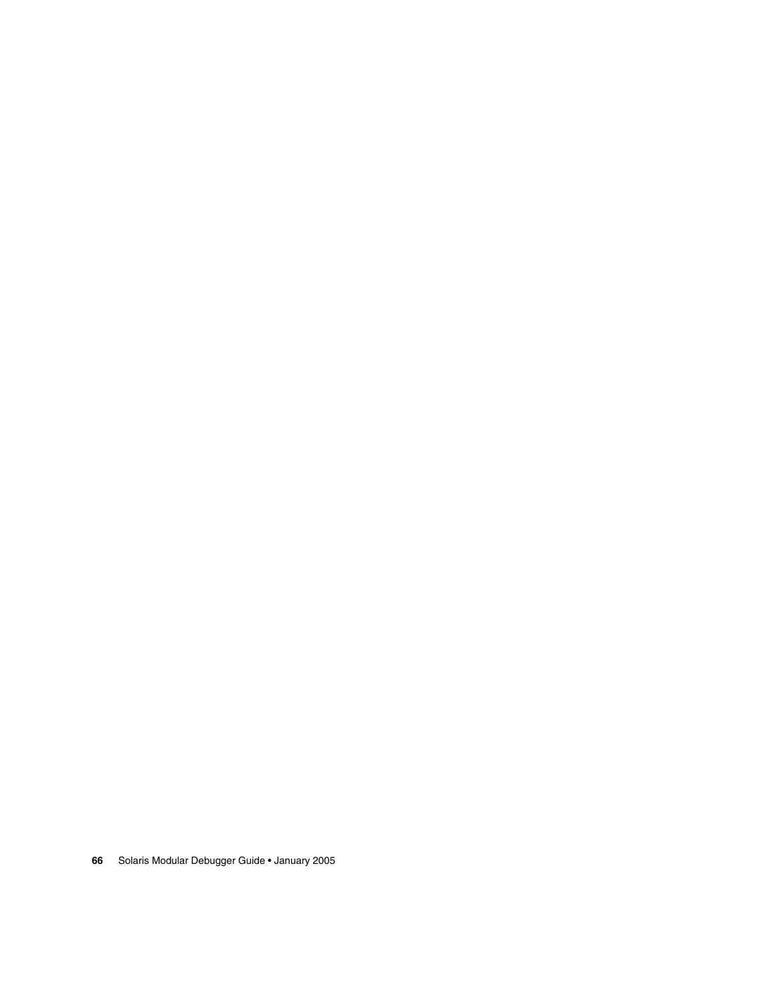Solaris Modular Debugger Guide • January 2005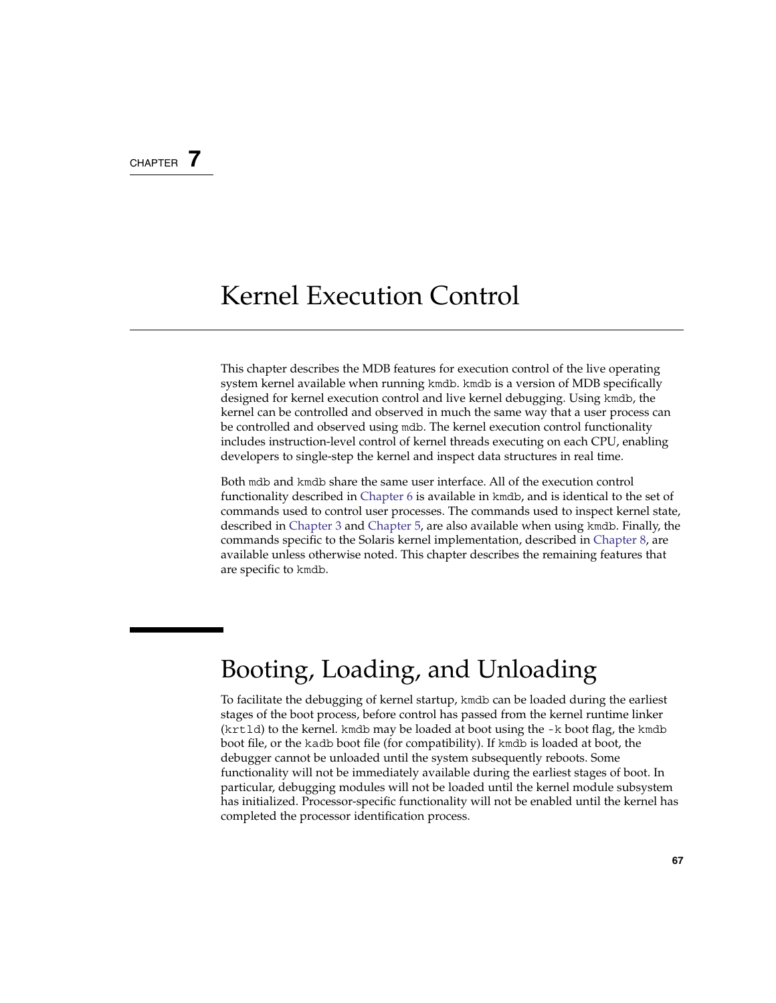### <span id="page-66-0"></span>CHAPTER **7**

# Kernel Execution Control

This chapter describes the MDB features for execution control of the live operating system kernel available when running kmdb. kmdb is a version of MDB specifically designed for kernel execution control and live kernel debugging. Using kmdb, the kernel can be controlled and observed in much the same way that a user process can be controlled and observed using mdb. The kernel execution control functionality includes instruction-level control of kernel threads executing on each CPU, enabling developers to single-step the kernel and inspect data structures in real time.

Both mdb and kmdb share the same user interface. All of the execution control functionality described in [Chapter 6](#page-54-0) is available in kmdb, and is identical to the set of commands used to control user processes. The commands used to inspect kernel state, described in [Chapter 3](#page-22-0) and [Chapter 5,](#page-40-0) are also available when using kmdb. Finally, the commands specific to the Solaris kernel implementation, described in [Chapter 8,](#page-70-0) are available unless otherwise noted. This chapter describes the remaining features that are specific to kmdb.

# Booting, Loading, and Unloading

To facilitate the debugging of kernel startup, kmdb can be loaded during the earliest stages of the boot process, before control has passed from the kernel runtime linker (krtld) to the kernel. kmdb may be loaded at boot using the -k boot flag, the kmdb boot file, or the kadb boot file (for compatibility). If kmdb is loaded at boot, the debugger cannot be unloaded until the system subsequently reboots. Some functionality will not be immediately available during the earliest stages of boot. In particular, debugging modules will not be loaded until the kernel module subsystem has initialized. Processor-specific functionality will not be enabled until the kernel has completed the processor identification process.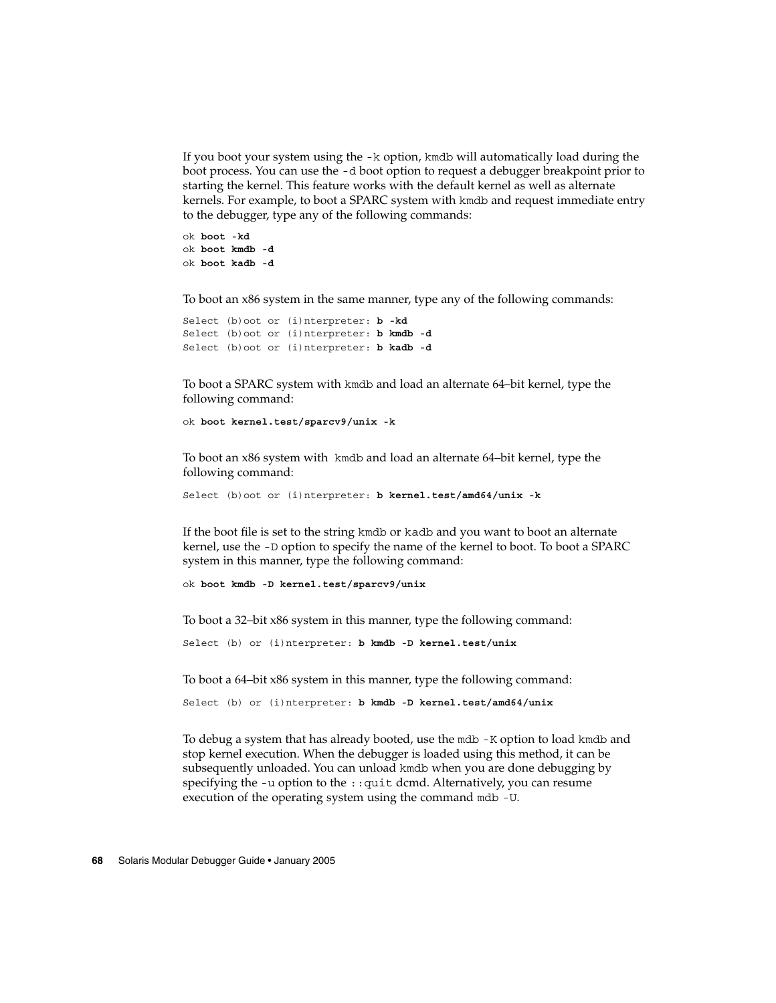If you boot your system using the -k option, kmdb will automatically load during the boot process. You can use the -d boot option to request a debugger breakpoint prior to starting the kernel. This feature works with the default kernel as well as alternate kernels. For example, to boot a SPARC system with kmdb and request immediate entry to the debugger, type any of the following commands:

ok **boot -kd** ok **boot kmdb -d** ok **boot kadb -d**

To boot an x86 system in the same manner, type any of the following commands:

```
Select (b)oot or (i)nterpreter: b -kd
Select (b)oot or (i)nterpreter: b kmdb -d
Select (b)oot or (i)nterpreter: b kadb -d
```
To boot a SPARC system with kmdb and load an alternate 64–bit kernel, type the following command:

```
ok boot kernel.test/sparcv9/unix -k
```
To boot an x86 system with kmdb and load an alternate 64–bit kernel, type the following command:

Select (b)oot or (i)nterpreter: **b kernel.test/amd64/unix -k**

If the boot file is set to the string kmdb or kadb and you want to boot an alternate kernel, use the -D option to specify the name of the kernel to boot. To boot a SPARC system in this manner, type the following command:

ok **boot kmdb -D kernel.test/sparcv9/unix**

To boot a 32–bit x86 system in this manner, type the following command:

Select (b) or (i)nterpreter: **b kmdb -D kernel.test/unix**

To boot a 64–bit x86 system in this manner, type the following command:

Select (b) or (i)nterpreter: **b kmdb -D kernel.test/amd64/unix**

To debug a system that has already booted, use the mdb -K option to load kmdb and stop kernel execution. When the debugger is loaded using this method, it can be subsequently unloaded. You can unload kmdb when you are done debugging by specifying the -u option to the :: quit dcmd. Alternatively, you can resume execution of the operating system using the command mdb -U.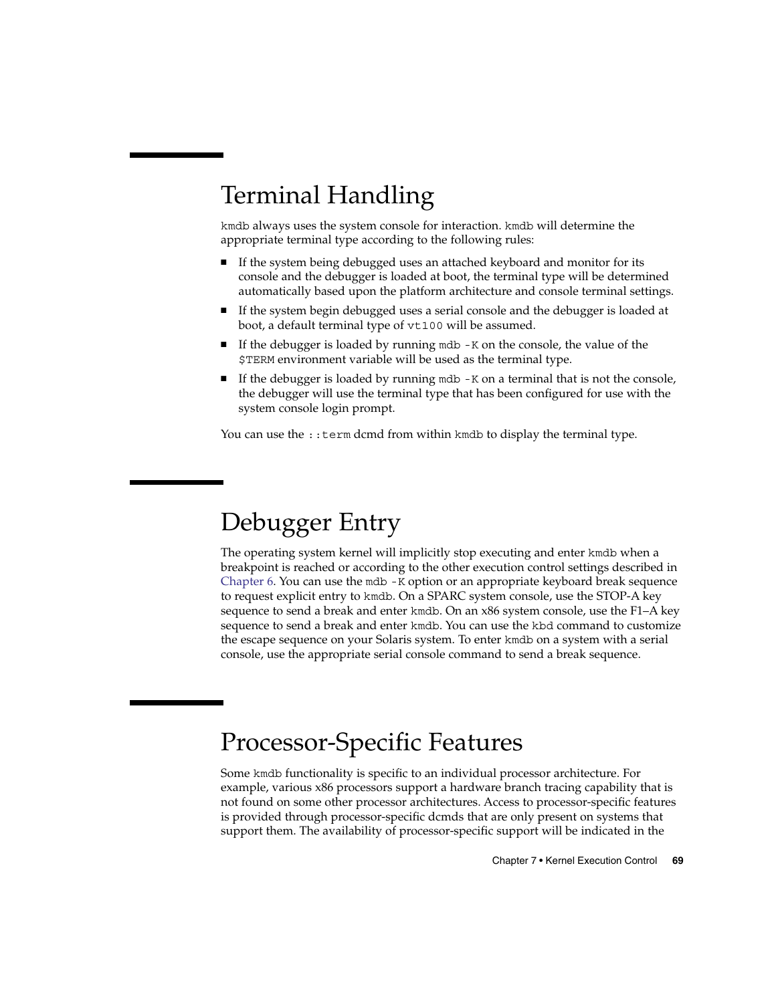# Terminal Handling

kmdb always uses the system console for interaction. kmdb will determine the appropriate terminal type according to the following rules:

- If the system being debugged uses an attached keyboard and monitor for its console and the debugger is loaded at boot, the terminal type will be determined automatically based upon the platform architecture and console terminal settings.
- If the system begin debugged uses a serial console and the debugger is loaded at boot, a default terminal type of vt100 will be assumed.
- If the debugger is loaded by running mdb  $-K$  on the console, the value of the \$TERM environment variable will be used as the terminal type.
- $\blacksquare$  If the debugger is loaded by running mdb  $-K$  on a terminal that is not the console, the debugger will use the terminal type that has been configured for use with the system console login prompt.

You can use the  $:$  term dcmd from within kmdb to display the terminal type.

# Debugger Entry

The operating system kernel will implicitly stop executing and enter kmdb when a breakpoint is reached or according to the other execution control settings described in [Chapter 6.](#page-54-0) You can use the mdb -K option or an appropriate keyboard break sequence to request explicit entry to kmdb. On a SPARC system console, use the STOP-A key sequence to send a break and enter kmdb. On an x86 system console, use the F1–A key sequence to send a break and enter kmdb. You can use the kbd command to customize the escape sequence on your Solaris system. To enter kmdb on a system with a serial console, use the appropriate serial console command to send a break sequence.

# Processor-Specific Features

Some kmdb functionality is specific to an individual processor architecture. For example, various x86 processors support a hardware branch tracing capability that is not found on some other processor architectures. Access to processor-specific features is provided through processor-specific dcmds that are only present on systems that support them. The availability of processor-specific support will be indicated in the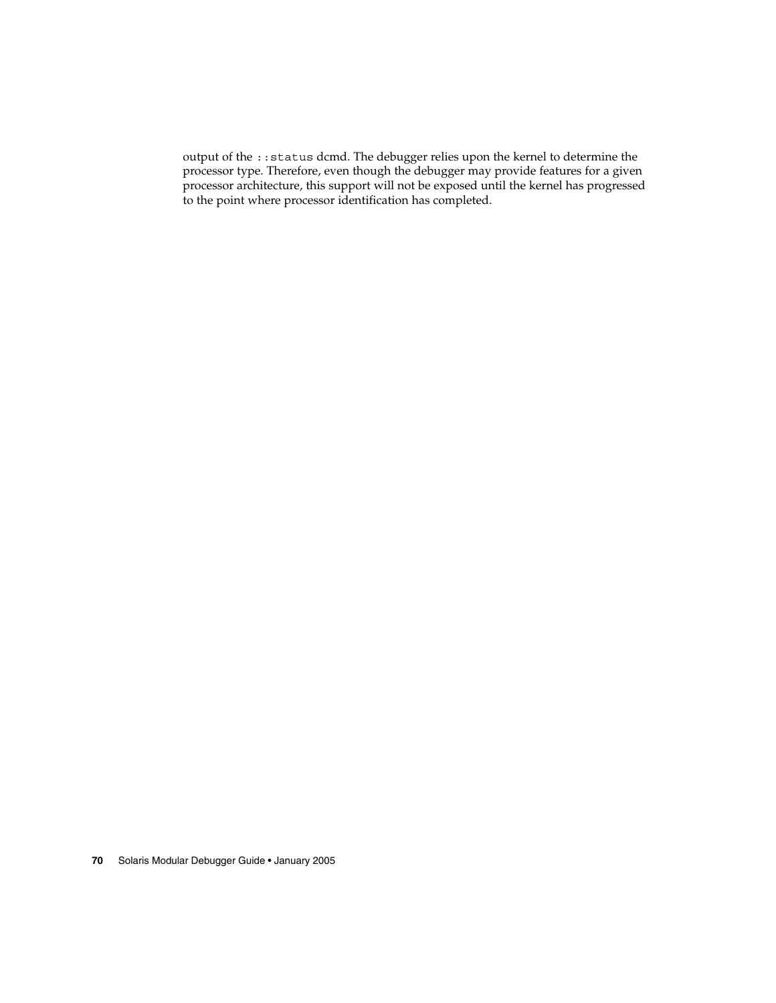output of the ::status dcmd. The debugger relies upon the kernel to determine the processor type. Therefore, even though the debugger may provide features for a given processor architecture, this support will not be exposed until the kernel has progressed to the point where processor identification has completed.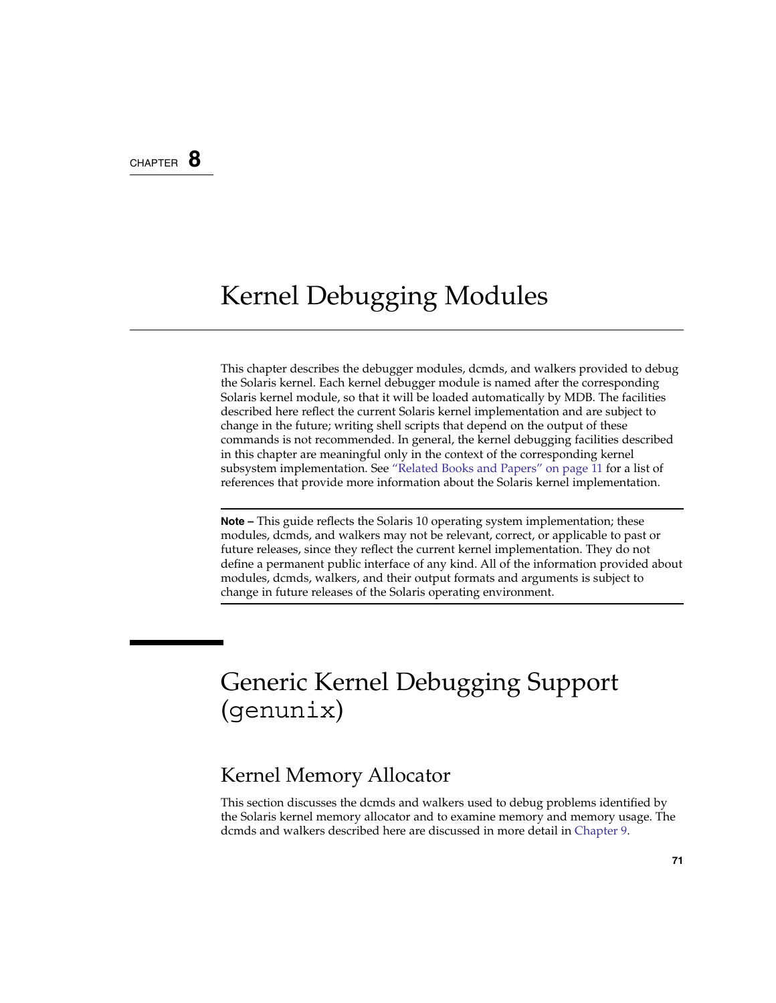### <span id="page-70-0"></span>CHAPTER **8**

# Kernel Debugging Modules

This chapter describes the debugger modules, dcmds, and walkers provided to debug the Solaris kernel. Each kernel debugger module is named after the corresponding Solaris kernel module, so that it will be loaded automatically by MDB. The facilities described here reflect the current Solaris kernel implementation and are subject to change in the future; writing shell scripts that depend on the output of these commands is not recommended. In general, the kernel debugging facilities described in this chapter are meaningful only in the context of the corresponding kernel subsystem implementation. See ["Related Books and Papers"](#page-10-0) on page 11 for a list of references that provide more information about the Solaris kernel implementation.

**Note –** This guide reflects the Solaris 10 operating system implementation; these modules, dcmds, and walkers may not be relevant, correct, or applicable to past or future releases, since they reflect the current kernel implementation. They do not define a permanent public interface of any kind. All of the information provided about modules, dcmds, walkers, and their output formats and arguments is subject to change in future releases of the Solaris operating environment.

# Generic Kernel Debugging Support (genunix)

## Kernel Memory Allocator

This section discusses the dcmds and walkers used to debug problems identified by the Solaris kernel memory allocator and to examine memory and memory usage. The dcmds and walkers described here are discussed in more detail in [Chapter 9.](#page-94-0)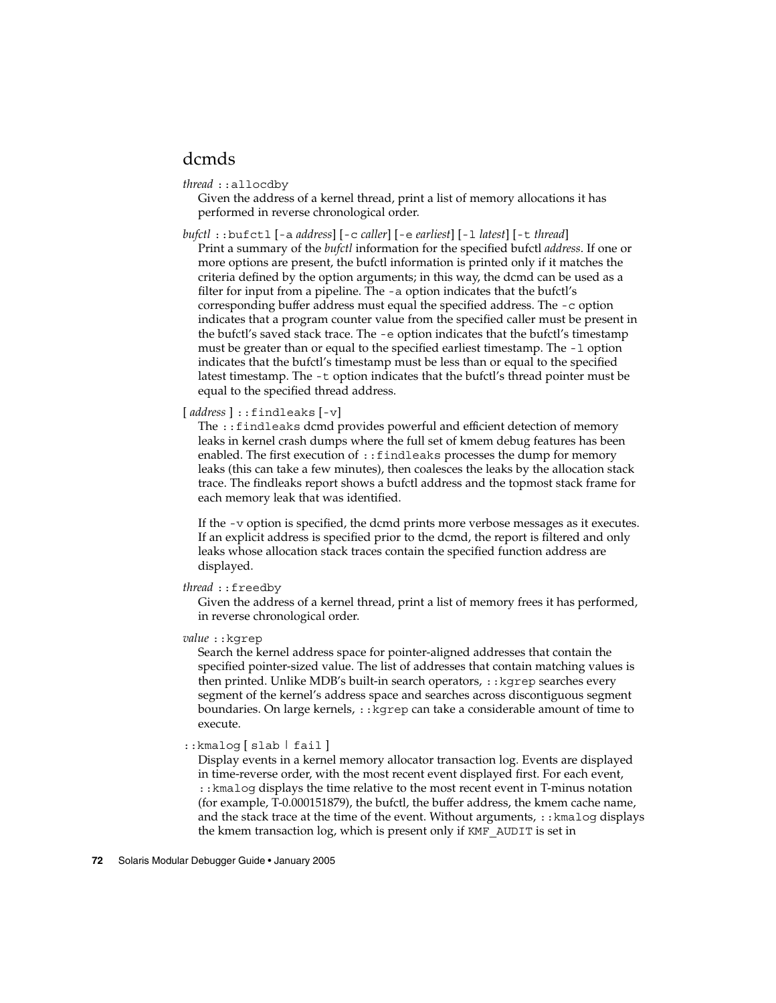### dcmds

#### *thread* ::allocdby

Given the address of a kernel thread, print a list of memory allocations it has performed in reverse chronological order.

*bufctl* ::bufctl [-a *address*] [-c *caller*] [-e *earliest*] [-l *latest*] [-t *thread*] Print a summary of the *bufctl* information for the specified bufctl *address*. If one or more options are present, the bufctl information is printed only if it matches the criteria defined by the option arguments; in this way, the dcmd can be used as a filter for input from a pipeline. The -a option indicates that the bufctl's corresponding buffer address must equal the specified address. The -c option indicates that a program counter value from the specified caller must be present in the bufctl's saved stack trace. The -e option indicates that the bufctl's timestamp must be greater than or equal to the specified earliest timestamp. The -l option indicates that the bufctl's timestamp must be less than or equal to the specified latest timestamp. The -t option indicates that the bufctl's thread pointer must be equal to the specified thread address.

#### [ *address* ] ::findleaks [-v]

The ::findleaks dcmd provides powerful and efficient detection of memory leaks in kernel crash dumps where the full set of kmem debug features has been enabled. The first execution of :: findleaks processes the dump for memory leaks (this can take a few minutes), then coalesces the leaks by the allocation stack trace. The findleaks report shows a bufctl address and the topmost stack frame for each memory leak that was identified.

If the -v option is specified, the dcmd prints more verbose messages as it executes. If an explicit address is specified prior to the dcmd, the report is filtered and only leaks whose allocation stack traces contain the specified function address are displayed.

*thread* ::freedby

Given the address of a kernel thread, print a list of memory frees it has performed, in reverse chronological order.

*value* ::kgrep

Search the kernel address space for pointer-aligned addresses that contain the specified pointer-sized value. The list of addresses that contain matching values is then printed. Unlike MDB's built-in search operators, ::kgrep searches every segment of the kernel's address space and searches across discontiguous segment boundaries. On large kernels, ::kgrep can take a considerable amount of time to execute.

::kmalog [ slab | fail ]

Display events in a kernel memory allocator transaction log. Events are displayed in time-reverse order, with the most recent event displayed first. For each event, ::kmalog displays the time relative to the most recent event in T-minus notation (for example, T-0.000151879), the bufctl, the buffer address, the kmem cache name, and the stack trace at the time of the event. Without arguments, ::kmalog displays the kmem transaction log, which is present only if KMF\_AUDIT is set in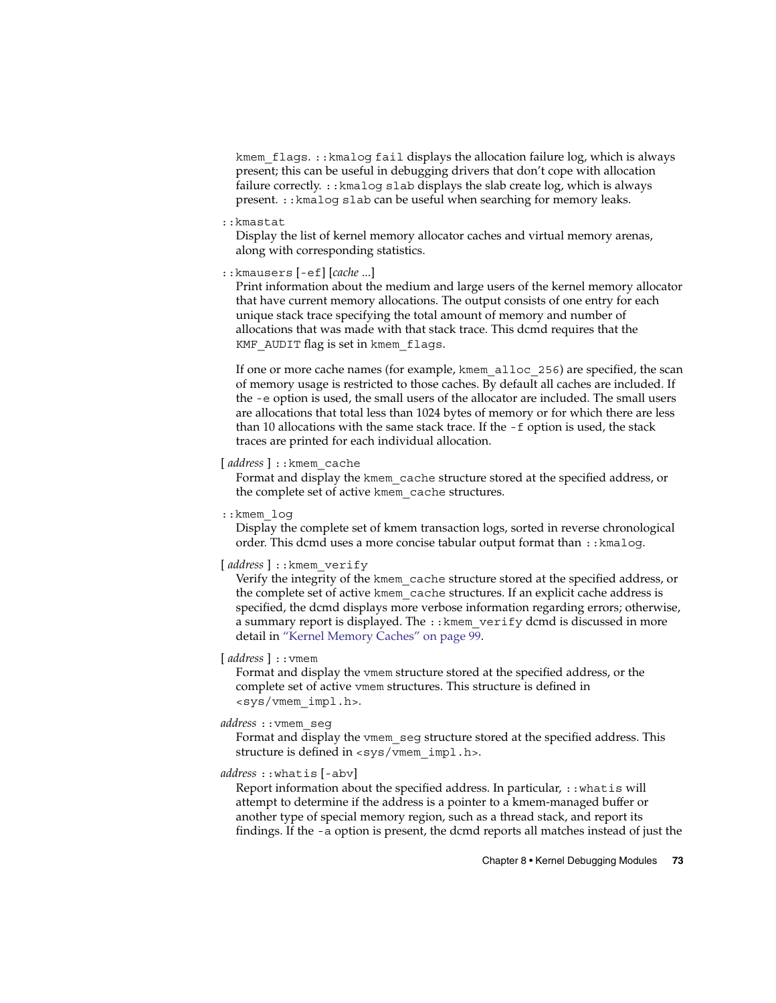kmem  $flags. ::kmaloq fail displays the allocation failure log, which is always$ present; this can be useful in debugging drivers that don't cope with allocation failure correctly. ::kmalog slab displays the slab create log, which is always present. ::kmalog slab can be useful when searching for memory leaks.

#### ::kmastat

Display the list of kernel memory allocator caches and virtual memory arenas, along with corresponding statistics.

::kmausers [-ef] [*cache* ...]

Print information about the medium and large users of the kernel memory allocator that have current memory allocations. The output consists of one entry for each unique stack trace specifying the total amount of memory and number of allocations that was made with that stack trace. This dcmd requires that the KMF AUDIT flag is set in kmem flags.

If one or more cache names (for example, kmem\_alloc\_256) are specified, the scan of memory usage is restricted to those caches. By default all caches are included. If the -e option is used, the small users of the allocator are included. The small users are allocations that total less than 1024 bytes of memory or for which there are less than 10 allocations with the same stack trace. If the -f option is used, the stack traces are printed for each individual allocation.

#### [ *address* ] ::kmem\_cache

Format and display the kmem\_cache structure stored at the specified address, or the complete set of active kmem\_cache structures.

::kmem\_log

Display the complete set of kmem transaction logs, sorted in reverse chronological order. This dcmd uses a more concise tabular output format than :: kmalog.

#### [*address*] :: kmem verify

Verify the integrity of the kmem\_cache structure stored at the specified address, or the complete set of active kmem\_cache structures. If an explicit cache address is specified, the dcmd displays more verbose information regarding errors; otherwise, a summary report is displayed. The :: kmem\_verify dcmd is discussed in more detail in ["Kernel Memory Caches"](#page-98-0) on page 99.

#### [*address*] :: vmem

Format and display the vmem structure stored at the specified address, or the complete set of active vmem structures. This structure is defined in <sys/vmem\_impl.h>.

#### *address* ::vmem\_seg

Format and display the vmem\_seg structure stored at the specified address. This structure is defined in <sys/vmem\_impl.h>.

#### *address* ::whatis [-abv]

Report information about the specified address. In particular, ::whatis will attempt to determine if the address is a pointer to a kmem-managed buffer or another type of special memory region, such as a thread stack, and report its findings. If the -a option is present, the dcmd reports all matches instead of just the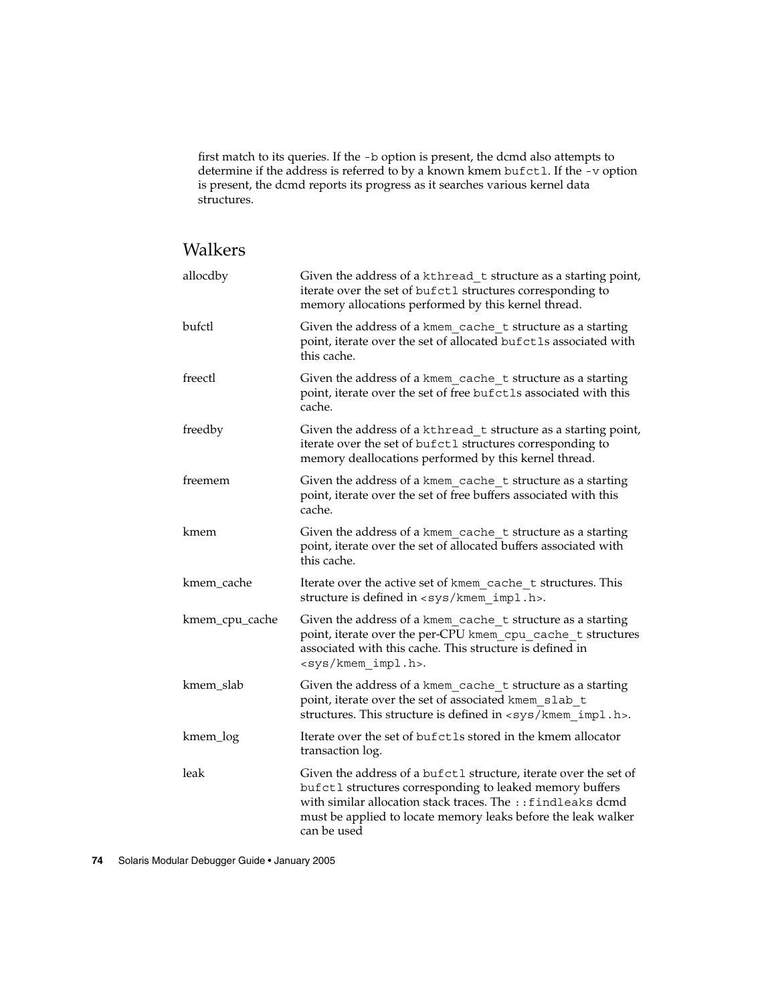first match to its queries. If the -b option is present, the dcmd also attempts to determine if the address is referred to by a known kmem bufctl. If the -v option is present, the dcmd reports its progress as it searches various kernel data structures.

#### Walkers

| allocdby       | Given the address of a kthread t structure as a starting point,<br>iterate over the set of bufctl structures corresponding to<br>memory allocations performed by this kernel thread.                                                                                        |
|----------------|-----------------------------------------------------------------------------------------------------------------------------------------------------------------------------------------------------------------------------------------------------------------------------|
| bufctl         | Given the address of a kmem cache $t$ structure as a starting<br>point, iterate over the set of allocated bufctls associated with<br>this cache.                                                                                                                            |
| freectl        | Given the address of a kmem cache t structure as a starting<br>point, iterate over the set of free bufctls associated with this<br>cache.                                                                                                                                   |
| freedby        | Given the address of a kthread t structure as a starting point,<br>iterate over the set of bufctl structures corresponding to<br>memory deallocations performed by this kernel thread.                                                                                      |
| freemem        | Given the address of a kmem cache t structure as a starting<br>point, iterate over the set of free buffers associated with this<br>cache.                                                                                                                                   |
| kmem           | Given the address of a kmem cache $t$ structure as a starting<br>point, iterate over the set of allocated buffers associated with<br>this cache.                                                                                                                            |
| kmem_cache     | Iterate over the active set of kmem cache t structures. This<br>structure is defined in <sys impl.h="" kmem="">.</sys>                                                                                                                                                      |
| kmem_cpu_cache | Given the address of a kmem cache t structure as a starting<br>point, iterate over the per-CPU kmem cpu cache t structures<br>associated with this cache. This structure is defined in<br><sys impl.h="" kmem="">.</sys>                                                    |
| kmem slab      | Given the address of a kmem cache $t$ structure as a starting<br>point, iterate over the set of associated kmem slab t<br>structures. This structure is defined in <sys impl.h="" kmem="">.</sys>                                                                           |
| kmem_log       | Iterate over the set of bufctls stored in the kmem allocator<br>transaction log.                                                                                                                                                                                            |
| leak           | Given the address of a bufctl structure, iterate over the set of<br>bufctl structures corresponding to leaked memory buffers<br>with similar allocation stack traces. The :: findleaks dcmd<br>must be applied to locate memory leaks before the leak walker<br>can be used |

**74** Solaris Modular Debugger Guide • January 2005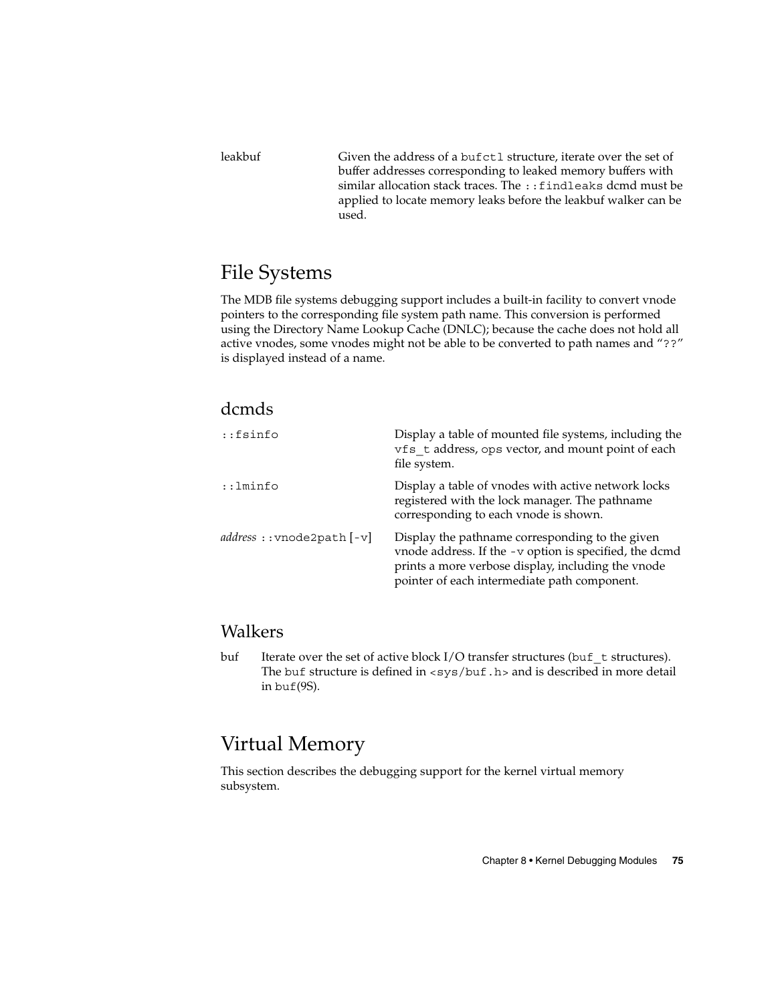leakbuf Given the address of a bufctl structure, iterate over the set of buffer addresses corresponding to leaked memory buffers with similar allocation stack traces. The :: findleaks dcmd must be applied to locate memory leaks before the leakbuf walker can be used.

### File Systems

The MDB file systems debugging support includes a built-in facility to convert vnode pointers to the corresponding file system path name. This conversion is performed using the Directory Name Lookup Cache (DNLC); because the cache does not hold all active vnodes, some vnodes might not be able to be converted to path names and "??" is displayed instead of a name.

#### dcmds

| $: f\sin f\circ$          | Display a table of mounted file systems, including the<br>vfs t address, ops vector, and mount point of each<br>file system.                                                                                    |
|---------------------------|-----------------------------------------------------------------------------------------------------------------------------------------------------------------------------------------------------------------|
| ::lminfo                  | Display a table of vnodes with active network locks<br>registered with the lock manager. The pathname<br>corresponding to each vnode is shown.                                                                  |
| $address::vnode2path[-v]$ | Display the pathname corresponding to the given<br>vnode address. If the -v option is specified, the dcmd<br>prints a more verbose display, including the vnode<br>pointer of each intermediate path component. |

#### Walkers

buf Iterate over the set of active block I/O transfer structures (buf t structures). The buf structure is defined in  $\langle s \rangle$  and is described in more detail in buf(9S).

### Virtual Memory

This section describes the debugging support for the kernel virtual memory subsystem.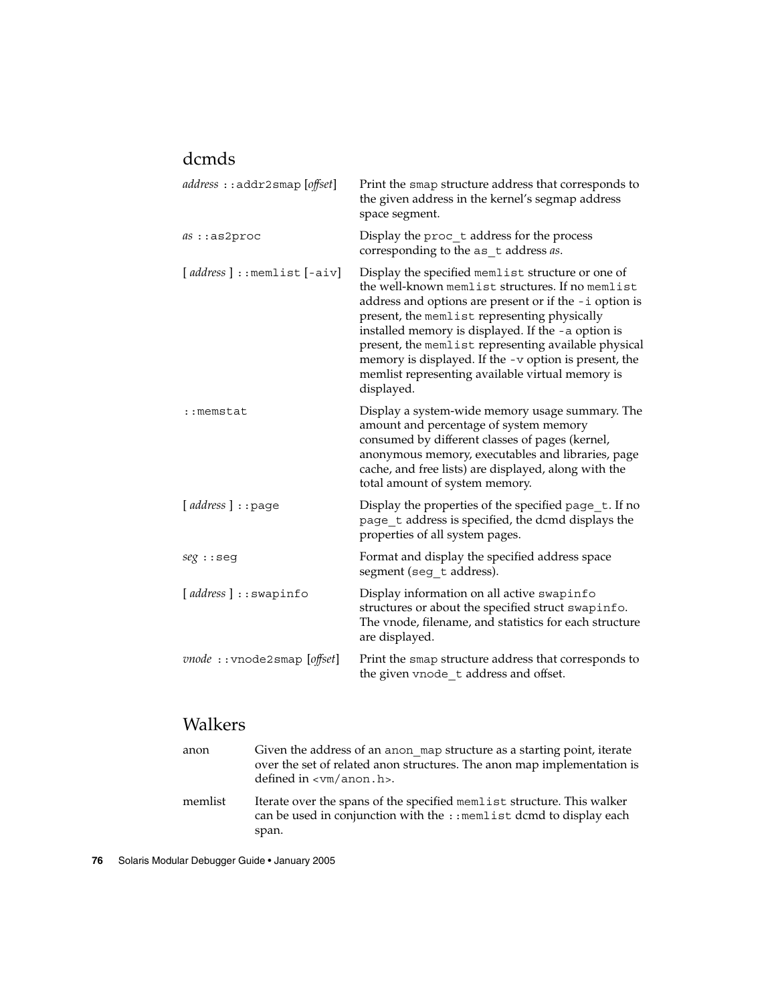## dcmds

| address :: addr2smap [offset]         | Print the smap structure address that corresponds to<br>the given address in the kernel's segmap address<br>space segment.                                                                                                                                                                                                                                                                                                                               |
|---------------------------------------|----------------------------------------------------------------------------------------------------------------------------------------------------------------------------------------------------------------------------------------------------------------------------------------------------------------------------------------------------------------------------------------------------------------------------------------------------------|
| as::as2proc                           | Display the proc_t address for the process<br>corresponding to the $\text{as}$ t address <i>as</i> .                                                                                                                                                                                                                                                                                                                                                     |
| $[address] : : \text{memlist} [-aiv]$ | Display the specified memlist structure or one of<br>the well-known memlist structures. If no memlist<br>address and options are present or if the -i option is<br>present, the memlist representing physically<br>installed memory is displayed. If the -a option is<br>present, the memlist representing available physical<br>memory is displayed. If the -v option is present, the<br>memlist representing available virtual memory is<br>displayed. |
| ::memstat                             | Display a system-wide memory usage summary. The<br>amount and percentage of system memory<br>consumed by different classes of pages (kernel,<br>anonymous memory, executables and libraries, page<br>cache, and free lists) are displayed, along with the<br>total amount of system memory.                                                                                                                                                              |
| [address] : : page                    | Display the properties of the specified page t. If no<br>page t address is specified, the dcmd displays the<br>properties of all system pages.                                                                                                                                                                                                                                                                                                           |
| $seg$ : $seg$                         | Format and display the specified address space<br>segment (seg t address).                                                                                                                                                                                                                                                                                                                                                                               |
| [address] :: swapinfo                 | Display information on all active swapinfo<br>structures or about the specified struct swapinfo.<br>The vnode, filename, and statistics for each structure<br>are displayed.                                                                                                                                                                                                                                                                             |
| $vnode$ : vnode2smap [offset]         | Print the smap structure address that corresponds to<br>the given vnode t address and offset.                                                                                                                                                                                                                                                                                                                                                            |

### Walkers

| anon    | Given the address of an anon map structure as a starting point, iterate<br>over the set of related anon structures. The anon map implementation is<br>defined in <vm anon.h="">.</vm> |
|---------|---------------------------------------------------------------------------------------------------------------------------------------------------------------------------------------|
| memlist | Iterate over the spans of the specified memlist structure. This walker<br>can be used in conjunction with the :: memlist dcmd to display each<br>span.                                |

**76** Solaris Modular Debugger Guide • January 2005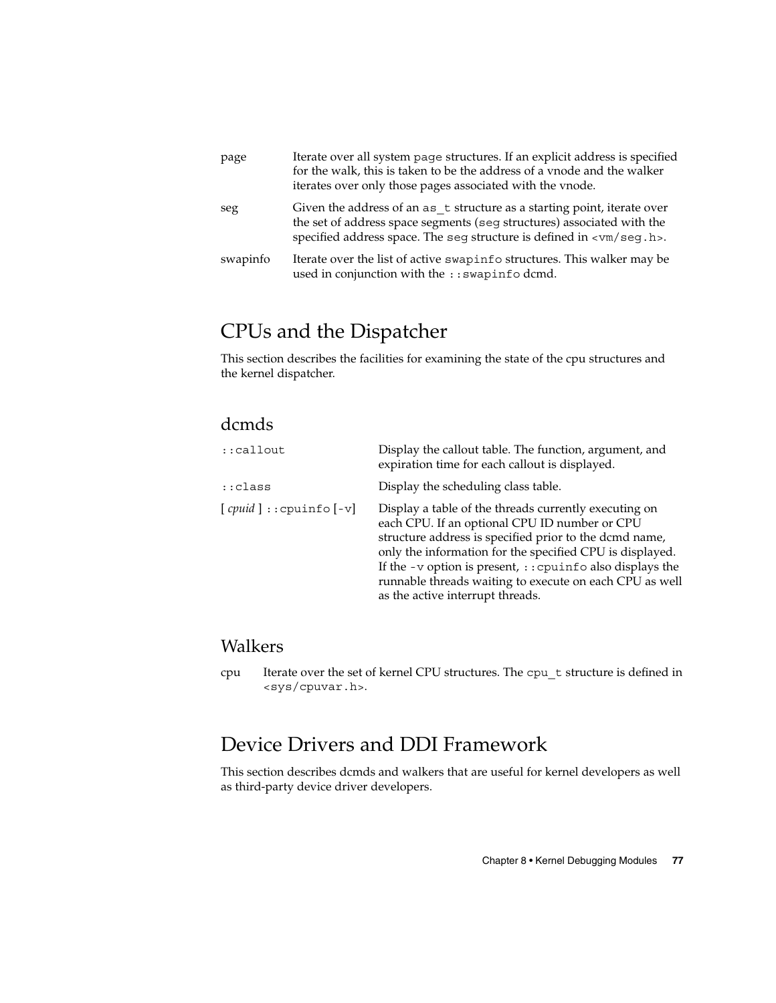| page     | Iterate over all system page structures. If an explicit address is specified<br>for the walk, this is taken to be the address of a vnode and the walker<br>iterates over only those pages associated with the vnode.               |
|----------|------------------------------------------------------------------------------------------------------------------------------------------------------------------------------------------------------------------------------------|
| seg      | Given the address of an as t structure as a starting point, iterate over<br>the set of address space segments (seq structures) associated with the<br>specified address space. The seg structure is defined in <vm seg.h="">.</vm> |
| swapinfo | Iterate over the list of active swapinfo structures. This walker may be<br>used in conjunction with the :: swapinfo dcmd.                                                                                                          |

# CPUs and the Dispatcher

This section describes the facilities for examining the state of the cpu structures and the kernel dispatcher.

#### dcmds

| ::cal                      | Display the callout table. The function, argument, and<br>expiration time for each callout is displayed.                                                                                                                                                                                                                                                                                     |
|----------------------------|----------------------------------------------------------------------------------------------------------------------------------------------------------------------------------------------------------------------------------------------------------------------------------------------------------------------------------------------------------------------------------------------|
| $:$ : class                | Display the scheduling class table.                                                                                                                                                                                                                                                                                                                                                          |
| $[cpuid]$ : cpuinfo $[-v]$ | Display a table of the threads currently executing on<br>each CPU. If an optional CPU ID number or CPU<br>structure address is specified prior to the dcmd name,<br>only the information for the specified CPU is displayed.<br>If the $-v$ option is present, $::$ cpuinfo also displays the<br>runnable threads waiting to execute on each CPU as well<br>as the active interrupt threads. |

#### Walkers

cpu Iterate over the set of kernel CPU structures. The cpu\_t structure is defined in <sys/cpuvar.h>.

## Device Drivers and DDI Framework

This section describes dcmds and walkers that are useful for kernel developers as well as third-party device driver developers.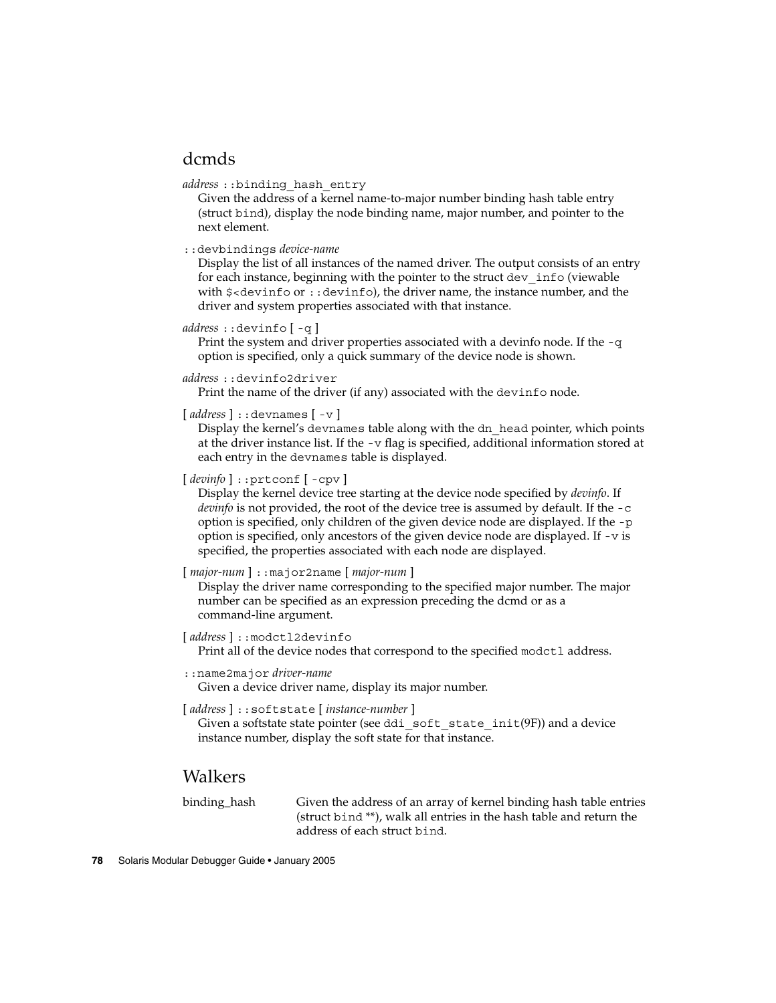#### dcmds

*address* ::binding\_hash\_entry

Given the address of a kernel name-to-major number binding hash table entry (struct bind), display the node binding name, major number, and pointer to the next element.

::devbindings *device-name*

Display the list of all instances of the named driver. The output consists of an entry for each instance, beginning with the pointer to the struct dev info (viewable with \$<devinfo or ::devinfo), the driver name, the instance number, and the driver and system properties associated with that instance.

*address* ::devinfo [ -q ]

Print the system and driver properties associated with a devinfo node. If the -q option is specified, only a quick summary of the device node is shown.

*address* ::devinfo2driver

Print the name of the driver (if any) associated with the devinfo node.

[*address*]: : devnames [-v]

Display the kernel's devnames table along with the dn\_head pointer, which points at the driver instance list. If the  $-v$  flag is specified, additional information stored at each entry in the devnames table is displayed.

[ *devinfo* ] ::prtconf [ -cpv ]

Display the kernel device tree starting at the device node specified by *devinfo*. If *devinfo* is not provided, the root of the device tree is assumed by default. If the -c option is specified, only children of the given device node are displayed. If the -p option is specified, only ancestors of the given device node are displayed. If -v is specified, the properties associated with each node are displayed.

[ *major-num* ] ::major2name [ *major-num* ]

Display the driver name corresponding to the specified major number. The major number can be specified as an expression preceding the dcmd or as a command-line argument.

[ *address* ] ::modctl2devinfo

Print all of the device nodes that correspond to the specified modet1 address.

- ::name2major *driver-name* Given a device driver name, display its major number.
- [ *address* ] ::softstate [ *instance-number* ] Given a softstate state pointer (see ddi soft state init(9F)) and a device instance number, display the soft state for that instance.

#### Walkers

binding\_hash Given the address of an array of kernel binding hash table entries (struct bind \*\*), walk all entries in the hash table and return the address of each struct bind.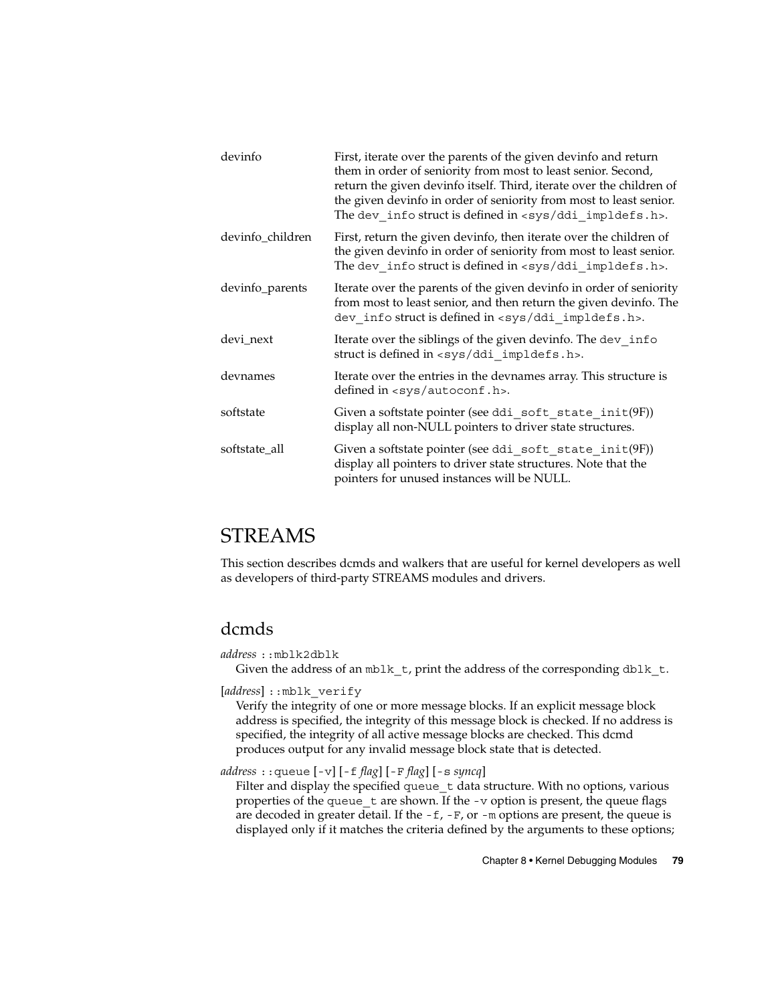| devinfo          | First, iterate over the parents of the given devinfo and return<br>them in order of seniority from most to least senior. Second,<br>return the given devinfo itself. Third, iterate over the children of<br>the given devinfo in order of seniority from most to least senior.<br>The dev info struct is defined in <sys ddi="" impldefs.h="">.</sys> |
|------------------|-------------------------------------------------------------------------------------------------------------------------------------------------------------------------------------------------------------------------------------------------------------------------------------------------------------------------------------------------------|
| devinfo_children | First, return the given devinfo, then iterate over the children of<br>the given devinfo in order of seniority from most to least senior.<br>The dev info struct is defined in <sys ddi="" impldefs.h="">.</sys>                                                                                                                                       |
| devinfo_parents  | Iterate over the parents of the given devinfo in order of seniority<br>from most to least senior, and then return the given devinfo. The<br>dev info struct is defined in <sys ddi="" impldefs.h="">.</sys>                                                                                                                                           |
| devi_next        | Iterate over the siblings of the given devinfo. The dev info<br>struct is defined in <sys ddi="" impldefs.h="">.</sys>                                                                                                                                                                                                                                |
| devnames         | Iterate over the entries in the devnames array. This structure is<br>defined in <sys autoconf.h="">.</sys>                                                                                                                                                                                                                                            |
| softstate        | Given a softstate pointer (see ddi soft state init(9F))<br>display all non-NULL pointers to driver state structures.                                                                                                                                                                                                                                  |
| softstate all    | Given a softstate pointer (see ddi soft state $init(9F)$ )<br>display all pointers to driver state structures. Note that the<br>pointers for unused instances will be NULL.                                                                                                                                                                           |

### STREAMS

This section describes dcmds and walkers that are useful for kernel developers as well as developers of third-party STREAMS modules and drivers.

#### dcmds

*address* ::mblk2dblk Given the address of an mblk\_t, print the address of the corresponding dblk\_t.

[*address*] ::mblk\_verify

Verify the integrity of one or more message blocks. If an explicit message block address is specified, the integrity of this message block is checked. If no address is specified, the integrity of all active message blocks are checked. This dcmd produces output for any invalid message block state that is detected.

*address* ::queue [-v] [-f *flag*] [-F *flag*] [-s *syncq*]

Filter and display the specified queue\_t data structure. With no options, various properties of the queue\_t are shown. If the -v option is present, the queue flags are decoded in greater detail. If the -f, -F, or -m options are present, the queue is displayed only if it matches the criteria defined by the arguments to these options;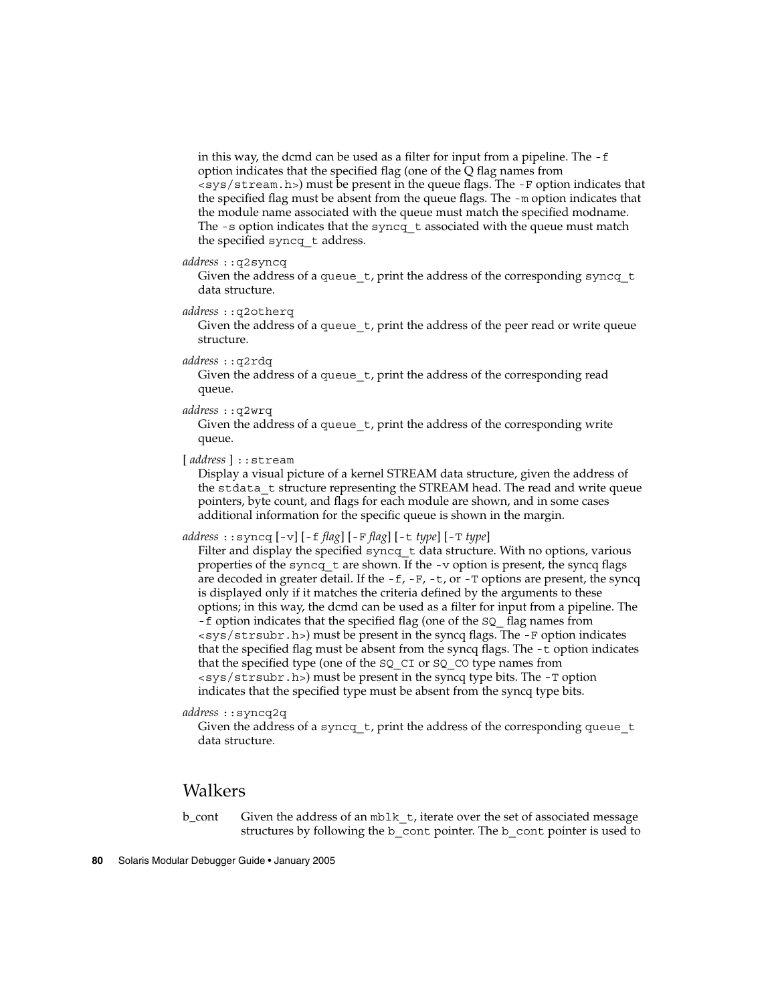in this way, the dcmd can be used as a filter for input from a pipeline. The  $- f$ option indicates that the specified flag (one of the Q flag names from <sys/stream.h>) must be present in the queue flags. The -F option indicates that the specified flag must be absent from the queue flags. The -m option indicates that the module name associated with the queue must match the specified modname. The -s option indicates that the syncq\_t associated with the queue must match the specified syncq\_t address.

*address* ::q2syncq

Given the address of a queue  $t$ , print the address of the corresponding syncq  $t$ data structure.

*address* ::q2otherq

Given the address of a queue  $t$ , print the address of the peer read or write queue structure.

*address* ::q2rdq

Given the address of a queue\_t, print the address of the corresponding read queue.

*address* ::q2wrq

Given the address of a queue t, print the address of the corresponding write queue.

#### [ *address* ] ::stream

Display a visual picture of a kernel STREAM data structure, given the address of the stdata t structure representing the STREAM head. The read and write queue pointers, byte count, and flags for each module are shown, and in some cases additional information for the specific queue is shown in the margin.

#### *address* ::syncq [-v] [-f *flag*] [-F *flag*] [-t *type*] [-T *type*]

Filter and display the specified syncq  $t$  data structure. With no options, various properties of the syncq\_t are shown. If the -v option is present, the syncq flags are decoded in greater detail. If the  $-f$ ,  $-F$ ,  $-t$ , or  $-T$  options are present, the syncq is displayed only if it matches the criteria defined by the arguments to these options; in this way, the dcmd can be used as a filter for input from a pipeline. The -f option indicates that the specified flag (one of the SQ\_ flag names from <sys/strsubr.h>) must be present in the syncq flags. The -F option indicates that the specified flag must be absent from the syncq flags. The -t option indicates that the specified type (one of the SQ\_CI or SQ\_CO type names from <sys/strsubr.h>) must be present in the syncq type bits. The -T option indicates that the specified type must be absent from the syncq type bits.

*address* ::syncq2q

Given the address of a syncq  $t$ , print the address of the corresponding queue  $t$ data structure.

#### Walkers

b\_cont Given the address of an mblk t, iterate over the set of associated message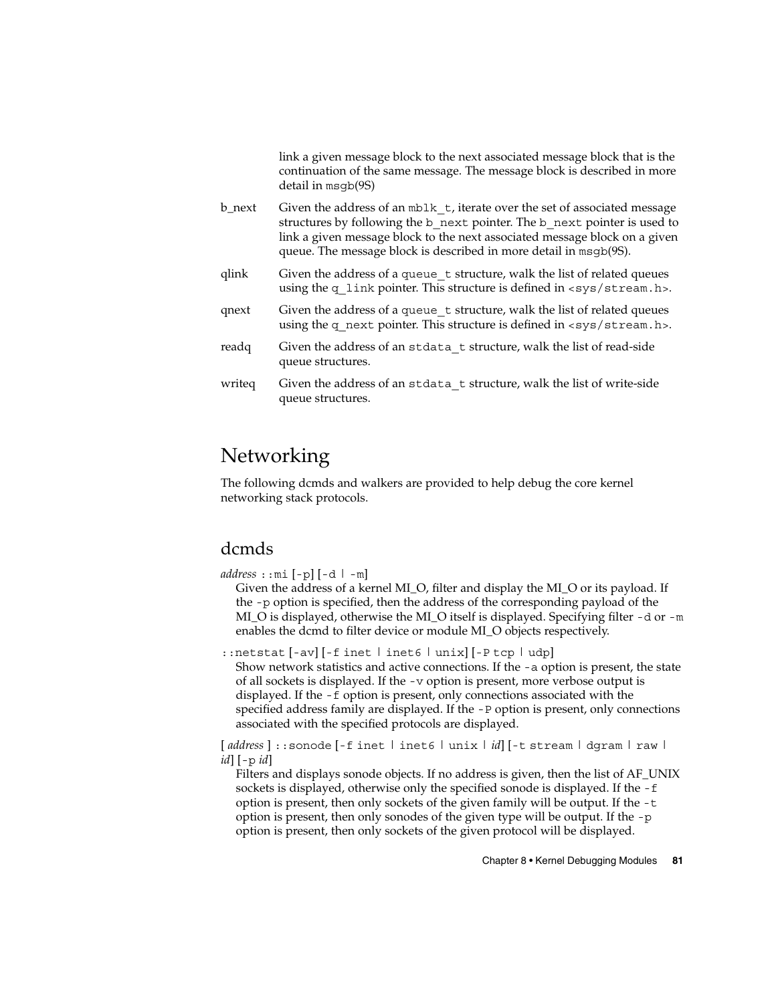link a given message block to the next associated message block that is the continuation of the same message. The message block is described in more detail in msgb(9S)

- b\_next Given the address of an mblk\_t, iterate over the set of associated message structures by following the b\_next pointer. The b\_next pointer is used to link a given message block to the next associated message block on a given queue. The message block is described in more detail in msgb(9S).  $q$  dink Given the address of a queue  $\pm$  structure, walk the list of related queues using the q link pointer. This structure is defined in  $<$ sys/stream.h>.
- qnext Given the address of a queue\_t structure, walk the list of related queues using the q\_next pointer. This structure is defined in <sys/stream.h>.
- readq Given the address of an stdata t structure, walk the list of read-side queue structures.
- writeq Given the address of an stdata t structure, walk the list of write-side queue structures.

### Networking

The following dcmds and walkers are provided to help debug the core kernel networking stack protocols.

#### dcmds

- *address* ::mi [-p] [-d | -m]
	- Given the address of a kernel MI\_O, filter and display the MI\_O or its payload. If the -p option is specified, then the address of the corresponding payload of the MI\_O is displayed, otherwise the MI\_O itself is displayed. Specifying filter -d or -m enables the dcmd to filter device or module MI\_O objects respectively.
- ::netstat [-av] [-f inet | inet6 | unix] [-P tcp | udp] Show network statistics and active connections. If the -a option is present, the state of all sockets is displayed. If the -v option is present, more verbose output is displayed. If the -f option is present, only connections associated with the specified address family are displayed. If the -P option is present, only connections associated with the specified protocols are displayed.

[ *address* ] ::sonode [-f inet | inet6 | unix | *id*] [-t stream | dgram | raw | *id*] [-p *id*]

Filters and displays sonode objects. If no address is given, then the list of AF\_UNIX sockets is displayed, otherwise only the specified sonode is displayed. If the -f option is present, then only sockets of the given family will be output. If the  $-t$ option is present, then only sonodes of the given type will be output. If the -p option is present, then only sockets of the given protocol will be displayed.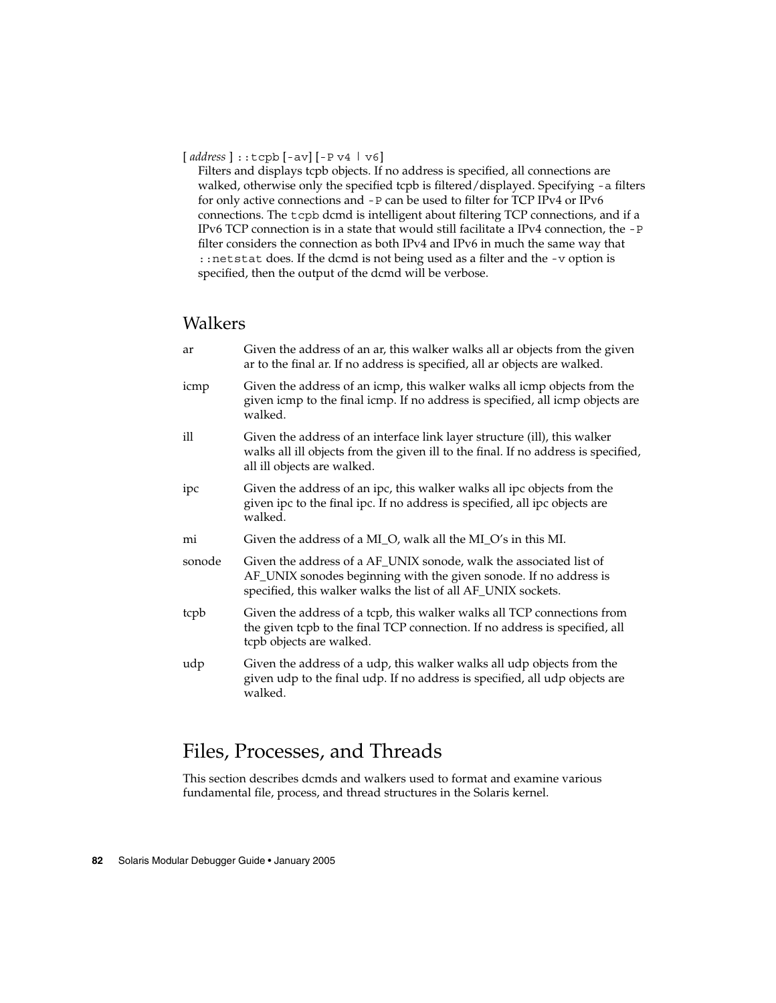[ *address* ] ::tcpb [-av] [-P v4 | v6]

Filters and displays tcpb objects. If no address is specified, all connections are walked, otherwise only the specified tcpb is filtered/displayed. Specifying -a filters for only active connections and -P can be used to filter for TCP IPv4 or IPv6 connections. The tcpb dcmd is intelligent about filtering TCP connections, and if a IPv6 TCP connection is in a state that would still facilitate a IPv4 connection, the -P filter considers the connection as both IPv4 and IPv6 in much the same way that ::netstat does. If the dcmd is not being used as a filter and the -v option is specified, then the output of the dcmd will be verbose.

#### Walkers

| ar     | Given the address of an ar, this walker walks all ar objects from the given<br>ar to the final ar. If no address is specified, all ar objects are walked.                                                |
|--------|----------------------------------------------------------------------------------------------------------------------------------------------------------------------------------------------------------|
| icmp   | Given the address of an icmp, this walker walks all icmp objects from the<br>given icmp to the final icmp. If no address is specified, all icmp objects are<br>walked.                                   |
| ill    | Given the address of an interface link layer structure (ill), this walker<br>walks all ill objects from the given ill to the final. If no address is specified,<br>all ill objects are walked.           |
| ipc    | Given the address of an ipc, this walker walks all ipc objects from the<br>given ipc to the final ipc. If no address is specified, all ipc objects are<br>walked.                                        |
| mi     | Given the address of a MI_O, walk all the MI_O's in this MI.                                                                                                                                             |
| sonode | Given the address of a AF_UNIX sonode, walk the associated list of<br>AF_UNIX sonodes beginning with the given sonode. If no address is<br>specified, this walker walks the list of all AF_UNIX sockets. |
| tcpb   | Given the address of a tcpb, this walker walks all TCP connections from<br>the given tcpb to the final TCP connection. If no address is specified, all<br>tcpb objects are walked.                       |
| udp    | Given the address of a udp, this walker walks all udp objects from the<br>given udp to the final udp. If no address is specified, all udp objects are<br>walked.                                         |

#### Files, Processes, and Threads

This section describes dcmds and walkers used to format and examine various fundamental file, process, and thread structures in the Solaris kernel.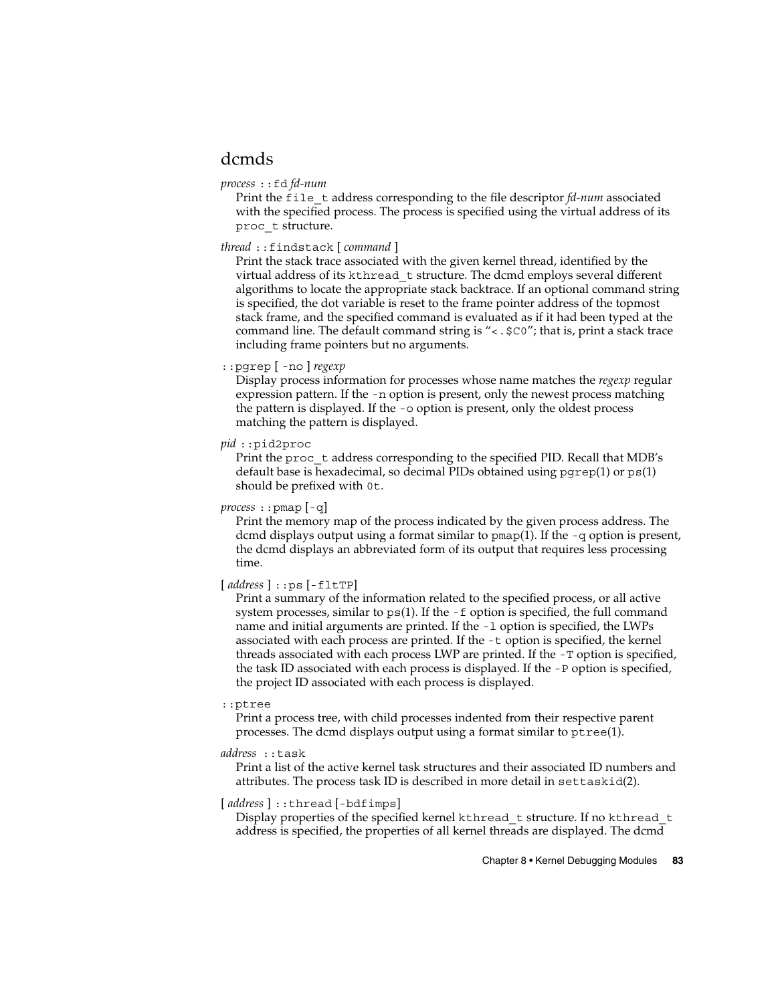#### dcmds

#### *process* ::fd *fd-num*

Print the file t address corresponding to the file descriptor *fd-num* associated with the specified process. The process is specified using the virtual address of its proc\_t structure.

#### *thread* ::findstack [ *command* ]

Print the stack trace associated with the given kernel thread, identified by the virtual address of its kthread\_t structure. The dcmd employs several different algorithms to locate the appropriate stack backtrace. If an optional command string is specified, the dot variable is reset to the frame pointer address of the topmost stack frame, and the specified command is evaluated as if it had been typed at the command line. The default command string is  $\alpha$  =  $\beta$  co.  $\beta$ ; that is, print a stack trace including frame pointers but no arguments.

#### ::pgrep [ -no ] *regexp*

Display process information for processes whose name matches the *regexp* regular expression pattern. If the -n option is present, only the newest process matching the pattern is displayed. If the -o option is present, only the oldest process matching the pattern is displayed.

#### *pid* ::pid2proc

Print the proc\_t address corresponding to the specified PID. Recall that MDB's default base is hexadecimal, so decimal PIDs obtained using pgrep(1) or ps(1) should be prefixed with 0t.

#### *process* ::pmap [-q]

Print the memory map of the process indicated by the given process address. The dcmd displays output using a format similar to pmap(1). If the -q option is present, the dcmd displays an abbreviated form of its output that requires less processing time.

#### [ *address* ] ::ps [-fltTP]

Print a summary of the information related to the specified process, or all active system processes, similar to ps(1). If the -f option is specified, the full command name and initial arguments are printed. If the -1 option is specified, the LWPs associated with each process are printed. If the -t option is specified, the kernel threads associated with each process LWP are printed. If the -T option is specified, the task ID associated with each process is displayed. If the -P option is specified, the project ID associated with each process is displayed.

#### ::ptree

Print a process tree, with child processes indented from their respective parent processes. The dcmd displays output using a format similar to ptree(1).

#### *address* ::task

Print a list of the active kernel task structures and their associated ID numbers and attributes. The process task ID is described in more detail in settaskid(2).

#### [ *address* ] ::thread [-bdfimps]

Display properties of the specified kernel kthread  $t$  structure. If no kthread  $t$ address is specified, the properties of all kernel threads are displayed. The dcmd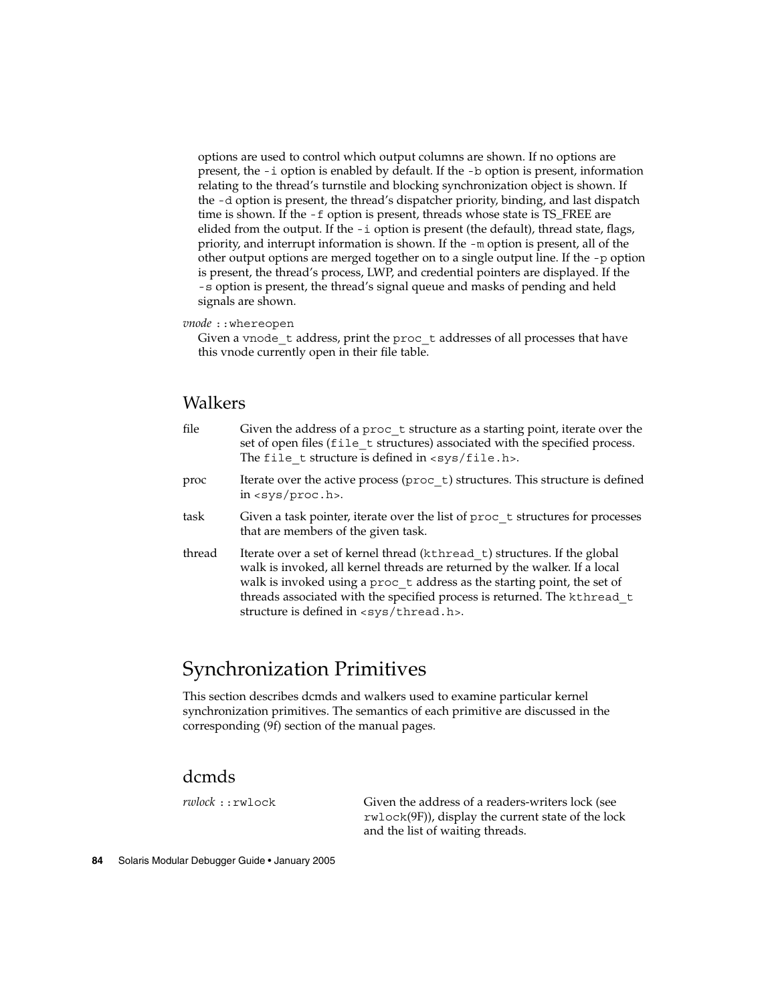options are used to control which output columns are shown. If no options are present, the -i option is enabled by default. If the -b option is present, information relating to the thread's turnstile and blocking synchronization object is shown. If the -d option is present, the thread's dispatcher priority, binding, and last dispatch time is shown. If the -f option is present, threads whose state is TS\_FREE are elided from the output. If the -i option is present (the default), thread state, flags, priority, and interrupt information is shown. If the -m option is present, all of the other output options are merged together on to a single output line. If the -p option is present, the thread's process, LWP, and credential pointers are displayed. If the -s option is present, the thread's signal queue and masks of pending and held signals are shown.

*vnode* ::whereopen

Given a vnode\_t address, print the proc\_t addresses of all processes that have this vnode currently open in their file table.

#### Walkers

| file   | Given the address of a proc $t$ structure as a starting point, iterate over the<br>set of open files (file t structures) associated with the specified process.<br>The file $t$ structure is defined in $<$ sys/file.h>.                                                                                                                                            |
|--------|---------------------------------------------------------------------------------------------------------------------------------------------------------------------------------------------------------------------------------------------------------------------------------------------------------------------------------------------------------------------|
| proc   | Iterate over the active process (proc t) structures. This structure is defined<br>$in < sys/proc.h>$ .                                                                                                                                                                                                                                                              |
| task   | Given a task pointer, iterate over the list of proc t structures for processes<br>that are members of the given task.                                                                                                                                                                                                                                               |
| thread | Iterate over a set of kernel thread (kthread t) structures. If the global<br>walk is invoked, all kernel threads are returned by the walker. If a local<br>walk is invoked using a proc t address as the starting point, the set of<br>threads associated with the specified process is returned. The kthread t<br>structure is defined in <sys thread.h="">.</sys> |

### Synchronization Primitives

This section describes dcmds and walkers used to examine particular kernel synchronization primitives. The semantics of each primitive are discussed in the corresponding (9f) section of the manual pages.

#### dcmds

*rwlock* :: rwlock Given the address of a readers-writers lock (see rwlock(9F)), display the current state of the lock and the list of waiting threads.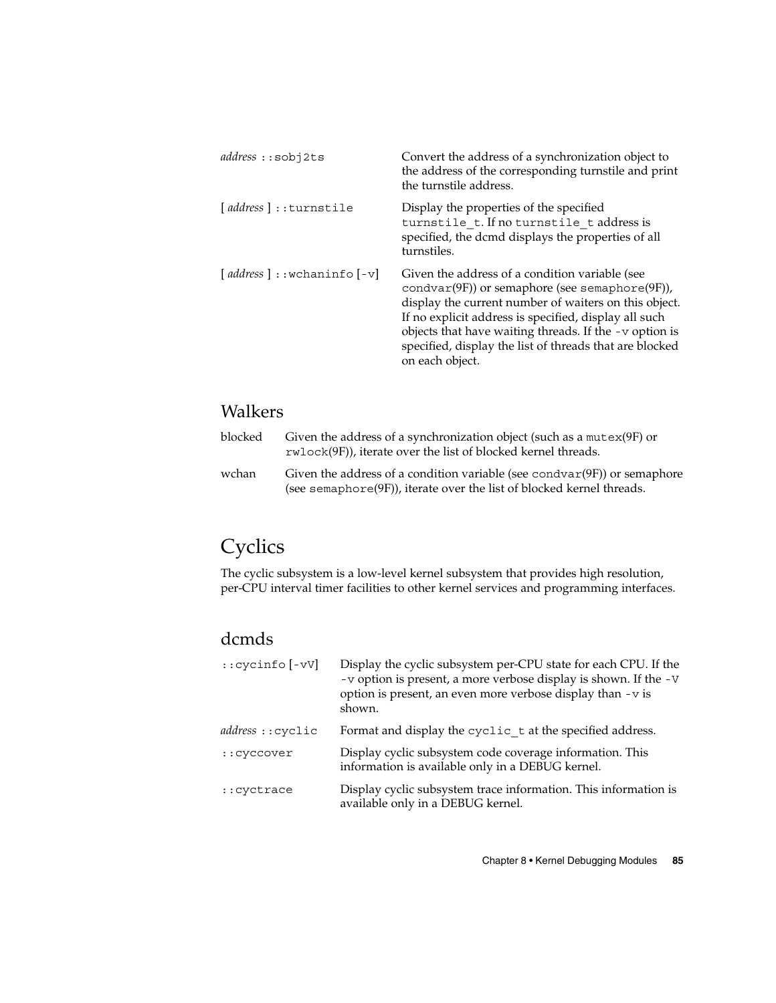| address::sobj2ts             | Convert the address of a synchronization object to<br>the address of the corresponding turnstile and print<br>the turnstile address.                                                                                                                                                                                                                               |
|------------------------------|--------------------------------------------------------------------------------------------------------------------------------------------------------------------------------------------------------------------------------------------------------------------------------------------------------------------------------------------------------------------|
| [address]::turnstile         | Display the properties of the specified<br>turnstile t. If no turnstile t address is<br>specified, the dcmd displays the properties of all<br>turnstiles.                                                                                                                                                                                                          |
| $[address] : : wheninfo[-v]$ | Given the address of a condition variable (see<br>condvar $(9F)$ ) or semaphore (see semaphore $(9F)$ ),<br>display the current number of waiters on this object.<br>If no explicit address is specified, display all such<br>objects that have waiting threads. If the -v option is<br>specified, display the list of threads that are blocked<br>on each object. |

### Walkers

| blocked | Given the address of a synchronization object (such as a mutex $(9F)$ or<br>rwlock(9F)), iterate over the list of blocked kernel threads.             |
|---------|-------------------------------------------------------------------------------------------------------------------------------------------------------|
| wchan   | Given the address of a condition variable (see condvar $(9F)$ ) or semaphore<br>(see semaphore(9F)), iterate over the list of blocked kernel threads. |

# **Cyclics**

The cyclic subsystem is a low-level kernel subsystem that provides high resolution, per-CPU interval timer facilities to other kernel services and programming interfaces.

#### dcmds

| $:covcinfo$ [- $vV$ ]   | Display the cyclic subsystem per-CPU state for each CPU. If the<br>-v option is present, a more verbose display is shown. If the $-\nu$<br>option is present, an even more verbose display than -v is<br>shown. |
|-------------------------|-----------------------------------------------------------------------------------------------------------------------------------------------------------------------------------------------------------------|
| <i>address</i> ::cyclic | Format and display the cyclic t at the specified address.                                                                                                                                                       |
| :: Cyccover             | Display cyclic subsystem code coverage information. This<br>information is available only in a DEBUG kernel.                                                                                                    |
| :: cyctrace             | Display cyclic subsystem trace information. This information is<br>available only in a DEBUG kernel.                                                                                                            |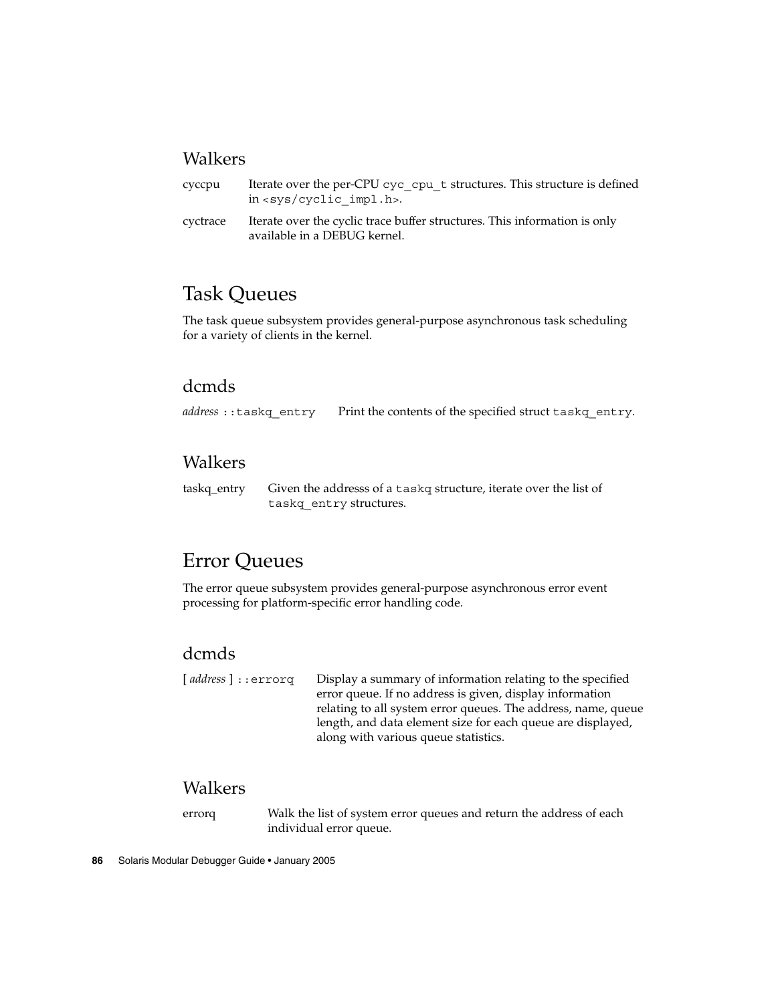#### Walkers

cyccpu Iterate over the per-CPU cyc\_cpu\_t structures. This structure is defined in <sys/cyclic\_impl.h>. cyctrace Iterate over the cyclic trace buffer structures. This information is only

# Task Queues

available in a DEBUG kernel.

The task queue subsystem provides general-purpose asynchronous task scheduling for a variety of clients in the kernel.

#### dcmds

*address* ::taskq\_entry Print the contents of the specified struct taskq\_entry.

#### Walkers

taskq\_entry Given the addresss of a taskq structure, iterate over the list of taskq\_entry structures.

### Error Queues

The error queue subsystem provides general-purpose asynchronous error event processing for platform-specific error handling code.

#### dcmds

[ *address* ] ::errorq Display a summary of information relating to the specified error queue. If no address is given, display information relating to all system error queues. The address, name, queue length, and data element size for each queue are displayed, along with various queue statistics.

#### Walkers

errorq Walk the list of system error queues and return the address of each individual error queue.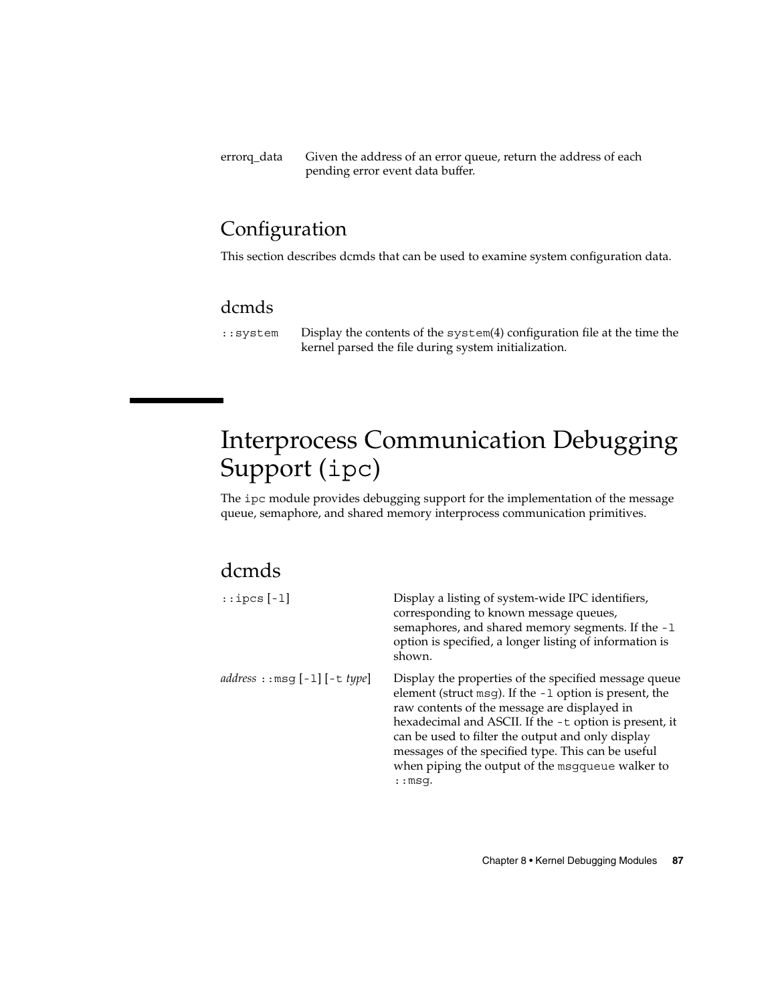errorq\_data Given the address of an error queue, return the address of each pending error event data buffer.

### Configuration

This section describes dcmds that can be used to examine system configuration data.

#### dcmds

::system Display the contents of the system(4) configuration file at the time the kernel parsed the file during system initialization.

# Interprocess Communication Debugging Support (ipc)

The ipc module provides debugging support for the implementation of the message queue, semaphore, and shared memory interprocess communication primitives.

## dcmds

| $:$ : ipcs $[-1]$            | Display a listing of system-wide IPC identifiers,<br>corresponding to known message queues,<br>semaphores, and shared memory segments. If the -1<br>option is specified, a longer listing of information is<br>shown.                                                                                                                                                                                              |
|------------------------------|--------------------------------------------------------------------------------------------------------------------------------------------------------------------------------------------------------------------------------------------------------------------------------------------------------------------------------------------------------------------------------------------------------------------|
| address ::msg [-1] [-t type] | Display the properties of the specified message queue<br>element (struct msg). If the -1 option is present, the<br>raw contents of the message are displayed in<br>hexadecimal and ASCII. If the -t option is present, it<br>can be used to filter the output and only display<br>messages of the specified type. This can be useful<br>when piping the output of the msgqueue walker to<br>$: : \mathfrak{m}$ sq. |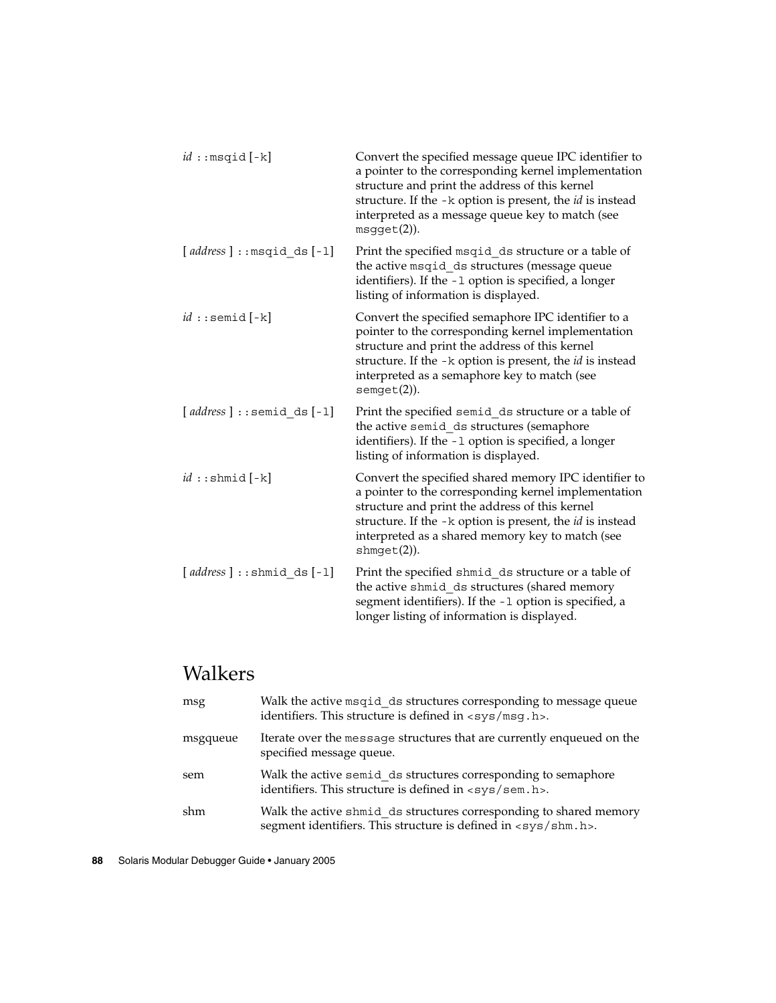| $id: \text{msqid}[-k]$     | Convert the specified message queue IPC identifier to<br>a pointer to the corresponding kernel implementation<br>structure and print the address of this kernel<br>structure. If the -k option is present, the <i>id</i> is instead<br>interpreted as a message queue key to match (see<br>$msgget(2)$ ). |
|----------------------------|-----------------------------------------------------------------------------------------------------------------------------------------------------------------------------------------------------------------------------------------------------------------------------------------------------------|
| $[address]::msgid ds[-1]$  | Print the specified msqid ds structure or a table of<br>the active msqid ds structures (message queue<br>identifiers). If the -1 option is specified, a longer<br>listing of information is displayed.                                                                                                    |
| $id: \texttt{semid}[-k]$   | Convert the specified semaphore IPC identifier to a<br>pointer to the corresponding kernel implementation<br>structure and print the address of this kernel<br>structure. If the -k option is present, the <i>id</i> is instead<br>interpreted as a semaphore key to match (see<br>$semget(2)$ ).         |
| $[address]::=semid ds[-1]$ | Print the specified semid ds structure or a table of<br>the active semid ds structures (semaphore<br>identifiers). If the -1 option is specified, a longer<br>listing of information is displayed.                                                                                                        |
| $id::shmid[-k]$            | Convert the specified shared memory IPC identifier to<br>a pointer to the corresponding kernel implementation<br>structure and print the address of this kernel<br>structure. If the -k option is present, the <i>id</i> is instead<br>interpreted as a shared memory key to match (see<br>$shmget(2)$ ). |
| $[address]::shmid ds[-1]$  | Print the specified shmid ds structure or a table of<br>the active shmid ds structures (shared memory<br>segment identifiers). If the -1 option is specified, a<br>longer listing of information is displayed.                                                                                            |

# Walkers

| msg      | Walk the active msqid ds structures corresponding to message queue<br>identifiers. This structure is defined in $\langle$ sys/msq.h>.         |
|----------|-----------------------------------------------------------------------------------------------------------------------------------------------|
| msgqueue | Iterate over the message structures that are currently enqueued on the<br>specified message queue.                                            |
| sem      | Walk the active semid ds structures corresponding to semaphore<br>identifiers. This structure is defined in <sys sem.h="">.</sys>             |
| shm      | Walk the active shmid ds structures corresponding to shared memory<br>segment identifiers. This structure is defined in <sys shm.h="">.</sys> |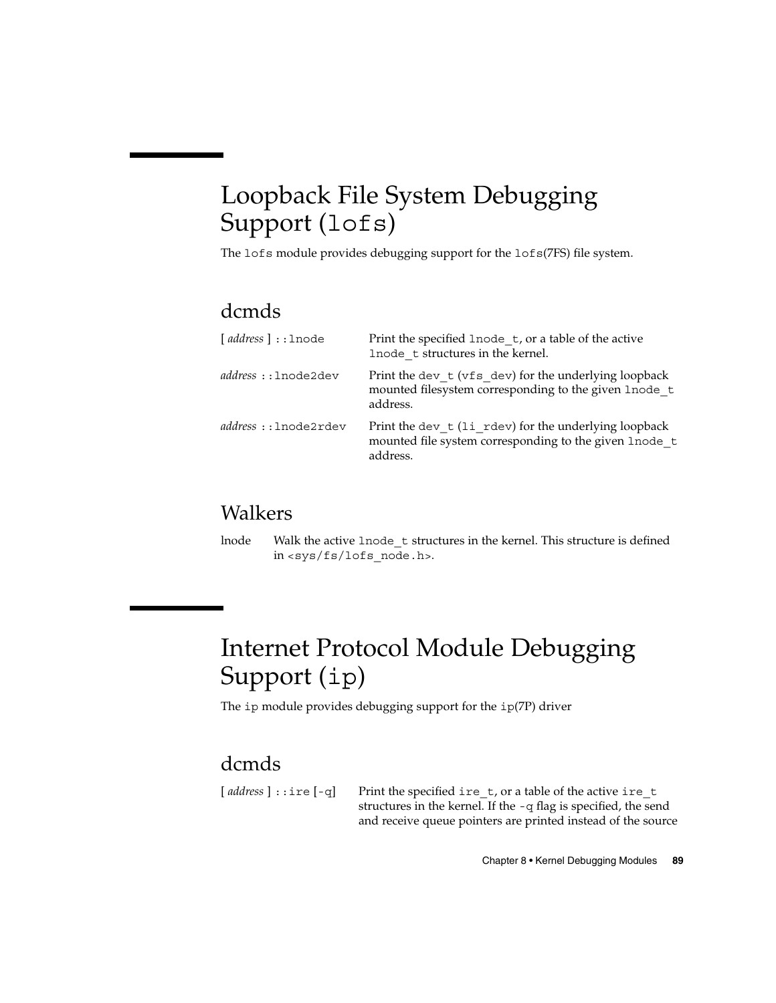# Loopback File System Debugging Support (lofs)

The lofs module provides debugging support for the lofs(7FS) file system.

## dcmds

| <i>[address</i> ] ::lnode   | Print the specified lnode t, or a table of the active<br>lnode t structures in the kernel.                                    |
|-----------------------------|-------------------------------------------------------------------------------------------------------------------------------|
| <i>address</i> ::lnode2dev  | Print the dev $t$ (vfs dev) for the underlying loopback<br>mounted filesystem corresponding to the given 1node t<br>address.  |
| <i>address</i> ::lnode2rdev | Print the dev $t$ (1i rdev) for the underlying loopback<br>mounted file system corresponding to the given lnode t<br>address. |

## Walkers

lnode Walk the active lnode\_t structures in the kernel. This structure is defined in <sys/fs/lofs\_node.h>.

# Internet Protocol Module Debugging Support (ip)

The ip module provides debugging support for the ip(7P) driver

## dcmds

[*address*] ::ire [-q] Print the specified ire\_t, or a table of the active ire\_t structures in the kernel. If the -q flag is specified, the send and receive queue pointers are printed instead of the source

Chapter 8 • Kernel Debugging Modules **89**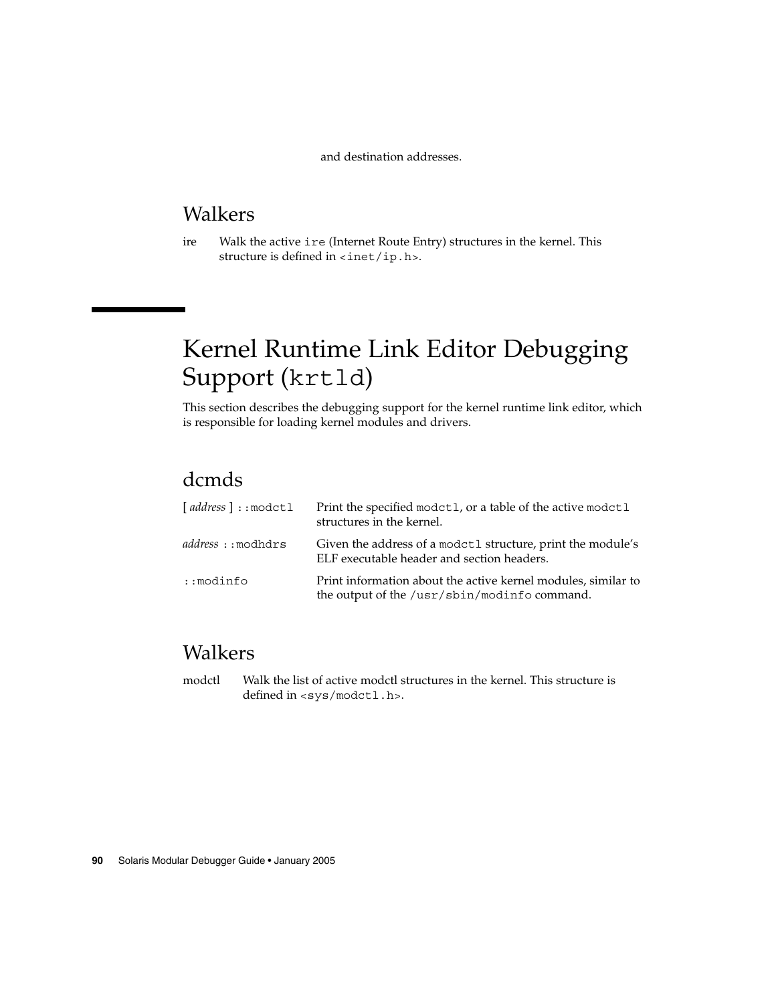and destination addresses.

## Walkers

ire Walk the active ire (Internet Route Entry) structures in the kernel. This structure is defined in <inet/ip.h>.

# Kernel Runtime Link Editor Debugging Support (krtld)

This section describes the debugging support for the kernel runtime link editor, which is responsible for loading kernel modules and drivers.

# dcmds

| [ $address$ ]:: $model$   | Print the specified modctl, or a table of the active modctl<br>structures in the kernel.                      |
|---------------------------|---------------------------------------------------------------------------------------------------------------|
| <i>address</i> :: modhdrs | Given the address of a modet1 structure, print the module's<br>ELF executable header and section headers.     |
| ::modinfo                 | Print information about the active kernel modules, similar to<br>the output of the /usr/sbin/modinfo command. |

# Walkers

modctl Walk the list of active modctl structures in the kernel. This structure is defined in <sys/modctl.h>.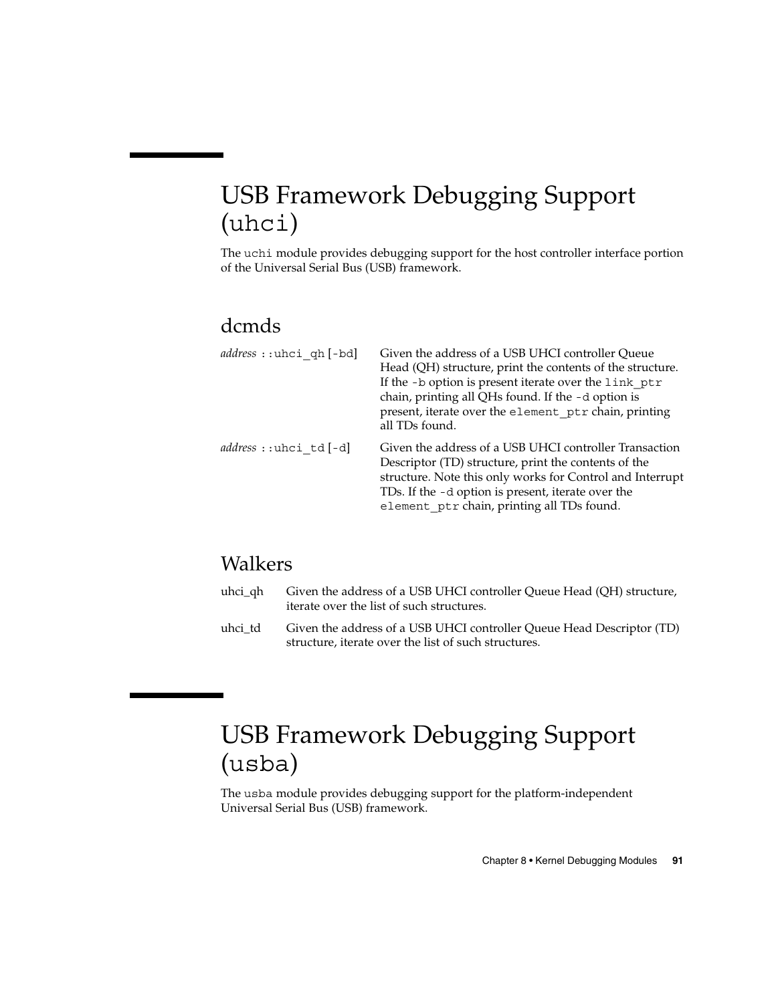# USB Framework Debugging Support (uhci)

The uchi module provides debugging support for the host controller interface portion of the Universal Serial Bus (USB) framework.

## dcmds

| $address::uhci$ qh $[-bd]$ | Given the address of a USB UHCI controller Queue<br>Head (QH) structure, print the contents of the structure.<br>If the -b option is present iterate over the link ptr<br>chain, printing all QHs found. If the -d option is<br>present, iterate over the element ptr chain, printing<br>all TDs found. |
|----------------------------|---------------------------------------------------------------------------------------------------------------------------------------------------------------------------------------------------------------------------------------------------------------------------------------------------------|
| address : : uhci td [-d]   | Given the address of a USB UHCI controller Transaction<br>Descriptor (TD) structure, print the contents of the<br>structure. Note this only works for Control and Interrupt<br>TDs. If the -d option is present, iterate over the<br>element ptr chain, printing all TDs found.                         |

### Walkers

| uhci gh | Given the address of a USB UHCI controller Queue Head (QH) structure,<br>iterate over the list of such structures.            |
|---------|-------------------------------------------------------------------------------------------------------------------------------|
| uhci td | Given the address of a USB UHCI controller Queue Head Descriptor (TD)<br>structure, iterate over the list of such structures. |

# USB Framework Debugging Support (usba)

The usba module provides debugging support for the platform-independent Universal Serial Bus (USB) framework.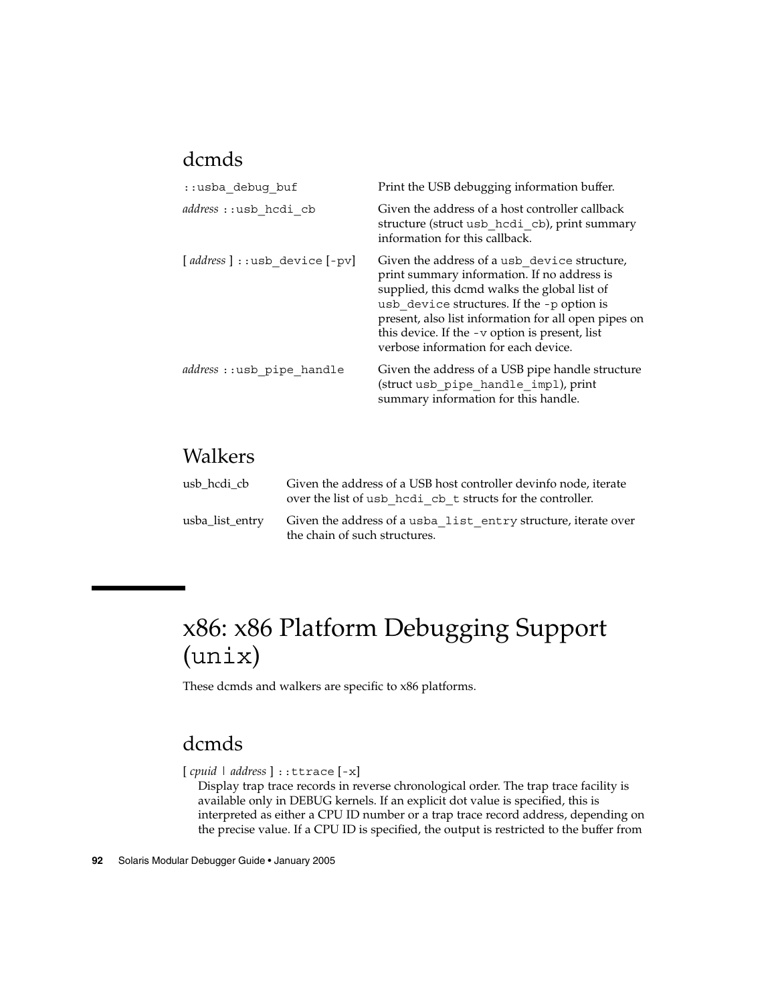## dcmds

| ::usba debug buf                  | Print the USB debugging information buffer.                                                                                                                                                                                                                                                                                                 |
|-----------------------------------|---------------------------------------------------------------------------------------------------------------------------------------------------------------------------------------------------------------------------------------------------------------------------------------------------------------------------------------------|
| address : : usb hcdi cb           | Given the address of a host controller callback<br>structure (struct usb hodi cb), print summary<br>information for this callback.                                                                                                                                                                                                          |
| [address] :: usb device [-pv]     | Given the address of a usb device structure,<br>print summary information. If no address is<br>supplied, this dcmd walks the global list of<br>usb device structures. If the -p option is<br>present, also list information for all open pipes on<br>this device. If the -v option is present, list<br>verbose information for each device. |
| <i>address</i> :: usb pipe handle | Given the address of a USB pipe handle structure<br>(struct usb pipe handle impl), print<br>summary information for this handle.                                                                                                                                                                                                            |

## Walkers

| usb hcdi cb     | Given the address of a USB host controller devinfo node, iterate<br>over the list of usb hodi cb t structs for the controller. |
|-----------------|--------------------------------------------------------------------------------------------------------------------------------|
| usba list entry | Given the address of a usba list entry structure, iterate over<br>the chain of such structures.                                |

# x86: x86 Platform Debugging Support (unix)

These dcmds and walkers are specific to x86 platforms.

## dcmds

[ *cpuid* | *address* ] ::ttrace [-x]

Display trap trace records in reverse chronological order. The trap trace facility is available only in DEBUG kernels. If an explicit dot value is specified, this is interpreted as either a CPU ID number or a trap trace record address, depending on the precise value. If a CPU ID is specified, the output is restricted to the buffer from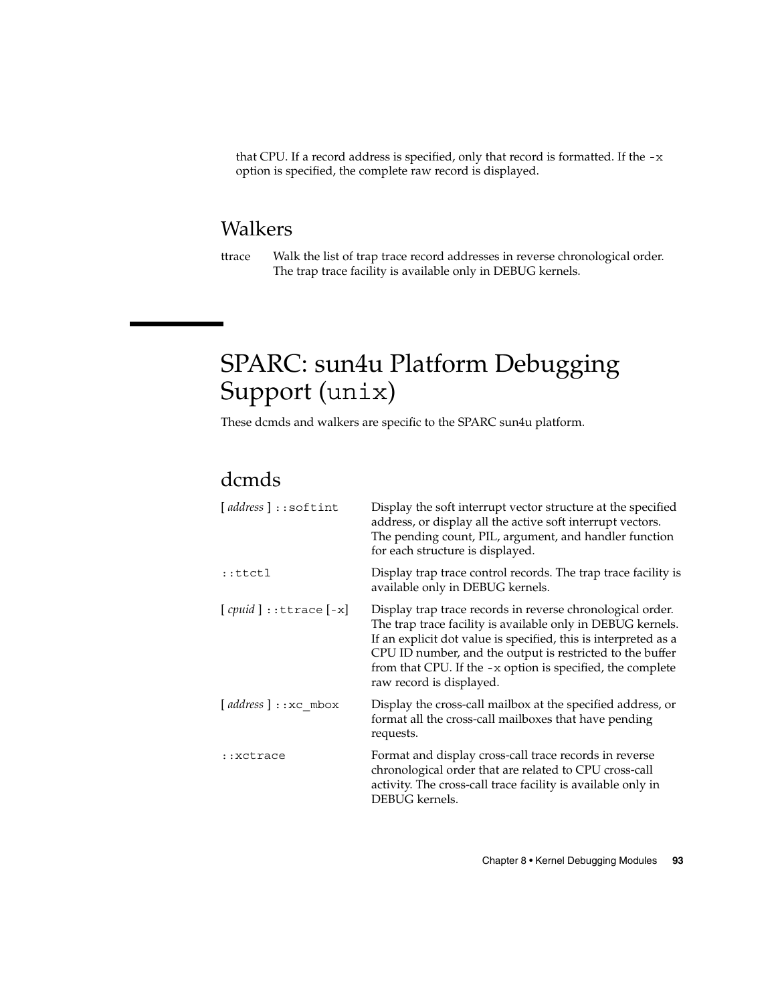that CPU. If a record address is specified, only that record is formatted. If the -x option is specified, the complete raw record is displayed.

## Walkers

ttrace Walk the list of trap trace record addresses in reverse chronological order. The trap trace facility is available only in DEBUG kernels.

# SPARC: sun4u Platform Debugging Support (unix)

These dcmds and walkers are specific to the SPARC sun4u platform.

## dcmds

| $[address]$ : softint          | Display the soft interrupt vector structure at the specified<br>address, or display all the active soft interrupt vectors.<br>The pending count, PIL, argument, and handler function<br>for each structure is displayed.                                                                                                                            |
|--------------------------------|-----------------------------------------------------------------------------------------------------------------------------------------------------------------------------------------------------------------------------------------------------------------------------------------------------------------------------------------------------|
| ::ttctl                        | Display trap trace control records. The trap trace facility is<br>available only in DEBUG kernels.                                                                                                                                                                                                                                                  |
| $[$ cpuid $]$ : ttrace $[-x]$  | Display trap trace records in reverse chronological order.<br>The trap trace facility is available only in DEBUG kernels.<br>If an explicit dot value is specified, this is interpreted as a<br>CPU ID number, and the output is restricted to the buffer<br>from that CPU. If the -x option is specified, the complete<br>raw record is displayed. |
| $[address] : \csc \text{mbox}$ | Display the cross-call mailbox at the specified address, or<br>format all the cross-call mailboxes that have pending<br>requests.                                                                                                                                                                                                                   |
| ::xctrace                      | Format and display cross-call trace records in reverse<br>chronological order that are related to CPU cross-call<br>activity. The cross-call trace facility is available only in<br>DEBUG kernels.                                                                                                                                                  |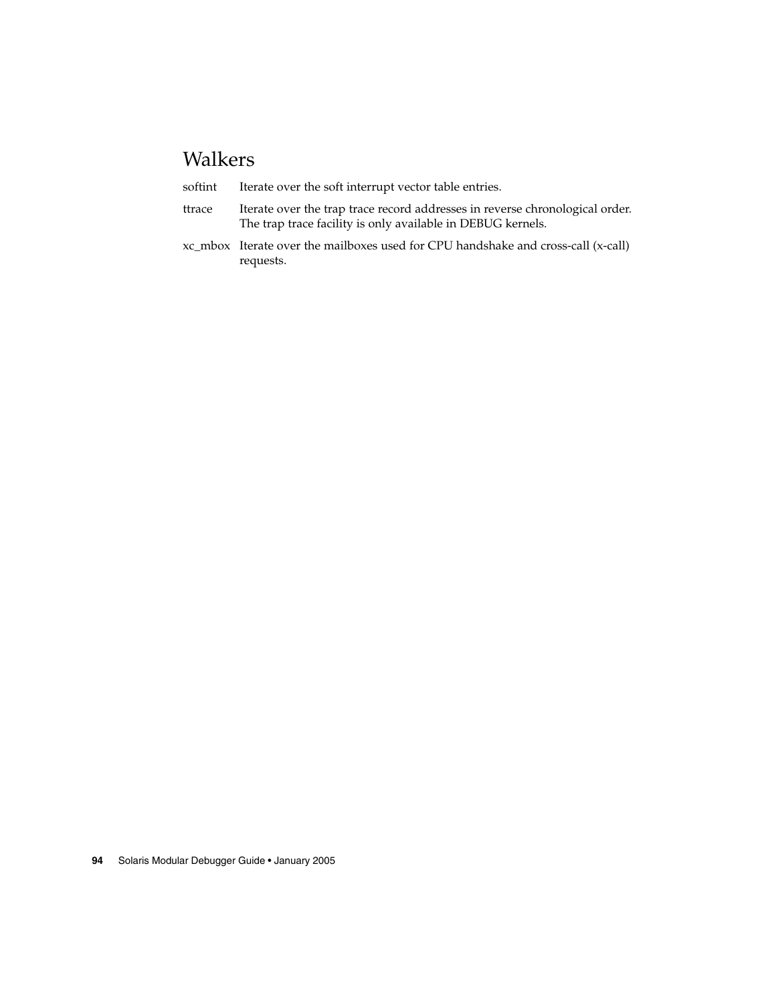## Walkers

softint Iterate over the soft interrupt vector table entries.

- ttrace Iterate over the trap trace record addresses in reverse chronological order. The trap trace facility is only available in DEBUG kernels.
- xc\_mbox Iterate over the mailboxes used for CPU handshake and cross-call (x-call) requests.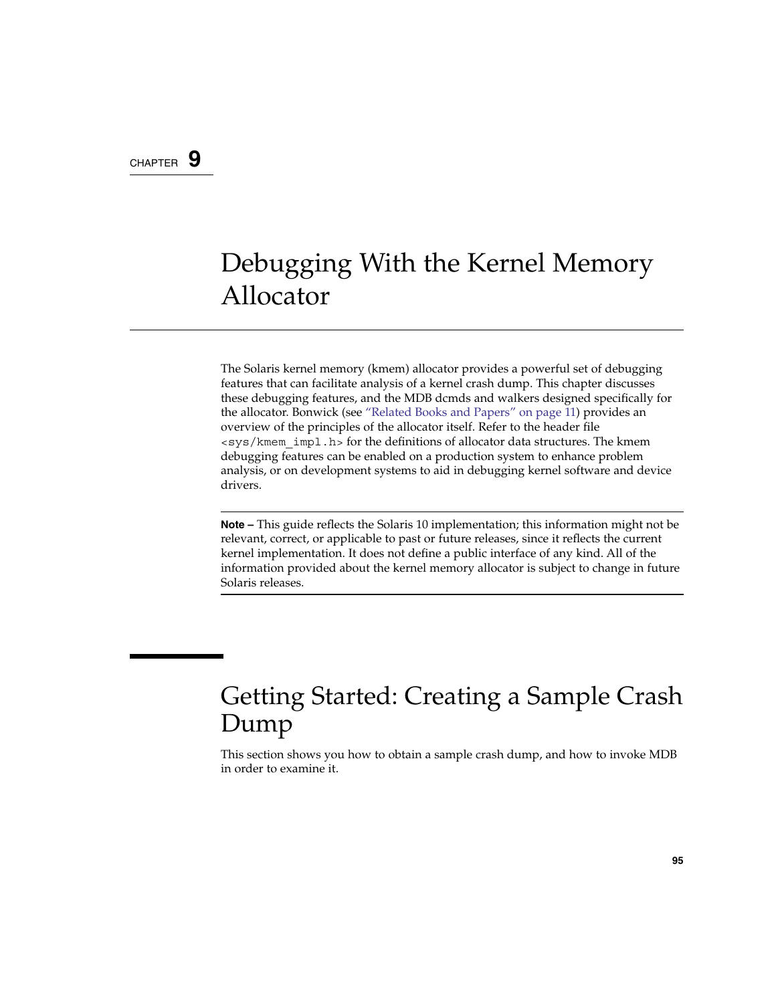#### CHAPTER **9**

# Debugging With the Kernel Memory Allocator

The Solaris kernel memory (kmem) allocator provides a powerful set of debugging features that can facilitate analysis of a kernel crash dump. This chapter discusses these debugging features, and the MDB dcmds and walkers designed specifically for the allocator. Bonwick (see ["Related Books and Papers"](#page-10-0) on page 11) provides an overview of the principles of the allocator itself. Refer to the header file  $\langle$  sys/kmem impl.h> for the definitions of allocator data structures. The kmem debugging features can be enabled on a production system to enhance problem analysis, or on development systems to aid in debugging kernel software and device drivers.

**Note –** This guide reflects the Solaris 10 implementation; this information might not be relevant, correct, or applicable to past or future releases, since it reflects the current kernel implementation. It does not define a public interface of any kind. All of the information provided about the kernel memory allocator is subject to change in future Solaris releases.

# Getting Started: Creating a Sample Crash Dump

This section shows you how to obtain a sample crash dump, and how to invoke MDB in order to examine it.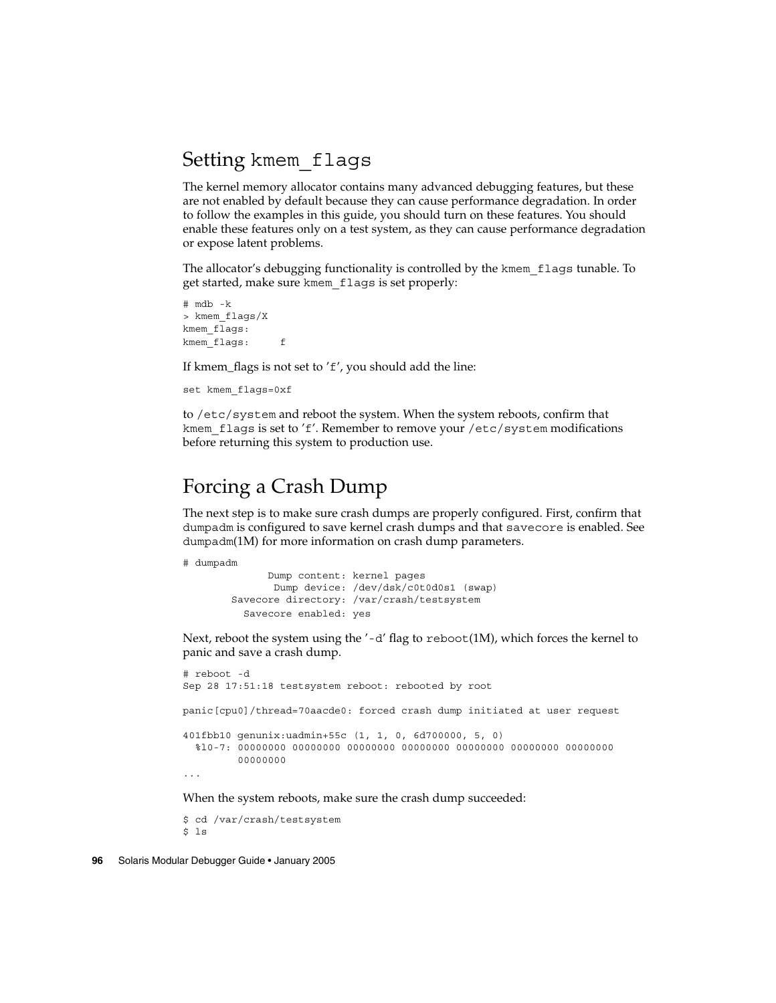### Setting kmem\_flags

The kernel memory allocator contains many advanced debugging features, but these are not enabled by default because they can cause performance degradation. In order to follow the examples in this guide, you should turn on these features. You should enable these features only on a test system, as they can cause performance degradation or expose latent problems.

The allocator's debugging functionality is controlled by the kmem\_flags tunable. To get started, make sure kmem\_flags is set properly:

```
# mdb -k
> kmem_flags/X
kmem flags:
kmem_flags: f
```
If kmem\_flags is not set to 'f', you should add the line:

```
set kmem_flags=0xf
```
to /etc/system and reboot the system. When the system reboots, confirm that kmem flags is set to 'f'. Remember to remove your /etc/system modifications before returning this system to production use.

### Forcing a Crash Dump

The next step is to make sure crash dumps are properly configured. First, confirm that dumpadm is configured to save kernel crash dumps and that savecore is enabled. See dumpadm(1M) for more information on crash dump parameters.

```
# dumpadm
```

```
Dump content: kernel pages
      Dump device: /dev/dsk/c0t0d0s1 (swap)
Savecore directory: /var/crash/testsystem
  Savecore enabled: yes
```
Next, reboot the system using the  $-4'$  flag to  $reboot(1M)$ , which forces the kernel to panic and save a crash dump.

```
# reboot -d
Sep 28 17:51:18 testsystem reboot: rebooted by root
panic[cpu0]/thread=70aacde0: forced crash dump initiated at user request
401fbb10 genunix:uadmin+55c (1, 1, 0, 6d700000, 5, 0)
  %l0-7: 00000000 00000000 00000000 00000000 00000000 00000000 00000000
        00000000
...
```
When the system reboots, make sure the crash dump succeeded:

\$ cd /var/crash/testsystem \$ ls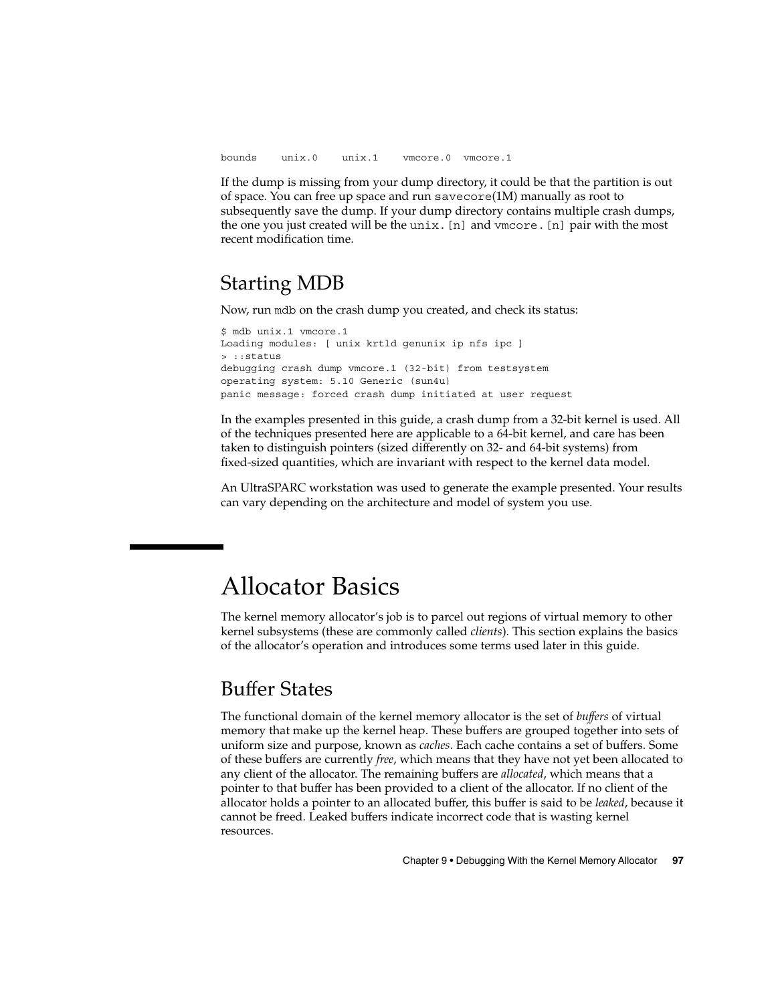<span id="page-96-0"></span>bounds unix.0 unix.1 vmcore.0 vmcore.1

If the dump is missing from your dump directory, it could be that the partition is out of space. You can free up space and run savecore(1M) manually as root to subsequently save the dump. If your dump directory contains multiple crash dumps, the one you just created will be the unix.[n] and vmcore.[n] pair with the most recent modification time.

#### Starting MDB

Now, run mdb on the crash dump you created, and check its status:

```
$ mdb unix.1 vmcore.1
Loading modules: [ unix krtld genunix ip nfs ipc ]
> ::status
debugging crash dump vmcore.1 (32-bit) from testsystem
operating system: 5.10 Generic (sun4u)
panic message: forced crash dump initiated at user request
```
In the examples presented in this guide, a crash dump from a 32-bit kernel is used. All of the techniques presented here are applicable to a 64-bit kernel, and care has been taken to distinguish pointers (sized differently on 32- and 64-bit systems) from fixed-sized quantities, which are invariant with respect to the kernel data model.

An UltraSPARC workstation was used to generate the example presented. Your results can vary depending on the architecture and model of system you use.

# Allocator Basics

The kernel memory allocator's job is to parcel out regions of virtual memory to other kernel subsystems (these are commonly called *clients*). This section explains the basics of the allocator's operation and introduces some terms used later in this guide.

### Buffer States

The functional domain of the kernel memory allocator is the set of *buffers* of virtual memory that make up the kernel heap. These buffers are grouped together into sets of uniform size and purpose, known as *caches*. Each cache contains a set of buffers. Some of these buffers are currently *free*, which means that they have not yet been allocated to any client of the allocator. The remaining buffers are *allocated*, which means that a pointer to that buffer has been provided to a client of the allocator. If no client of the allocator holds a pointer to an allocated buffer, this buffer is said to be *leaked*, because it cannot be freed. Leaked buffers indicate incorrect code that is wasting kernel resources.

Chapter 9 • Debugging With the Kernel Memory Allocator **97**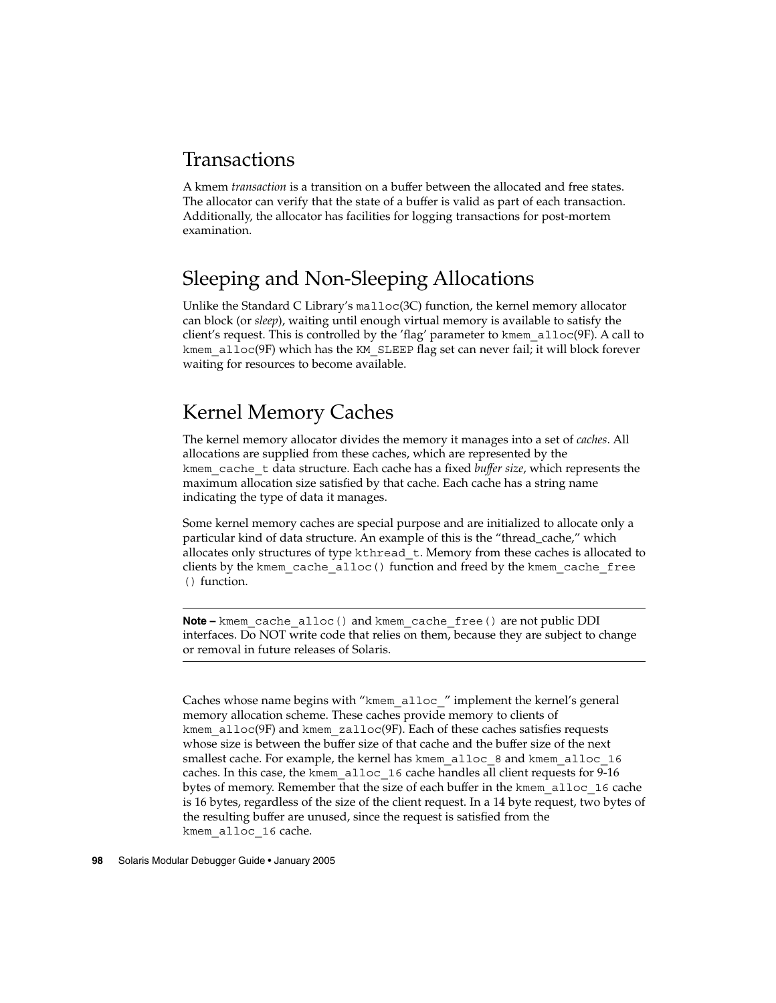### Transactions

A kmem *transaction* is a transition on a buffer between the allocated and free states. The allocator can verify that the state of a buffer is valid as part of each transaction. Additionally, the allocator has facilities for logging transactions for post-mortem examination.

## Sleeping and Non-Sleeping Allocations

Unlike the Standard C Library's malloc(3C) function, the kernel memory allocator can block (or *sleep*), waiting until enough virtual memory is available to satisfy the client's request. This is controlled by the 'flag' parameter to kmem\_alloc(9F). A call to kmem  $alloc(9F)$  which has the KM SLEEP flag set can never fail; it will block forever waiting for resources to become available.

## Kernel Memory Caches

The kernel memory allocator divides the memory it manages into a set of *caches*. All allocations are supplied from these caches, which are represented by the kmem\_cache\_t data structure. Each cache has a fixed *buffer size*, which represents the maximum allocation size satisfied by that cache. Each cache has a string name indicating the type of data it manages.

Some kernel memory caches are special purpose and are initialized to allocate only a particular kind of data structure. An example of this is the "thread\_cache," which allocates only structures of type kthread\_t. Memory from these caches is allocated to clients by the kmem\_cache\_alloc() function and freed by the kmem\_cache\_free () function.

**Note –** kmem\_cache\_alloc() and kmem\_cache\_free() are not public DDI interfaces. Do NOT write code that relies on them, because they are subject to change or removal in future releases of Solaris.

Caches whose name begins with "kmem\_alloc\_" implement the kernel's general memory allocation scheme. These caches provide memory to clients of kmem\_alloc(9F) and kmem\_zalloc(9F). Each of these caches satisfies requests whose size is between the buffer size of that cache and the buffer size of the next smallest cache. For example, the kernel has kmem\_alloc\_8 and kmem\_alloc\_16 caches. In this case, the kmem\_alloc\_16 cache handles all client requests for 9-16 bytes of memory. Remember that the size of each buffer in the kmem\_alloc\_16 cache is 16 bytes, regardless of the size of the client request. In a 14 byte request, two bytes of the resulting buffer are unused, since the request is satisfied from the kmem\_alloc\_16 cache.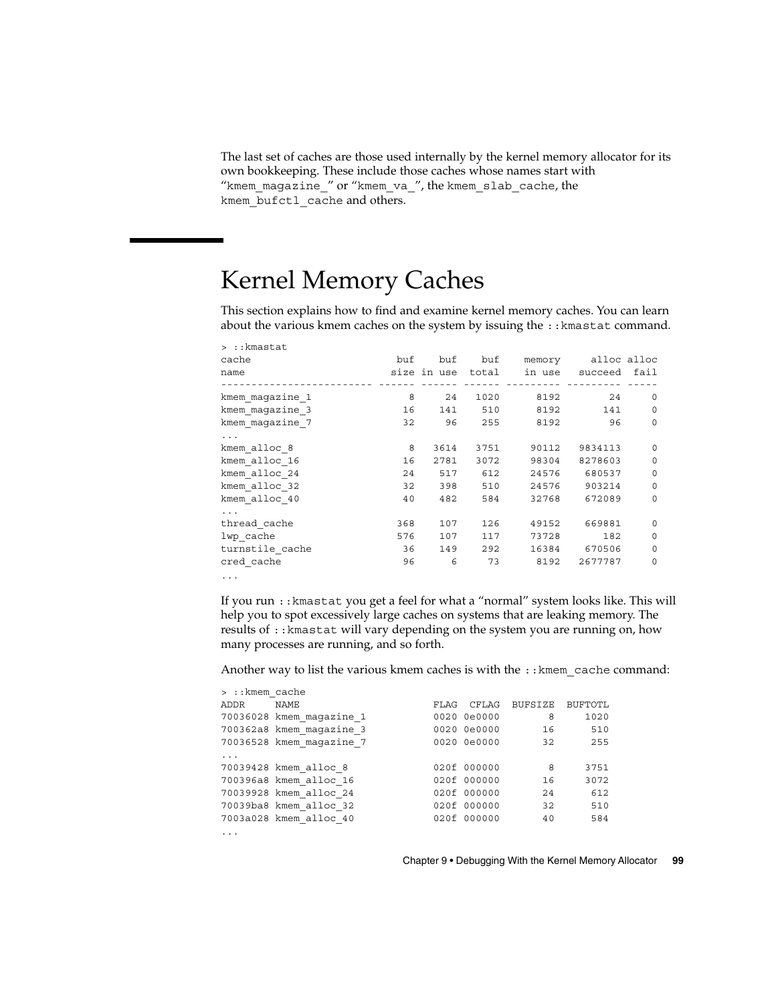<span id="page-98-0"></span>The last set of caches are those used internally by the kernel memory allocator for its own bookkeeping. These include those caches whose names start with "kmem\_magazine\_" or "kmem\_va\_", the kmem\_slab\_cache, the kmem bufctl cache and others.

# Kernel Memory Caches

This section explains how to find and examine kernel memory caches. You can learn about the various kmem caches on the system by issuing the :: kmastat command.

| $>$ : : kmastat |     |             |       |        |              |          |
|-----------------|-----|-------------|-------|--------|--------------|----------|
| cache           | buf | buf         | buf   | memory | alloc alloc  |          |
| name            |     | size in use | total | in use | succeed fail |          |
|                 |     |             |       |        |              |          |
| kmem magazine 1 | 8   | 24          | 1020  | 8192   | 24           | $\Omega$ |
| kmem magazine 3 | 16  | 141         | 510   | 8192   | 141          | $\Omega$ |
| kmem magazine 7 | 32  | 96          | 255   | 8192   | 96           | $\Omega$ |
| .               |     |             |       |        |              |          |
| kmem alloc 8    | 8   | 3614        | 3751  | 90112  | 9834113      | $\Omega$ |
| kmem alloc 16   | 16  | 2781        | 3072  | 98304  | 8278603      | $\circ$  |
| kmem alloc 24   | 24  | 517         | 612   | 24576  | 680537       | $\circ$  |
| kmem alloc 32   | 32  | 398         | 510   | 24576  | 903214       | $\Omega$ |
| kmem alloc 40   | 40  | 482         | 584   | 32768  | 672089       | $\Omega$ |
| .               |     |             |       |        |              |          |
| thread cache    | 368 | 107         | 126   | 49152  | 669881       | $\Omega$ |
| lwp cache       | 576 | 107         | 117   | 73728  | 182          | $\Omega$ |
| turnstile cache | 36  | 149         | 292   | 16384  | 670506       | $\Omega$ |
| cred cache      | 96  | 6           | 73    | 8192   | 2677787      | $\Omega$ |
| .               |     |             |       |        |              |          |

If you run ::kmastat you get a feel for what a "normal" system looks like. This will help you to spot excessively large caches on systems that are leaking memory. The results of ::kmastat will vary depending on the system you are running on, how many processes are running, and so forth.

Another way to list the various kmem caches is with the  $::$  kmem cache command:

| $>$ :: kmem cache |                          |      |             |                |                |
|-------------------|--------------------------|------|-------------|----------------|----------------|
| <b>ADDR</b>       | <b>NAME</b>              | FLAG | CFLAG       | <b>BUFSIZE</b> | <b>BUFTOTL</b> |
|                   | 70036028 kmem magazine 1 |      | 0020 0e0000 | 8              | 1020           |
|                   | 700362a8 kmem magazine 3 |      | 0020 0e0000 | 16             | 510            |
|                   | 70036528 kmem magazine 7 |      | 0020 0e0000 | 32             | 255            |
| .                 |                          |      |             |                |                |
|                   | 70039428 kmem alloc 8    |      | 020f 000000 | 8              | 3751           |
|                   | 700396a8 kmem alloc 16   |      | 020f 000000 | 16             | 3072           |
|                   | 70039928 kmem alloc 24   |      | 020f 000000 | 2.4            | 612            |
|                   | 70039ba8 kmem alloc 32   |      | 020f 000000 | 32             | 510            |
|                   | 7003a028 kmem alloc 40   |      | 020f 000000 | 40             | 584            |
| $\cdots$          |                          |      |             |                |                |

Chapter 9 • Debugging With the Kernel Memory Allocator **99**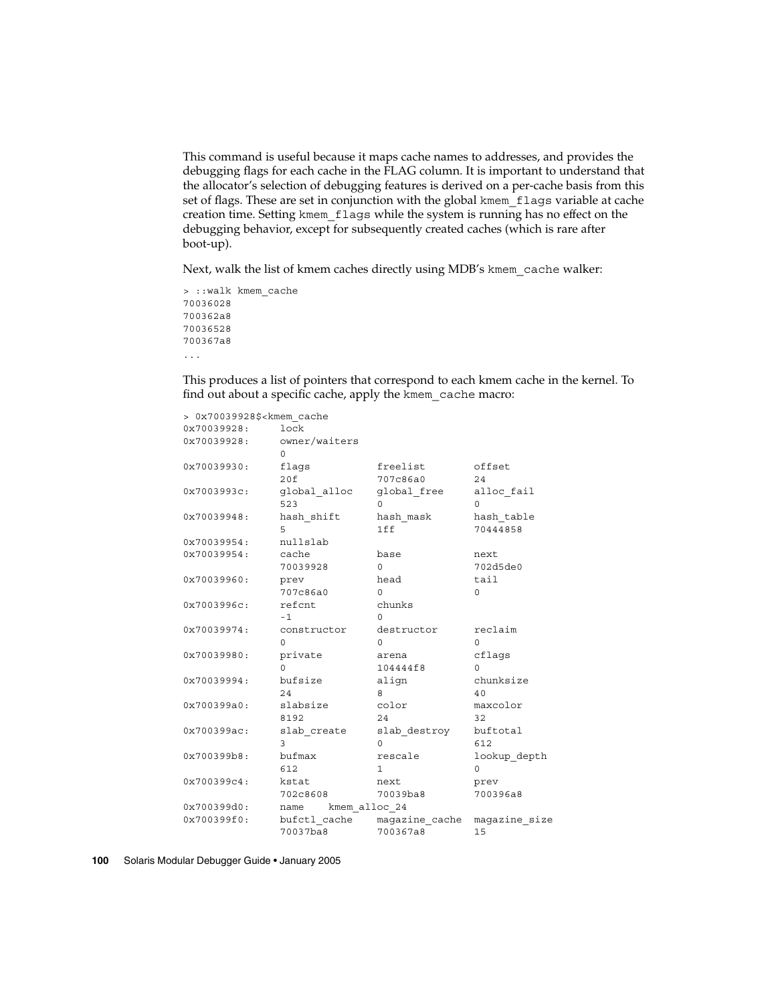This command is useful because it maps cache names to addresses, and provides the debugging flags for each cache in the FLAG column. It is important to understand that the allocator's selection of debugging features is derived on a per-cache basis from this set of flags. These are set in conjunction with the global kmem\_flags variable at cache creation time. Setting kmem\_flags while the system is running has no effect on the debugging behavior, except for subsequently created caches (which is rare after boot-up).

Next, walk the list of kmem caches directly using MDB's kmem\_cache walker:

```
> ::walk kmem_cache
70036028
700362a8
70036528
700367a8
...
```
This produces a list of pointers that correspond to each kmem cache in the kernel. To

find out about a specific cache, apply the kmem\_cache macro: > 0x70039928\$<kmem\_cache 0x70039928: lock 0x70039928: owner/waiters  $\cap$ 0x70039930: flags freelist offset 20f 707c86a0 24 0x7003993c: global\_alloc global\_free alloc\_fail 523 0 0 0x70039948: hash shift hash mask hash table 5 1ff 70444858 0x70039954: nullslab 0x70039954: cache base next 70039928 0 702d5de0 0x70039960: prev head tail prev head t*i*<br>707c86a0 0 0 0x7003996c: refcnt chunks -1 0 0x70039974: constructor destructor reclaim<br>0<br>0<br>0 000 0x70039980: private arena cflags 0 104444f8 0 0x70039994: bufsize align chunksize bufsize align chu<br>
24 8 40 0x700399a0: slabsize color maxcolor 8192 24 32 0x700399ac: slab create slab destroy buftotal 3 0 612<br>bufmax rescale lookup\_depth  $0x700399b8:$  bufmax 612 1 0 0x700399c4: kstat next prev 702c8608 70039ba8 700396a8 0x700399d0: name kmem\_alloc\_24 0x700399f0: bufctl cache magazine cache magazine size

70037ba8 700367a8 15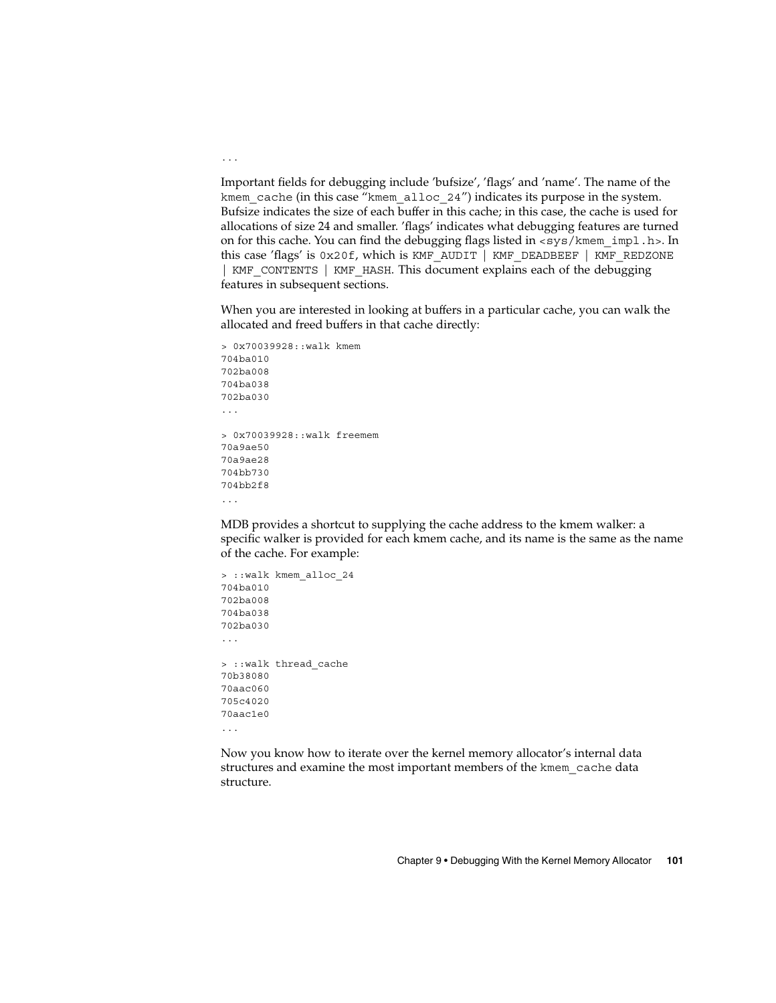Important fields for debugging include 'bufsize', 'flags' and 'name'. The name of the kmem cache (in this case "kmem alloc  $24$ ") indicates its purpose in the system. Bufsize indicates the size of each buffer in this cache; in this case, the cache is used for allocations of size 24 and smaller. 'flags' indicates what debugging features are turned on for this cache. You can find the debugging flags listed in <sys/kmem\_impl.h>. In this case 'flags' is 0x20f, which is KMF\_AUDIT | KMF\_DEADBEEF | KMF\_REDZONE | KMF\_CONTENTS | KMF\_HASH. This document explains each of the debugging features in subsequent sections.

When you are interested in looking at buffers in a particular cache, you can walk the allocated and freed buffers in that cache directly:

```
> 0x70039928::walk kmem
704ba010
702ba008
704ba038
702ba030
...
> 0x70039928::walk freemem
70a9ae50
70a9ae28
704bb730
704bb2f8
...
```
MDB provides a shortcut to supplying the cache address to the kmem walker: a specific walker is provided for each kmem cache, and its name is the same as the name of the cache. For example:

```
> ::walk kmem_alloc_24
704ba010
702ba008
704ba038
702ba030
...
> ::walk thread_cache
70b38080
70aac060
705c4020
70aac1e0
...
```
Now you know how to iterate over the kernel memory allocator's internal data structures and examine the most important members of the kmem\_cache data structure.

...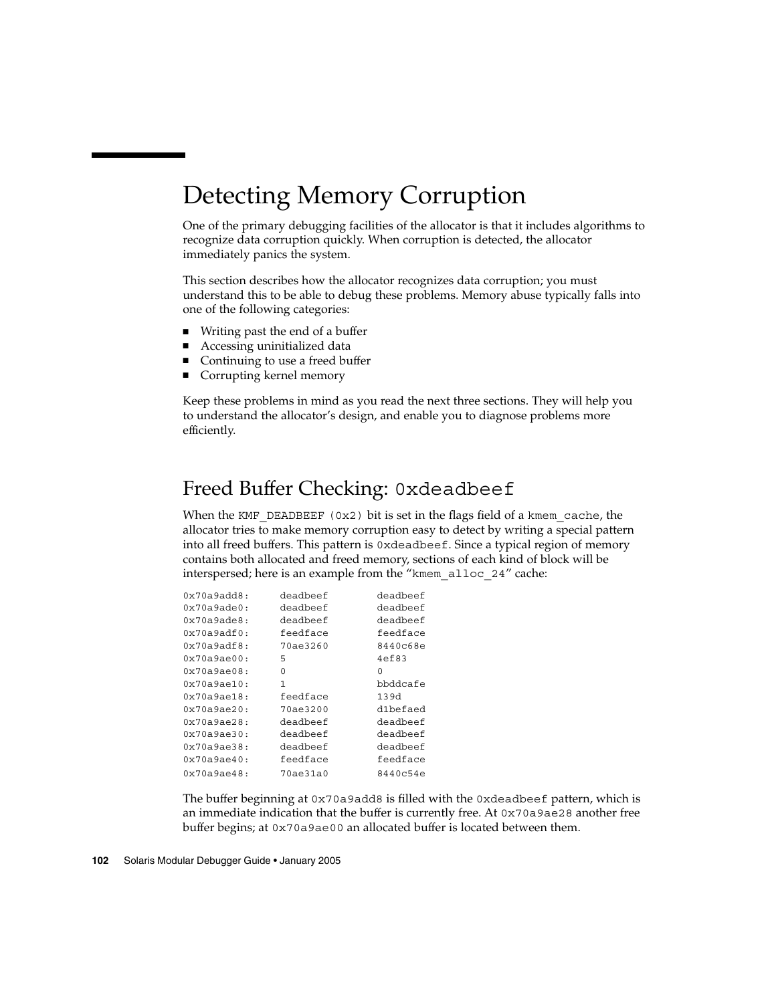# <span id="page-101-0"></span>Detecting Memory Corruption

One of the primary debugging facilities of the allocator is that it includes algorithms to recognize data corruption quickly. When corruption is detected, the allocator immediately panics the system.

This section describes how the allocator recognizes data corruption; you must understand this to be able to debug these problems. Memory abuse typically falls into one of the following categories:

- Writing past the end of a buffer
- Accessing uninitialized data
- Continuing to use a freed buffer
- Corrupting kernel memory

Keep these problems in mind as you read the next three sections. They will help you to understand the allocator's design, and enable you to diagnose problems more efficiently.

### Freed Buffer Checking: 0xdeadbeef

When the KMF\_DEADBEEF (0x2) bit is set in the flags field of a kmem\_cache, the allocator tries to make memory corruption easy to detect by writing a special pattern into all freed buffers. This pattern is 0xdeadbeef. Since a typical region of memory contains both allocated and freed memory, sections of each kind of block will be interspersed; here is an example from the "kmem\_alloc\_24" cache:

| deadbeef | deadbeef |
|----------|----------|
| deadbeef | deadbeef |
| deadbeef | deadbeef |
| feedface | feedface |
| 70ae3260 | 8440c68e |
| 5        | 4ef83    |
| O        | O        |
| 1        | bbddcafe |
| feedface | 139d     |
| 70ae3200 | d1befaed |
| deadbeef | deadbeef |
| deadbeef | deadbeef |
| deadbeef | deadbeef |
| feedface | feedface |
| 70ae31a0 | 8440c54e |
|          |          |

The buffer beginning at 0x70a9add8 is filled with the 0xdeadbeef pattern, which is an immediate indication that the buffer is currently free. At 0x70a9ae28 another free buffer begins; at 0x70a9ae00 an allocated buffer is located between them.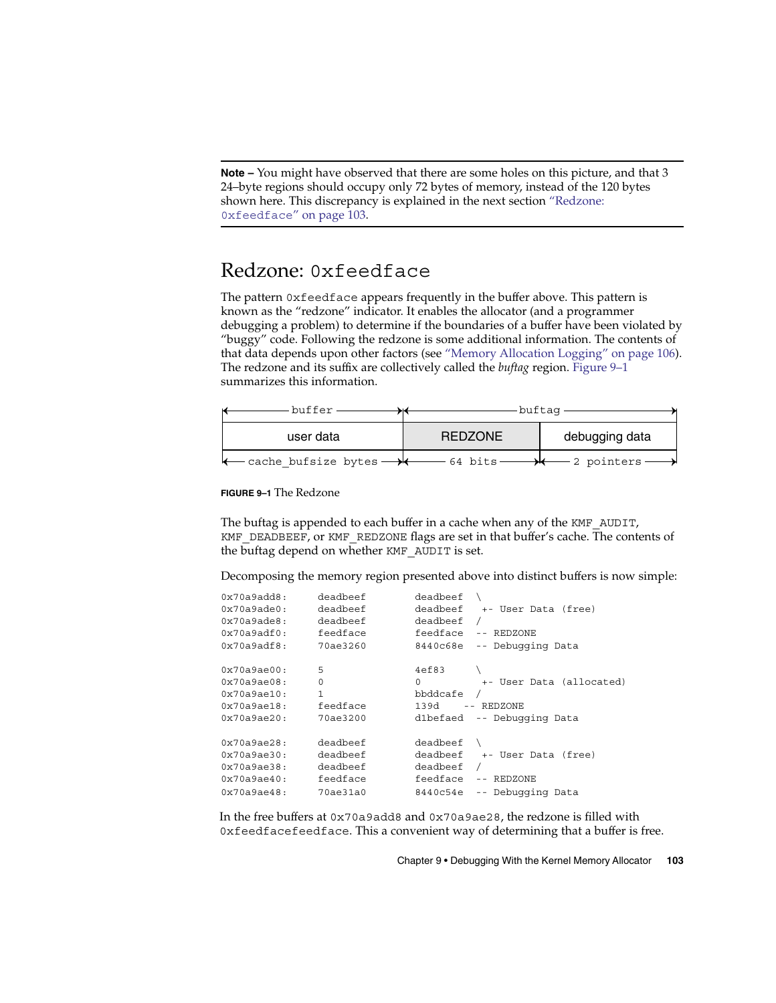**Note –** You might have observed that there are some holes on this picture, and that 3 24–byte regions should occupy only 72 bytes of memory, instead of the 120 bytes shown here. This discrepancy is explained in the next section "Redzone: 0xfeedface" on page 103.

### Redzone: 0xfeedface

The pattern 0xfeedface appears frequently in the buffer above. This pattern is known as the "redzone" indicator. It enables the allocator (and a programmer debugging a problem) to determine if the boundaries of a buffer have been violated by "buggy" code. Following the redzone is some additional information. The contents of that data depends upon other factors (see ["Memory Allocation Logging"](#page-105-0) on page 106). The redzone and its suffix are collectively called the *buftag* region. Figure 9–1 summarizes this information.

| -buffer ———<br>n.                                      | buttag          |                                                |  |
|--------------------------------------------------------|-----------------|------------------------------------------------|--|
| user data                                              | <b>REDZONE</b>  | debugging data                                 |  |
| $\longleftarrow$ cache bufsize bytes $\longrightarrow$ | $-$ 64 bits $-$ | $\longrightarrow$ 2 pointers $\longrightarrow$ |  |

#### **FIGURE 9–1** The Redzone

The buftag is appended to each buffer in a cache when any of the KMF\_AUDIT, KMF\_DEADBEEF, or KMF\_REDZONE flags are set in that buffer's cache. The contents of the buftag depend on whether KMF\_AUDIT is set.

Decomposing the memory region presented above into distinct buffers is now simple:

| $0x70a9a$ dd $8:$ | deadbeef | deadbeef |                                            |
|-------------------|----------|----------|--------------------------------------------|
| 0x70a9ade0:       | deadbeef | deadbeef | +- User Data (free)                        |
| 0x70a9ade8:       | deadbeef | deadbeef |                                            |
| $0x70a9adf0$ :    | feedface | feedface | REDZONE<br>$- -$                           |
| $0x70a9adf8$ :    | 70ae3260 | 8440c68e | Debugging Data<br>$\overline{\phantom{m}}$ |
|                   |          |          |                                            |
| 0x70a9ae00:       | 5        | 4eE83    |                                            |
| 0x70a9ae08:       | $\Omega$ | $\Omega$ | +- User Data (allocated)                   |
| 0x70a9ae10:       | 1        | bbddcafe |                                            |
| 0x70a9ae18:       | feedface | 139d     | -- REDZONE                                 |
| 0x70a9ae20:       | 70ae3200 | d1befaed | -- Debugging Data                          |
|                   |          |          |                                            |
| 0x70a9ae28:       | deadbeef | deadbeef |                                            |
| 0x70a9ae30:       | deadbeef | deadbeef | +- User Data (free)                        |
| 0x70a9ae38:       | deadbeef | deadbeef |                                            |
| 0x70a9ae40:       | feedface | feedface | <b>REDZONE</b>                             |
| 0x70a9ae48:       | 70ae31a0 | 8440c54e | Debugging Data<br>$- -$                    |
|                   |          |          |                                            |

In the free buffers at 0x70a9add8 and 0x70a9ae28, the redzone is filled with 0xfeedfacefeedface. This a convenient way of determining that a buffer is free.

Chapter 9 • Debugging With the Kernel Memory Allocator **103**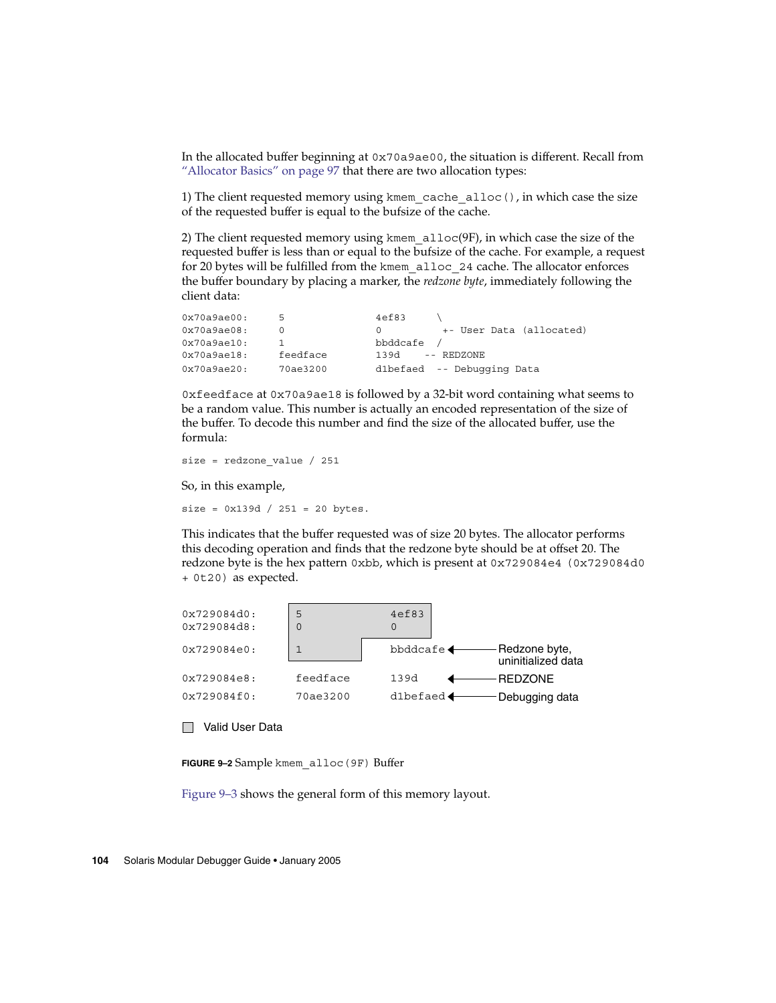In the allocated buffer beginning at 0x70a9ae00, the situation is different. Recall from ["Allocator Basics"](#page-96-0) on page 97 that there are two allocation types:

1) The client requested memory using kmem\_cache\_alloc(), in which case the size of the requested buffer is equal to the bufsize of the cache.

2) The client requested memory using kmem  $alloc(9F)$ , in which case the size of the requested buffer is less than or equal to the bufsize of the cache. For example, a request for 20 bytes will be fulfilled from the kmem\_alloc\_24 cache. The allocator enforces the buffer boundary by placing a marker, the *redzone byte*, immediately following the client data:

| 0x70a9ae00: | $\mathsf{h}$ | 4ef83                                |
|-------------|--------------|--------------------------------------|
| 0x70a9ae08: |              | +- User Data (allocated)<br>$\Omega$ |
| 0x70a9ae10: |              | bbddcafe                             |
| 0x70a9ae18: | feedface     | 139d -- REDZONE                      |
| 0x70a9ae20: | 70ae3200     | dlbefaed -- Debugging Data           |

0xfeedface at 0x70a9ae18 is followed by a 32-bit word containing what seems to be a random value. This number is actually an encoded representation of the size of the buffer. To decode this number and find the size of the allocated buffer, use the formula:

```
size = redzone_value / 251
```
So, in this example,

size = 0x139d / 251 = 20 bytes.

This indicates that the buffer requested was of size 20 bytes. The allocator performs this decoding operation and finds that the redzone byte should be at offset 20. The redzone byte is the hex pattern 0xbb, which is present at 0x729084e4 (0x729084d0 + 0t20) as expected.



#### **Nalid User Data**

**FIGURE 9–2** Sample kmem\_alloc(9F) Buffer

[Figure 9–3](#page-104-0) shows the general form of this memory layout.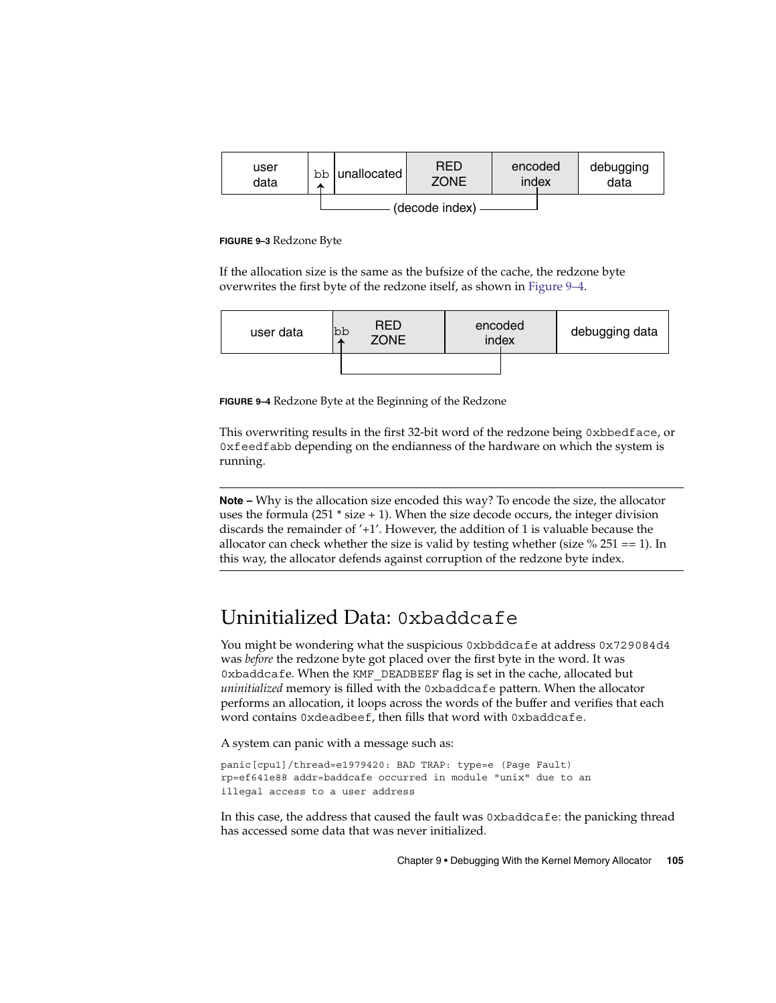<span id="page-104-0"></span>

| user<br>data   | ∽ | bb unallocated | <b>RED</b><br><b>ZONE</b> | encoded<br>index | debugging<br>data |
|----------------|---|----------------|---------------------------|------------------|-------------------|
| (decode index) |   |                |                           |                  |                   |

**FIGURE 9–3** Redzone Byte

If the allocation size is the same as the bufsize of the cache, the redzone byte overwrites the first byte of the redzone itself, as shown in Figure 9–4.

| user data | lbb | <b>RED</b><br>ZONE | encoded<br>index |  | debugging data |
|-----------|-----|--------------------|------------------|--|----------------|
|           |     |                    |                  |  |                |

**FIGURE 9–4** Redzone Byte at the Beginning of the Redzone

This overwriting results in the first 32-bit word of the redzone being 0xbbedface, or 0xfeedfabb depending on the endianness of the hardware on which the system is running.

**Note –** Why is the allocation size encoded this way? To encode the size, the allocator uses the formula  $(251 * size + 1)$ . When the size decode occurs, the integer division discards the remainder of '+1'. However, the addition of 1 is valuable because the allocator can check whether the size is valid by testing whether (size  $%$  251 = 1). In this way, the allocator defends against corruption of the redzone byte index.

### Uninitialized Data: 0xbaddcafe

You might be wondering what the suspicious 0xbbddcafe at address 0x729084d4 was *before* the redzone byte got placed over the first byte in the word. It was 0xbaddcafe. When the KMF\_DEADBEEF flag is set in the cache, allocated but *uninitialized* memory is filled with the 0xbaddcafe pattern. When the allocator performs an allocation, it loops across the words of the buffer and verifies that each word contains 0xdeadbeef, then fills that word with 0xbaddcafe.

A system can panic with a message such as:

```
panic[cpu1]/thread=e1979420: BAD TRAP: type=e (Page Fault)
rp=ef641e88 addr=baddcafe occurred in module "unix" due to an
illegal access to a user address
```
In this case, the address that caused the fault was 0xbaddcafe: the panicking thread has accessed some data that was never initialized.

Chapter 9 • Debugging With the Kernel Memory Allocator **105**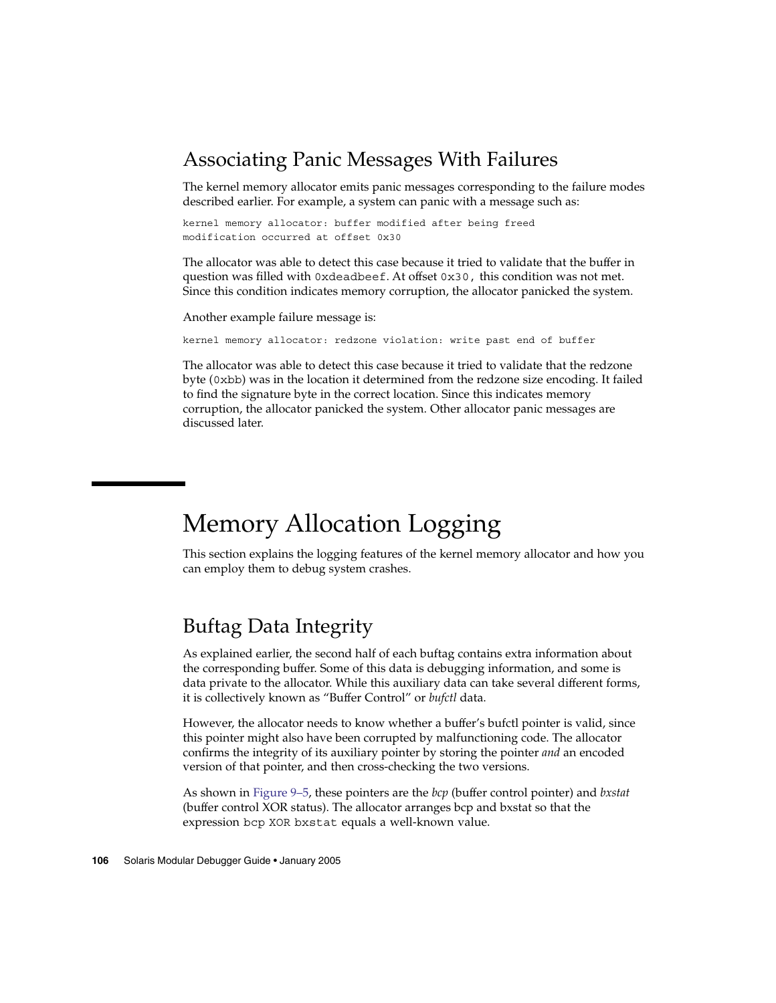## <span id="page-105-0"></span>Associating Panic Messages With Failures

The kernel memory allocator emits panic messages corresponding to the failure modes described earlier. For example, a system can panic with a message such as:

kernel memory allocator: buffer modified after being freed modification occurred at offset 0x30

The allocator was able to detect this case because it tried to validate that the buffer in question was filled with 0xdeadbeef. At offset 0x30, this condition was not met. Since this condition indicates memory corruption, the allocator panicked the system.

Another example failure message is:

kernel memory allocator: redzone violation: write past end of buffer

The allocator was able to detect this case because it tried to validate that the redzone byte (0xbb) was in the location it determined from the redzone size encoding. It failed to find the signature byte in the correct location. Since this indicates memory corruption, the allocator panicked the system. Other allocator panic messages are discussed later.

# Memory Allocation Logging

This section explains the logging features of the kernel memory allocator and how you can employ them to debug system crashes.

### Buftag Data Integrity

As explained earlier, the second half of each buftag contains extra information about the corresponding buffer. Some of this data is debugging information, and some is data private to the allocator. While this auxiliary data can take several different forms, it is collectively known as "Buffer Control" or *bufctl* data.

However, the allocator needs to know whether a buffer's bufctl pointer is valid, since this pointer might also have been corrupted by malfunctioning code. The allocator confirms the integrity of its auxiliary pointer by storing the pointer *and* an encoded version of that pointer, and then cross-checking the two versions.

As shown in [Figure 9–5,](#page-106-0) these pointers are the *bcp* (buffer control pointer) and *bxstat* (buffer control XOR status). The allocator arranges bcp and bxstat so that the expression bcp XOR bxstat equals a well-known value.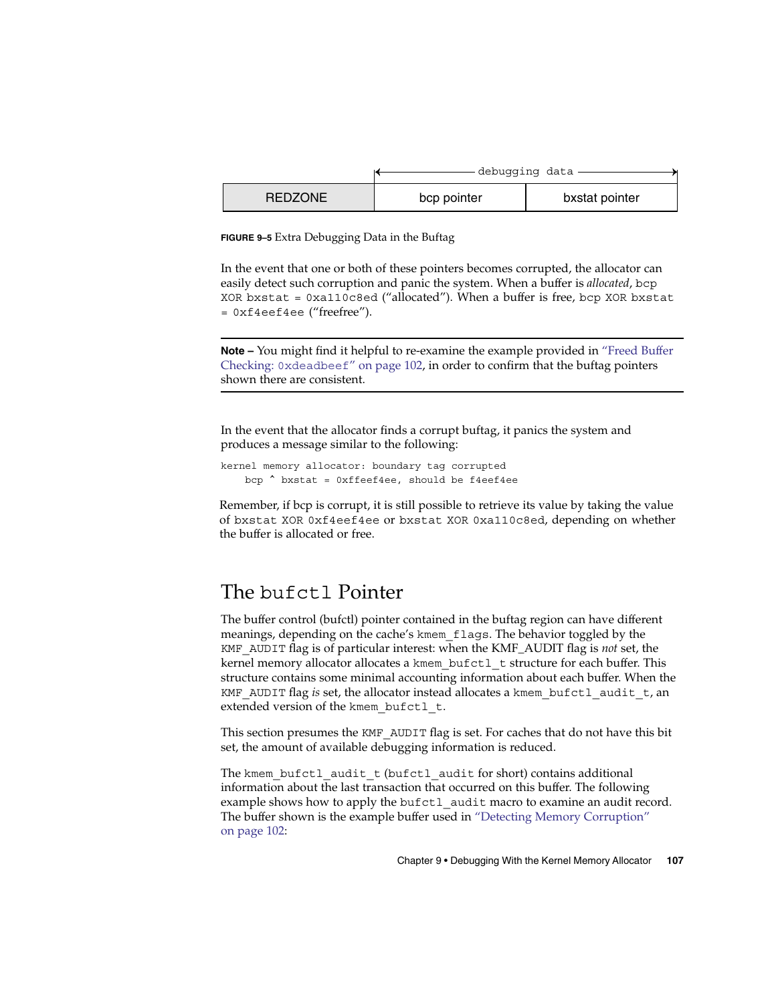<span id="page-106-0"></span>

|                | debugging data |                |  |
|----------------|----------------|----------------|--|
| <b>REDZONE</b> | bcp pointer    | bxstat pointer |  |

**FIGURE 9–5** Extra Debugging Data in the Buftag

In the event that one or both of these pointers becomes corrupted, the allocator can easily detect such corruption and panic the system. When a buffer is *allocated*, bcp XOR bxstat = 0xa110c8ed ("allocated"). When a buffer is free, bcp XOR bxstat = 0xf4eef4ee ("freefree").

**Note –** You might find it helpful to re-examine the example provided in ["Freed Buffer](#page-101-0) Checking: [0xdeadbeef](#page-101-0)" on page 102, in order to confirm that the buftag pointers shown there are consistent.

In the event that the allocator finds a corrupt buftag, it panics the system and produces a message similar to the following:

```
kernel memory allocator: boundary tag corrupted
   bcp ^ bxstat = 0xffeef4ee, should be f4eef4ee
```
Remember, if bcp is corrupt, it is still possible to retrieve its value by taking the value of bxstat XOR 0xf4eef4ee or bxstat XOR 0xa110c8ed, depending on whether the buffer is allocated or free.

## The bufctl Pointer

The buffer control (bufctl) pointer contained in the buftag region can have different meanings, depending on the cache's kmem\_flags. The behavior toggled by the KMF\_AUDIT flag is of particular interest: when the KMF\_AUDIT flag is *not* set, the kernel memory allocator allocates a kmem\_bufctl\_t structure for each buffer. This structure contains some minimal accounting information about each buffer. When the KMF\_AUDIT flag *is* set, the allocator instead allocates a kmem\_bufctl\_audit\_t, an extended version of the kmem bufctl t.

This section presumes the KMF\_AUDIT flag is set. For caches that do not have this bit set, the amount of available debugging information is reduced.

The kmem\_bufctl\_audit\_t (bufctl\_audit for short) contains additional information about the last transaction that occurred on this buffer. The following example shows how to apply the bufctl audit macro to examine an audit record. The buffer shown is the example buffer used in ["Detecting Memory Corruption"](#page-101-0) [on page 102:](#page-101-0)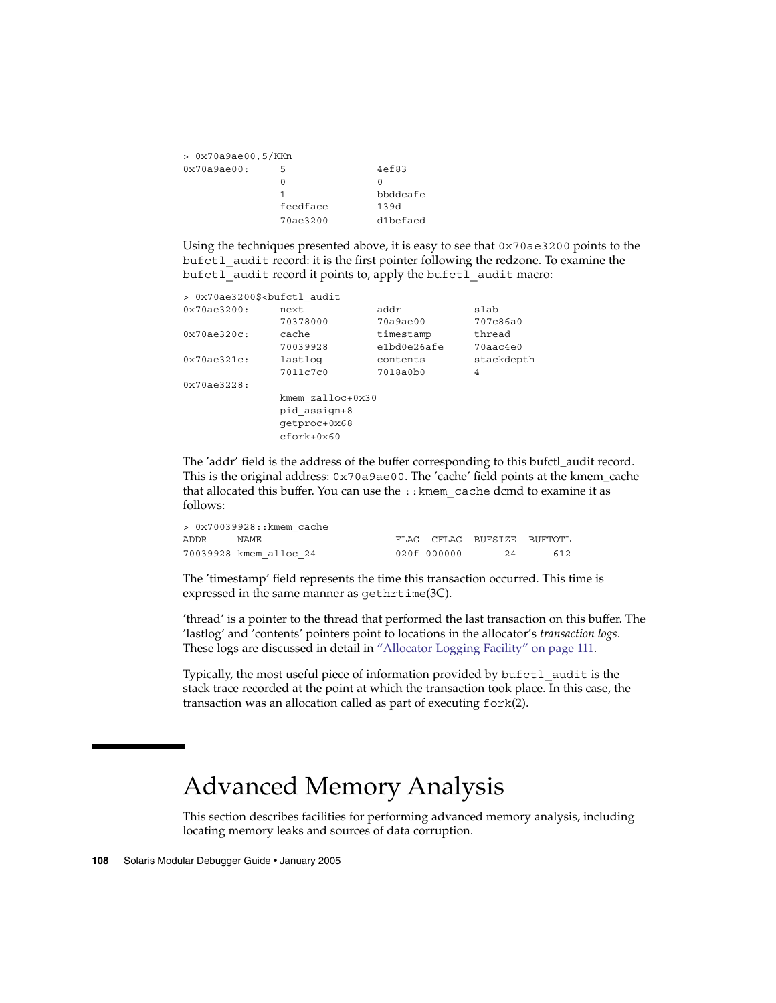| > 0x70a9ae00, 5/KKn |          |          |
|---------------------|----------|----------|
| 0x70a9ae00:         | Б.       | 4eE83    |
|                     |          |          |
|                     | 1.       | bbddcafe |
|                     | feedface | 139d     |
|                     | 70ae3200 | dlbefaed |

Using the techniques presented above, it is easy to see that 0x70ae3200 points to the bufctl\_audit record: it is the first pointer following the redzone. To examine the bufctl\_audit record it points to, apply the bufctl\_audit macro:

```
> 0x70ae3200$<bufctl_audit
0x70ae3200: next addr slab
           70378000 70a9ae00 707c86a0
0x70ae320c: cache timestamp thread
           70039928 e1bd0e26afe 70aac4e0
0x70ae321c: lastlog contents stackdepth
           7011c7c0 7018a0b0 4
0x70ae3228:
          kmem_zalloc+0x30
           pid_assign+8
           getproc+0x68
           cfork+0x60
```
The 'addr' field is the address of the buffer corresponding to this bufctl\_audit record. This is the original address: 0x70a9ae00. The 'cache' field points at the kmem\_cache that allocated this buffer. You can use the ::kmem\_cache dcmd to examine it as follows:

|      | > 0x70039928:: kmem cache |             |                            |     |
|------|---------------------------|-------------|----------------------------|-----|
| ADDR | NAME.                     |             | FLAG CFLAG BUFSIZE BUFTOTL |     |
|      | 70039928 kmem alloc 24    | 020f 000000 | -24                        | 612 |

The 'timestamp' field represents the time this transaction occurred. This time is expressed in the same manner as gethrtime(3C).

'thread' is a pointer to the thread that performed the last transaction on this buffer. The 'lastlog' and 'contents' pointers point to locations in the allocator's *transaction logs*. These logs are discussed in detail in ["Allocator Logging Facility"](#page-110-0) on page 111.

Typically, the most useful piece of information provided by bufctl audit is the stack trace recorded at the point at which the transaction took place. In this case, the transaction was an allocation called as part of executing fork(2).

# Advanced Memory Analysis

This section describes facilities for performing advanced memory analysis, including locating memory leaks and sources of data corruption.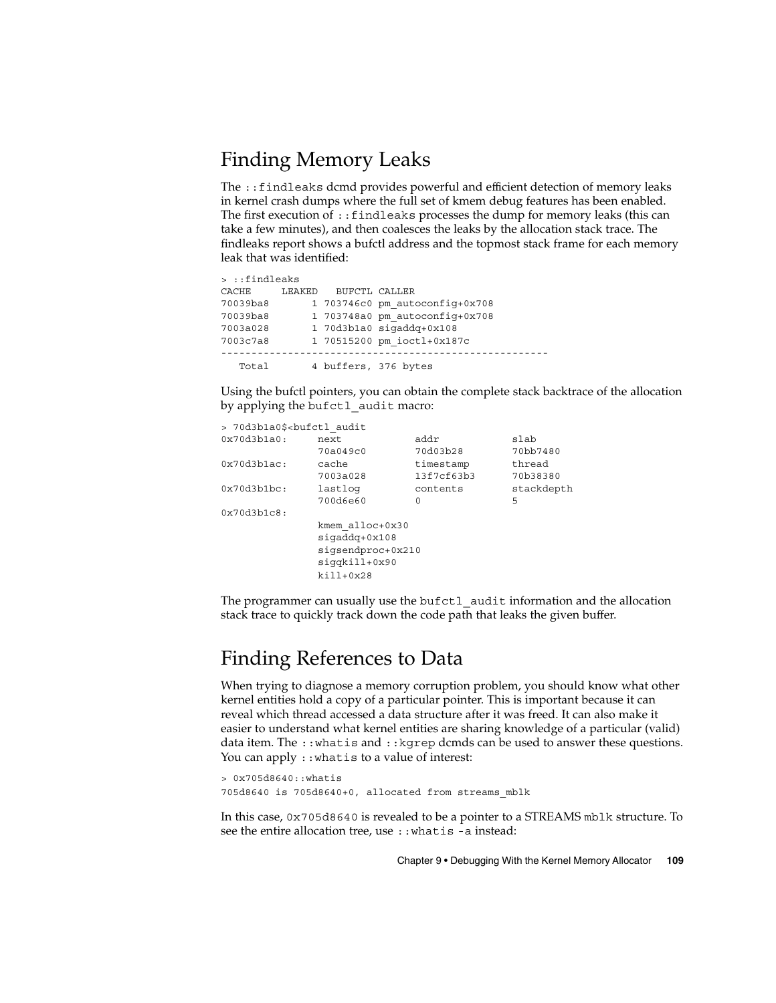# Finding Memory Leaks

The ::findleaks dcmd provides powerful and efficient detection of memory leaks in kernel crash dumps where the full set of kmem debug features has been enabled. The first execution of :: findleaks processes the dump for memory leaks (this can take a few minutes), and then coalesces the leaks by the allocation stack trace. The findleaks report shows a bufctl address and the topmost stack frame for each memory leak that was identified:

| $>$ ::findleaks |        |                                |
|-----------------|--------|--------------------------------|
| CACHE           | LEAKED | BUFCTL CALLER                  |
| 70039ba8        |        | 1 703746c0 pm autoconfig+0x708 |
| 70039ba8        |        | 1 703748a0 pm autoconfiq+0x708 |
| 7003a028        |        | $170d3b1a0 sigaddq+0x108$      |
| 7003c7a8        |        | 1 70515200 pm ioctl+0x187c     |
|                 |        |                                |
| Total           |        | 4 buffers, 376 bytes           |

Using the bufctl pointers, you can obtain the complete stack backtrace of the allocation by applying the bufctl audit macro:

```
> 70d3b1a0$<bufctl audit
0x70d3b1a0: next addr slab<br>
70a049c0 70d03b28 70bb7480<br>
0x70d3b1ac: cache timestamp thread
                 70a049c0 70d03b28
0x70d3b1ac: cache timestamp thread<br>7003a028 13f7cf63b3 70b38380
                cache timestamp thread<br>
7003a028 13f7cf63b3 70b38380<br>
lastlog contents stackdepth<br>
700d6e60 0 5
0x70d3b1bc: lastlog contents stackdepth
                   700d6e60 0 5
0x70d3b1c8:
                  kmem_alloc+0x30
                  sigaddq+0x108
                  sigsendproc+0x210
                  sigqkill+0x90
                  kill+0x28
```
The programmer can usually use the bufctl audit information and the allocation stack trace to quickly track down the code path that leaks the given buffer.

## Finding References to Data

When trying to diagnose a memory corruption problem, you should know what other kernel entities hold a copy of a particular pointer. This is important because it can reveal which thread accessed a data structure after it was freed. It can also make it easier to understand what kernel entities are sharing knowledge of a particular (valid) data item. The ::whatis and ::kgrep dcmds can be used to answer these questions. You can apply :: what is to a value of interest:

```
> 0x705d8640::whatis
705d8640 is 705d8640+0, allocated from streams_mblk
```
In this case, 0x705d8640 is revealed to be a pointer to a STREAMS mblk structure. To see the entire allocation tree, use ::whatis -a instead:

Chapter 9 • Debugging With the Kernel Memory Allocator **109**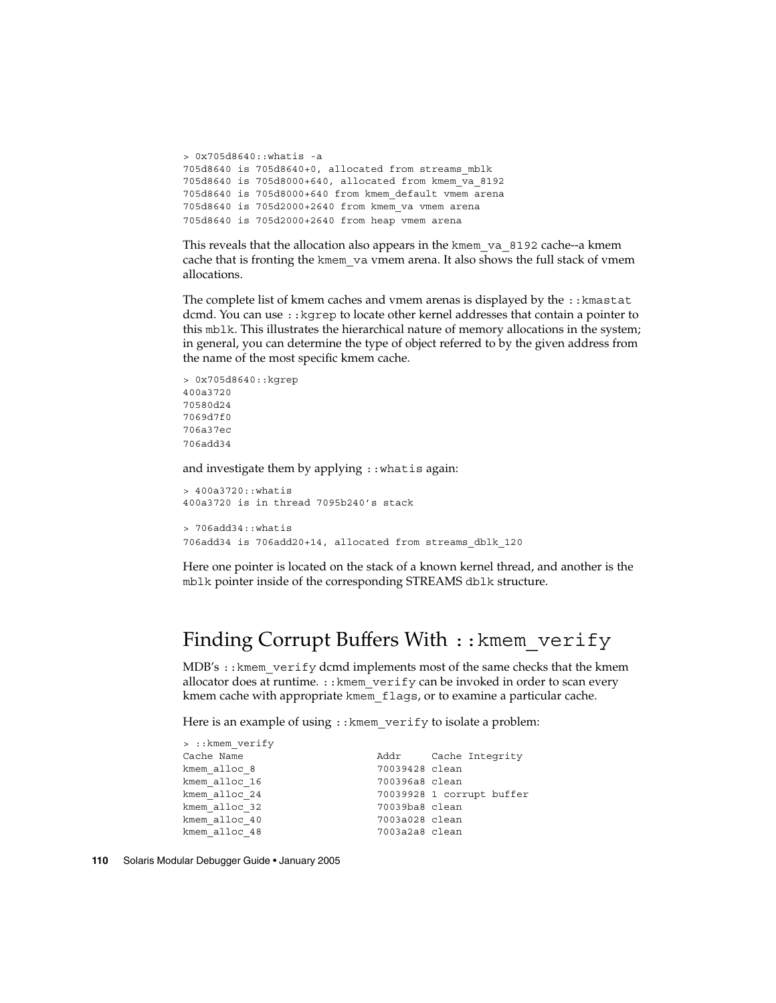```
> 0x705d8640::whatis -a
705d8640 is 705d8640+0, allocated from streams_mblk
705d8640 is 705d8000+640, allocated from kmem_va_8192
705d8640 is 705d8000+640 from kmem_default vmem arena
705d8640 is 705d2000+2640 from kmem_va vmem arena
705d8640 is 705d2000+2640 from heap vmem arena
```
This reveals that the allocation also appears in the kmem\_va\_8192 cache--a kmem cache that is fronting the kmem\_va vmem arena. It also shows the full stack of vmem allocations.

The complete list of kmem caches and vmem arenas is displayed by the  $::$  kmastat dcmd. You can use ::kgrep to locate other kernel addresses that contain a pointer to this mblk. This illustrates the hierarchical nature of memory allocations in the system; in general, you can determine the type of object referred to by the given address from the name of the most specific kmem cache.

```
> 0x705d8640::kgrep
400a3720
70580d24
7069d7f0
706a37ec
706add34
```
and investigate them by applying ::whatis again:

```
> 400a3720::whatis
400a3720 is in thread 7095b240's stack
> 706add34::whatis
```
706add34 is 706add20+14, allocated from streams\_dblk\_120

Here one pointer is located on the stack of a known kernel thread, and another is the mblk pointer inside of the corresponding STREAMS dblk structure.

## Finding Corrupt Buffers With :: kmem\_verify

 $MDB's ::$  kmem verify dcmd implements most of the same checks that the kmem allocator does at runtime. :: kmem\_verify can be invoked in order to scan every kmem cache with appropriate kmem\_flags, or to examine a particular cache.

Here is an example of using :: kmem verify to isolate a problem:

| > :: kmem verify |                |                           |
|------------------|----------------|---------------------------|
| Cache Name       |                | Addr Cache Integrity      |
| kmem alloc 8     | 70039428 clean |                           |
| kmem alloc 16    | 700396a8 clean |                           |
| kmem alloc 24    |                | 70039928 1 corrupt buffer |
| kmem alloc 32    | 70039ba8 clean |                           |
| kmem alloc 40    | 7003a028 clean |                           |
| kmem alloc 48    | 7003a2a8 clean |                           |

**110** Solaris Modular Debugger Guide • January 2005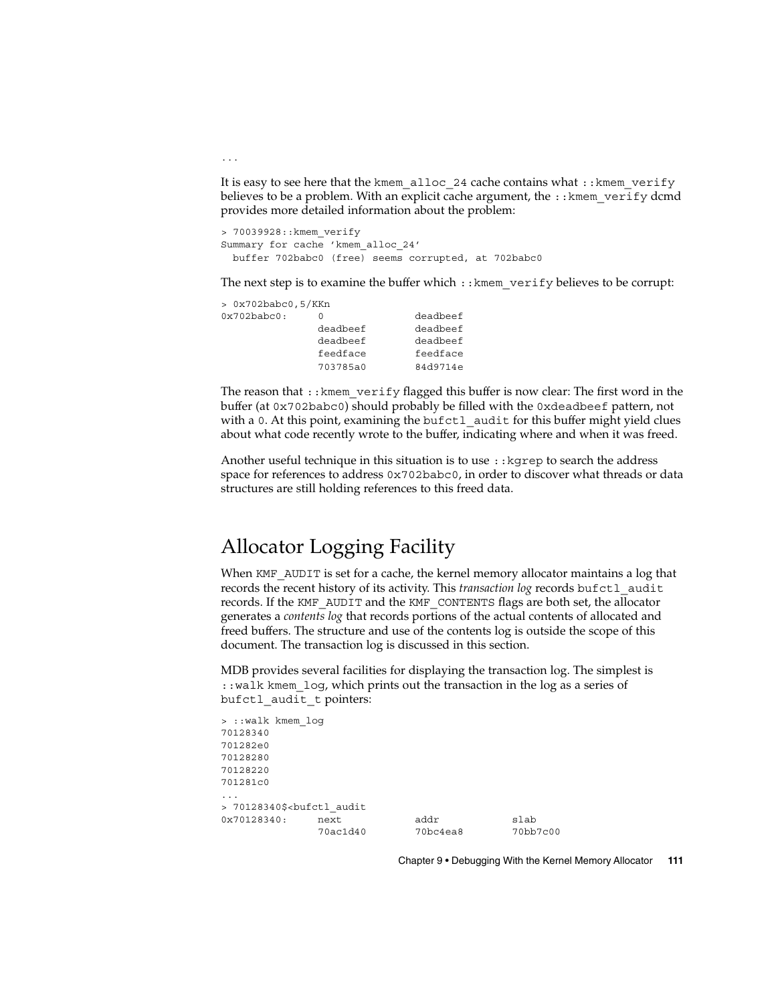It is easy to see here that the kmem\_alloc\_24 cache contains what :: kmem\_verify believes to be a problem. With an explicit cache argument, the  $::$  kmem verify dcmd provides more detailed information about the problem:

> 70039928::kmem\_verify Summary for cache 'kmem\_alloc\_24' buffer 702babc0 (free) seems corrupted, at 702babc0

The next step is to examine the buffer which  $::$   $:$   $k$ mem  $ve$  $re$  $if$  $y$  believes to be corrupt:

| > 0x702babc0,5/KKn |          |          |
|--------------------|----------|----------|
| $0x702$ babc $0:$  |          | deadbeef |
|                    | deadbeef | deadbeef |
|                    | deadbeef | deadbeef |
|                    | feedface | feedface |
|                    | 703785a0 | 84d9714e |

The reason that  $::$ kmem verify flagged this buffer is now clear: The first word in the buffer (at 0x702babc0) should probably be filled with the 0xdeadbeef pattern, not with a 0. At this point, examining the buffetl audit for this buffer might yield clues about what code recently wrote to the buffer, indicating where and when it was freed.

Another useful technique in this situation is to use  $\cdot$ : kgrep to search the address space for references to address 0x702babc0, in order to discover what threads or data structures are still holding references to this freed data.

# Allocator Logging Facility

When KMF\_AUDIT is set for a cache, the kernel memory allocator maintains a log that records the recent history of its activity. This *transaction log* records bufctl audit records. If the KMF\_AUDIT and the KMF\_CONTENTS flags are both set, the allocator generates a *contents log* that records portions of the actual contents of allocated and freed buffers. The structure and use of the contents log is outside the scope of this document. The transaction log is discussed in this section.

MDB provides several facilities for displaying the transaction log. The simplest is ::walk kmem\_log, which prints out the transaction in the log as a series of bufctl audit t pointers:

```
> ::walk kmem_log
70128340
701282e0
70128280
70128220
701281c0
...
> 70128340$<br/>bufctl audit
0x70128340: next addr slab
             70ac1d40 70bc4ea8 70bb7c00
```
Chapter 9 • Debugging With the Kernel Memory Allocator **111**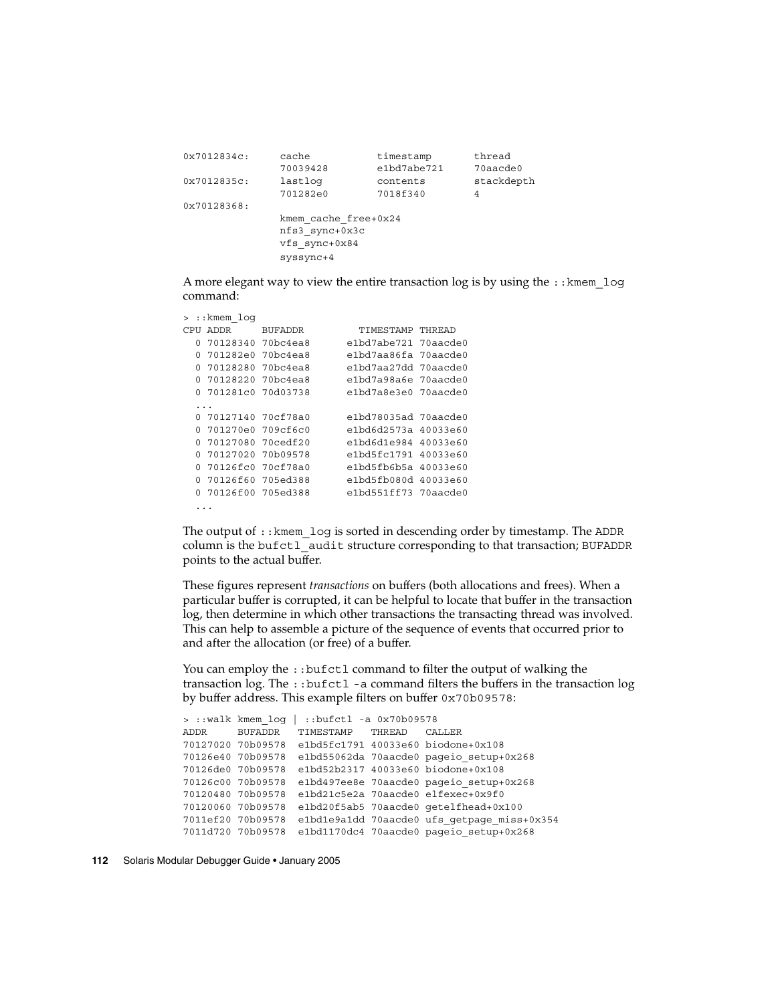| 0x7012834c: | cache                | timestamp   | thread     |
|-------------|----------------------|-------------|------------|
|             | 70039428             | elbd7abe721 | 70aacde0   |
| 0x7012835c: | lastlog              | contents    | stackdepth |
|             | 701282e0             | 7018f340    | 4          |
| 0x70128368: |                      |             |            |
|             | kmem cache free+0x24 |             |            |
|             | nfs3 sync+0x3c       |             |            |
|             | vfs sync+0x84        |             |            |
|             | syssync+4            |             |            |
|             |                      |             |            |

A more elegant way to view the entire transaction  $log$  is by using the  $::$  kmem  $log$ command:

| $\geq$ | ::kmem log        |                      |                      |          |
|--------|-------------------|----------------------|----------------------|----------|
| CPU    | ADDR              | <b>BUFADDR</b>       | TIMESTAMP THREAD     |          |
| O      | 70128340          | 70 <sub>bc4ea8</sub> | elbd7abe721 70aacde0 |          |
| O      | 701282e0          | 70 <sub>bc4ea8</sub> | elbd7aa86fa 70aacde0 |          |
| O      | 70128280          | 70 <sub>bc4ea8</sub> | elbd7aa27dd 70aacde0 |          |
| O      | 70128220          | 70hc4ea8             | elbd7a98a6e          | 70aacde0 |
| O      | 701281c0 70d03738 |                      | elbd7a8e3e0 70aacde0 |          |
|        | .                 |                      |                      |          |
| U      | 70127140 70cf78a0 |                      | elbd78035ad 70aacde0 |          |
| O      | 701270e0          | 7090f600             | elbd6d2573a 40033e60 |          |
| O      | 70127080          | 70cedf20             | elbd6d1e984          | 40033e60 |
| O      | 70127020          | 70b09578             | e1bd5fc1791          | 40033e60 |
| O      | 70126fc0          | 70cf78a0             | elbd5fb6b5a          | 40033e60 |
| ∩      | 70126f60          | 705ed388             | elbd5fb080d          | 40033e60 |
| ∩      | 70126f00 705ed388 |                      | elbd551ff73 70aacde0 |          |
|        |                   |                      |                      |          |

The output of  $:$ : kmem  $\log$  is sorted in descending order by timestamp. The ADDR column is the bufctl audit structure corresponding to that transaction; BUFADDR points to the actual buffer.

These figures represent *transactions* on buffers (both allocations and frees). When a particular buffer is corrupted, it can be helpful to locate that buffer in the transaction log, then determine in which other transactions the transacting thread was involved. This can help to assemble a picture of the sequence of events that occurred prior to and after the allocation (or free) of a buffer.

You can employ the :: bufctl command to filter the output of walking the transaction log. The ::bufctl -a command filters the buffers in the transaction log by buffer address. This example filters on buffer 0x70b09578:

> ::walk kmem\_log | ::bufctl -a 0x70b09578 ADDR BUFADDR TIMESTAMP THREAD CALLER 70127020 70b09578 e1bd5fc1791 40033e60 biodone+0x108 70126e40 70b09578 e1bd55062da 70aacde0 pageio\_setup+0x268 70126de0 70b09578 e1bd52b2317 40033e60 biodone+0x108 70126c00 70b09578 e1bd497ee8e 70aacde0 pageio\_setup+0x268 70120480 70b09578 e1bd21c5e2a 70aacde0 elfexec+0x9f0 70120060 70b09578 e1bd20f5ab5 70aacde0 getelfhead+0x100 7011ef20 70b09578 e1bd1e9a1dd 70aacde0 ufs\_getpage\_miss+0x354 7011d720 70b09578 e1bd1170dc4 70aacde0 pageio\_setup+0x268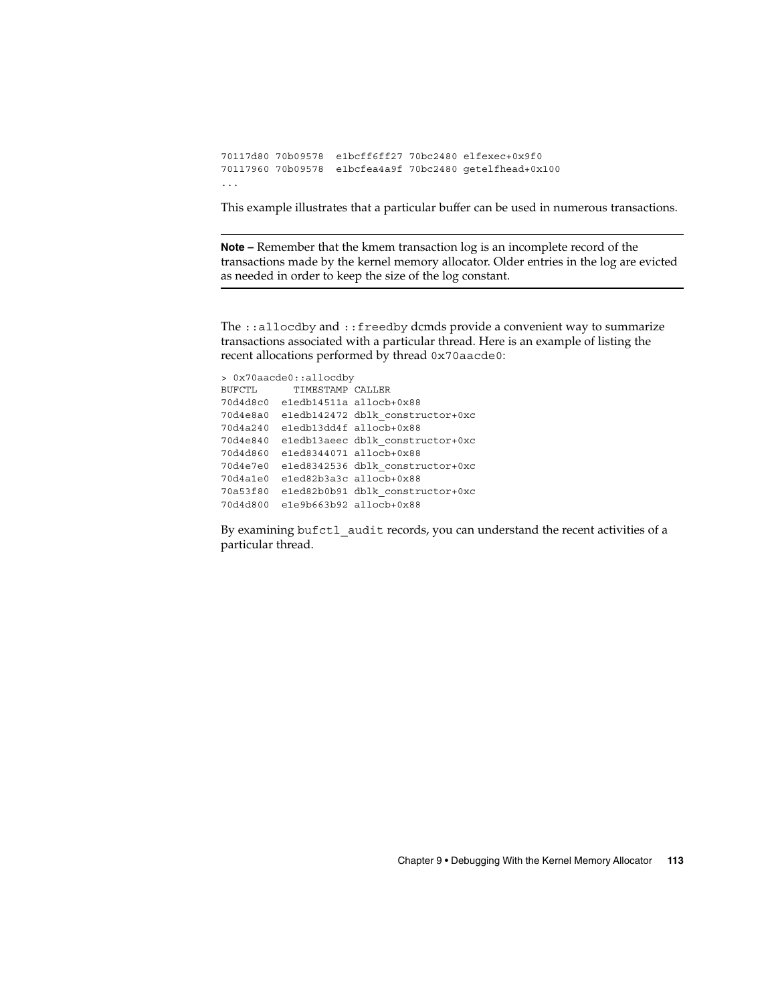```
70117d80 70b09578 e1bcff6ff27 70bc2480 elfexec+0x9f0
70117960 70b09578 e1bcfea4a9f 70bc2480 getelfhead+0x100
...
```
This example illustrates that a particular buffer can be used in numerous transactions.

**Note –** Remember that the kmem transaction log is an incomplete record of the transactions made by the kernel memory allocator. Older entries in the log are evicted as needed in order to keep the size of the log constant.

The ::allocdby and ::freedby dcmds provide a convenient way to summarize transactions associated with a particular thread. Here is an example of listing the recent allocations performed by thread 0x70aacde0:

|          | > 0x70aacde0::allocdby      |                                  |
|----------|-----------------------------|----------------------------------|
| BUFCTL   | TIMESTAMP CALLER            |                                  |
| 70d4d8c0 | eledb14511a allocb+0x88     |                                  |
| 70d4e8a0 |                             | eledb142472 dblk constructor+0xc |
| 70d4a240 | eledb13dd4f allocb+0x88     |                                  |
| 70d4e840 |                             | eledb13aeec dblk constructor+0xc |
| 70d4d860 | eled8344071 allocb+0x88     |                                  |
| 70d4e7e0 |                             | eled8342536 dblk constructor+0xc |
| 70d4a1e0 | eled82b3a3c_allocb+0x88     |                                  |
| 70a53f80 |                             | eled82b0b91 dblk constructor+0xc |
| 70d4d800 | $e1e9b663b92$ $a11ocb+0x88$ |                                  |

By examining bufctl audit records, you can understand the recent activities of a particular thread.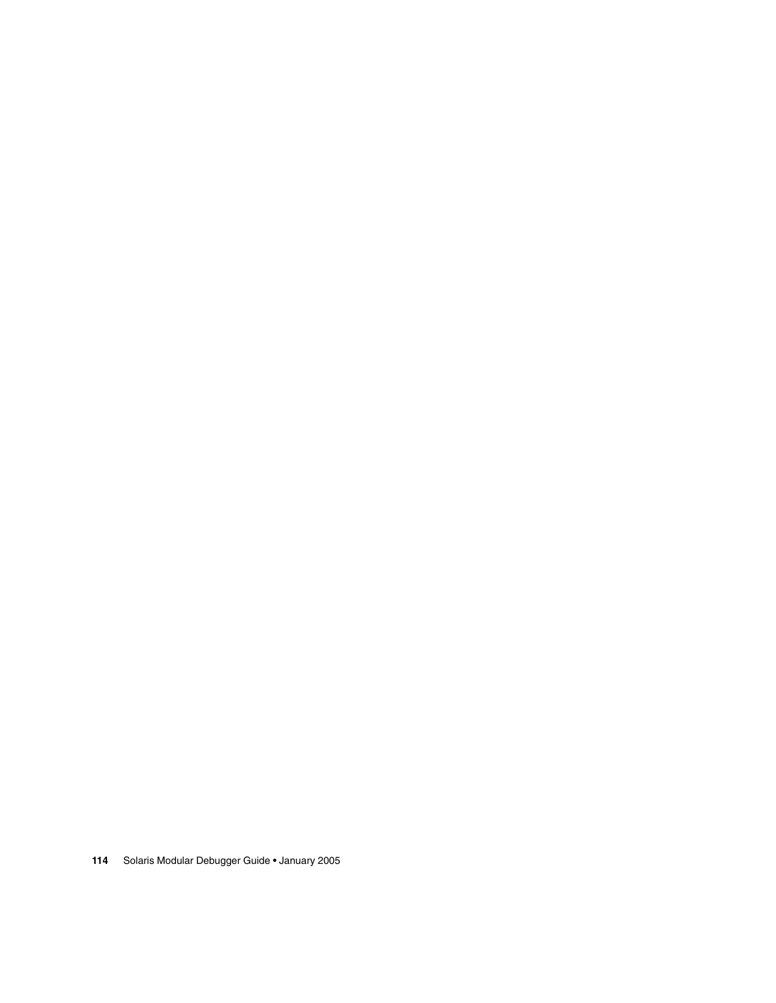Solaris Modular Debugger Guide • January 2005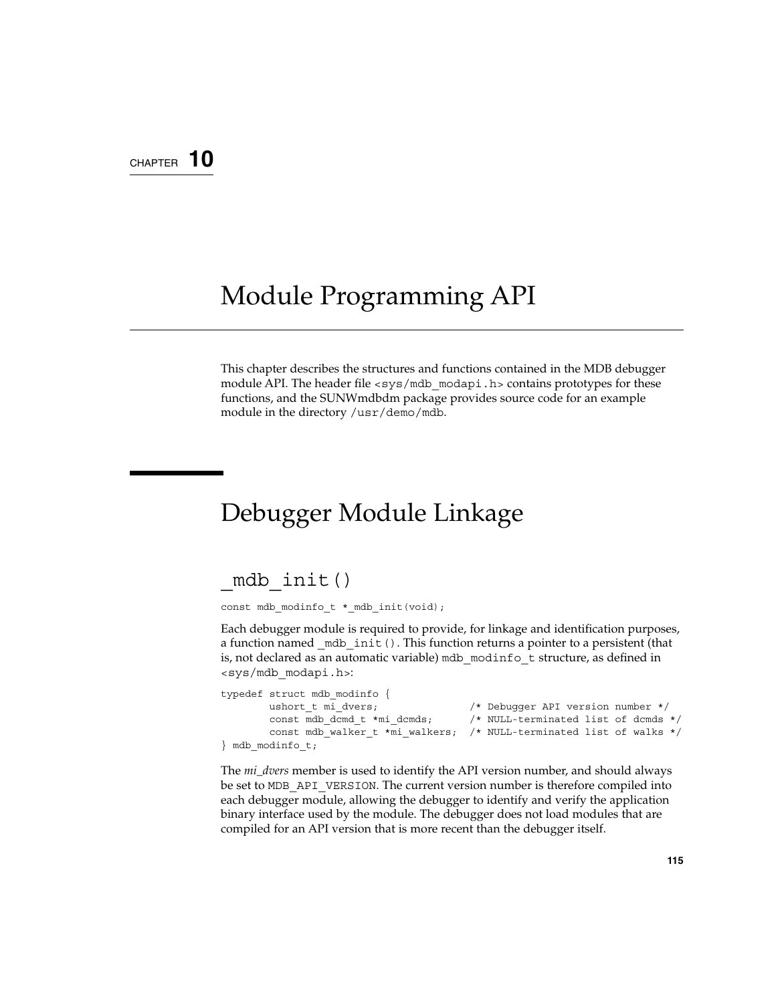## CHAPTER **10**

# Module Programming API

This chapter describes the structures and functions contained in the MDB debugger module API. The header file  $modapi.h> contains prototypes for these$ functions, and the SUNWmdbdm package provides source code for an example module in the directory /usr/demo/mdb.

# Debugger Module Linkage

## \_mdb\_init()

const mdb\_modinfo\_t \*\_mdb\_init(void);

Each debugger module is required to provide, for linkage and identification purposes, a function named  $\mod$  init (). This function returns a pointer to a persistent (that is, not declared as an automatic variable) mdb\_modinfo\_t structure, as defined in <sys/mdb\_modapi.h>:

```
typedef struct mdb_modinfo {
      ushort_t mi_dvers; /* Debugger API version number */
       const mdb dcmd t *mi dcmds; /* NULL-terminated list of dcmds */
       const mdb walker t *mi walkers; /* NULL-terminated list of walks */
} mdb_modinfo_t;
```
The *mi\_dvers* member is used to identify the API version number, and should always be set to MDB\_API\_VERSION. The current version number is therefore compiled into each debugger module, allowing the debugger to identify and verify the application binary interface used by the module. The debugger does not load modules that are compiled for an API version that is more recent than the debugger itself.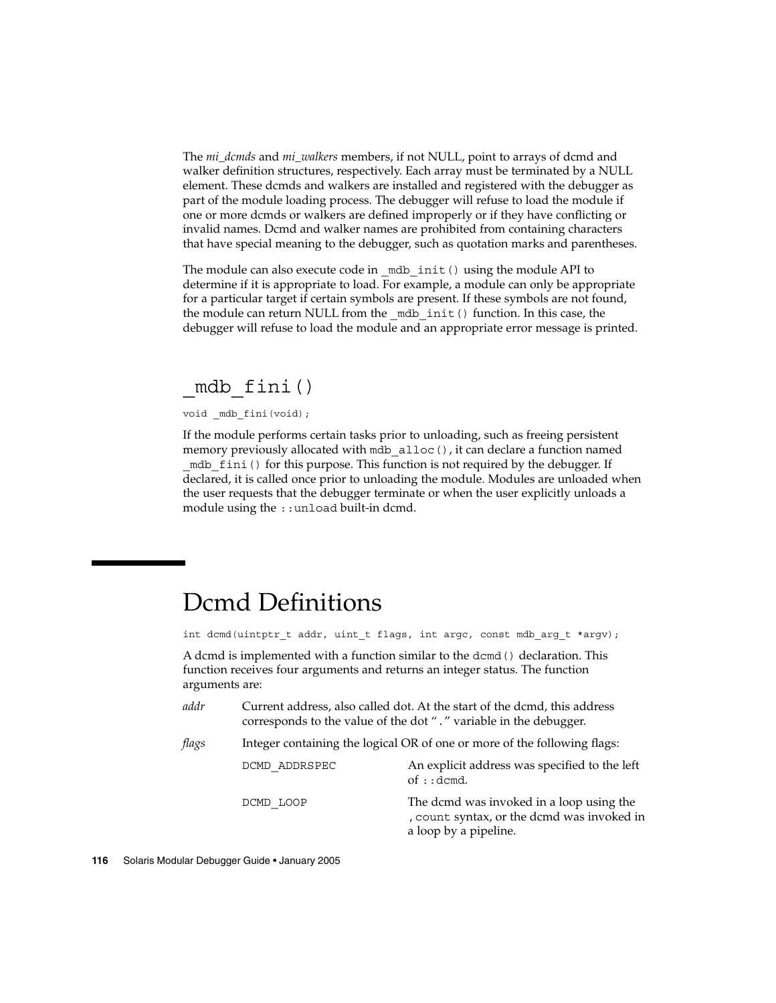The *mi\_dcmds* and *mi\_walkers* members, if not NULL, point to arrays of dcmd and walker definition structures, respectively. Each array must be terminated by a NULL element. These dcmds and walkers are installed and registered with the debugger as part of the module loading process. The debugger will refuse to load the module if one or more dcmds or walkers are defined improperly or if they have conflicting or invalid names. Dcmd and walker names are prohibited from containing characters that have special meaning to the debugger, such as quotation marks and parentheses.

The module can also execute code in  $\mod$  mdb init () using the module API to determine if it is appropriate to load. For example, a module can only be appropriate for a particular target if certain symbols are present. If these symbols are not found, the module can return NULL from the \_mdb\_init() function. In this case, the debugger will refuse to load the module and an appropriate error message is printed.

#### \_mdb\_fini()

void mdb fini(void);

If the module performs certain tasks prior to unloading, such as freeing persistent memory previously allocated with mdb alloc(), it can declare a function named mdb fini() for this purpose. This function is not required by the debugger. If declared, it is called once prior to unloading the module. Modules are unloaded when the user requests that the debugger terminate or when the user explicitly unloads a module using the : : unload built-in dcmd.

# Dcmd Definitions

int dcmd(uintptr\_t addr, uint\_t flags, int argc, const mdb\_arg\_t \*argv);

A dcmd is implemented with a function similar to the dcmd() declaration. This function receives four arguments and returns an integer status. The function arguments are:

| addr | Current address, also called dot. At the start of the dcmd, this address |
|------|--------------------------------------------------------------------------|
|      | corresponds to the value of the dot "." variable in the debugger.        |
|      |                                                                          |

| flags | Integer containing the logical OR of one or more of the following flags: |                                                                                                                 |  |
|-------|--------------------------------------------------------------------------|-----------------------------------------------------------------------------------------------------------------|--|
|       | DCMD ADDRSPEC                                                            | An explicit address was specified to the left<br>of $:$ : dcmd.                                                 |  |
|       | DCMD LOOP                                                                | The dcmd was invoked in a loop using the<br>, count syntax, or the dcmd was invoked in<br>a loop by a pipeline. |  |

**116** Solaris Modular Debugger Guide • January 2005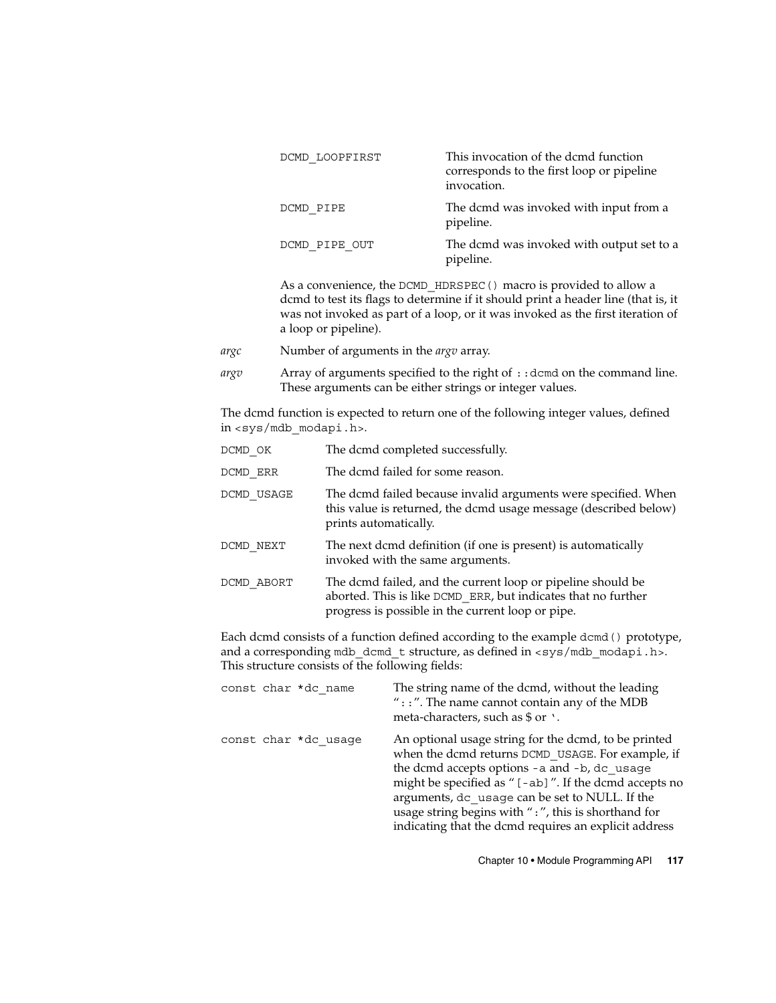| DCMD LOOPFIRST | This invocation of the dcmd function<br>corresponds to the first loop or pipeline<br>invocation. |
|----------------|--------------------------------------------------------------------------------------------------|
| DCMD PIPE      | The dcmd was invoked with input from a<br>pipeline.                                              |
| DCMD PIPE OUT  | The dcmd was invoked with output set to a<br>pipeline.                                           |

As a convenience, the DCMD\_HDRSPEC() macro is provided to allow a dcmd to test its flags to determine if it should print a header line (that is, it was not invoked as part of a loop, or it was invoked as the first iteration of a loop or pipeline).

- *argc* Number of arguments in the *argv* array.
- *argv* Array of arguments specified to the right of : : dcmd on the command line. These arguments can be either strings or integer values.

The dcmd function is expected to return one of the following integer values, defined in <sys/mdb\_modapi.h>.

| DCMD OK    | The dcmd completed successfully.                                                                                                                                                  |
|------------|-----------------------------------------------------------------------------------------------------------------------------------------------------------------------------------|
| DCMD ERR   | The dcmd failed for some reason.                                                                                                                                                  |
| DCMD USAGE | The dcmd failed because invalid arguments were specified. When<br>this value is returned, the dcmd usage message (described below)<br>prints automatically.                       |
| DCMD NEXT  | The next dcmd definition (if one is present) is automatically<br>invoked with the same arguments.                                                                                 |
| DCMD ABORT | The dcmd failed, and the current loop or pipeline should be<br>aborted. This is like DCMD ERR, but indicates that no further<br>progress is possible in the current loop or pipe. |

Each dcmd consists of a function defined according to the example dcmd() prototype, and a corresponding mdb\_dcmd\_t structure, as defined in <sys/mdb\_modapi.h>. This structure consists of the following fields:

| const char *dc name  | The string name of the dcmd, without the leading<br>" $: :$ ". The name cannot contain any of the MDB<br>meta-characters, such as $$$ or $\cdot$ .                                                                                                                                                                                                                                     |
|----------------------|----------------------------------------------------------------------------------------------------------------------------------------------------------------------------------------------------------------------------------------------------------------------------------------------------------------------------------------------------------------------------------------|
| const char *dc usage | An optional usage string for the dcmd, to be printed<br>when the dcmd returns DCMD USAGE. For example, if<br>the dcmd accepts options - a and - b, dc usage<br>might be specified as "[-ab]". If the dcmd accepts no<br>arguments, dc usage can be set to NULL. If the<br>usage string begins with ":", this is shorthand for<br>indicating that the dcmd requires an explicit address |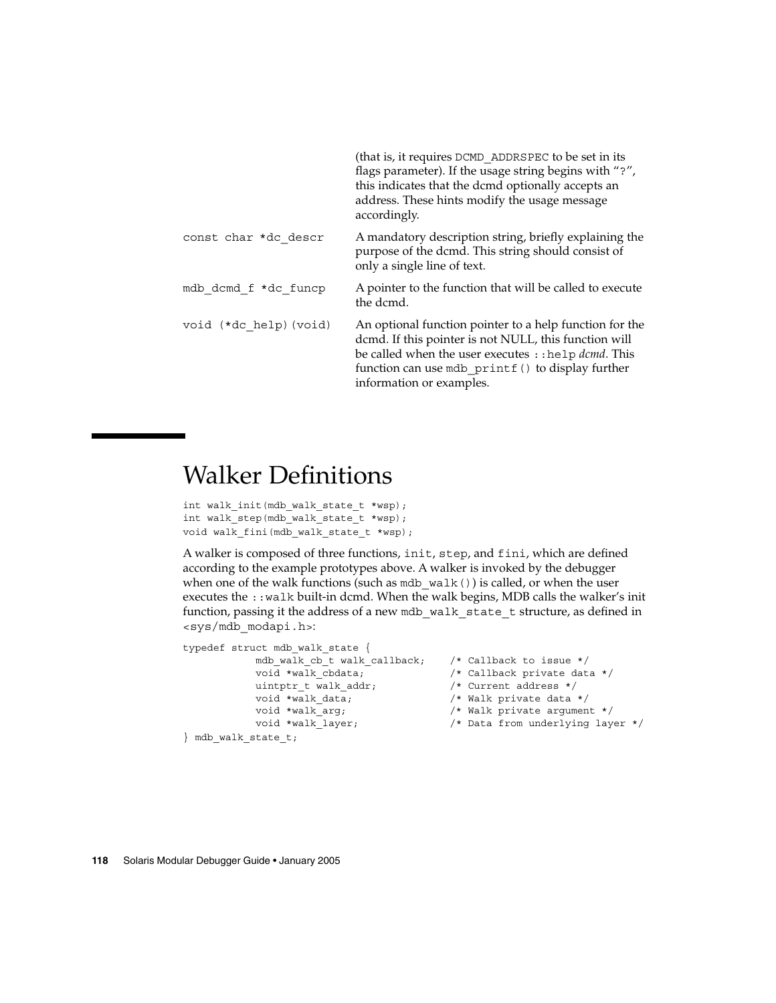|                        | (that is, it requires DCMD ADDRSPEC to be set in its<br>flags parameter). If the usage string begins with "?",<br>this indicates that the dcmd optionally accepts an<br>address. These hints modify the usage message<br>accordingly.                            |
|------------------------|------------------------------------------------------------------------------------------------------------------------------------------------------------------------------------------------------------------------------------------------------------------|
| const char *dc descr   | A mandatory description string, briefly explaining the<br>purpose of the dcmd. This string should consist of<br>only a single line of text.                                                                                                                      |
| mdb dcmd f *dc funcp   | A pointer to the function that will be called to execute<br>the dcmd.                                                                                                                                                                                            |
| void (*dc help) (void) | An optional function pointer to a help function for the<br>dcmd. If this pointer is not NULL, this function will<br>be called when the user executes : : help <i>dcmd</i> . This<br>function can use mdb printf() to display further<br>information or examples. |

# Walker Definitions

```
int walk_init(mdb_walk_state_t *wsp);
int walk step(mdb walk state t *wsp);
void walk_fini(mdb_walk_state_t *wsp);
```
A walker is composed of three functions, init, step, and fini, which are defined according to the example prototypes above. A walker is invoked by the debugger when one of the walk functions (such as mdb walk()) is called, or when the user executes the ::walk built-in dcmd. When the walk begins, MDB calls the walker's init function, passing it the address of a new mdb\_walk\_state\_t structure, as defined in <sys/mdb\_modapi.h>:

```
typedef struct mdb_walk_state {
           mdb_walk_cb_t walk_callback; /* Callback to issue */
                                         % Callback private data */<br>/* Current address */
           \frac{1}{\text{void }} *walk_cbdata;<br>uintptr_t walk_addr;
           void *walk_data; /* Walk private data */
           void *walk_arg; /* Walk private argument */
           void *walk_layer; /* Data from underlying layer */
} mdb_walk_state_t;
```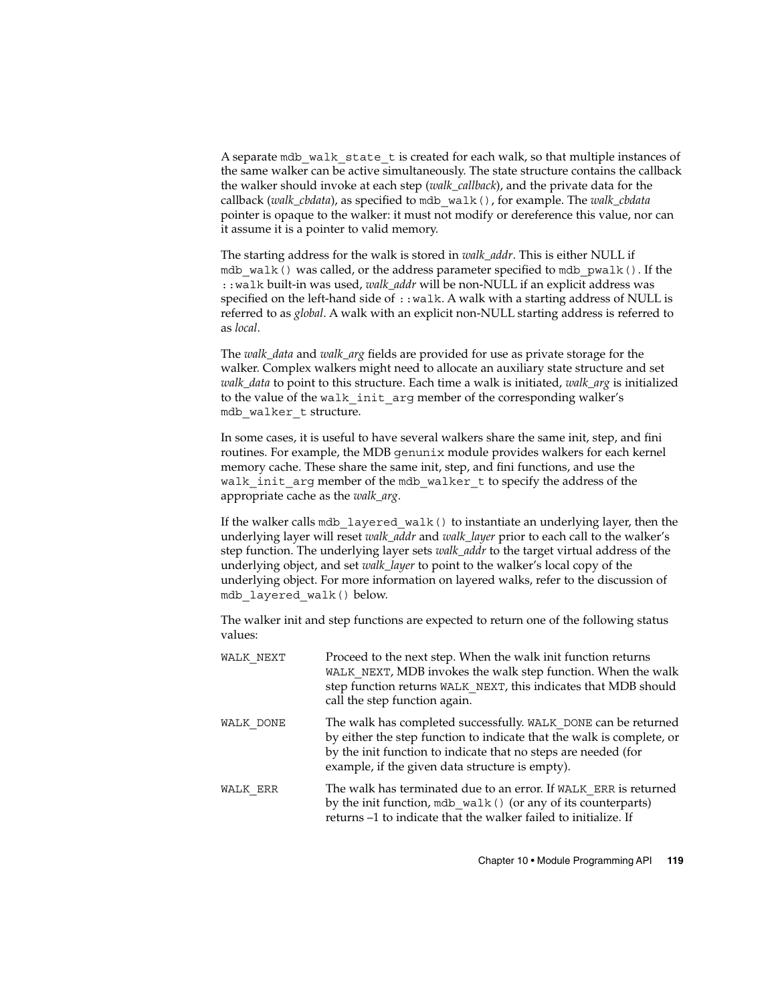A separate mdb\_walk\_state\_t is created for each walk, so that multiple instances of the same walker can be active simultaneously. The state structure contains the callback the walker should invoke at each step (*walk\_callback*), and the private data for the callback (*walk\_cbdata*), as specified to mdb\_walk(), for example. The *walk\_cbdata* pointer is opaque to the walker: it must not modify or dereference this value, nor can it assume it is a pointer to valid memory.

The starting address for the walk is stored in *walk\_addr*. This is either NULL if mdb\_walk() was called, or the address parameter specified to mdb\_pwalk(). If the ::walk built-in was used, *walk\_addr* will be non-NULL if an explicit address was specified on the left-hand side of : : walk. A walk with a starting address of NULL is referred to as *global*. A walk with an explicit non-NULL starting address is referred to as *local*.

The *walk\_data* and *walk\_arg* fields are provided for use as private storage for the walker. Complex walkers might need to allocate an auxiliary state structure and set *walk\_data* to point to this structure. Each time a walk is initiated, *walk\_arg* is initialized to the value of the walk init arg member of the corresponding walker's mdb\_walker\_t structure.

In some cases, it is useful to have several walkers share the same init, step, and fini routines. For example, the MDB genunix module provides walkers for each kernel memory cache. These share the same init, step, and fini functions, and use the walk init arg member of the mdb walker t to specify the address of the appropriate cache as the *walk\_arg*.

If the walker calls mdb\_layered\_walk() to instantiate an underlying layer, then the underlying layer will reset *walk\_addr* and *walk\_layer* prior to each call to the walker's step function. The underlying layer sets *walk\_addr* to the target virtual address of the underlying object, and set *walk\_layer* to point to the walker's local copy of the underlying object. For more information on layered walks, refer to the discussion of mdb\_layered\_walk() below.

The walker init and step functions are expected to return one of the following status values:

| WALK NEXT | Proceed to the next step. When the walk init function returns<br>WALK NEXT, MDB invokes the walk step function. When the walk<br>step function returns WALK NEXT, this indicates that MDB should<br>call the step function again.                            |
|-----------|--------------------------------------------------------------------------------------------------------------------------------------------------------------------------------------------------------------------------------------------------------------|
| WALK DONE | The walk has completed successfully. WALK DONE can be returned<br>by either the step function to indicate that the walk is complete, or<br>by the init function to indicate that no steps are needed (for<br>example, if the given data structure is empty). |
| WALK ERR  | The walk has terminated due to an error. If WALK ERR is returned<br>by the init function, $mdb$ walk () (or any of its counterparts)<br>returns -1 to indicate that the walker failed to initialize. If                                                      |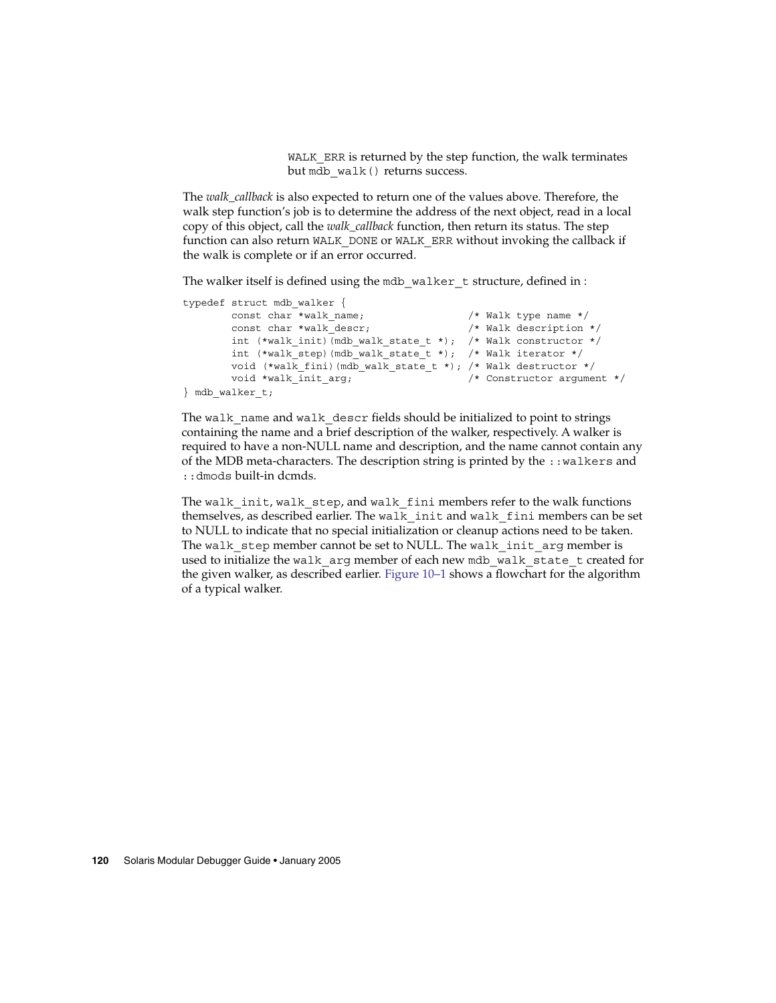WALK ERR is returned by the step function, the walk terminates but mdb\_walk() returns success.

The *walk\_callback* is also expected to return one of the values above. Therefore, the walk step function's job is to determine the address of the next object, read in a local copy of this object, call the *walk\_callback* function, then return its status. The step function can also return WALK\_DONE or WALK\_ERR without invoking the callback if the walk is complete or if an error occurred.

The walker itself is defined using the mdb walker t structure, defined in :

```
typedef struct mdb_walker {
       const char *walk_name; /* Walk type name */
       const char *walk descr; \overline{\phantom{a}} /* Walk description */
       int (*walk init)(mdb walk state t *); /* Walk constructor */
       int (*walk step)(mdb walk state t *); /* Walk iterator */
       void (*walk_fini)(mdb_walk_state_t *); /* Walk destructor */
       void *walk_init_arg; /* Constructor argument */
} mdb_walker_t;
```
The walk name and walk descr fields should be initialized to point to strings containing the name and a brief description of the walker, respectively. A walker is required to have a non-NULL name and description, and the name cannot contain any of the MDB meta-characters. The description string is printed by the ::walkers and ::dmods built-in dcmds.

The walk init, walk step, and walk fini members refer to the walk functions themselves, as described earlier. The walk\_init and walk\_fini members can be set to NULL to indicate that no special initialization or cleanup actions need to be taken. The walk step member cannot be set to NULL. The walk init arg member is used to initialize the walk arg member of each new mdb walk state t created for the given walker, as described earlier. [Figure 10–1](#page-120-0) shows a flowchart for the algorithm of a typical walker.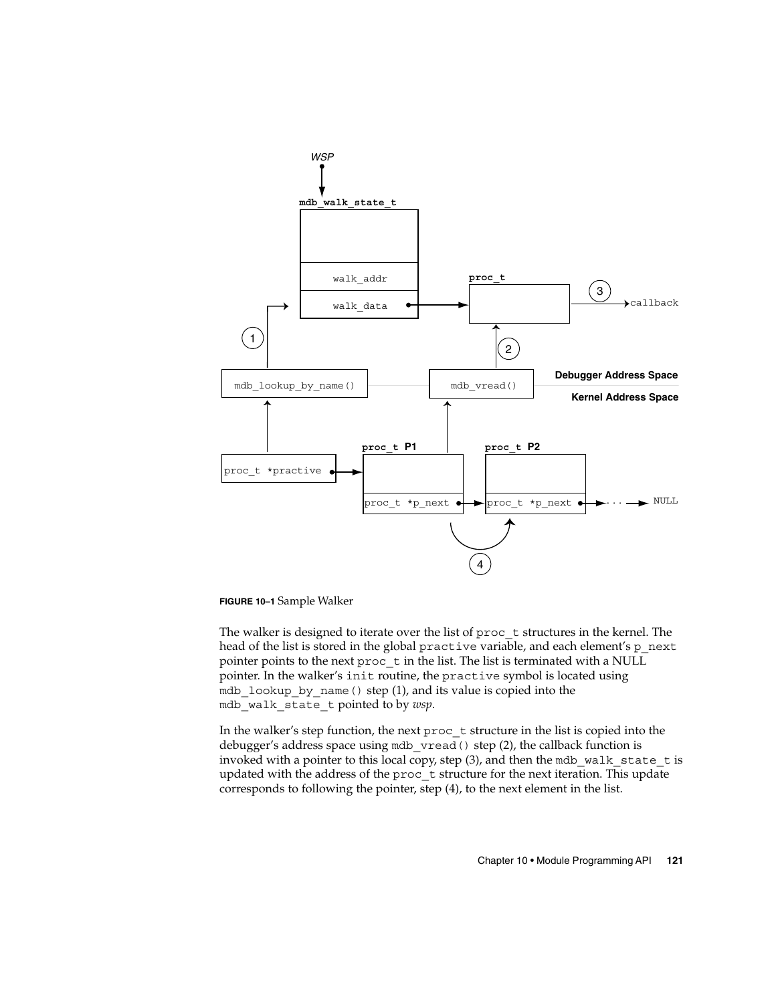<span id="page-120-0"></span>

**FIGURE 10–1** Sample Walker

The walker is designed to iterate over the list of proc\_t structures in the kernel. The head of the list is stored in the global practive variable, and each element's p\_next pointer points to the next  $\text{proc}$  t in the list. The list is terminated with a NULL pointer. In the walker's init routine, the practive symbol is located using mdb lookup by name () step (1), and its value is copied into the mdb\_walk\_state\_t pointed to by *wsp*.

In the walker's step function, the next  $\text{proc} \text{ t}$  structure in the list is copied into the debugger's address space using mdb vread() step (2), the callback function is invoked with a pointer to this local copy, step  $(3)$ , and then the mdb walk state t is updated with the address of the proc\_t structure for the next iteration. This update corresponds to following the pointer, step (4), to the next element in the list.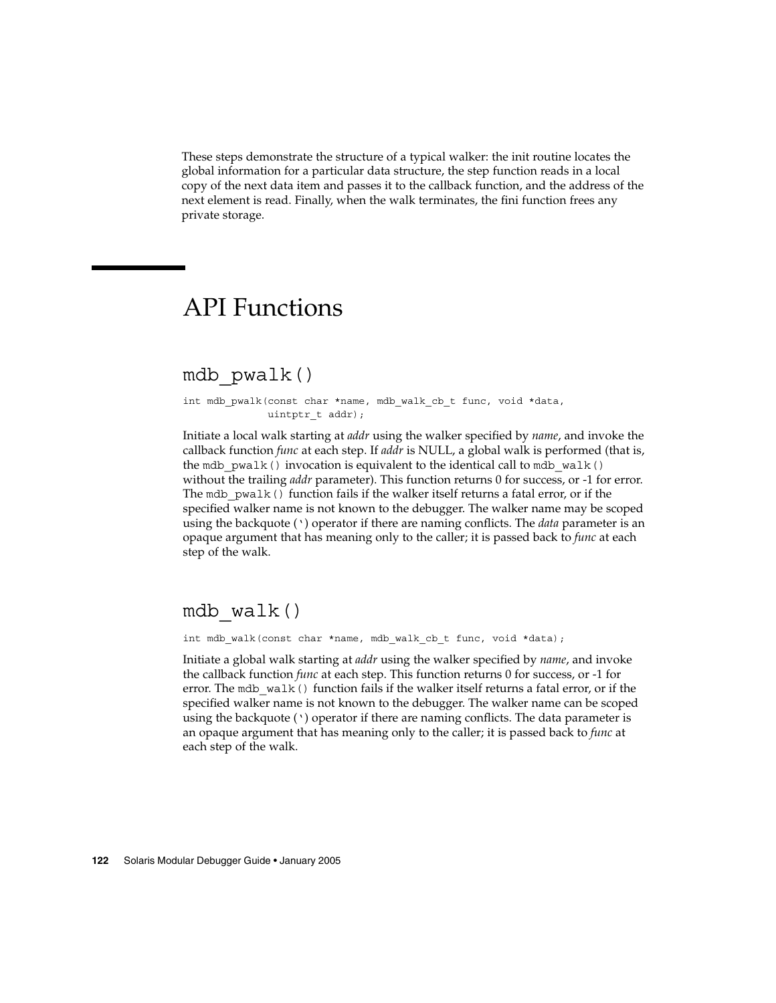These steps demonstrate the structure of a typical walker: the init routine locates the global information for a particular data structure, the step function reads in a local copy of the next data item and passes it to the callback function, and the address of the next element is read. Finally, when the walk terminates, the fini function frees any private storage.

# API Functions

### mdb\_pwalk()

int mdb pwalk(const char \*name, mdb walk cb t func, void \*data, uintptr t addr);

Initiate a local walk starting at *addr* using the walker specified by *name*, and invoke the callback function *func* at each step. If *addr* is NULL, a global walk is performed (that is, the mdb\_pwalk() invocation is equivalent to the identical call to mdb\_walk() without the trailing *addr* parameter). This function returns 0 for success, or -1 for error. The mdb  $p$  pwalk() function fails if the walker itself returns a fatal error, or if the specified walker name is not known to the debugger. The walker name may be scoped using the backquote (') operator if there are naming conflicts. The *data* parameter is an opaque argument that has meaning only to the caller; it is passed back to *func* at each step of the walk.

mdb\_walk()

int mdb walk(const char \*name, mdb walk cb t func, void \*data);

Initiate a global walk starting at *addr* using the walker specified by *name*, and invoke the callback function *func* at each step. This function returns 0 for success, or -1 for error. The mdb\_walk() function fails if the walker itself returns a fatal error, or if the specified walker name is not known to the debugger. The walker name can be scoped using the backquote (') operator if there are naming conflicts. The data parameter is an opaque argument that has meaning only to the caller; it is passed back to *func* at each step of the walk.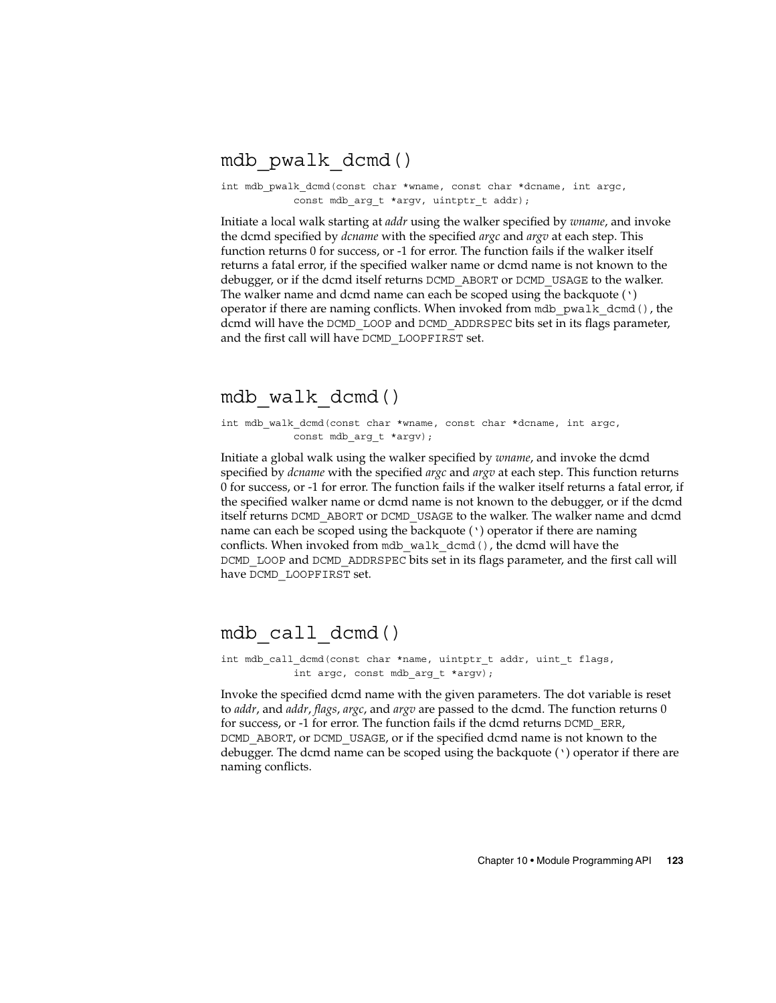## mdb\_pwalk\_dcmd()

int mdb\_pwalk\_dcmd(const char \*wname, const char \*dcname, int argc, const mdb arg t \*argv, uintptr t addr);

Initiate a local walk starting at *addr* using the walker specified by *wname*, and invoke the dcmd specified by *dcname* with the specified *argc* and *argv* at each step. This function returns 0 for success, or -1 for error. The function fails if the walker itself returns a fatal error, if the specified walker name or dcmd name is not known to the debugger, or if the dcmd itself returns DCMD\_ABORT or DCMD\_USAGE to the walker. The walker name and dcmd name can each be scoped using the backquote  $(')$ operator if there are naming conflicts. When invoked from  $mdb$  pwalk dcmd(), the dcmd will have the DCMD\_LOOP and DCMD\_ADDRSPEC bits set in its flags parameter, and the first call will have DCMD\_LOOPFIRST set.

#### mdb\_walk\_dcmd()

int mdb\_walk\_dcmd(const char \*wname, const char \*dcname, int argc, const mdb arg t \*argv);

Initiate a global walk using the walker specified by *wname*, and invoke the dcmd specified by *dcname* with the specified *argc* and *argv* at each step. This function returns 0 for success, or -1 for error. The function fails if the walker itself returns a fatal error, if the specified walker name or dcmd name is not known to the debugger, or if the dcmd itself returns DCMD\_ABORT or DCMD\_USAGE to the walker. The walker name and dcmd name can each be scoped using the backquote (') operator if there are naming conflicts. When invoked from mdb\_walk\_dcmd(), the dcmd will have the DCMD\_LOOP and DCMD\_ADDRSPEC bits set in its flags parameter, and the first call will have DCMD\_LOOPFIRST set.

## mdb\_call\_dcmd()

int mdb call dcmd(const char \*name, uintptr t addr, uint t flags, int argc, const mdb arg t \*argv);

Invoke the specified dcmd name with the given parameters. The dot variable is reset to *addr*, and *addr*, *flags*, *argc*, and *argv* are passed to the dcmd. The function returns 0 for success, or -1 for error. The function fails if the dcmd returns DCMD\_ERR, DCMD\_ABORT, or DCMD\_USAGE, or if the specified dcmd name is not known to the debugger. The dcmd name can be scoped using the backquote  $(')$  operator if there are naming conflicts.

Chapter 10 • Module Programming API **123**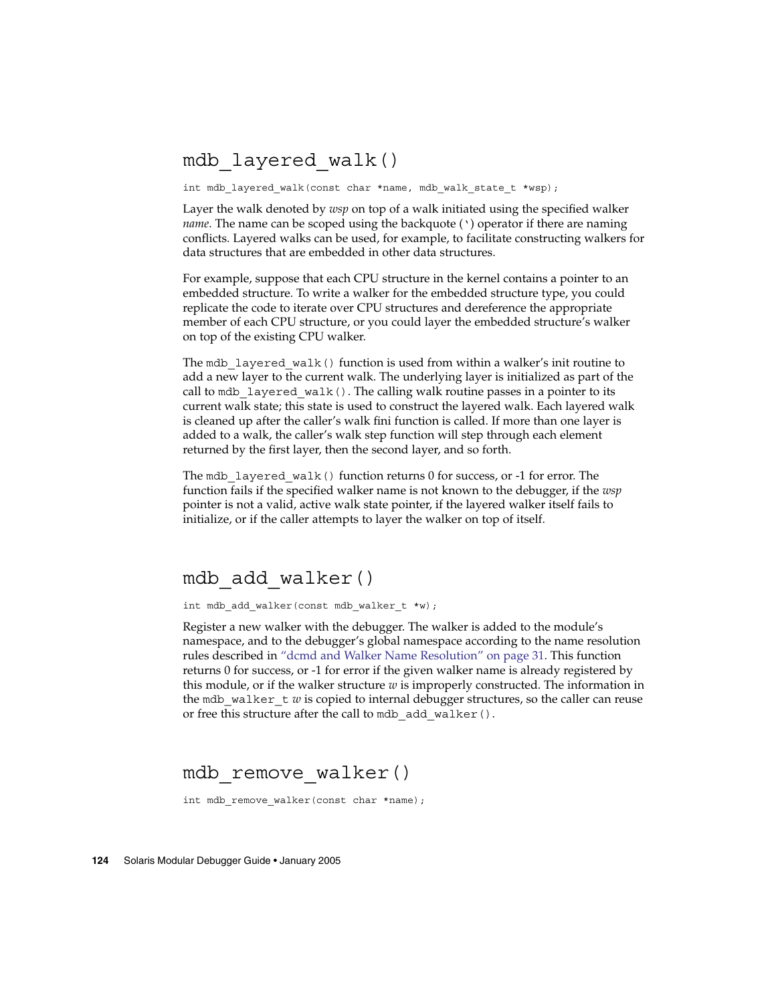# mdb\_layered\_walk()

int mdb\_layered\_walk(const char \*name, mdb\_walk\_state\_t \*wsp);

Layer the walk denoted by *wsp* on top of a walk initiated using the specified walker *name*. The name can be scoped using the backquote (') operator if there are naming conflicts. Layered walks can be used, for example, to facilitate constructing walkers for data structures that are embedded in other data structures.

For example, suppose that each CPU structure in the kernel contains a pointer to an embedded structure. To write a walker for the embedded structure type, you could replicate the code to iterate over CPU structures and dereference the appropriate member of each CPU structure, or you could layer the embedded structure's walker on top of the existing CPU walker.

The mdb layered walk() function is used from within a walker's init routine to add a new layer to the current walk. The underlying layer is initialized as part of the call to mdb layered walk(). The calling walk routine passes in a pointer to its current walk state; this state is used to construct the layered walk. Each layered walk is cleaned up after the caller's walk fini function is called. If more than one layer is added to a walk, the caller's walk step function will step through each element returned by the first layer, then the second layer, and so forth.

The mdb layered walk() function returns 0 for success, or  $-1$  for error. The function fails if the specified walker name is not known to the debugger, if the *wsp* pointer is not a valid, active walk state pointer, if the layered walker itself fails to initialize, or if the caller attempts to layer the walker on top of itself.

## mdb\_add\_walker()

int mdb\_add\_walker(const mdb\_walker\_t \*w);

Register a new walker with the debugger. The walker is added to the module's namespace, and to the debugger's global namespace according to the name resolution rules described in ["dcmd and Walker Name Resolution"](#page-30-0) on page 31. This function returns 0 for success, or -1 for error if the given walker name is already registered by this module, or if the walker structure *w* is improperly constructed. The information in the mdb walker  $t$  *w* is copied to internal debugger structures, so the caller can reuse or free this structure after the call to mdb\_add\_walker().

#### mdb\_remove\_walker()

int mdb\_remove\_walker(const char \*name);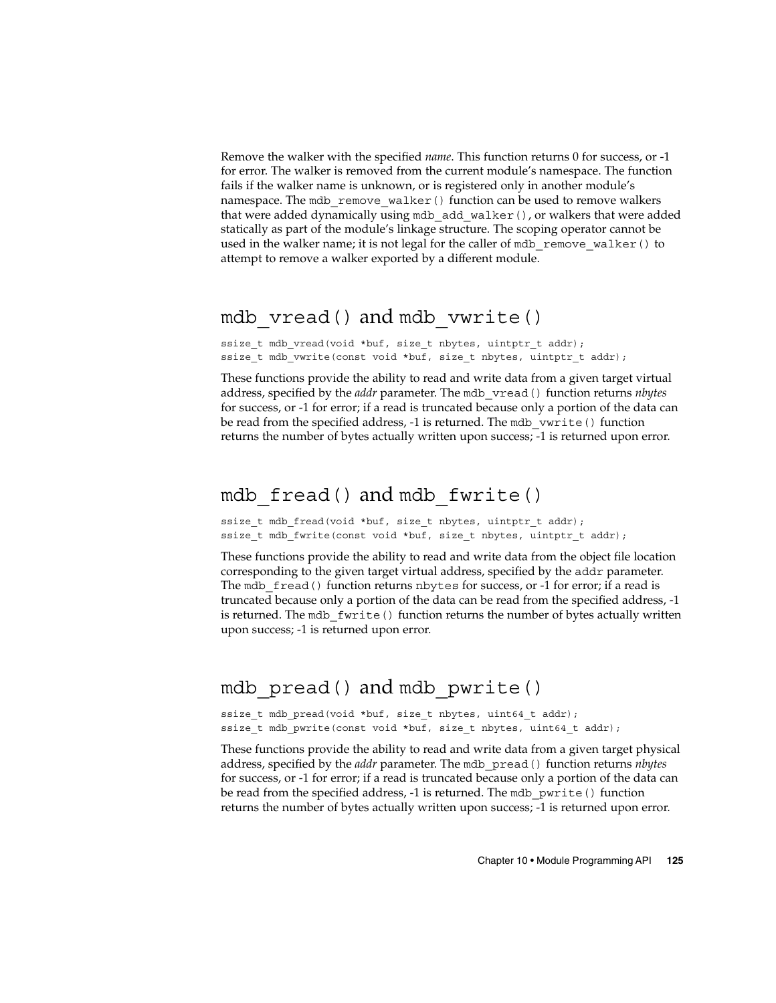Remove the walker with the specified *name*. This function returns 0 for success, or -1 for error. The walker is removed from the current module's namespace. The function fails if the walker name is unknown, or is registered only in another module's namespace. The mdb  $r$ emove walker() function can be used to remove walkers that were added dynamically using mdb\_add\_walker(), or walkers that were added statically as part of the module's linkage structure. The scoping operator cannot be used in the walker name; it is not legal for the caller of mdb remove walker() to attempt to remove a walker exported by a different module.

## mdb\_vread() and mdb\_vwrite()

ssize\_t mdb\_vread(void \*buf, size\_t nbytes, uintptr\_t addr); ssize t mdb vwrite(const void \*buf, size t nbytes, uintptr t addr);

These functions provide the ability to read and write data from a given target virtual address, specified by the *addr* parameter. The mdb\_vread() function returns *nbytes* for success, or -1 for error; if a read is truncated because only a portion of the data can be read from the specified address, -1 is returned. The mdb vwrite() function returns the number of bytes actually written upon success; -1 is returned upon error.

## mdb\_fread() and mdb\_fwrite()

ssize t mdb fread(void \*buf, size t nbytes, uintptr t addr); ssize\_t mdb\_fwrite(const void \*buf, size\_t nbytes, uintptr\_t addr);

These functions provide the ability to read and write data from the object file location corresponding to the given target virtual address, specified by the addr parameter. The mdb fread() function returns nbytes for success, or -1 for error; if a read is truncated because only a portion of the data can be read from the specified address, -1 is returned. The mdb  $fwrite()$  function returns the number of bytes actually written upon success; -1 is returned upon error.

## mdb\_pread() and mdb\_pwrite()

ssize t mdb pread(void \*buf, size t nbytes, uint64 t addr); ssize t mdb pwrite(const void \*buf, size t nbytes, uint64 t addr);

These functions provide the ability to read and write data from a given target physical address, specified by the *addr* parameter. The mdb\_pread() function returns *nbytes* for success, or -1 for error; if a read is truncated because only a portion of the data can be read from the specified address, -1 is returned. The mdb pwrite() function returns the number of bytes actually written upon success; -1 is returned upon error.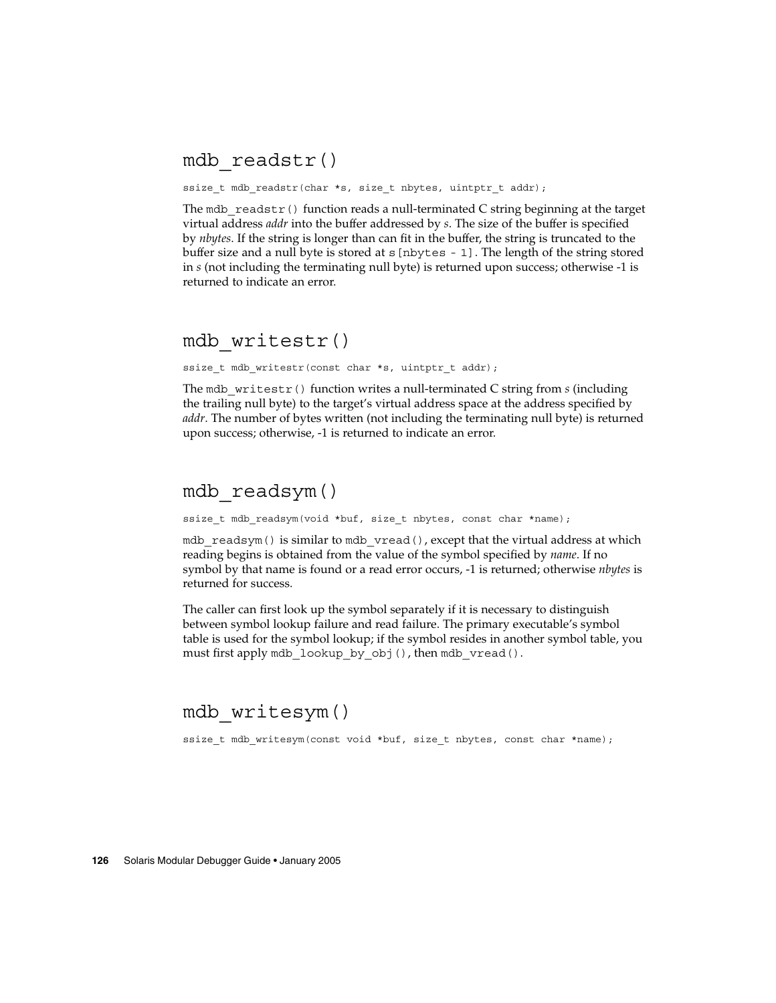## mdb\_readstr()

ssize\_t mdb\_readstr(char \*s, size\_t nbytes, uintptr\_t addr);

The mdb readstr() function reads a null-terminated C string beginning at the target virtual address *addr* into the buffer addressed by *s*. The size of the buffer is specified by *nbytes*. If the string is longer than can fit in the buffer, the string is truncated to the buffer size and a null byte is stored at  $s$  [nbytes - 1]. The length of the string stored in *s* (not including the terminating null byte) is returned upon success; otherwise -1 is returned to indicate an error.

#### mdb\_writestr()

ssize\_t mdb\_writestr(const char \*s, uintptr\_t addr);

The mdb writestr() function writes a null-terminated C string from *s* (including the trailing null byte) to the target's virtual address space at the address specified by *addr*. The number of bytes written (not including the terminating null byte) is returned upon success; otherwise, -1 is returned to indicate an error.

#### mdb\_readsym()

ssize\_t mdb\_readsym(void \*buf, size\_t nbytes, const char \*name);

mdb readsym() is similar to mdb vread(), except that the virtual address at which reading begins is obtained from the value of the symbol specified by *name*. If no symbol by that name is found or a read error occurs, -1 is returned; otherwise *nbytes* is returned for success.

The caller can first look up the symbol separately if it is necessary to distinguish between symbol lookup failure and read failure. The primary executable's symbol table is used for the symbol lookup; if the symbol resides in another symbol table, you must first apply mdb\_lookup\_by\_obj(), then mdb\_vread().

#### mdb\_writesym()

ssize t mdb writesym(const void \*buf, size t nbytes, const char \*name);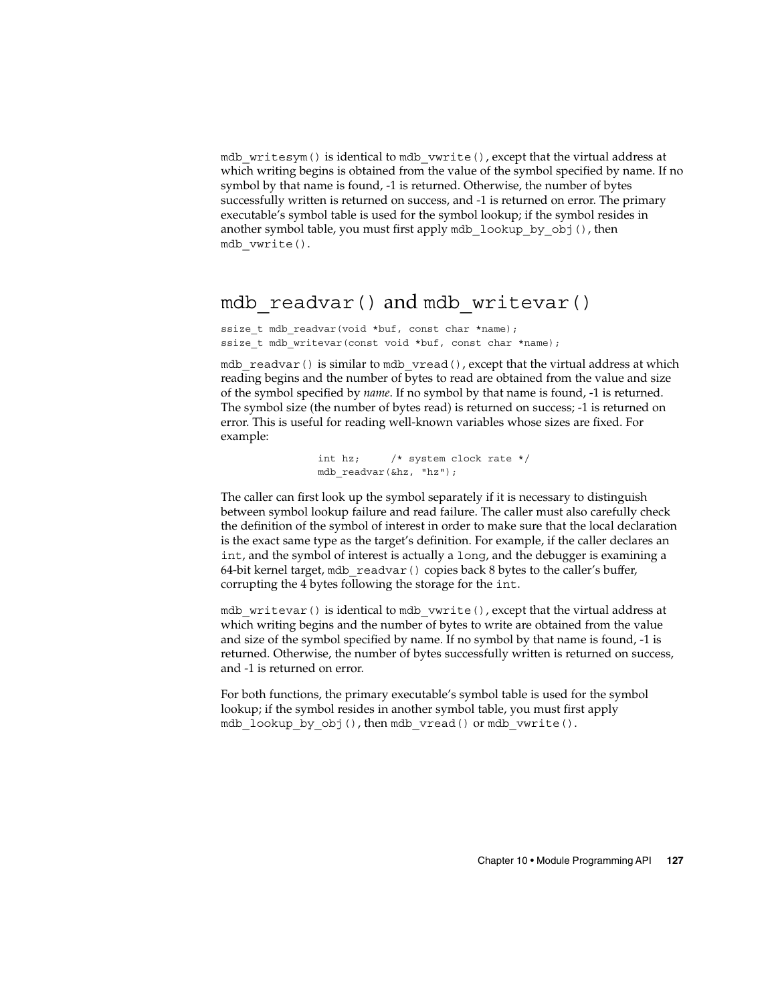mdb  $writesym()$  is identical to mdb vwrite(), except that the virtual address at which writing begins is obtained from the value of the symbol specified by name. If no symbol by that name is found, -1 is returned. Otherwise, the number of bytes successfully written is returned on success, and -1 is returned on error. The primary executable's symbol table is used for the symbol lookup; if the symbol resides in another symbol table, you must first apply mdb lookup by obj(), then mdb\_vwrite().

# mdb\_readvar() and mdb\_writevar()

ssize t mdb readvar(void \*buf, const char \*name); ssize t mdb writevar(const void \*buf, const char \*name);

mdb readvar() is similar to mdb vread(), except that the virtual address at which reading begins and the number of bytes to read are obtained from the value and size of the symbol specified by *name*. If no symbol by that name is found, -1 is returned. The symbol size (the number of bytes read) is returned on success; -1 is returned on error. This is useful for reading well-known variables whose sizes are fixed. For example:

```
int hz; /* system clock rate */
mdb_readvar(&hz, "hz");
```
The caller can first look up the symbol separately if it is necessary to distinguish between symbol lookup failure and read failure. The caller must also carefully check the definition of the symbol of interest in order to make sure that the local declaration is the exact same type as the target's definition. For example, if the caller declares an int, and the symbol of interest is actually a long, and the debugger is examining a 64-bit kernel target, mdb readvar() copies back 8 bytes to the caller's buffer, corrupting the 4 bytes following the storage for the int.

mdb  $w$ ritevar() is identical to mdb  $v$ write(), except that the virtual address at which writing begins and the number of bytes to write are obtained from the value and size of the symbol specified by name. If no symbol by that name is found, -1 is returned. Otherwise, the number of bytes successfully written is returned on success, and -1 is returned on error.

For both functions, the primary executable's symbol table is used for the symbol lookup; if the symbol resides in another symbol table, you must first apply mdb lookup by obj(), then mdb vread() or mdb vwrite().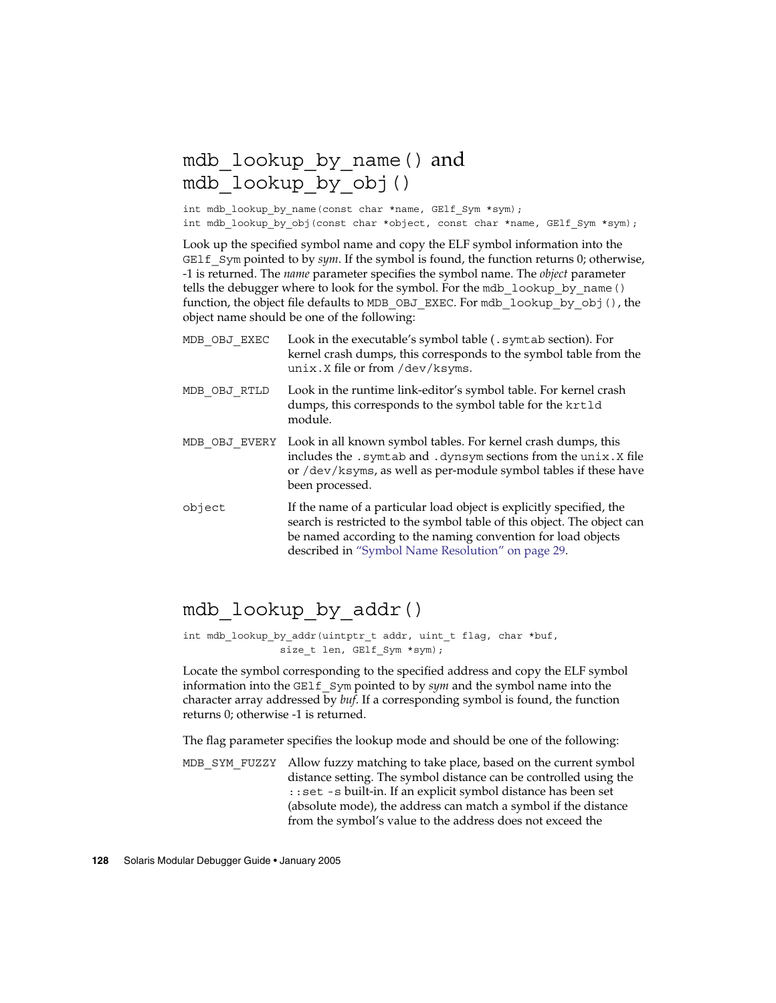# mdb\_lookup\_by\_name() and mdb\_lookup\_by\_obj()

int mdb\_lookup\_by\_name(const char \*name, GElf\_Sym \*sym); int mdb\_lookup\_by\_obj(const char \*object, const char \*name, GElf\_Sym \*sym);

Look up the specified symbol name and copy the ELF symbol information into the GE1f Sym pointed to by *sym*. If the symbol is found, the function returns 0; otherwise, -1 is returned. The *name* parameter specifies the symbol name. The *object* parameter tells the debugger where to look for the symbol. For the mdb lookup by name () function, the object file defaults to MDB\_OBJ\_EXEC. For mdb\_lookup\_by\_obj(), the object name should be one of the following:

| MDB OBJ EXEC  | Look in the executable's symbol table (. symtab section). For<br>kernel crash dumps, this corresponds to the symbol table from the<br>unix. X file or from /dev/ksyms.                                                                                               |
|---------------|----------------------------------------------------------------------------------------------------------------------------------------------------------------------------------------------------------------------------------------------------------------------|
| MDB OBJ RTLD  | Look in the runtime link-editor's symbol table. For kernel crash<br>dumps, this corresponds to the symbol table for the krtld<br>module.                                                                                                                             |
| MDB OBJ EVERY | Look in all known symbol tables. For kernel crash dumps, this<br>includes the .symtab and .dynsym sections from the unix. X file<br>or /dev/ksyms, as well as per-module symbol tables if these have<br>been processed.                                              |
| object        | If the name of a particular load object is explicitly specified, the<br>search is restricted to the symbol table of this object. The object can<br>be named according to the naming convention for load objects<br>described in "Symbol Name Resolution" on page 29. |

# mdb\_lookup\_by\_addr()

int mdb\_lookup\_by\_addr(uintptr\_t addr, uint\_t flag, char \*buf, size t len, GElf Sym \*sym);

Locate the symbol corresponding to the specified address and copy the ELF symbol information into the GElf\_Sym pointed to by *sym* and the symbol name into the character array addressed by *buf*. If a corresponding symbol is found, the function returns 0; otherwise -1 is returned.

The flag parameter specifies the lookup mode and should be one of the following:

MDB\_SYM\_FUZZY Allow fuzzy matching to take place, based on the current symbol distance setting. The symbol distance can be controlled using the ::set -s built-in. If an explicit symbol distance has been set (absolute mode), the address can match a symbol if the distance from the symbol's value to the address does not exceed the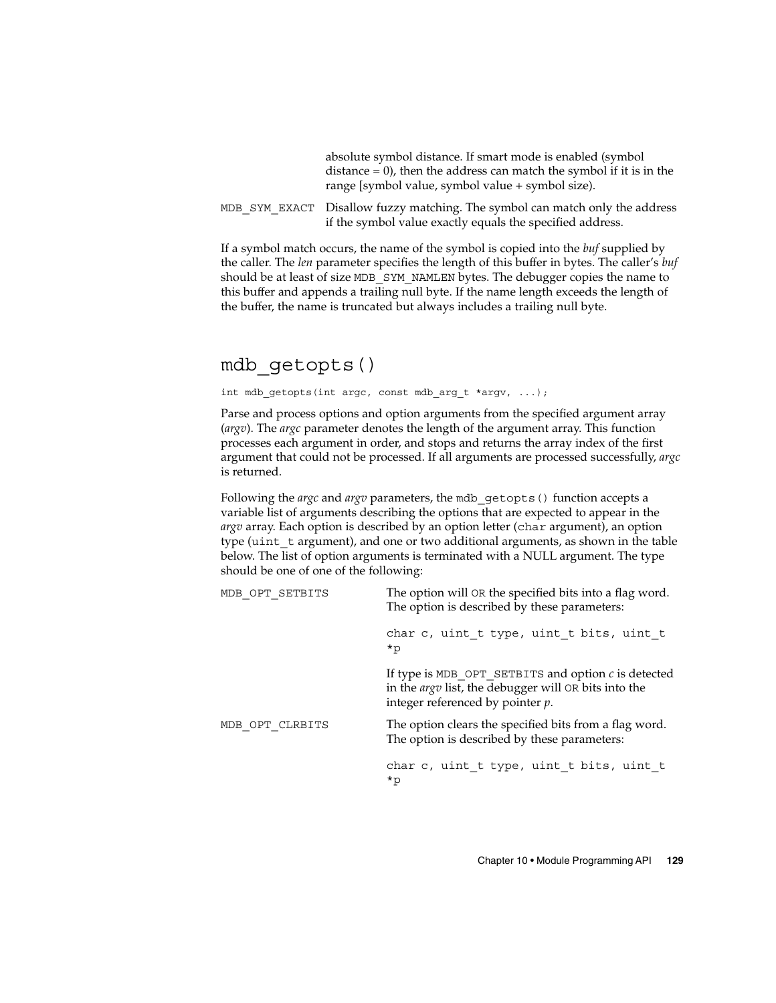absolute symbol distance. If smart mode is enabled (symbol distance  $= 0$ ), then the address can match the symbol if it is in the range [symbol value, symbol value + symbol size).

MDB\_SYM\_EXACT Disallow fuzzy matching. The symbol can match only the address if the symbol value exactly equals the specified address.

If a symbol match occurs, the name of the symbol is copied into the *buf* supplied by the caller. The *len* parameter specifies the length of this buffer in bytes. The caller's *buf* should be at least of size MDB\_SYM\_NAMLEN bytes. The debugger copies the name to this buffer and appends a trailing null byte. If the name length exceeds the length of the buffer, the name is truncated but always includes a trailing null byte.

## mdb\_getopts()

int mdb\_getopts(int argc, const mdb\_arg\_t \*argv, ...);

Parse and process options and option arguments from the specified argument array (*argv*). The *argc* parameter denotes the length of the argument array. This function processes each argument in order, and stops and returns the array index of the first argument that could not be processed. If all arguments are processed successfully, *argc* is returned.

Following the *argc* and *argv* parameters, the mdb qetopts () function accepts a variable list of arguments describing the options that are expected to appear in the *argv* array. Each option is described by an option letter (char argument), an option type (uint t argument), and one or two additional arguments, as shown in the table below. The list of option arguments is terminated with a NULL argument. The type should be one of one of the following:

| MDB OPT SETBITS | The option will OR the specified bits into a flag word.<br>The option is described by these parameters:                                                     |
|-----------------|-------------------------------------------------------------------------------------------------------------------------------------------------------------|
|                 | char c, uint t type, uint t bits, uint t<br>*p                                                                                                              |
|                 | If type is MDB OPT SETBITS and option $c$ is detected<br>in the <i>argv</i> list, the debugger will OR bits into the<br>integer referenced by pointer $p$ . |
| MDB OPT CLRBITS | The option clears the specified bits from a flag word.<br>The option is described by these parameters:                                                      |
|                 | char c, uint t type, uint t bits, uint t<br>*p                                                                                                              |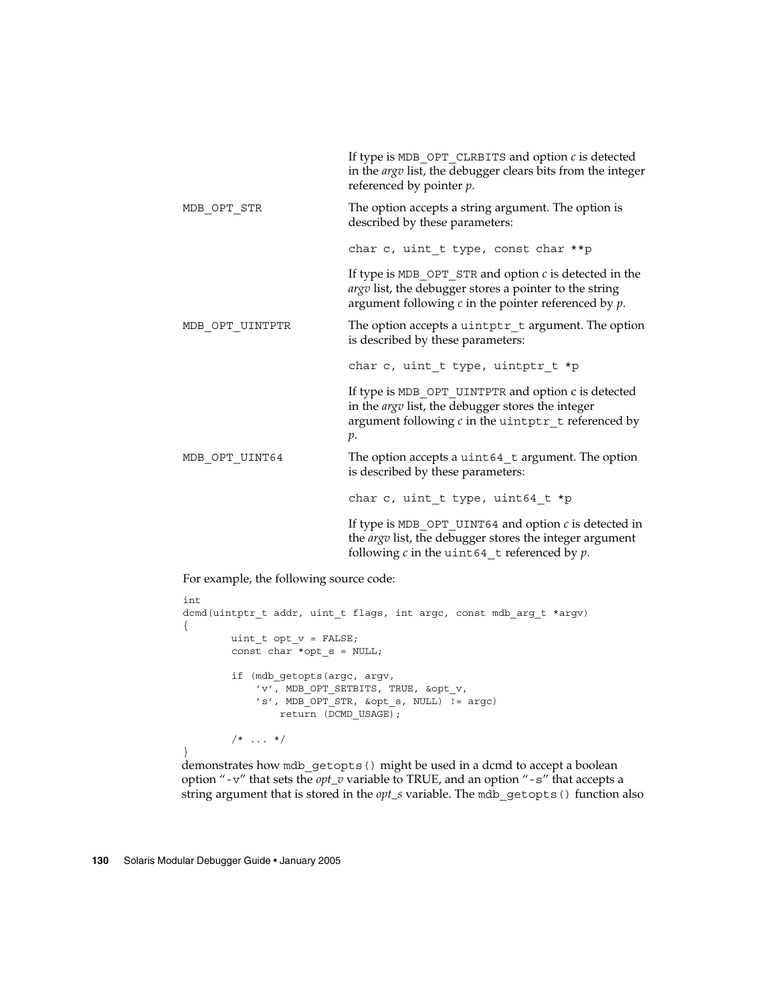|                 | If type is MDB OPT CLRBITS and option $c$ is detected<br>in the <i>argv</i> list, the debugger clears bits from the integer<br>referenced by pointer $p$ .                                    |
|-----------------|-----------------------------------------------------------------------------------------------------------------------------------------------------------------------------------------------|
| MDB OPT STR     | The option accepts a string argument. The option is<br>described by these parameters:                                                                                                         |
|                 | char c, uint t type, const char ** p                                                                                                                                                          |
|                 | If type is $MDB$ OPT $_{\text{STR}}$ and option $c$ is detected in the<br>argv list, the debugger stores a pointer to the string<br>argument following $c$ in the pointer referenced by $p$ . |
| MDB OPT UINTPTR | The option accepts a uintptr_t argument. The option<br>is described by these parameters:                                                                                                      |
|                 | char c, uint t type, uintptr t *p                                                                                                                                                             |
|                 | If type is MDB OPT UINTPTR and option c is detected<br>in the <i>argv</i> list, the debugger stores the integer<br>argument following $c$ in the uintptr t referenced by<br>$p$ .             |
| MDB OPT UINT64  | The option accepts a uint $64$ t argument. The option<br>is described by these parameters:                                                                                                    |
|                 | char c, uint t type, uint64 t *p                                                                                                                                                              |
|                 | If type is MDB OPT UINT64 and option $c$ is detected in<br>the argv list, the debugger stores the integer argument<br>following $c$ in the uint 64 t referenced by $p$ .                      |

For example, the following source code:

```
int
dcmd(uintptr_t addr, uint_t flags, int argc, const mdb_arg_t *argv)
{
        uint t opt v = FALSE;
        const char *opt_s = NULL;
        if (mdb_getopts(argc, argv,
            'v', MDB_OPT_SETBITS, TRUE, &opt_v,
            's', MDB_OPT_STR, &opt_s, NULL) != argc)
               return (DCMD_USAGE);
        /* \ldots */}
demonstrates how mdb_getopts() might be used in a dcmd to accept a boolean
```
option "-v" that sets the *opt\_v* variable to TRUE, and an option "-s" that accepts a string argument that is stored in the *opt\_s* variable. The mdb\_getopts() function also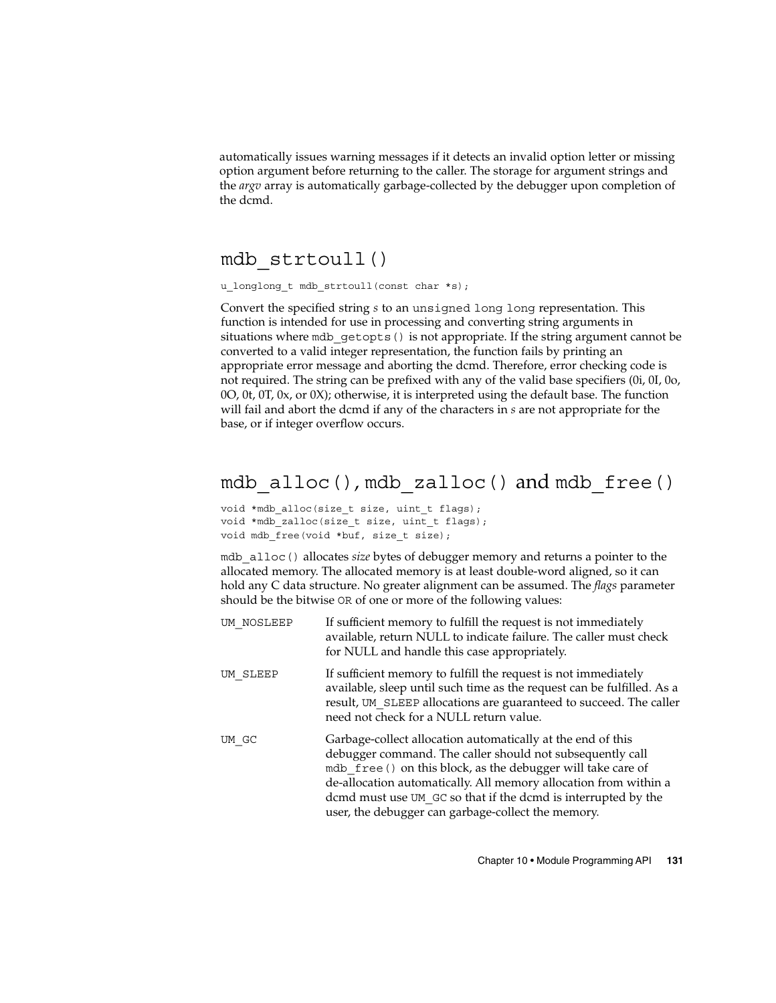automatically issues warning messages if it detects an invalid option letter or missing option argument before returning to the caller. The storage for argument strings and the *argv* array is automatically garbage-collected by the debugger upon completion of the dcmd.

### mdb\_strtoull()

u\_longlong\_t mdb\_strtoull(const char \*s);

Convert the specified string *s* to an unsigned long long representation. This function is intended for use in processing and converting string arguments in situations where mdb getopts() is not appropriate. If the string argument cannot be converted to a valid integer representation, the function fails by printing an appropriate error message and aborting the dcmd. Therefore, error checking code is not required. The string can be prefixed with any of the valid base specifiers (0i, 0I, 0o, 0O, 0t, 0T, 0x, or 0X); otherwise, it is interpreted using the default base. The function will fail and abort the dcmd if any of the characters in *s* are not appropriate for the base, or if integer overflow occurs.

## mdb\_alloc(), mdb\_zalloc() and mdb\_free()

```
void *mdb_alloc(size_t size, uint_t flags);
void *mdb zalloc(size t size, uint t flags);
void mdb_free(void *buf, size_t size);
```
mdb\_alloc() allocates *size* bytes of debugger memory and returns a pointer to the allocated memory. The allocated memory is at least double-word aligned, so it can hold any C data structure. No greater alignment can be assumed. The *flags* parameter should be the bitwise OR of one or more of the following values:

| UM NOSLEEP | If sufficient memory to fulfill the request is not immediately<br>available, return NULL to indicate failure. The caller must check<br>for NULL and handle this case appropriately.                                                                                                                                                                                                 |
|------------|-------------------------------------------------------------------------------------------------------------------------------------------------------------------------------------------------------------------------------------------------------------------------------------------------------------------------------------------------------------------------------------|
| UM SLEEP   | If sufficient memory to fulfill the request is not immediately<br>available, sleep until such time as the request can be fulfilled. As a<br>result, UM SLEEP allocations are guaranteed to succeed. The caller<br>need not check for a NULL return value.                                                                                                                           |
| UM GC      | Garbage-collect allocation automatically at the end of this<br>debugger command. The caller should not subsequently call<br>mdb free () on this block, as the debugger will take care of<br>de-allocation automatically. All memory allocation from within a<br>dcmd must use UM GC so that if the dcmd is interrupted by the<br>user, the debugger can garbage-collect the memory. |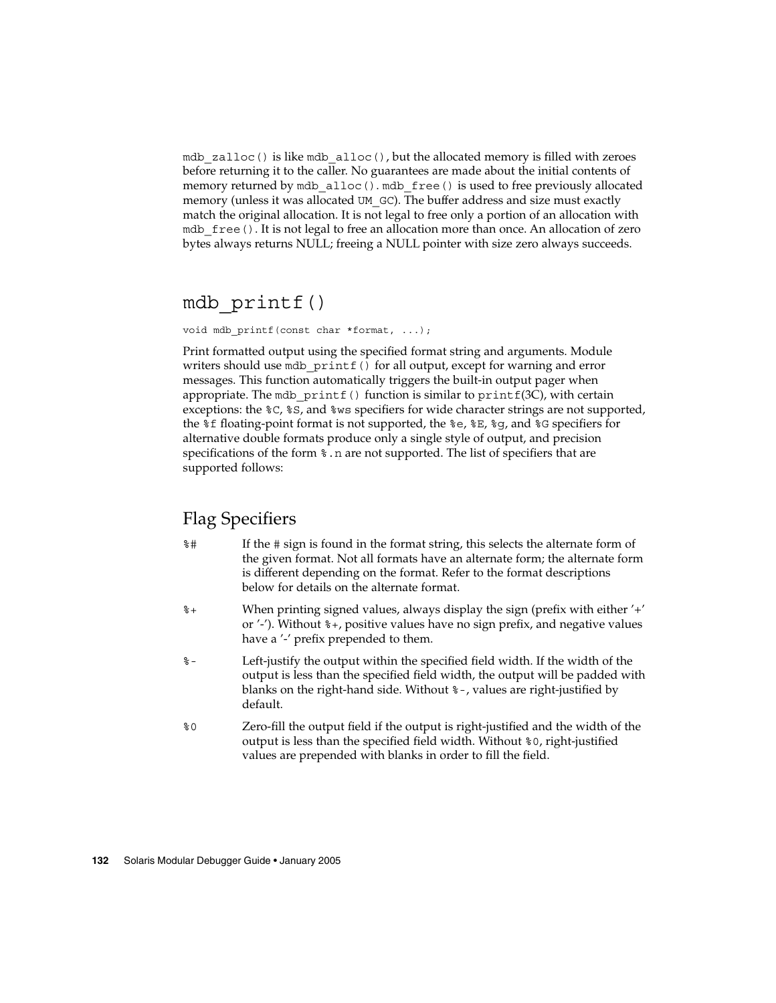mdb  $z$ alloc() is like mdb  $a$ lloc(), but the allocated memory is filled with zeroes before returning it to the caller. No guarantees are made about the initial contents of memory returned by mdb alloc(). mdb free() is used to free previously allocated memory (unless it was allocated UM GC). The buffer address and size must exactly match the original allocation. It is not legal to free only a portion of an allocation with mdb free (). It is not legal to free an allocation more than once. An allocation of zero bytes always returns NULL; freeing a NULL pointer with size zero always succeeds.

### mdb\_printf()

void mdb\_printf(const char \*format, ...);

Print formatted output using the specified format string and arguments. Module writers should use mdb  $print(f)$  for all output, except for warning and error messages. This function automatically triggers the built-in output pager when appropriate. The mdb  $print f()$  function is similar to  $print(3C)$ , with certain exceptions: the %C, %S, and %ws specifiers for wide character strings are not supported, the %f floating-point format is not supported, the %e, %E, %g, and %G specifiers for alternative double formats produce only a single style of output, and precision specifications of the form  $\frac{1}{2}$ .n are not supported. The list of specifiers that are supported follows:

#### Flag Specifiers

- %# If the # sign is found in the format string, this selects the alternate form of the given format. Not all formats have an alternate form; the alternate form is different depending on the format. Refer to the format descriptions below for details on the alternate format.
- %+ When printing signed values, always display the sign (prefix with either '+' or '-'). Without %+, positive values have no sign prefix, and negative values have a '-' prefix prepended to them.
- %- Left-justify the output within the specified field width. If the width of the output is less than the specified field width, the output will be padded with blanks on the right-hand side. Without %-, values are right-justified by default.
- %0 Zero-fill the output field if the output is right-justified and the width of the output is less than the specified field width. Without %0, right-justified values are prepended with blanks in order to fill the field.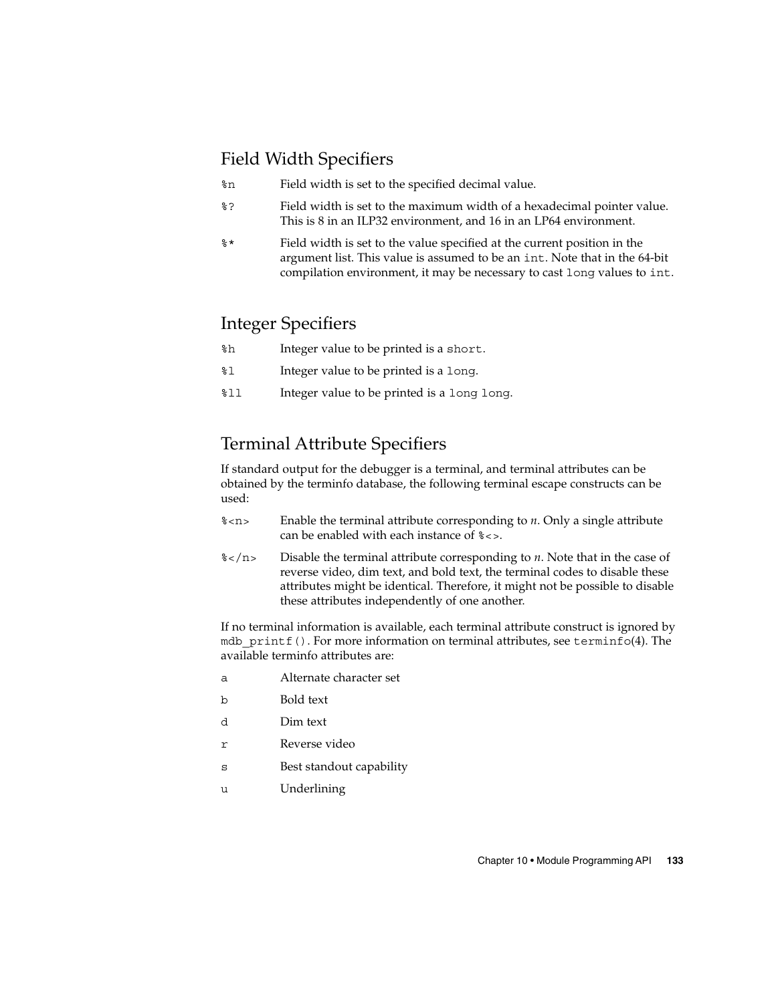#### Field Width Specifiers

- %n Field width is set to the specified decimal value.
- %? Field width is set to the maximum width of a hexadecimal pointer value. This is 8 in an ILP32 environment, and 16 in an LP64 environment.
- %\* Field width is set to the value specified at the current position in the argument list. This value is assumed to be an int. Note that in the 64-bit compilation environment, it may be necessary to cast long values to int.

#### Integer Specifiers

- %h Integer value to be printed is a short.
- %l Integer value to be printed is a long.
- %ll Integer value to be printed is a long long.

## Terminal Attribute Specifiers

If standard output for the debugger is a terminal, and terminal attributes can be obtained by the terminfo database, the following terminal escape constructs can be used:

- %<n> Enable the terminal attribute corresponding to *n*. Only a single attribute can be enabled with each instance of  $\text{*}$  < >.
- %</n> Disable the terminal attribute corresponding to *n*. Note that in the case of reverse video, dim text, and bold text, the terminal codes to disable these attributes might be identical. Therefore, it might not be possible to disable these attributes independently of one another.

If no terminal information is available, each terminal attribute construct is ignored by mdb  $print(f)$ . For more information on terminal attributes, see terminfo(4). The available terminfo attributes are:

- a Alternate character set
- b Bold text
- d Dim text
- r Reverse video
- s **Best standout capability**
- u Underlining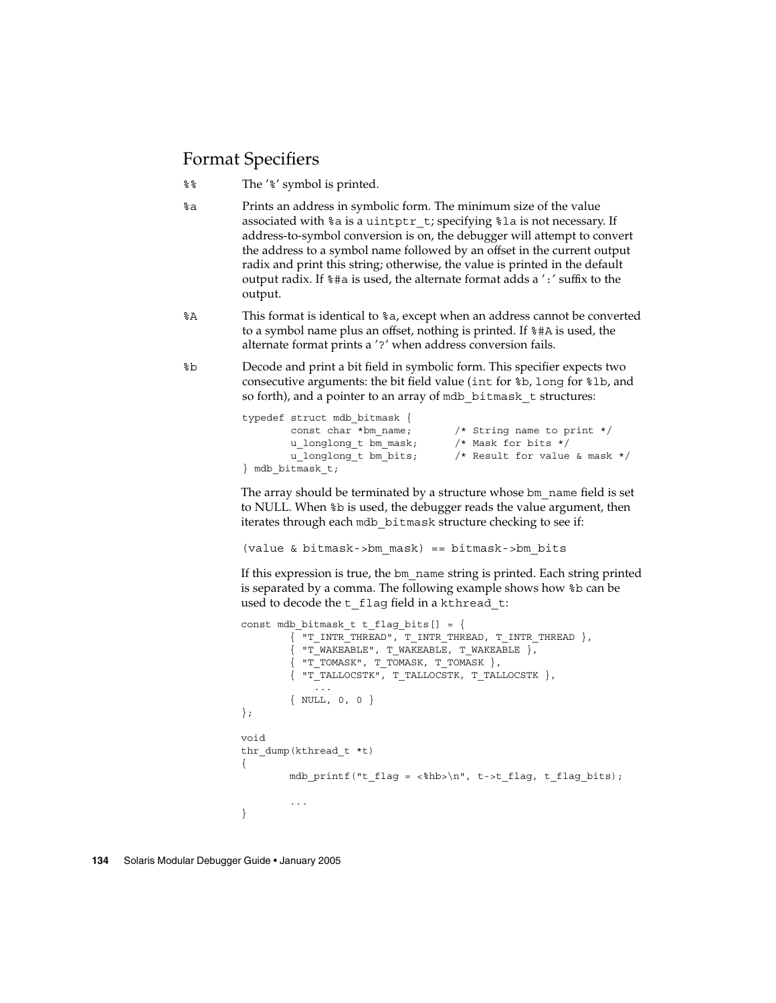#### Format Specifiers

- %% The '%' symbol is printed.
- %a Prints an address in symbolic form. The minimum size of the value associated with %a is a uintptr\_t; specifying %la is not necessary. If address-to-symbol conversion is on, the debugger will attempt to convert the address to a symbol name followed by an offset in the current output radix and print this string; otherwise, the value is printed in the default output radix. If %#a is used, the alternate format adds a ':' suffix to the output.
- %A This format is identical to %a, except when an address cannot be converted to a symbol name plus an offset, nothing is printed. If %#A is used, the alternate format prints a '?' when address conversion fails.
- %b Decode and print a bit field in symbolic form. This specifier expects two consecutive arguments: the bit field value (int for %b, long for %lb, and so forth), and a pointer to an array of mdb bitmask t structures:

```
typedef struct mdb_bitmask {
       const char *bm name; /* String name to print */
       u_longlong_t bm_mask; /* Mask for bits */
       u_longlong_t bm_bits; /* Result for value & mask */
} mdb_bitmask_t;
```
The array should be terminated by a structure whose bm\_name field is set to NULL. When %b is used, the debugger reads the value argument, then iterates through each mdb\_bitmask structure checking to see if:

(value & bitmask->bm\_mask) == bitmask->bm\_bits

If this expression is true, the bm\_name string is printed. Each string printed is separated by a comma. The following example shows how %b can be used to decode the t flag field in a kthread t:

```
const mdb_bitmask_t t_flag_bits[] = {
        {^-}"T_INTR_THREAD", T_INTR_THREAD, T_INTR_THREAD },
         \overline{S} "T WAKEABLE", T WAKEABLE, T WAKEABLE \overline{S},
        { "T_TOMASK", T_TOMASK, T_TOMASK },
        { "T_TALLOCSTK", T_TALLOCSTK, T_TALLOCSTK },
             ...
        { NULL, 0, 0 }
};
void
thr_dump(kthread_t *t)
{
        mdb printf("t flag = \frac{h}{h}", t->t flag, t flag bits);
        ...
}
```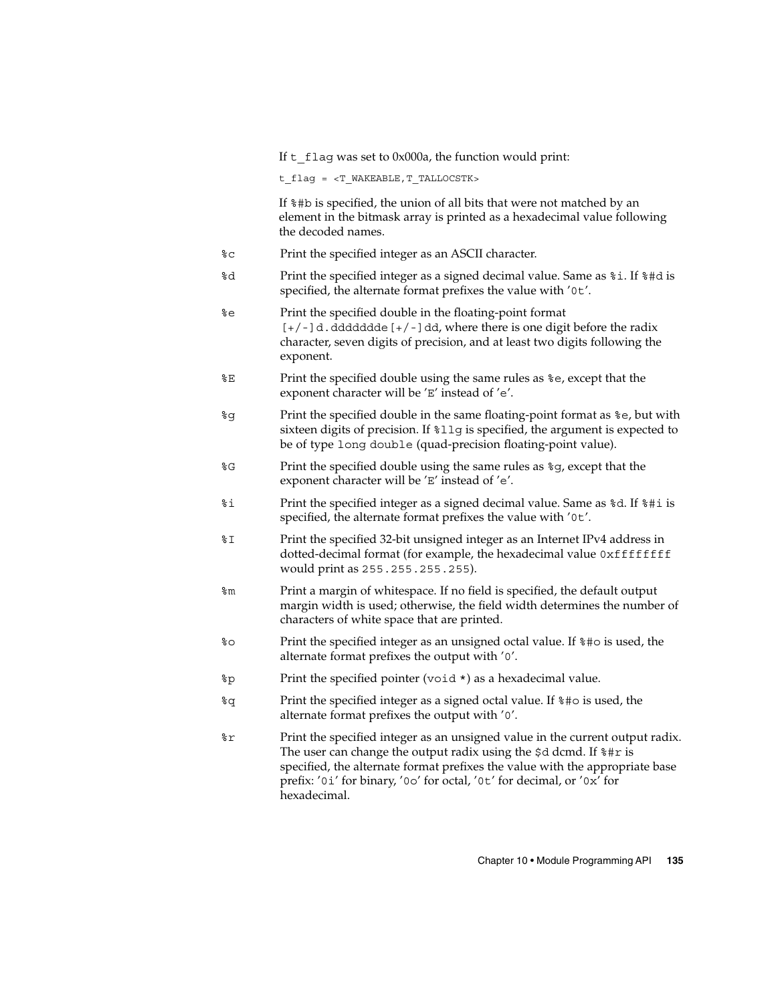If  $t$  flag was set to 0x000a, the function would print:

t flag = <T WAKEABLE, T TALLOCSTK>

If %#b is specified, the union of all bits that were not matched by an element in the bitmask array is printed as a hexadecimal value following the decoded names.

- %c Print the specified integer as an ASCII character.
- %d Print the specified integer as a signed decimal value. Same as %i. If %#d is specified, the alternate format prefixes the value with '0t'.
- %e Print the specified double in the floating-point format  $[+/-]$ d.dddddde $[+/-]$ dd, where there is one digit before the radix character, seven digits of precision, and at least two digits following the exponent.
- %E Print the specified double using the same rules as %e, except that the exponent character will be 'E' instead of 'e'.
- %g Print the specified double in the same floating-point format as %e, but with sixteen digits of precision. If %llg is specified, the argument is expected to be of type long double (quad-precision floating-point value).
- %G Print the specified double using the same rules as %g, except that the exponent character will be 'E' instead of 'e'.
- %i Print the specified integer as a signed decimal value. Same as %d. If %#i is specified, the alternate format prefixes the value with '0t'.
- %I Print the specified 32-bit unsigned integer as an Internet IPv4 address in dotted-decimal format (for example, the hexadecimal value 0xffffffff would print as 255.255.255.255).
- %m Print a margin of whitespace. If no field is specified, the default output margin width is used; otherwise, the field width determines the number of characters of white space that are printed.
- %o Print the specified integer as an unsigned octal value. If %#o is used, the alternate format prefixes the output with '0'.
- %p Print the specified pointer (void \*) as a hexadecimal value.
- %q Print the specified integer as a signed octal value. If %#o is used, the alternate format prefixes the output with '0'.
- %r Print the specified integer as an unsigned value in the current output radix. The user can change the output radix using the  $\dagger$ d dcmd. If  $\dagger$ #r is specified, the alternate format prefixes the value with the appropriate base prefix: '0i' for binary, '0o' for octal, '0t' for decimal, or '0x' for hexadecimal.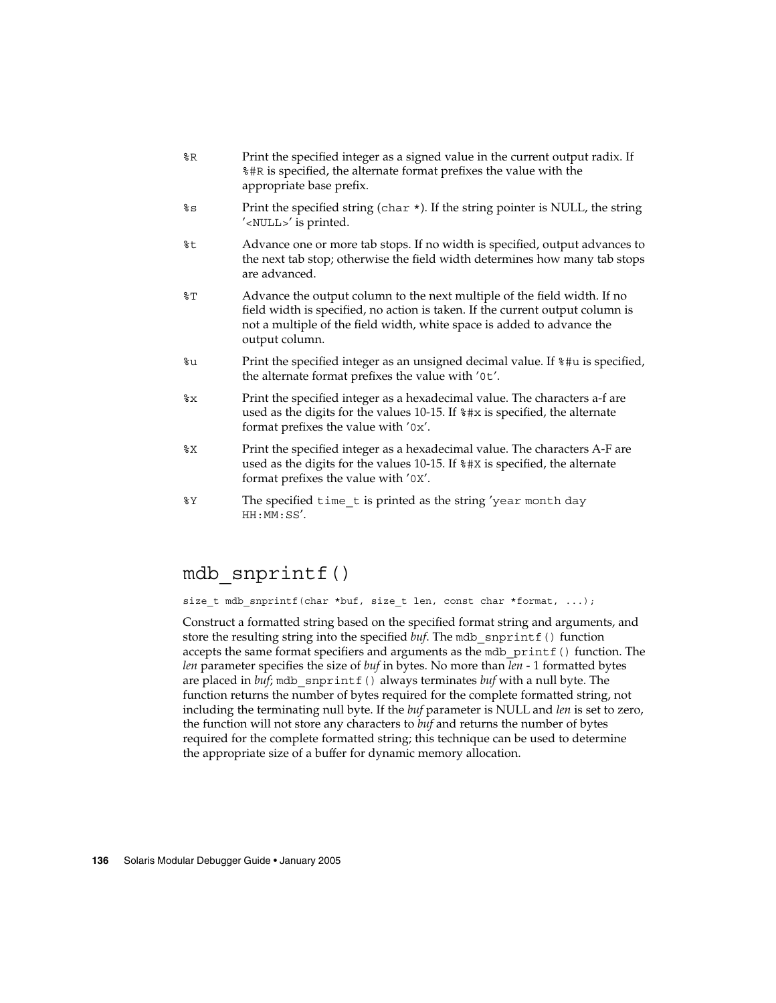- %R Print the specified integer as a signed value in the current output radix. If %#R is specified, the alternate format prefixes the value with the appropriate base prefix.
- %s Print the specified string (char \*). If the string pointer is NULL, the string '<NULL>' is printed.
- %t Advance one or more tab stops. If no width is specified, output advances to the next tab stop; otherwise the field width determines how many tab stops are advanced.
- %T Advance the output column to the next multiple of the field width. If no field width is specified, no action is taken. If the current output column is not a multiple of the field width, white space is added to advance the output column.
- %u Print the specified integer as an unsigned decimal value. If %#u is specified, the alternate format prefixes the value with '0t'.
- %x Print the specified integer as a hexadecimal value. The characters a-f are used as the digits for the values 10-15. If %#x is specified, the alternate format prefixes the value with '0x'.
- %X Print the specified integer as a hexadecimal value. The characters A-F are used as the digits for the values 10-15. If  $\frac{1}{2}$  is specified, the alternate format prefixes the value with '0X'.
- %Y The specified time\_t is printed as the string 'year month day HH:MM:SS'.

## mdb\_snprintf()

size t mdb snprintf(char \*buf, size t len, const char \*format, ...);

Construct a formatted string based on the specified format string and arguments, and store the resulting string into the specified *buf*. The mdb\_snprintf() function accepts the same format specifiers and arguments as the mdb  $print(f)$  function. The *len* parameter specifies the size of *buf* in bytes. No more than *len* - 1 formatted bytes are placed in *buf*; mdb\_snprintf() always terminates *buf* with a null byte. The function returns the number of bytes required for the complete formatted string, not including the terminating null byte. If the *buf* parameter is NULL and *len* is set to zero, the function will not store any characters to *buf* and returns the number of bytes required for the complete formatted string; this technique can be used to determine the appropriate size of a buffer for dynamic memory allocation.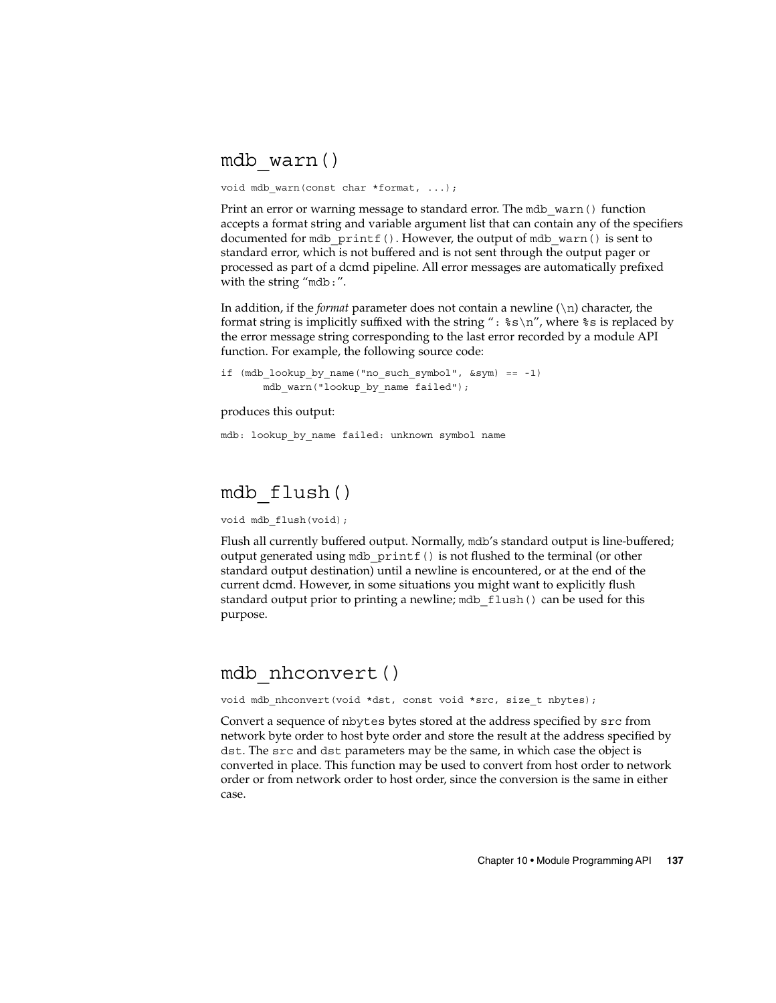### mdb\_warn()

void mdb warn(const char \*format, ...);

Print an error or warning message to standard error. The mdb\_warn() function accepts a format string and variable argument list that can contain any of the specifiers documented for mdb printf(). However, the output of mdb warn() is sent to standard error, which is not buffered and is not sent through the output pager or processed as part of a dcmd pipeline. All error messages are automatically prefixed with the string "mdb:".

In addition, if the *format* parameter does not contain a newline  $(\n\}n)$  character, the format string is implicitly suffixed with the string ":  $s \in \n\gamma$ ", where  $s \in \nS$  is replaced by the error message string corresponding to the last error recorded by a module API function. For example, the following source code:

```
if (mdb lookup by name("no such symbol", &sym) == -1)
       mdb_warn("lookup_by_name failed");
```
produces this output:

mdb: lookup\_by\_name failed: unknown symbol name

#### mdb\_flush()

void mdb\_flush(void);

Flush all currently buffered output. Normally, mdb's standard output is line-buffered; output generated using mdb printf() is not flushed to the terminal (or other standard output destination) until a newline is encountered, or at the end of the current dcmd. However, in some situations you might want to explicitly flush standard output prior to printing a newline; mdb flush() can be used for this purpose.

## mdb\_nhconvert()

void mdb\_nhconvert(void \*dst, const void \*src, size\_t nbytes);

Convert a sequence of nbytes bytes stored at the address specified by src from network byte order to host byte order and store the result at the address specified by dst. The src and dst parameters may be the same, in which case the object is converted in place. This function may be used to convert from host order to network order or from network order to host order, since the conversion is the same in either case.

Chapter 10 • Module Programming API **137**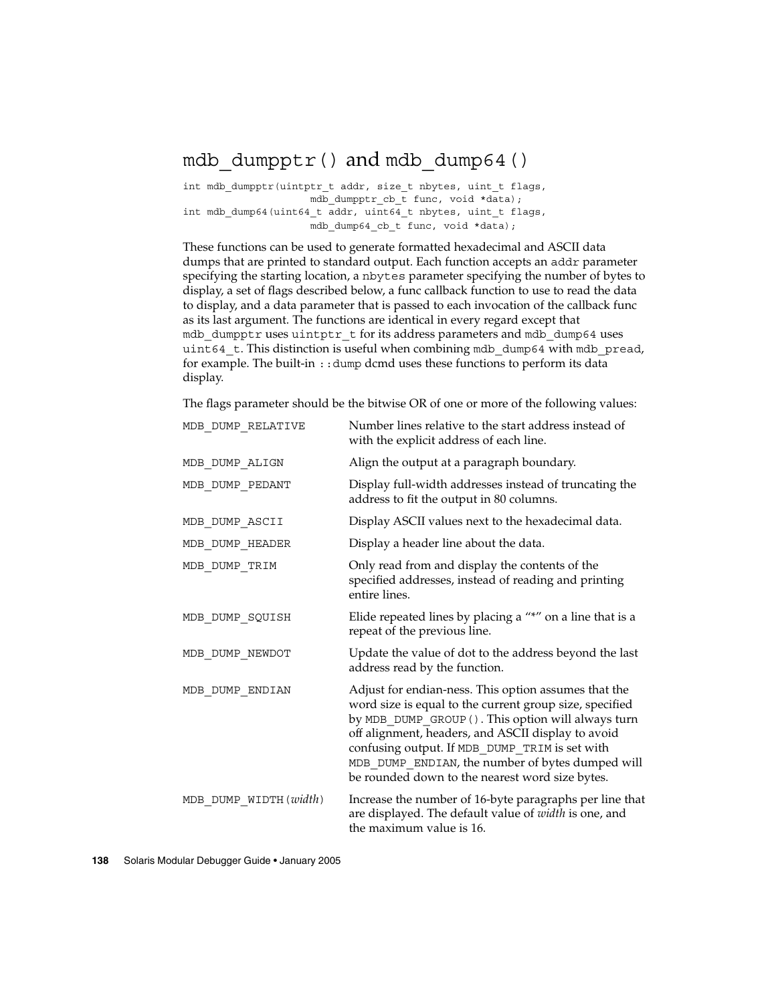## mdb dumpptr() and mdb dump64()

int mdb\_dumpptr(uintptr\_t addr, size\_t nbytes, uint\_t flags, mdb\_dumpptr\_cb\_t func, void \*data); int mdb\_dump64(uint64\_t addr, uint64\_t nbytes, uint\_t flags,

mdb\_dump64\_cb\_t func, void \*data);

These functions can be used to generate formatted hexadecimal and ASCII data dumps that are printed to standard output. Each function accepts an addr parameter specifying the starting location, a nbytes parameter specifying the number of bytes to display, a set of flags described below, a func callback function to use to read the data to display, and a data parameter that is passed to each invocation of the callback func as its last argument. The functions are identical in every regard except that mdb\_dumpptr uses uintptr\_t for its address parameters and mdb\_dump64 uses uint64 t. This distinction is useful when combining mdb dump64 with mdb pread, for example. The built-in : : dump dcmd uses these functions to perform its data display.

The flags parameter should be the bitwise OR of one or more of the following values:

| MDB DUMP_RELATIVE     | Number lines relative to the start address instead of<br>with the explicit address of each line.                                                                                                                                                                                                                                                                                     |
|-----------------------|--------------------------------------------------------------------------------------------------------------------------------------------------------------------------------------------------------------------------------------------------------------------------------------------------------------------------------------------------------------------------------------|
| MDB DUMP ALIGN        | Align the output at a paragraph boundary.                                                                                                                                                                                                                                                                                                                                            |
| MDB DUMP PEDANT       | Display full-width addresses instead of truncating the<br>address to fit the output in 80 columns.                                                                                                                                                                                                                                                                                   |
| MDB DUMP ASCII        | Display ASCII values next to the hexadecimal data.                                                                                                                                                                                                                                                                                                                                   |
| MDB DUMP HEADER       | Display a header line about the data.                                                                                                                                                                                                                                                                                                                                                |
| MDB DUMP TRIM         | Only read from and display the contents of the<br>specified addresses, instead of reading and printing<br>entire lines.                                                                                                                                                                                                                                                              |
| MDB DUMP SQUISH       | Elide repeated lines by placing a "*" on a line that is a<br>repeat of the previous line.                                                                                                                                                                                                                                                                                            |
| MDB_DUMP_NEWDOT       | Update the value of dot to the address beyond the last<br>address read by the function.                                                                                                                                                                                                                                                                                              |
| MDB_DUMP_ENDIAN       | Adjust for endian-ness. This option assumes that the<br>word size is equal to the current group size, specified<br>by MDB DUMP GROUP (). This option will always turn<br>off alignment, headers, and ASCII display to avoid<br>confusing output. If MDB DUMP TRIM is set with<br>MDB DUMP ENDIAN, the number of bytes dumped will<br>be rounded down to the nearest word size bytes. |
| MDB_DUMP_WIDTH(width) | Increase the number of 16-byte paragraphs per line that<br>are displayed. The default value of width is one, and<br>the maximum value is 16.                                                                                                                                                                                                                                         |

**138** Solaris Modular Debugger Guide • January 2005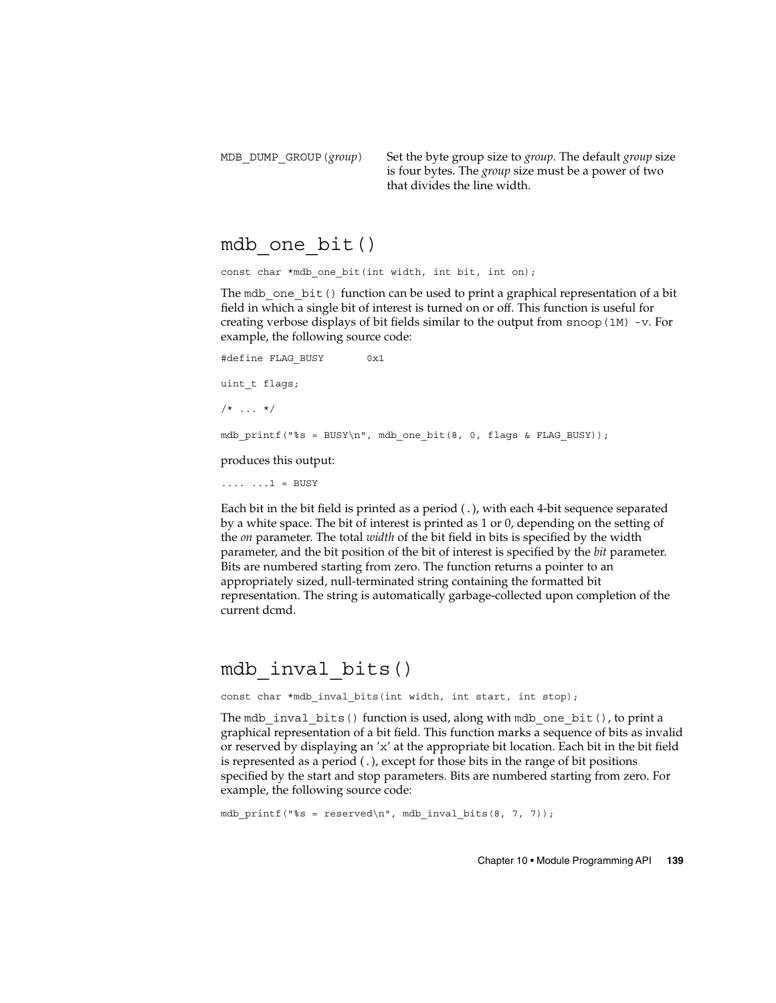MDB\_DUMP\_GROUP(*group*) Set the byte group size to *group*. The default *group* size is four bytes. The *group* size must be a power of two that divides the line width.

#### mdb\_one\_bit()

const char \*mdb\_one\_bit(int width, int bit, int on);

The mdb one  $bit()$  function can be used to print a graphical representation of a bit field in which a single bit of interest is turned on or off. This function is useful for creating verbose displays of bit fields similar to the output from snoop(1M) -v. For example, the following source code:

```
#define FLAG_BUSY 0x1
uint_t flags;
/* \ldots */mdb printf("%s = BUSY\n", mdb one bit(8, 0, flags & FLAG BUSY));
```
produces this output:

.... ...1 = BUSY

Each bit in the bit field is printed as a period (.), with each 4-bit sequence separated by a white space. The bit of interest is printed as 1 or 0, depending on the setting of the *on* parameter. The total *width* of the bit field in bits is specified by the width parameter, and the bit position of the bit of interest is specified by the *bit* parameter. Bits are numbered starting from zero. The function returns a pointer to an appropriately sized, null-terminated string containing the formatted bit representation. The string is automatically garbage-collected upon completion of the current dcmd.

#### mdb\_inval\_bits()

const char \*mdb\_inval\_bits(int width, int start, int stop);

The mdb inval bits() function is used, along with mdb one bit(), to print a graphical representation of a bit field. This function marks a sequence of bits as invalid or reserved by displaying an 'x' at the appropriate bit location. Each bit in the bit field is represented as a period (.), except for those bits in the range of bit positions specified by the start and stop parameters. Bits are numbered starting from zero. For example, the following source code:

mdb\_printf("%s = reserved\n", mdb\_inval\_bits(8, 7, 7));

Chapter 10 • Module Programming API **139**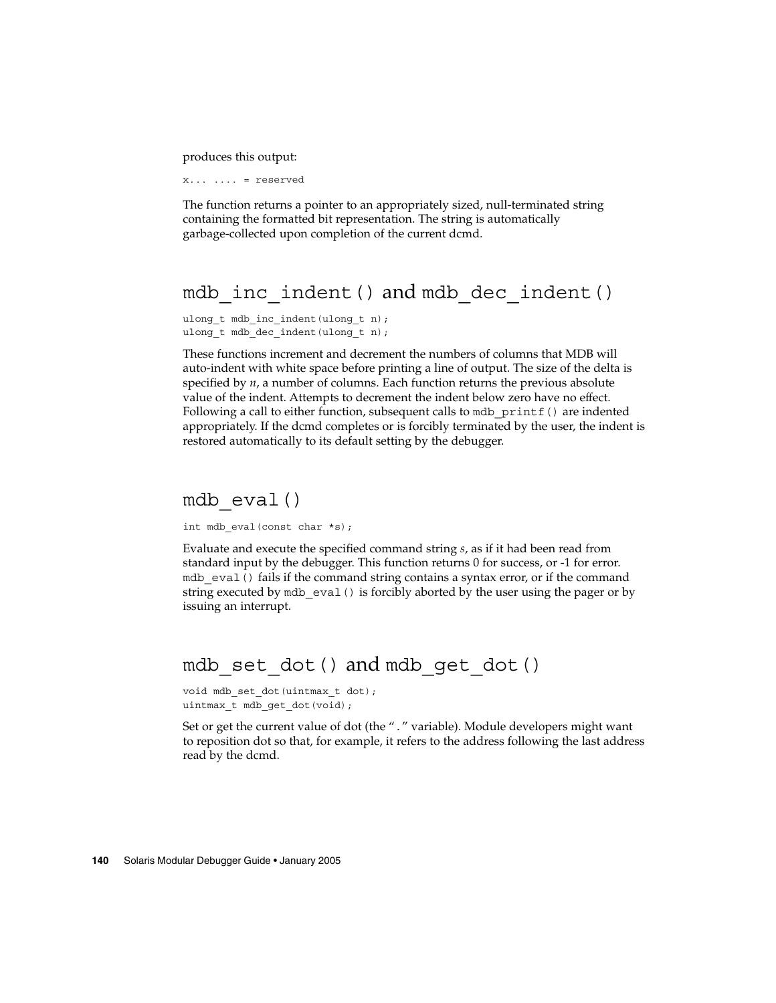produces this output:

 $x... ...$  = reserved

The function returns a pointer to an appropriately sized, null-terminated string containing the formatted bit representation. The string is automatically garbage-collected upon completion of the current dcmd.

## mdb\_inc\_indent() and mdb\_dec\_indent()

ulong\_t mdb\_inc\_indent(ulong\_t n); ulong\_t mdb\_dec\_indent(ulong\_t n);

These functions increment and decrement the numbers of columns that MDB will auto-indent with white space before printing a line of output. The size of the delta is specified by *n*, a number of columns. Each function returns the previous absolute value of the indent. Attempts to decrement the indent below zero have no effect. Following a call to either function, subsequent calls to mdb printf() are indented appropriately. If the dcmd completes or is forcibly terminated by the user, the indent is restored automatically to its default setting by the debugger.

#### mdb\_eval()

int mdb eval(const char \*s);

Evaluate and execute the specified command string *s*, as if it had been read from standard input by the debugger. This function returns 0 for success, or -1 for error. mdb eval() fails if the command string contains a syntax error, or if the command string executed by mdb eval() is forcibly aborted by the user using the pager or by issuing an interrupt.

## mdb\_set\_dot() and mdb\_get\_dot()

void mdb set dot(uintmax t dot); uintmax t mdb get dot(void);

Set or get the current value of dot (the "." variable). Module developers might want to reposition dot so that, for example, it refers to the address following the last address read by the dcmd.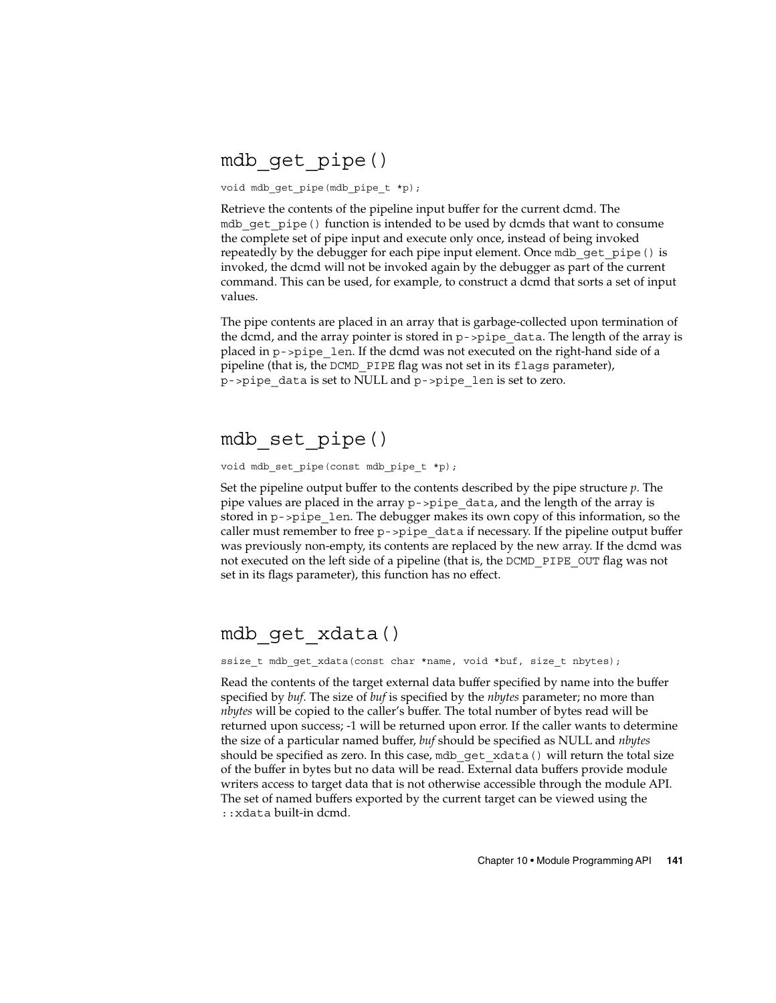## mdb\_get\_pipe()

void mdb\_get\_pipe(mdb\_pipe\_t \*p);

Retrieve the contents of the pipeline input buffer for the current dcmd. The mdb get pipe () function is intended to be used by dcmds that want to consume the complete set of pipe input and execute only once, instead of being invoked repeatedly by the debugger for each pipe input element. Once mdb\_get\_pipe() is invoked, the dcmd will not be invoked again by the debugger as part of the current command. This can be used, for example, to construct a dcmd that sorts a set of input values.

The pipe contents are placed in an array that is garbage-collected upon termination of the dcmd, and the array pointer is stored in  $p$ - $p$ ipe data. The length of the array is placed in p->pipe\_len. If the dcmd was not executed on the right-hand side of a pipeline (that is, the DCMD\_PIPE flag was not set in its flags parameter), p->pipe\_data is set to NULL and p->pipe\_len is set to zero.

## mdb\_set\_pipe()

void mdb set pipe(const mdb pipe t \*p);

Set the pipeline output buffer to the contents described by the pipe structure *p*. The pipe values are placed in the array p->pipe\_data, and the length of the array is stored in p->pipe\_len. The debugger makes its own copy of this information, so the caller must remember to free p->pipe\_data if necessary. If the pipeline output buffer was previously non-empty, its contents are replaced by the new array. If the dcmd was not executed on the left side of a pipeline (that is, the DCMD\_PIPE\_OUT flag was not set in its flags parameter), this function has no effect.

## mdb\_get\_xdata()

ssize t mdb get xdata(const char \*name, void \*buf, size t nbytes);

Read the contents of the target external data buffer specified by name into the buffer specified by *buf*. The size of *buf* is specified by the *nbytes* parameter; no more than *nbytes* will be copied to the caller's buffer. The total number of bytes read will be returned upon success; -1 will be returned upon error. If the caller wants to determine the size of a particular named buffer, *buf* should be specified as NULL and *nbytes* should be specified as zero. In this case, mdb get xdata() will return the total size of the buffer in bytes but no data will be read. External data buffers provide module writers access to target data that is not otherwise accessible through the module API. The set of named buffers exported by the current target can be viewed using the ::xdata built-in dcmd.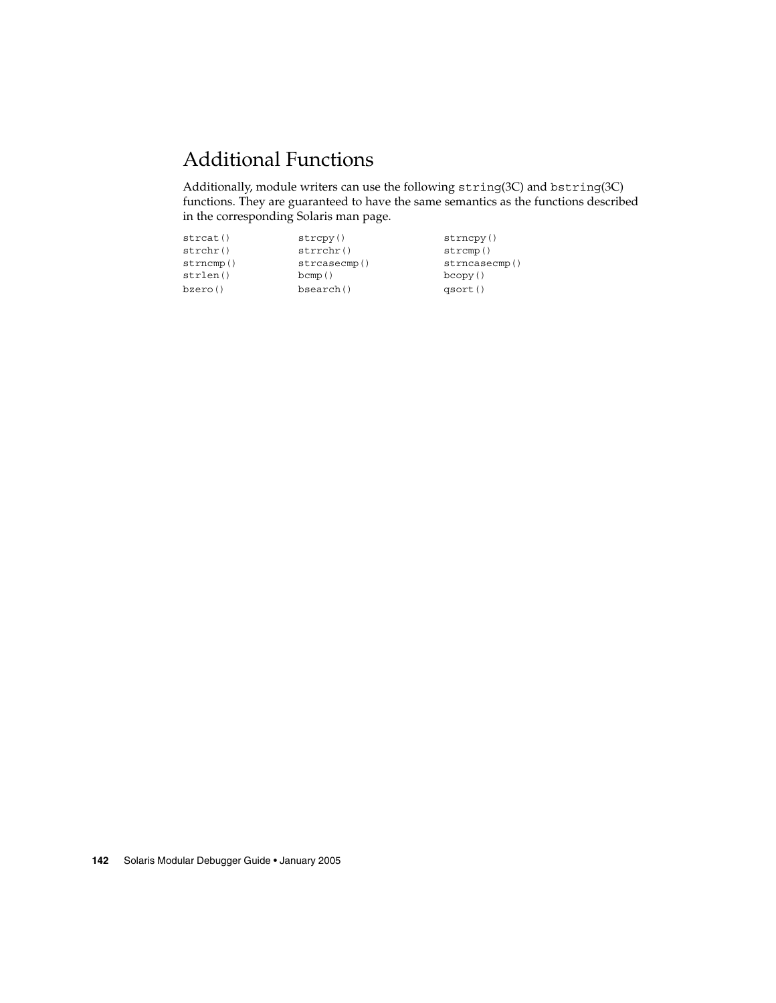# Additional Functions

Additionally, module writers can use the following string(3C) and bstring(3C) functions. They are guaranteed to have the same semantics as the functions described in the corresponding Solaris man page.

| strcat()  | strcpy()     | strnopy()     |
|-----------|--------------|---------------|
| strchr()  | strrchr()    | strcmp()      |
| strncmp() | strcasecmp() | strncasecmp() |
| strlen()  | bcmp()       | bcopy()       |
| bzero()   | bsearch()    | qsort()       |
|           |              |               |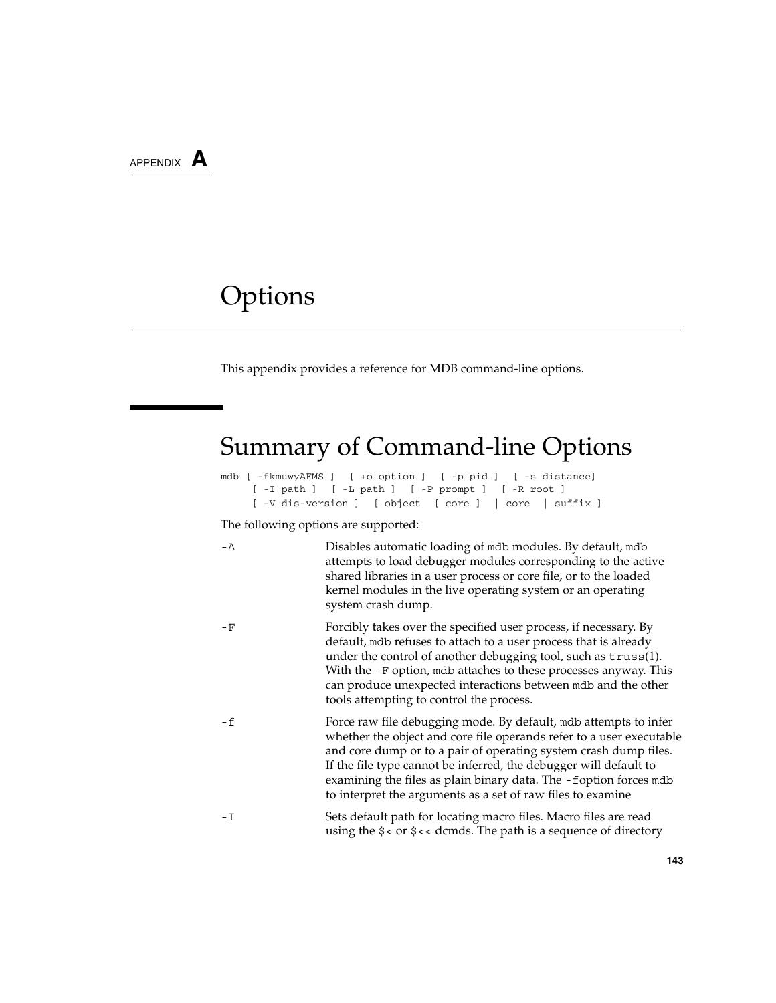APPENDIX **A**

# Options

This appendix provides a reference for MDB command-line options.

# Summary of Command-line Options

```
mdb [ -fkmuwyAFMS ] [ +o option ] [ -p pid ] [ -s distance]
     [ -I path ] [ -L path ] [ -P prompt ] [ -R root ]
    [ -V dis-version ] [ object [ core ] | core | suffix ]
```
The following options are supported:

| $-A$ | Disables automatic loading of mdb modules. By default, mdb<br>attempts to load debugger modules corresponding to the active<br>shared libraries in a user process or core file, or to the loaded<br>kernel modules in the live operating system or an operating<br>system crash dump.                                                                                                                                 |
|------|-----------------------------------------------------------------------------------------------------------------------------------------------------------------------------------------------------------------------------------------------------------------------------------------------------------------------------------------------------------------------------------------------------------------------|
| $-F$ | Forcibly takes over the specified user process, if necessary. By<br>default, mdb refuses to attach to a user process that is already<br>under the control of another debugging tool, such as truss(1).<br>With the -F option, mdb attaches to these processes anyway. This<br>can produce unexpected interactions between mdb and the other<br>tools attempting to control the process.                               |
| - f  | Force raw file debugging mode. By default, mdb attempts to infer<br>whether the object and core file operands refer to a user executable<br>and core dump or to a pair of operating system crash dump files.<br>If the file type cannot be inferred, the debugger will default to<br>examining the files as plain binary data. The -foption forces mdb<br>to interpret the arguments as a set of raw files to examine |
| $-1$ | Sets default path for locating macro files. Macro files are read<br>using the $\frac{2}{5}$ or $\frac{2}{5}$ c dcmds. The path is a sequence of directory                                                                                                                                                                                                                                                             |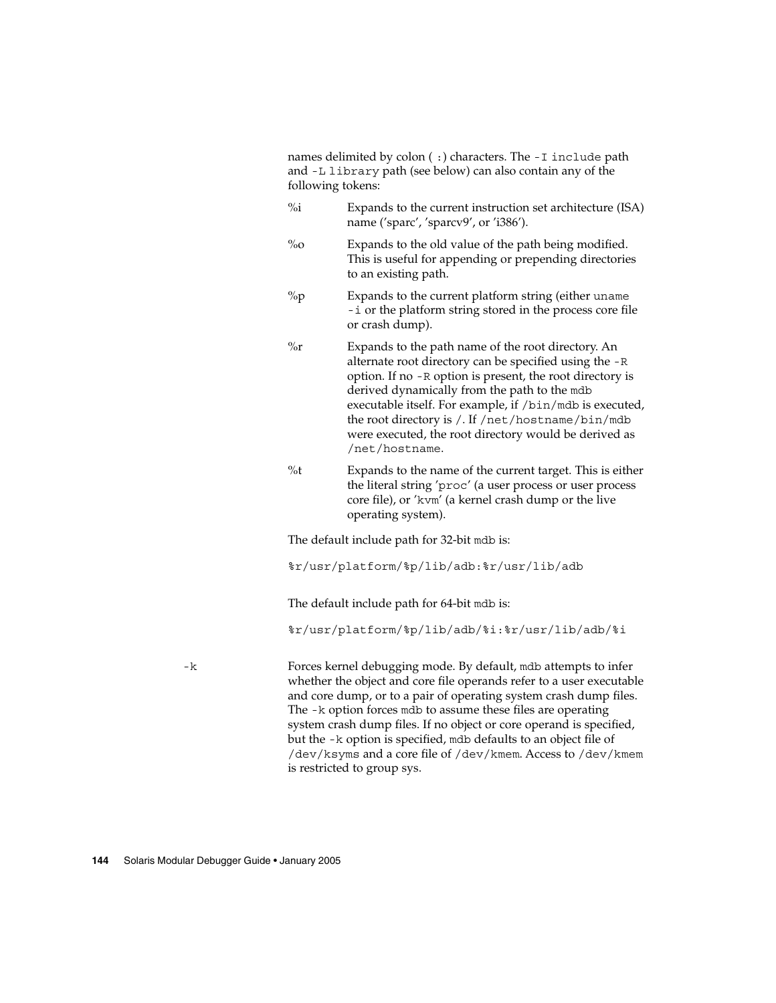names delimited by colon ( :) characters. The -I include path and -L library path (see below) can also contain any of the following tokens:

- %i Expands to the current instruction set architecture (ISA) name ('sparc', 'sparcv9', or 'i386').
- %o Expands to the old value of the path being modified. This is useful for appending or prepending directories to an existing path.
- $\%$ p Expands to the current platform string (either uname -i or the platform string stored in the process core file or crash dump).
- %r Expands to the path name of the root directory. An alternate root directory can be specified using the -R option. If no -R option is present, the root directory is derived dynamically from the path to the mdb executable itself. For example, if /bin/mdb is executed, the root directory is /. If /net/hostname/bin/mdb were executed, the root directory would be derived as /net/hostname.
- %t Expands to the name of the current target. This is either the literal string 'proc' (a user process or user process core file), or 'kvm' (a kernel crash dump or the live operating system).

The default include path for 32-bit mdb is:

%r/usr/platform/%p/lib/adb:%r/usr/lib/adb

The default include path for 64-bit mdb is:

%r/usr/platform/%p/lib/adb/%i:%r/usr/lib/adb/%i

-k Forces kernel debugging mode. By default, mdb attempts to infer whether the object and core file operands refer to a user executable and core dump, or to a pair of operating system crash dump files. The -k option forces mdb to assume these files are operating system crash dump files. If no object or core operand is specified, but the -k option is specified, mdb defaults to an object file of /dev/ksyms and a core file of /dev/kmem. Access to /dev/kmem is restricted to group sys.

**144** Solaris Modular Debugger Guide • January 2005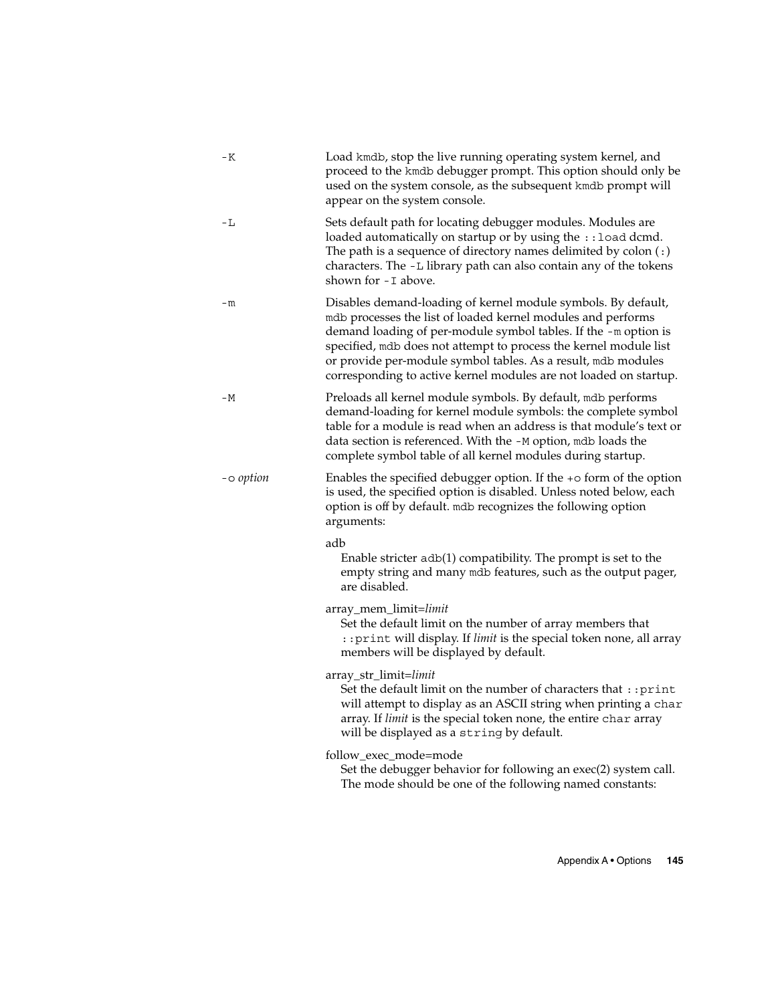| – K       | Load kmdb, stop the live running operating system kernel, and<br>proceed to the kmdb debugger prompt. This option should only be<br>used on the system console, as the subsequent kmdb prompt will<br>appear on the system console.                                                                                                                                                                         |
|-----------|-------------------------------------------------------------------------------------------------------------------------------------------------------------------------------------------------------------------------------------------------------------------------------------------------------------------------------------------------------------------------------------------------------------|
| – L       | Sets default path for locating debugger modules. Modules are<br>loaded automatically on startup or by using the :: load dcmd.<br>The path is a sequence of directory names delimited by $\text{colon}$ ( $\colon$ )<br>characters. The -L library path can also contain any of the tokens<br>shown for -1 above.                                                                                            |
| – m       | Disables demand-loading of kernel module symbols. By default,<br>mdb processes the list of loaded kernel modules and performs<br>demand loading of per-module symbol tables. If the -m option is<br>specified, mdb does not attempt to process the kernel module list<br>or provide per-module symbol tables. As a result, mdb modules<br>corresponding to active kernel modules are not loaded on startup. |
| $-M$      | Preloads all kernel module symbols. By default, mdb performs<br>demand-loading for kernel module symbols: the complete symbol<br>table for a module is read when an address is that module's text or<br>data section is referenced. With the -M option, mdb loads the<br>complete symbol table of all kernel modules during startup.                                                                        |
| -0 option | Enables the specified debugger option. If the $+$ o form of the option<br>is used, the specified option is disabled. Unless noted below, each<br>option is off by default. mdb recognizes the following option<br>arguments:                                                                                                                                                                                |
|           | adb<br>Enable stricter $adb(1)$ compatibility. The prompt is set to the<br>empty string and many mdb features, such as the output pager,<br>are disabled.                                                                                                                                                                                                                                                   |
|           | array_mem_limit=limit<br>Set the default limit on the number of array members that<br>: : print will display. If <i>limit</i> is the special token none, all array<br>members will be displayed by default.                                                                                                                                                                                                 |
|           | array_str_limit=limit<br>Set the default limit on the number of characters that :: print<br>will attempt to display as an ASCII string when printing a char<br>array. If <i>limit</i> is the special token none, the entire char array<br>will be displayed as a string by default.                                                                                                                         |
|           | follow exec mode=mode<br>Set the debugger behavior for following an exec(2) system call.<br>The mode should be one of the following named constants:                                                                                                                                                                                                                                                        |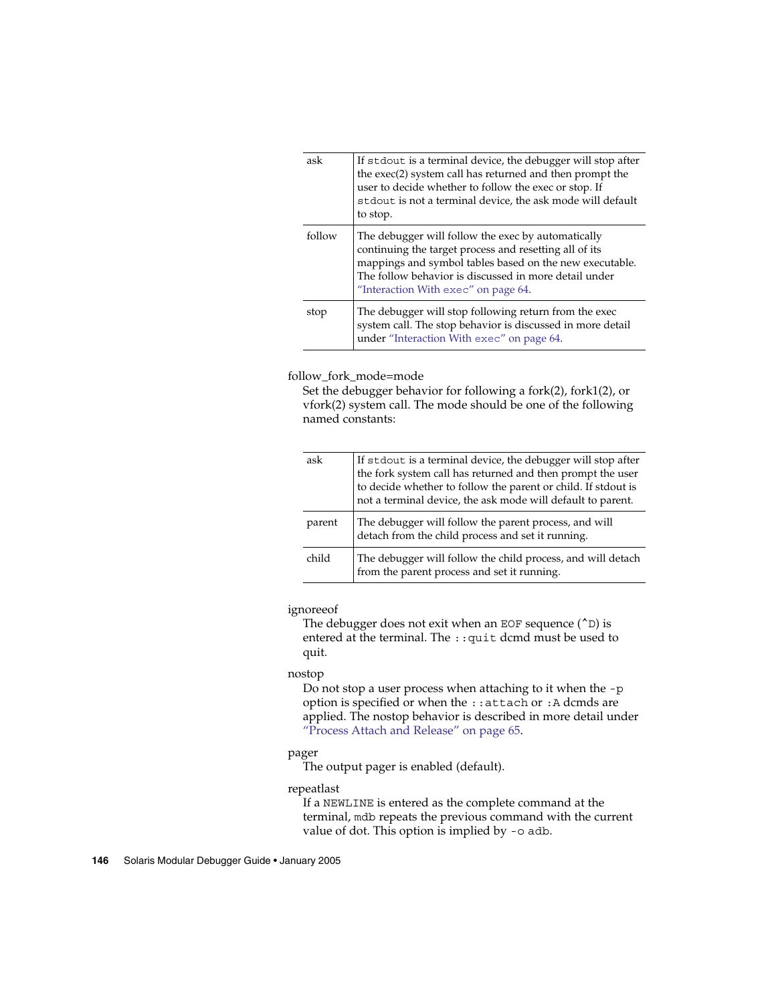| ask    | If st dout is a terminal device, the debugger will stop after<br>the exec(2) system call has returned and then prompt the<br>user to decide whether to follow the exec or stop. If<br>st dout is not a terminal device, the ask mode will default<br>to stop.           |  |  |
|--------|-------------------------------------------------------------------------------------------------------------------------------------------------------------------------------------------------------------------------------------------------------------------------|--|--|
| follow | The debugger will follow the exec by automatically<br>continuing the target process and resetting all of its<br>mappings and symbol tables based on the new executable.<br>The follow behavior is discussed in more detail under<br>"Interaction With exec" on page 64. |  |  |
| stop   | The debugger will stop following return from the exec<br>system call. The stop behavior is discussed in more detail<br>under "Interaction With exec" on page 64.                                                                                                        |  |  |

follow\_fork\_mode=mode

Set the debugger behavior for following a fork(2), fork1(2), or vfork(2) system call. The mode should be one of the following named constants:

| ask    | If stdout is a terminal device, the debugger will stop after<br>the fork system call has returned and then prompt the user<br>to decide whether to follow the parent or child. If stdout is<br>not a terminal device, the ask mode will default to parent. |
|--------|------------------------------------------------------------------------------------------------------------------------------------------------------------------------------------------------------------------------------------------------------------|
| parent | The debugger will follow the parent process, and will<br>detach from the child process and set it running.                                                                                                                                                 |
| child  | The debugger will follow the child process, and will detach<br>from the parent process and set it running.                                                                                                                                                 |

#### ignoreeof

The debugger does not exit when an EOF sequence  $(2D)$  is entered at the terminal. The :: quit dcmd must be used to quit.

#### nostop

Do not stop a user process when attaching to it when the -p option is specified or when the ::attach or :A dcmds are applied. The nostop behavior is described in more detail under ["Process Attach and Release"](#page-64-0) on page 65.

#### pager

The output pager is enabled (default).

#### repeatlast

If a NEWLINE is entered as the complete command at the terminal, mdb repeats the previous command with the current value of dot. This option is implied by -o adb.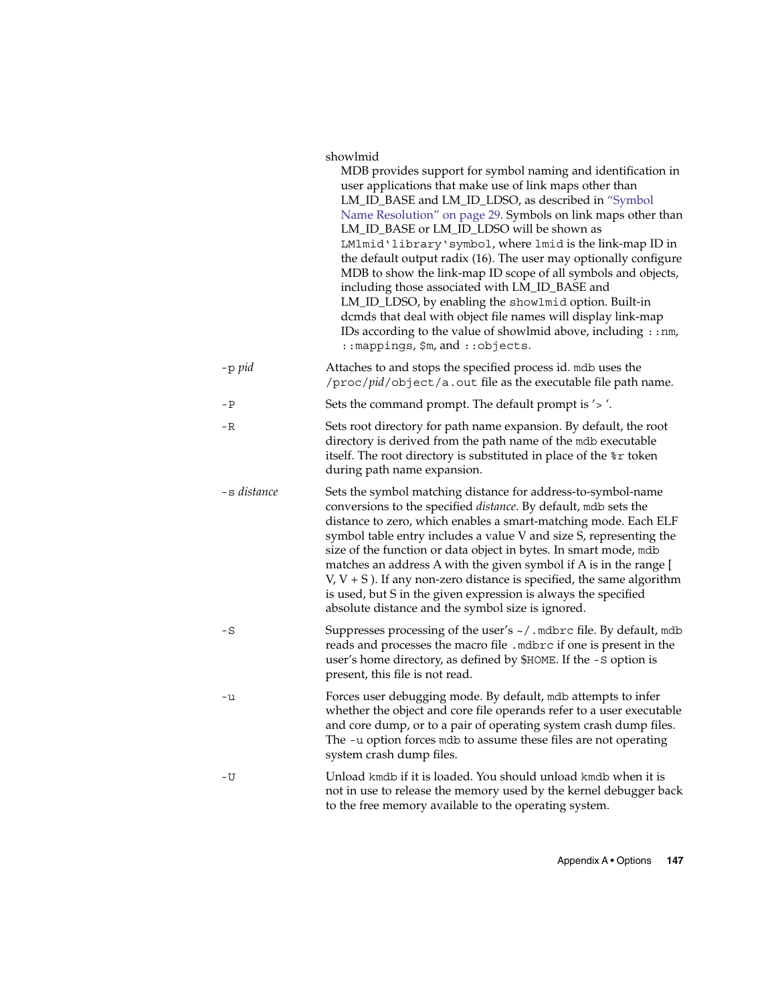#### showlmid

<span id="page-146-0"></span>

|             | MDB provides support for symbol naming and identification in<br>user applications that make use of link maps other than<br>LM_ID_BASE and LM_ID_LDSO, as described in "Symbol<br>Name Resolution" on page 29. Symbols on link maps other than<br>LM_ID_BASE or LM_ID_LDSO will be shown as<br>LMlmid'library'symbol, where lmid is the link-map ID in<br>the default output radix (16). The user may optionally configure<br>MDB to show the link-map ID scope of all symbols and objects,<br>including those associated with LM_ID_BASE and<br>LM_ID_LDSO, by enabling the showlmid option. Built-in<br>dcmds that deal with object file names will display link-map<br>IDs according to the value of showlmid above, including $: \cdot \cdot \cdot$ mm,<br>:: mappings, \$m, and: : objects. |  |
|-------------|-------------------------------------------------------------------------------------------------------------------------------------------------------------------------------------------------------------------------------------------------------------------------------------------------------------------------------------------------------------------------------------------------------------------------------------------------------------------------------------------------------------------------------------------------------------------------------------------------------------------------------------------------------------------------------------------------------------------------------------------------------------------------------------------------|--|
| $-p$ pid    | Attaches to and stops the specified process id. mdb uses the<br>/proc/pid/object/a.out file as the executable file path name.                                                                                                                                                                                                                                                                                                                                                                                                                                                                                                                                                                                                                                                                   |  |
| $-P$        | Sets the command prompt. The default prompt is '>'.                                                                                                                                                                                                                                                                                                                                                                                                                                                                                                                                                                                                                                                                                                                                             |  |
| - R         | Sets root directory for path name expansion. By default, the root<br>directory is derived from the path name of the mdb executable<br>itself. The root directory is substituted in place of the %r token<br>during path name expansion.                                                                                                                                                                                                                                                                                                                                                                                                                                                                                                                                                         |  |
| -s distance | Sets the symbol matching distance for address-to-symbol-name<br>conversions to the specified distance. By default, mdb sets the<br>distance to zero, which enables a smart-matching mode. Each ELF<br>symbol table entry includes a value V and size S, representing the<br>size of the function or data object in bytes. In smart mode, mdb<br>matches an address A with the given symbol if A is in the range [<br>$V, V + S$ ). If any non-zero distance is specified, the same algorithm<br>is used, but S in the given expression is always the specified<br>absolute distance and the symbol size is ignored.                                                                                                                                                                             |  |
| - S         | Suppresses processing of the user's ~/. mdbrc file. By default, mdb<br>reads and processes the macro file . mdbrc if one is present in the<br>user's home directory, as defined by \$HOME. If the -S option is<br>present, this file is not read.                                                                                                                                                                                                                                                                                                                                                                                                                                                                                                                                               |  |
| -u          | Forces user debugging mode. By default, mdb attempts to infer<br>whether the object and core file operands refer to a user executable<br>and core dump, or to a pair of operating system crash dump files.<br>The -u option forces mdb to assume these files are not operating<br>system crash dump files.                                                                                                                                                                                                                                                                                                                                                                                                                                                                                      |  |
| -U          | Unload kmdb if it is loaded. You should unload kmdb when it is<br>not in use to release the memory used by the kernel debugger back<br>to the free memory available to the operating system.                                                                                                                                                                                                                                                                                                                                                                                                                                                                                                                                                                                                    |  |

Appendix A • Options **147**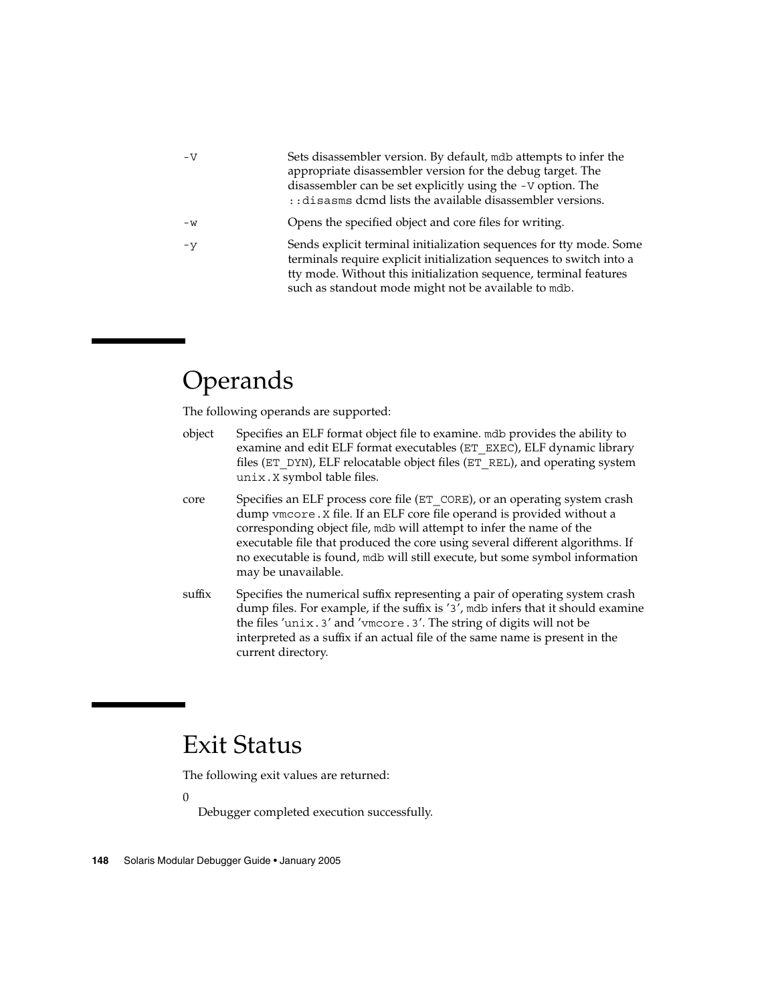| $-V$ | Sets disassembler version. By default, mdb attempts to infer the<br>appropriate disassembler version for the debug target. The<br>disassembler can be set explicitly using the -V option. The<br>: : disasms dcmd lists the available disassembler versions.             |
|------|--------------------------------------------------------------------------------------------------------------------------------------------------------------------------------------------------------------------------------------------------------------------------|
| $-W$ | Opens the specified object and core files for writing.                                                                                                                                                                                                                   |
| $-y$ | Sends explicit terminal initialization sequences for tty mode. Some<br>terminals require explicit initialization sequences to switch into a<br>tty mode. Without this initialization sequence, terminal features<br>such as standout mode might not be available to mdb. |

# Operands

The following operands are supported:

- object Specifies an ELF format object file to examine. mdb provides the ability to examine and edit ELF format executables (ET\_EXEC), ELF dynamic library files (ET\_DYN), ELF relocatable object files (ET\_REL), and operating system unix.X symbol table files.
- core Specifies an ELF process core file (ET\_CORE), or an operating system crash dump vmcore.X file. If an ELF core file operand is provided without a corresponding object file, mdb will attempt to infer the name of the executable file that produced the core using several different algorithms. If no executable is found, mdb will still execute, but some symbol information may be unavailable.
- suffix Specifies the numerical suffix representing a pair of operating system crash dump files. For example, if the suffix is '3', mdb infers that it should examine the files 'unix.3' and 'vmcore.3'. The string of digits will not be interpreted as a suffix if an actual file of the same name is present in the current directory.

### Exit Status

The following exit values are returned:

0

Debugger completed execution successfully.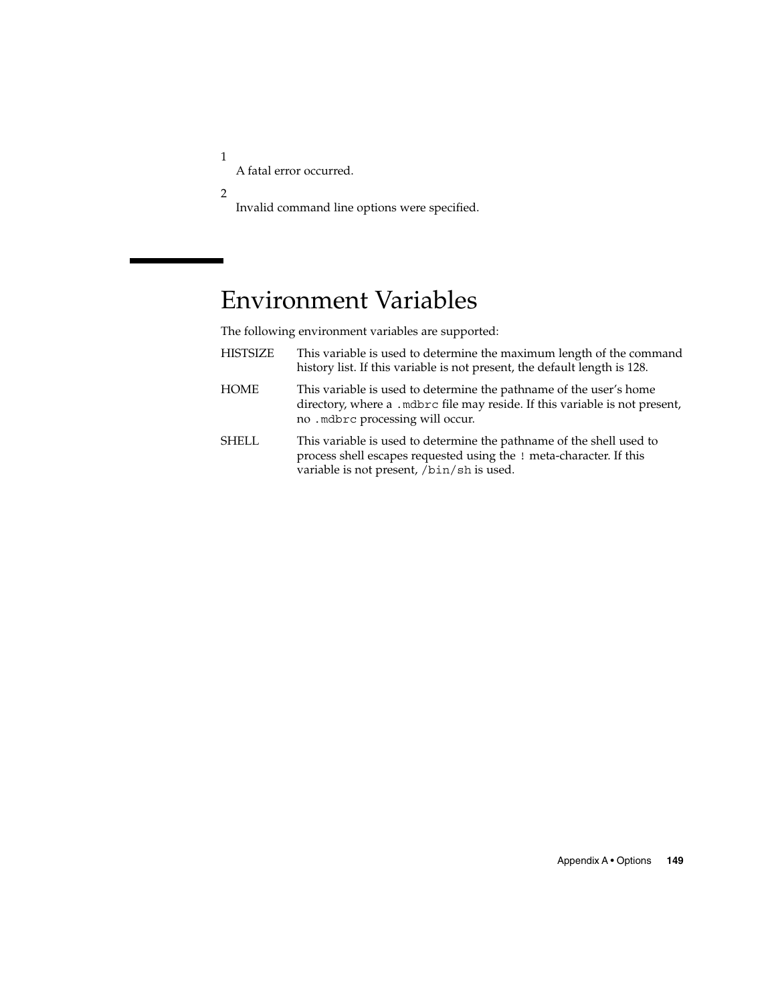A fatal error occurred.

```
2
```
1

Invalid command line options were specified.

## Environment Variables

The following environment variables are supported:

HISTSIZE This variable is used to determine the maximum length of the command history list. If this variable is not present, the default length is 128. HOME This variable is used to determine the pathname of the user's home directory, where a .mdbrc file may reside. If this variable is not present, no .mdbrc processing will occur. SHELL This variable is used to determine the pathname of the shell used to process shell escapes requested using the ! meta-character. If this variable is not present, /bin/sh is used.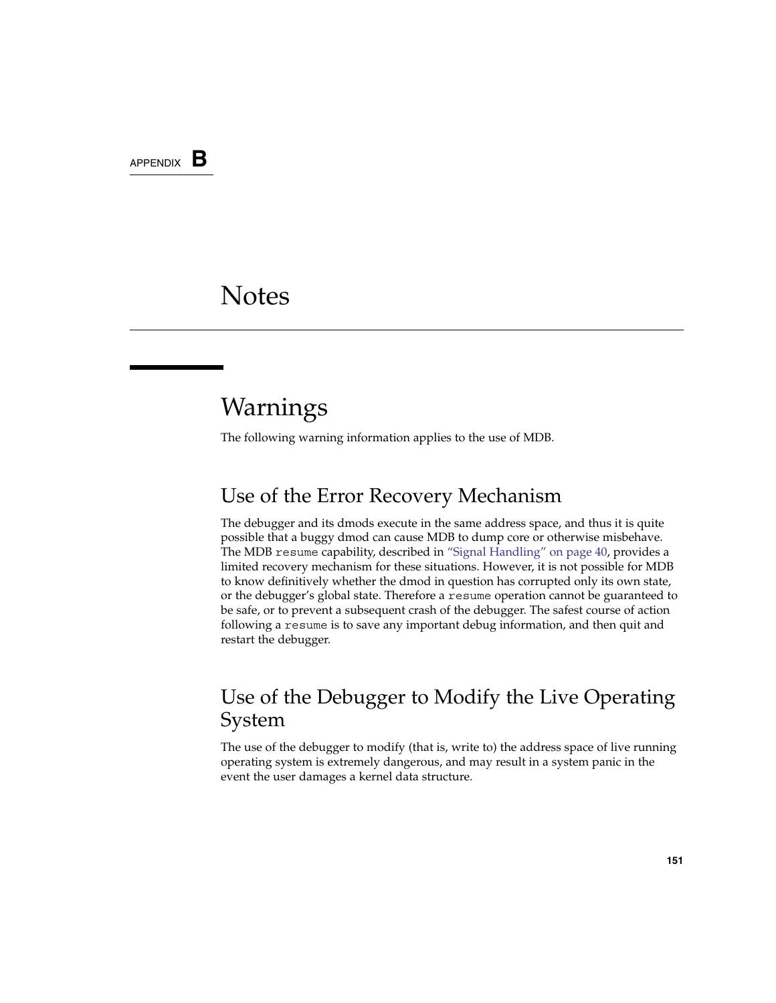APPENDIX **B**

### **Notes**

# Warnings

The following warning information applies to the use of MDB.

### Use of the Error Recovery Mechanism

The debugger and its dmods execute in the same address space, and thus it is quite possible that a buggy dmod can cause MDB to dump core or otherwise misbehave. The MDB resume capability, described in ["Signal Handling"](#page-39-0) on page 40, provides a limited recovery mechanism for these situations. However, it is not possible for MDB to know definitively whether the dmod in question has corrupted only its own state, or the debugger's global state. Therefore a resume operation cannot be guaranteed to be safe, or to prevent a subsequent crash of the debugger. The safest course of action following a resume is to save any important debug information, and then quit and restart the debugger.

### Use of the Debugger to Modify the Live Operating System

The use of the debugger to modify (that is, write to) the address space of live running operating system is extremely dangerous, and may result in a system panic in the event the user damages a kernel data structure.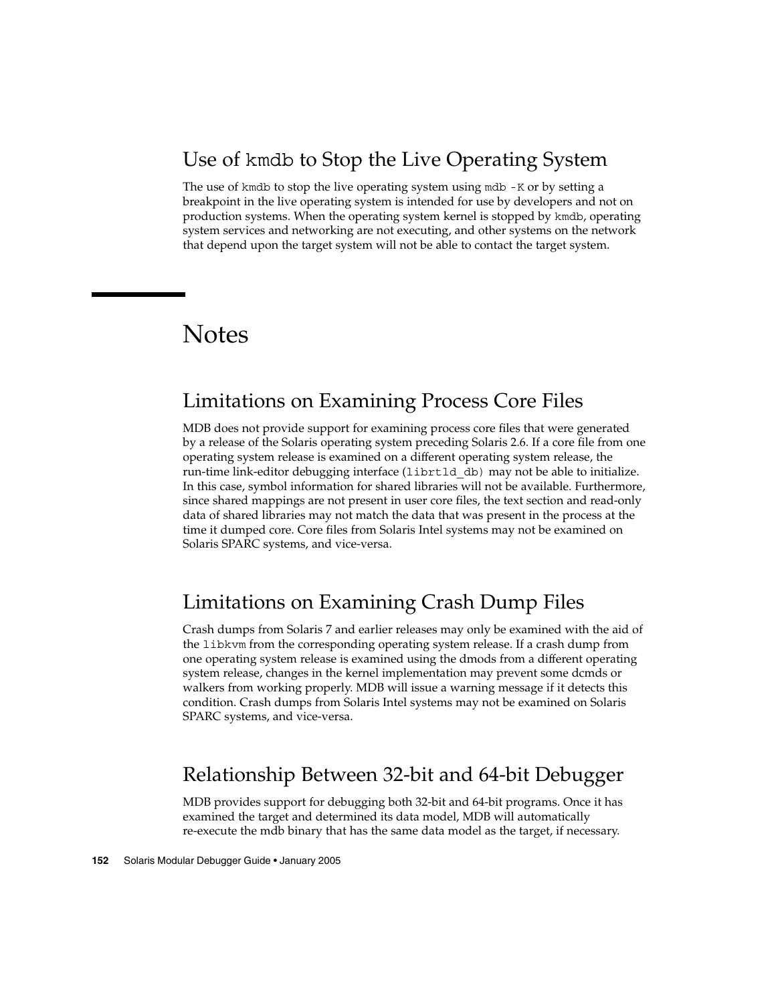### Use of kmdb to Stop the Live Operating System

The use of kmdb to stop the live operating system using mdb -K or by setting a breakpoint in the live operating system is intended for use by developers and not on production systems. When the operating system kernel is stopped by kmdb, operating system services and networking are not executing, and other systems on the network that depend upon the target system will not be able to contact the target system.

## **Notes**

### Limitations on Examining Process Core Files

MDB does not provide support for examining process core files that were generated by a release of the Solaris operating system preceding Solaris 2.6. If a core file from one operating system release is examined on a different operating system release, the run-time link-editor debugging interface (librtld\_db) may not be able to initialize. In this case, symbol information for shared libraries will not be available. Furthermore, since shared mappings are not present in user core files, the text section and read-only data of shared libraries may not match the data that was present in the process at the time it dumped core. Core files from Solaris Intel systems may not be examined on Solaris SPARC systems, and vice-versa.

### Limitations on Examining Crash Dump Files

Crash dumps from Solaris 7 and earlier releases may only be examined with the aid of the libkvm from the corresponding operating system release. If a crash dump from one operating system release is examined using the dmods from a different operating system release, changes in the kernel implementation may prevent some dcmds or walkers from working properly. MDB will issue a warning message if it detects this condition. Crash dumps from Solaris Intel systems may not be examined on Solaris SPARC systems, and vice-versa.

### Relationship Between 32-bit and 64-bit Debugger

MDB provides support for debugging both 32-bit and 64-bit programs. Once it has examined the target and determined its data model, MDB will automatically re-execute the mdb binary that has the same data model as the target, if necessary.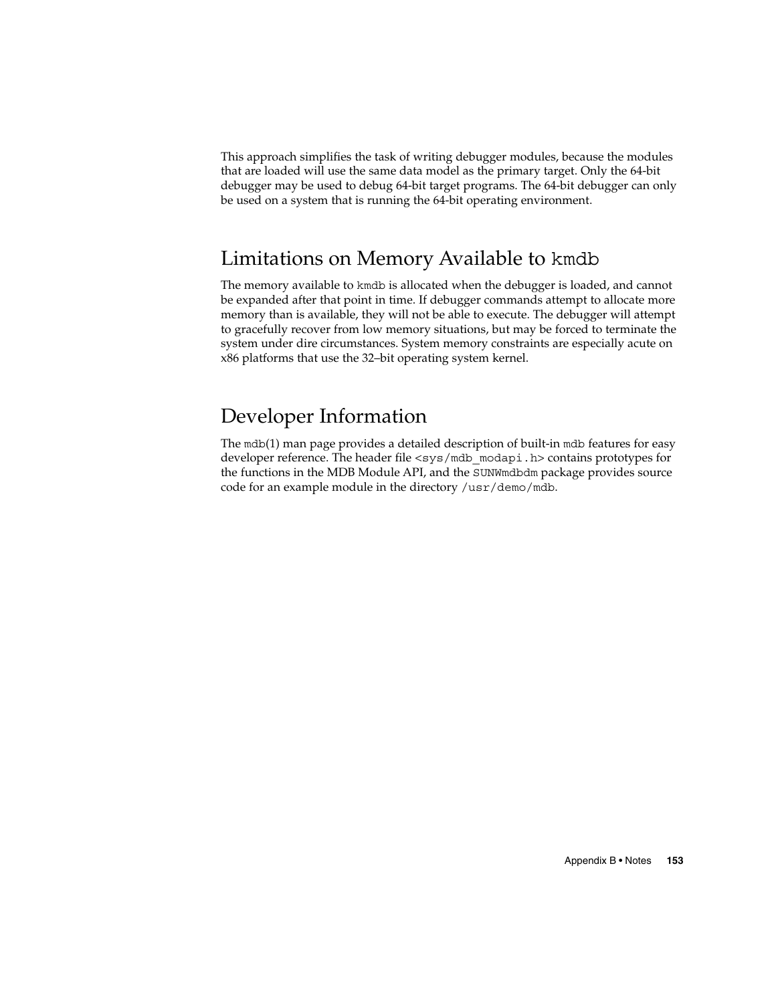This approach simplifies the task of writing debugger modules, because the modules that are loaded will use the same data model as the primary target. Only the 64-bit debugger may be used to debug 64-bit target programs. The 64-bit debugger can only be used on a system that is running the 64-bit operating environment.

### Limitations on Memory Available to kmdb

The memory available to kmdb is allocated when the debugger is loaded, and cannot be expanded after that point in time. If debugger commands attempt to allocate more memory than is available, they will not be able to execute. The debugger will attempt to gracefully recover from low memory situations, but may be forced to terminate the system under dire circumstances. System memory constraints are especially acute on x86 platforms that use the 32–bit operating system kernel.

### Developer Information

The mdb(1) man page provides a detailed description of built-in mdb features for easy developer reference. The header file <sys/mdb\_modapi.h> contains prototypes for the functions in the MDB Module API, and the SUNWmdbdm package provides source code for an example module in the directory /usr/demo/mdb.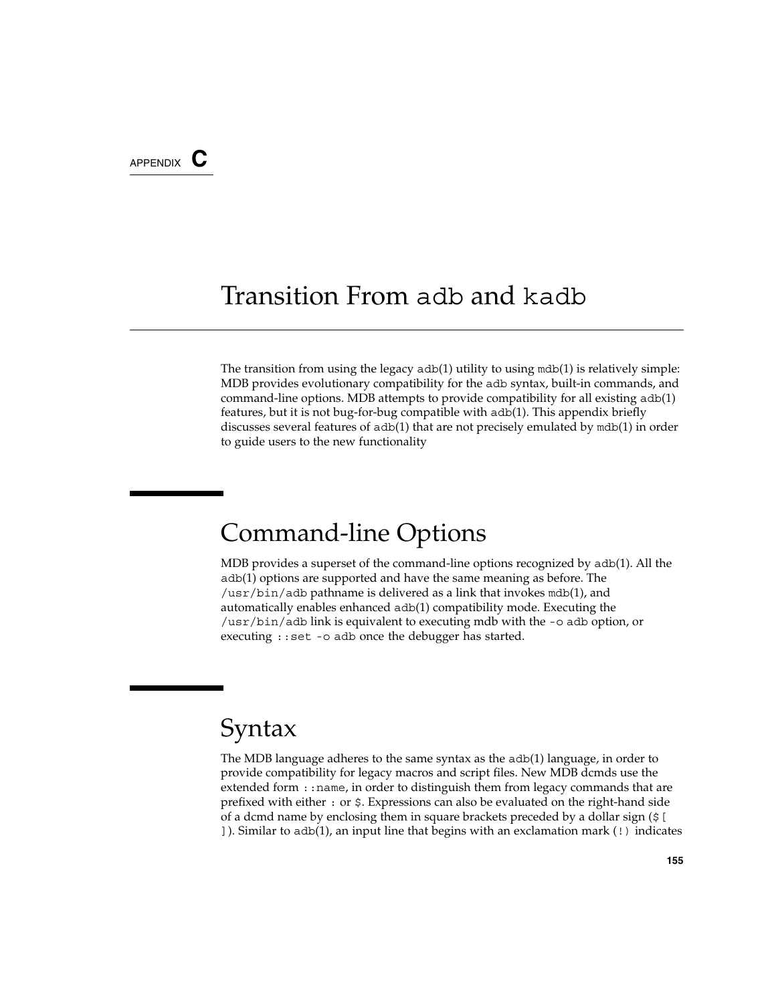#### APPENDIX **C**

# Transition From adb and kadb

The transition from using the legacy  $adb(1)$  utility to using  $mdb(1)$  is relatively simple: MDB provides evolutionary compatibility for the adb syntax, built-in commands, and command-line options. MDB attempts to provide compatibility for all existing adb(1) features, but it is not bug-for-bug compatible with adb(1). This appendix briefly discusses several features of adb(1) that are not precisely emulated by mdb(1) in order to guide users to the new functionality

### Command-line Options

MDB provides a superset of the command-line options recognized by adb(1). All the adb(1) options are supported and have the same meaning as before. The /usr/bin/adb pathname is delivered as a link that invokes mdb(1), and automatically enables enhanced adb(1) compatibility mode. Executing the /usr/bin/adb link is equivalent to executing mdb with the -o adb option, or executing ::set -o adb once the debugger has started.

### Syntax

The MDB language adheres to the same syntax as the adb(1) language, in order to provide compatibility for legacy macros and script files. New MDB dcmds use the extended form ::name, in order to distinguish them from legacy commands that are prefixed with either : or \$. Expressions can also be evaluated on the right-hand side of a dcmd name by enclosing them in square brackets preceded by a dollar sign  $(\xi)$ ]). Similar to adb(1), an input line that begins with an exclamation mark (!) indicates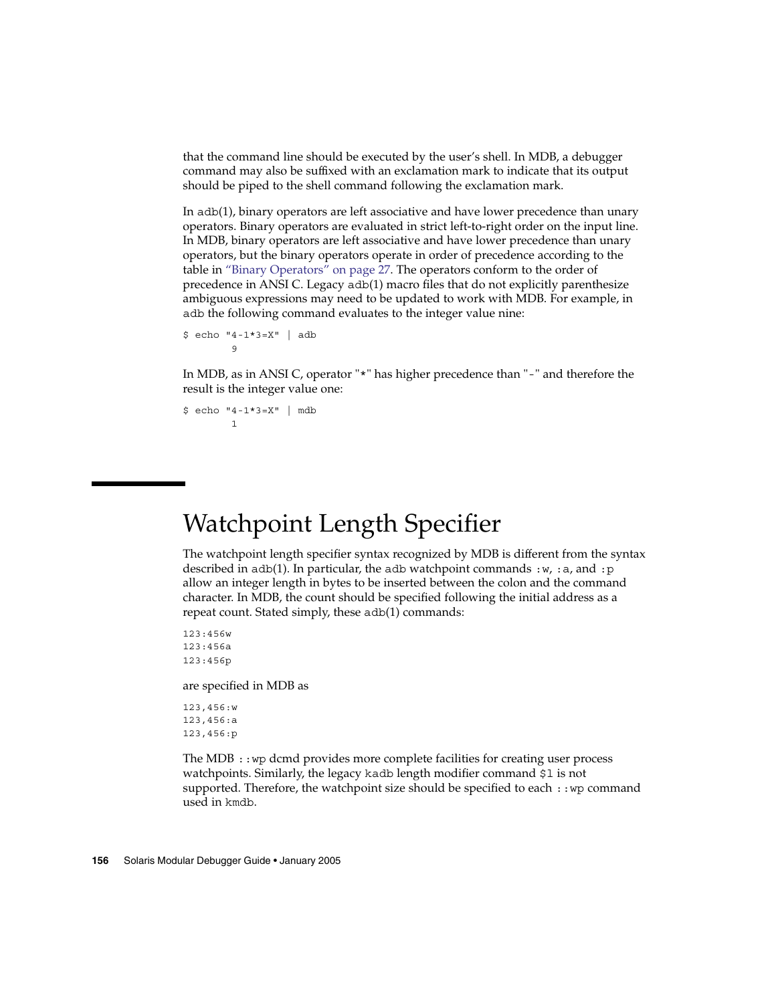that the command line should be executed by the user's shell. In MDB, a debugger command may also be suffixed with an exclamation mark to indicate that its output should be piped to the shell command following the exclamation mark.

In adb(1), binary operators are left associative and have lower precedence than unary operators. Binary operators are evaluated in strict left-to-right order on the input line. In MDB, binary operators are left associative and have lower precedence than unary operators, but the binary operators operate in order of precedence according to the table in ["Binary Operators"](#page-26-0) on page 27. The operators conform to the order of precedence in ANSI C. Legacy adb(1) macro files that do not explicitly parenthesize ambiguous expressions may need to be updated to work with MDB. For example, in adb the following command evaluates to the integer value nine:

```
$ echo "4-1*3=X" | adb
        9
```
In MDB, as in ANSI C, operator "\*" has higher precedence than "-" and therefore the result is the integer value one:

```
$ echo "4-1*3=X" | mdb
       1
```
# Watchpoint Length Specifier

The watchpoint length specifier syntax recognized by MDB is different from the syntax described in adb(1). In particular, the adb watchpoint commands  $:w$ ,  $:a$ , and  $:p$ allow an integer length in bytes to be inserted between the colon and the command character. In MDB, the count should be specified following the initial address as a repeat count. Stated simply, these adb(1) commands:

```
123:456w
123:456a
123:456p
```
are specified in MDB as

```
123,456:w
123,456:a
123,456:p
```
The MDB ::wp dcmd provides more complete facilities for creating user process watchpoints. Similarly, the legacy kadb length modifier command \$1 is not supported. Therefore, the watchpoint size should be specified to each  $\cdot$ : wp command used in kmdb.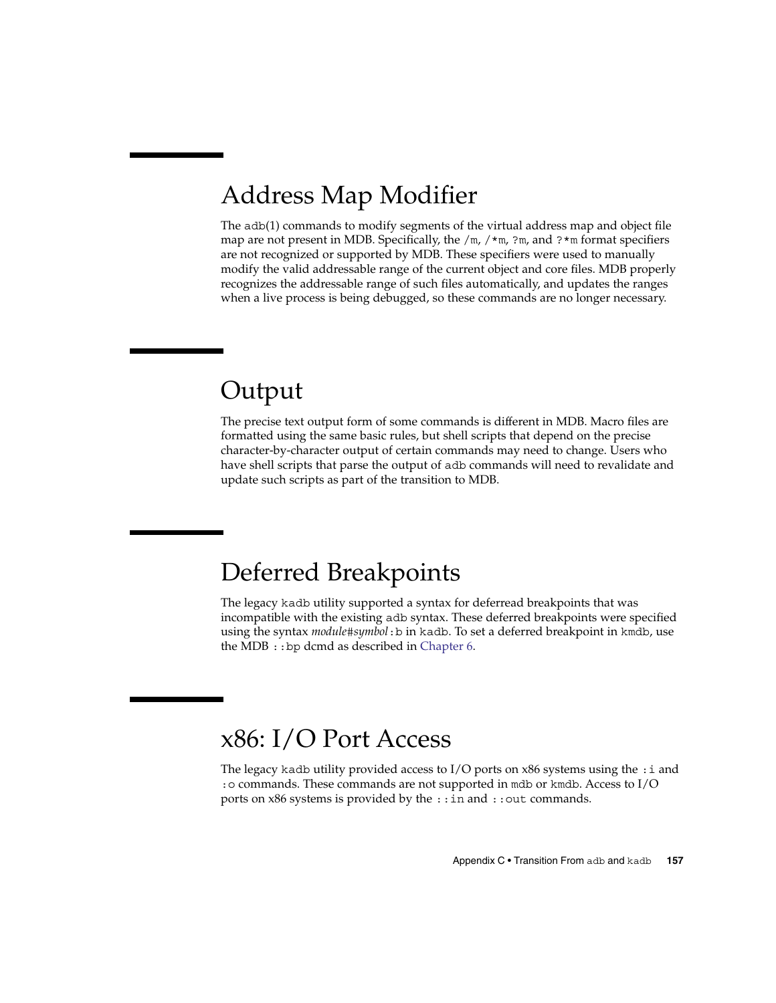## Address Map Modifier

The adb(1) commands to modify segments of the virtual address map and object file map are not present in MDB. Specifically, the  $/m$ ,  $/m$ ,  $\infty$ , and  $\infty$ \*m format specifiers are not recognized or supported by MDB. These specifiers were used to manually modify the valid addressable range of the current object and core files. MDB properly recognizes the addressable range of such files automatically, and updates the ranges when a live process is being debugged, so these commands are no longer necessary.

### Output

The precise text output form of some commands is different in MDB. Macro files are formatted using the same basic rules, but shell scripts that depend on the precise character-by-character output of certain commands may need to change. Users who have shell scripts that parse the output of adb commands will need to revalidate and update such scripts as part of the transition to MDB.

### Deferred Breakpoints

The legacy kadb utility supported a syntax for deferread breakpoints that was incompatible with the existing adb syntax. These deferred breakpoints were specified using the syntax *module*#*symbol*:b in kadb. To set a deferred breakpoint in kmdb, use the MDB ::bp dcmd as described in [Chapter 6.](#page-54-0)

# x86: I/O Port Access

The legacy kadb utility provided access to I/O ports on  $x86$  systems using the : i and :o commands. These commands are not supported in mdb or kmdb. Access to I/O ports on x86 systems is provided by the ::in and ::out commands.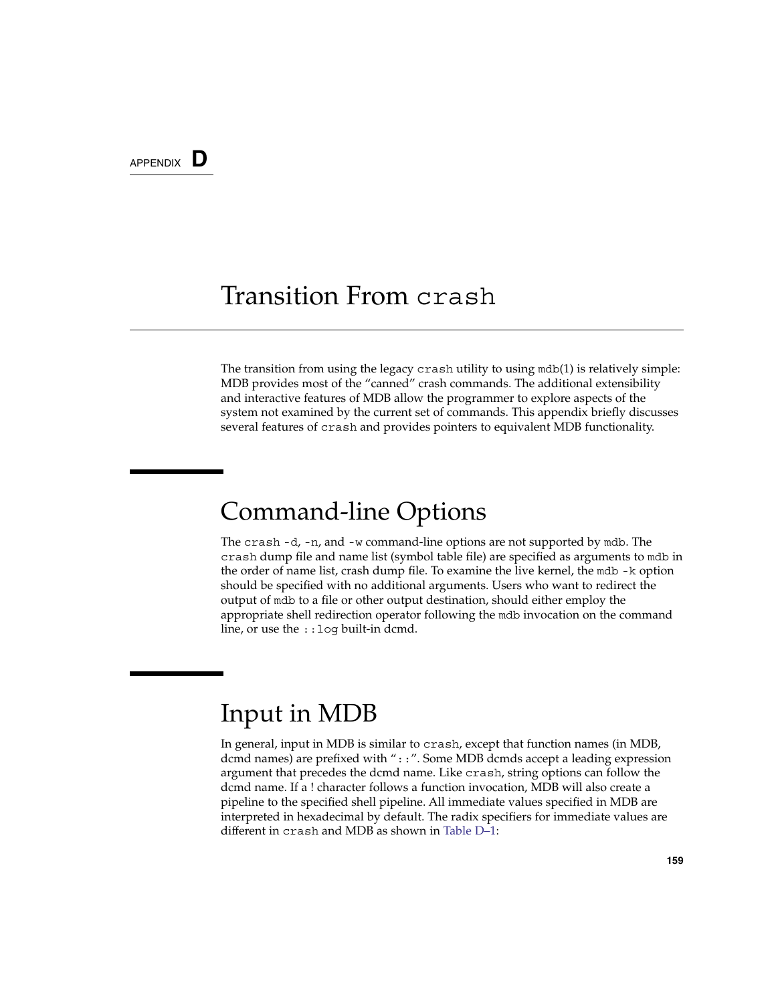<span id="page-158-0"></span>APPENDIX **D**

## Transition From crash

The transition from using the legacy  $c$  rash utility to using  $mdb(1)$  is relatively simple: MDB provides most of the "canned" crash commands. The additional extensibility and interactive features of MDB allow the programmer to explore aspects of the system not examined by the current set of commands. This appendix briefly discusses several features of crash and provides pointers to equivalent MDB functionality.

## Command-line Options

The crash -d, -n, and -w command-line options are not supported by mdb. The crash dump file and name list (symbol table file) are specified as arguments to mdb in the order of name list, crash dump file. To examine the live kernel, the mdb -k option should be specified with no additional arguments. Users who want to redirect the output of mdb to a file or other output destination, should either employ the appropriate shell redirection operator following the mdb invocation on the command line, or use the ::log built-in dcmd.

## Input in MDB

In general, input in MDB is similar to crash, except that function names (in MDB, dcmd names) are prefixed with "::". Some MDB dcmds accept a leading expression argument that precedes the dcmd name. Like crash, string options can follow the dcmd name. If a ! character follows a function invocation, MDB will also create a pipeline to the specified shell pipeline. All immediate values specified in MDB are interpreted in hexadecimal by default. The radix specifiers for immediate values are different in crash and MDB as shown in [Table D–1:](#page-159-0)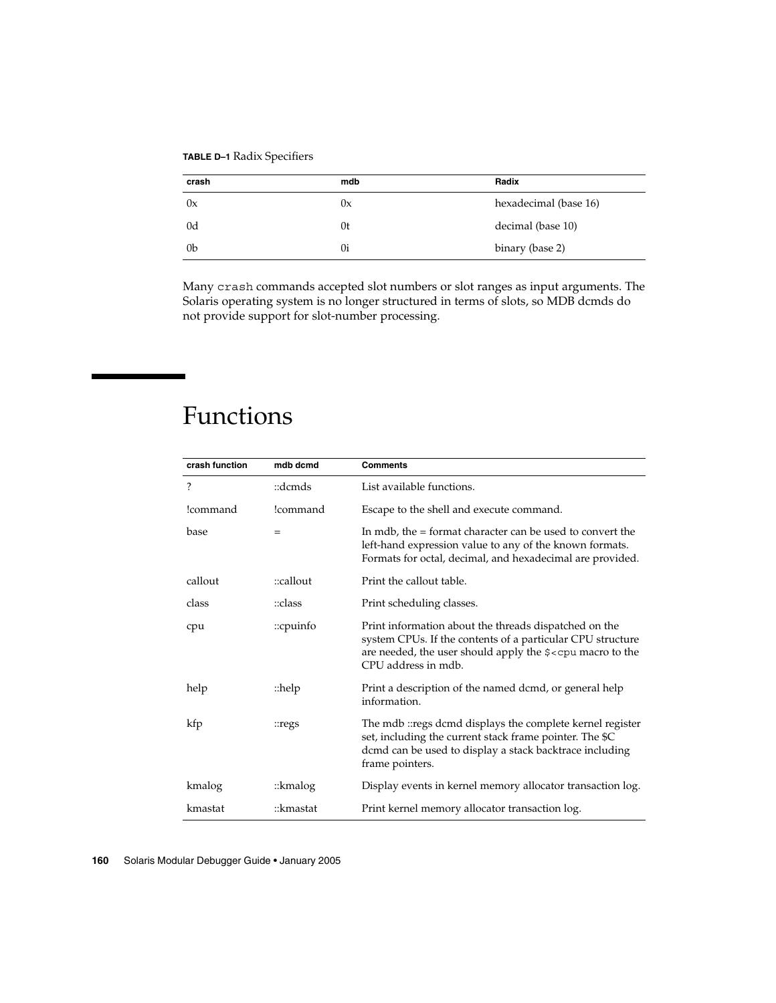<span id="page-159-0"></span>**TABLE D–1** Radix Specifiers

| crash | mdb | Radix                 |
|-------|-----|-----------------------|
| 0x    | 0x  | hexadecimal (base 16) |
| 0d    | 0t  | decimal (base 10)     |
| 0b    | 0i  | binary (base 2)       |

Many crash commands accepted slot numbers or slot ranges as input arguments. The Solaris operating system is no longer structured in terms of slots, so MDB dcmds do not provide support for slot-number processing.

# Functions

| crash function | mdb dcmd     | <b>Comments</b>                                                                                                                                                                                                         |
|----------------|--------------|-------------------------------------------------------------------------------------------------------------------------------------------------------------------------------------------------------------------------|
| ?              | ::dcmds      | List available functions.                                                                                                                                                                                               |
| !command       | !command     | Escape to the shell and execute command.                                                                                                                                                                                |
| base           | $=$          | In mdb, the = format character can be used to convert the<br>left-hand expression value to any of the known formats.<br>Formats for octal, decimal, and hexadecimal are provided.                                       |
| callout        | ::callout    | Print the callout table.                                                                                                                                                                                                |
| class          | ::class      | Print scheduling classes.                                                                                                                                                                                               |
| cpu            | $::c$ puinfo | Print information about the threads dispatched on the<br>system CPUs. If the contents of a particular CPU structure<br>are needed, the user should apply the \$ <cpu macro="" the<br="" to="">CPU address in mdb.</cpu> |
| help           | ::help       | Print a description of the named dcmd, or general help<br>information.                                                                                                                                                  |
| kfp            | ::regs       | The mdb :: regs dcmd displays the complete kernel register<br>set, including the current stack frame pointer. The \$C<br>dcmd can be used to display a stack backtrace including<br>frame pointers.                     |
| kmalog         | $::$ kmalog  | Display events in kernel memory allocator transaction log.                                                                                                                                                              |
| kmastat        | ::kmastat    | Print kernel memory allocator transaction log.                                                                                                                                                                          |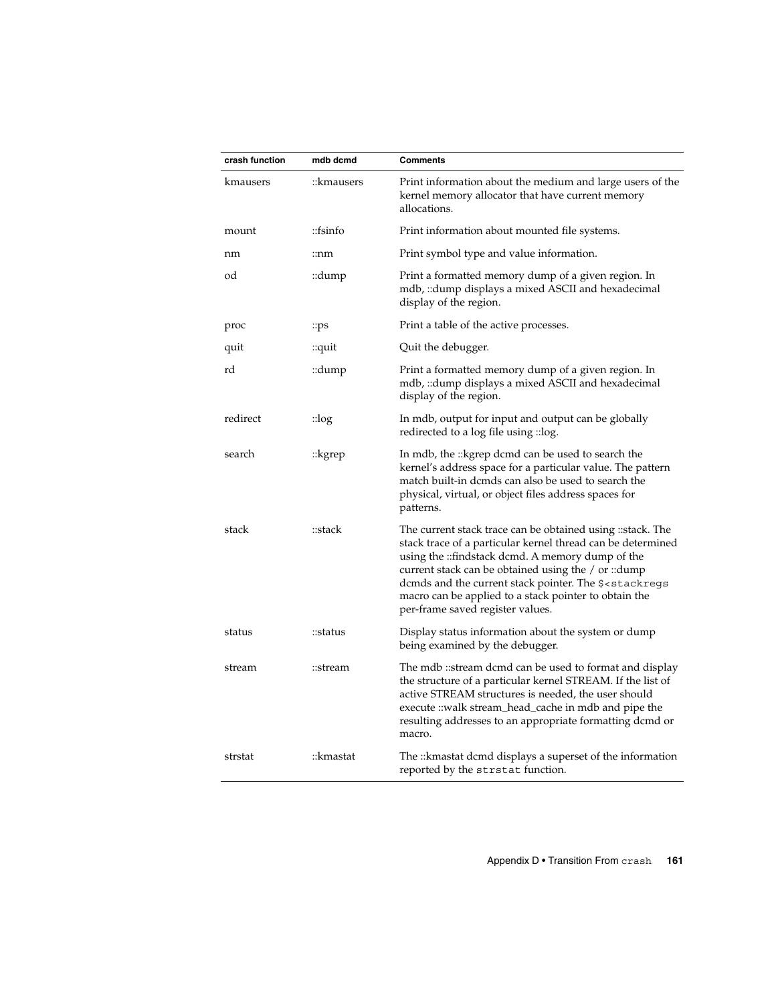| crash function | mdb dcmd            | <b>Comments</b>                                                                                                                                                                                                                                                                                                                                                                                                     |
|----------------|---------------------|---------------------------------------------------------------------------------------------------------------------------------------------------------------------------------------------------------------------------------------------------------------------------------------------------------------------------------------------------------------------------------------------------------------------|
| kmausers       | ::kmausers          | Print information about the medium and large users of the<br>kernel memory allocator that have current memory<br>allocations.                                                                                                                                                                                                                                                                                       |
| mount          | $::f\sin f\circ$    | Print information about mounted file systems.                                                                                                                                                                                                                                                                                                                                                                       |
| nm             | $: \mathop{\rm mm}$ | Print symbol type and value information.                                                                                                                                                                                                                                                                                                                                                                            |
| od             | ::dump              | Print a formatted memory dump of a given region. In<br>mdb, :: dump displays a mixed ASCII and hexadecimal<br>display of the region.                                                                                                                                                                                                                                                                                |
| proc           | $:$ ps              | Print a table of the active processes.                                                                                                                                                                                                                                                                                                                                                                              |
| quit           | ∷quit               | Quit the debugger.                                                                                                                                                                                                                                                                                                                                                                                                  |
| rd             | ::dump              | Print a formatted memory dump of a given region. In<br>mdb, :: dump displays a mixed ASCII and hexadecimal<br>display of the region.                                                                                                                                                                                                                                                                                |
| redirect       | ∷log                | In mdb, output for input and output can be globally<br>redirected to a log file using ::log.                                                                                                                                                                                                                                                                                                                        |
| search         | ∷kgrep              | In mdb, the :: kgrep dcmd can be used to search the<br>kernel's address space for a particular value. The pattern<br>match built-in dcmds can also be used to search the<br>physical, virtual, or object files address spaces for<br>patterns.                                                                                                                                                                      |
| stack          | ::stack             | The current stack trace can be obtained using ::stack. The<br>stack trace of a particular kernel thread can be determined<br>using the ::findstack dcmd. A memory dump of the<br>current stack can be obtained using the $\prime$ or :: dump<br>dcmds and the current stack pointer. The \$ <stackregs<br>macro can be applied to a stack pointer to obtain the<br/>per-frame saved register values.</stackregs<br> |
| status         | ∷status             | Display status information about the system or dump<br>being examined by the debugger.                                                                                                                                                                                                                                                                                                                              |
| stream         | ∷stream             | The mdb ::stream dcmd can be used to format and display<br>the structure of a particular kernel STREAM. If the list of<br>active STREAM structures is needed, the user should<br>execute ::walk stream_head_cache in mdb and pipe the<br>resulting addresses to an appropriate formatting dcmd or<br>macro.                                                                                                         |
| strstat        | ::kmastat           | The :: kmastat dcmd displays a superset of the information<br>reported by the strstat function.                                                                                                                                                                                                                                                                                                                     |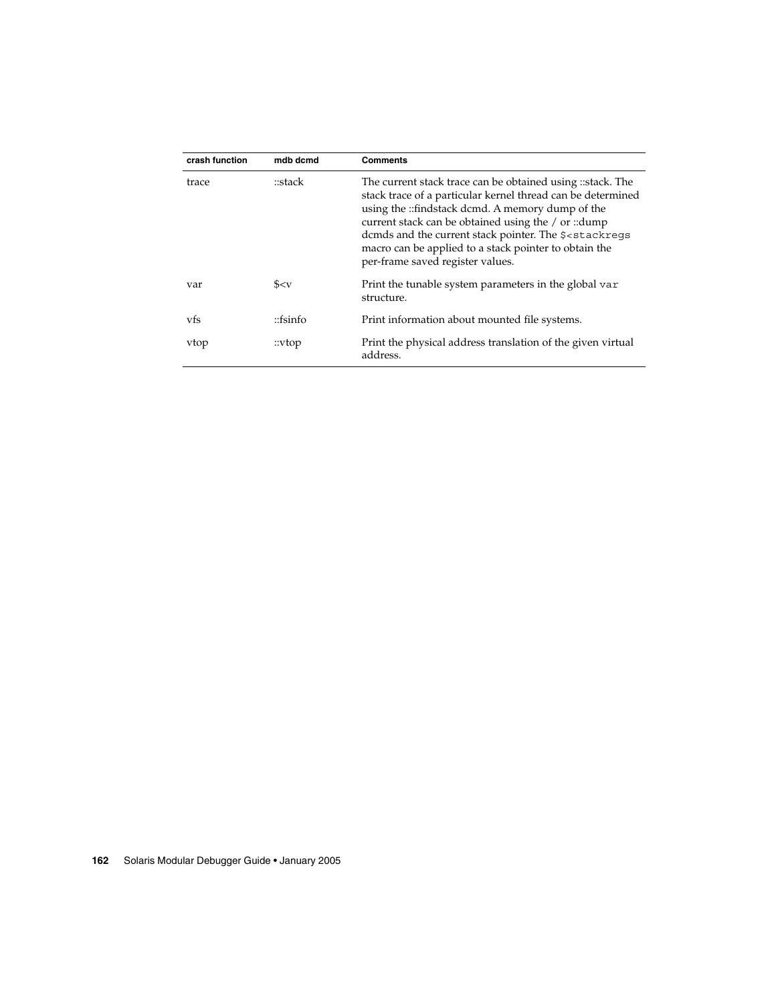| crash function | mdb dcmd         | <b>Comments</b>                                                                                                                                                                                                                                                                                                                                                                                              |
|----------------|------------------|--------------------------------------------------------------------------------------------------------------------------------------------------------------------------------------------------------------------------------------------------------------------------------------------------------------------------------------------------------------------------------------------------------------|
| trace          | ::stack          | The current stack trace can be obtained using ::stack. The<br>stack trace of a particular kernel thread can be determined<br>using the ::findstack dcmd. A memory dump of the<br>current stack can be obtained using the / or :: dump<br>dcmds and the current stack pointer. The \$ <stackregs<br>macro can be applied to a stack pointer to obtain the<br/>per-frame saved register values.</stackregs<br> |
| var            | $\frac{C}{2}$    | Print the tunable system parameters in the global var<br>structure.                                                                                                                                                                                                                                                                                                                                          |
| vfs            | $::f\sin f\circ$ | Print information about mounted file systems.                                                                                                                                                                                                                                                                                                                                                                |
| vtop           | ::vtop           | Print the physical address translation of the given virtual<br>address.                                                                                                                                                                                                                                                                                                                                      |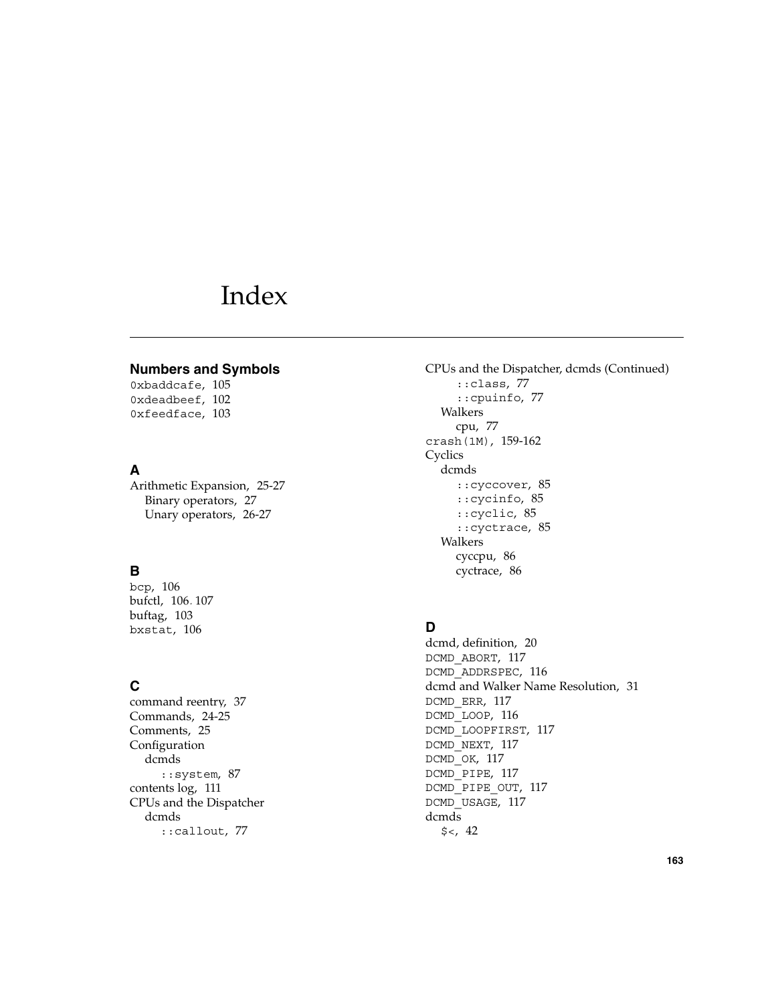# Index

#### **Numbers and Symbols**

0xbaddcafe, [105](#page-104-0) 0xdeadbeef, [102](#page-101-0) 0xfeedface, [103](#page-102-0)

#### **A**

Arithmetic Expansion, [25-27](#page-24-0) Binary operators, [27](#page-26-0) Unary operators, [26-27](#page-25-0)

#### **B**

bcp, [106](#page-105-0) bufctl, [106,](#page-105-0) [107](#page-106-0) buftag, [103](#page-102-0) bxstat, [106](#page-105-0)

#### **C**

command reentry, [37](#page-36-0) Commands, [24-25](#page-23-0) Comments, [25](#page-24-0) Configuration dcmds ::system, [87](#page-86-0) contents log, [111](#page-110-0) CPUs and the Dispatcher dcmds ::callout, [77](#page-76-0)

CPUs and the Dispatcher, dcmds (Continued) ::class, [77](#page-76-0) ::cpuinfo, [77](#page-76-0) Walkers cpu, [77](#page-76-0) crash(1M), [159-162](#page-158-0) Cyclics dcmds ::cyccover, [85](#page-84-0) ::cycinfo, [85](#page-84-0) ::cyclic, [85](#page-84-0) ::cyctrace, [85](#page-84-0) Walkers cyccpu, [86](#page-85-0) cyctrace, [86](#page-85-0)

### **D**

dcmd, definition, [20](#page-19-0) DCMD\_ABORT, [117](#page-116-0) DCMD\_ADDRSPEC, [116](#page-115-0) dcmd and Walker Name Resolution, [31](#page-30-0) DCMD\_ERR, [117](#page-116-0) DCMD\_LOOP, [116](#page-115-0) DCMD\_LOOPFIRST, [117](#page-116-0) DCMD\_NEXT, [117](#page-116-0) DCMD\_OK, [117](#page-116-0) DCMD\_PIPE, [117](#page-116-0) DCMD\_PIPE\_OUT, [117](#page-116-0) DCMD\_USAGE, [117](#page-116-0) dcmds  $$<, 42$  $$<, 42$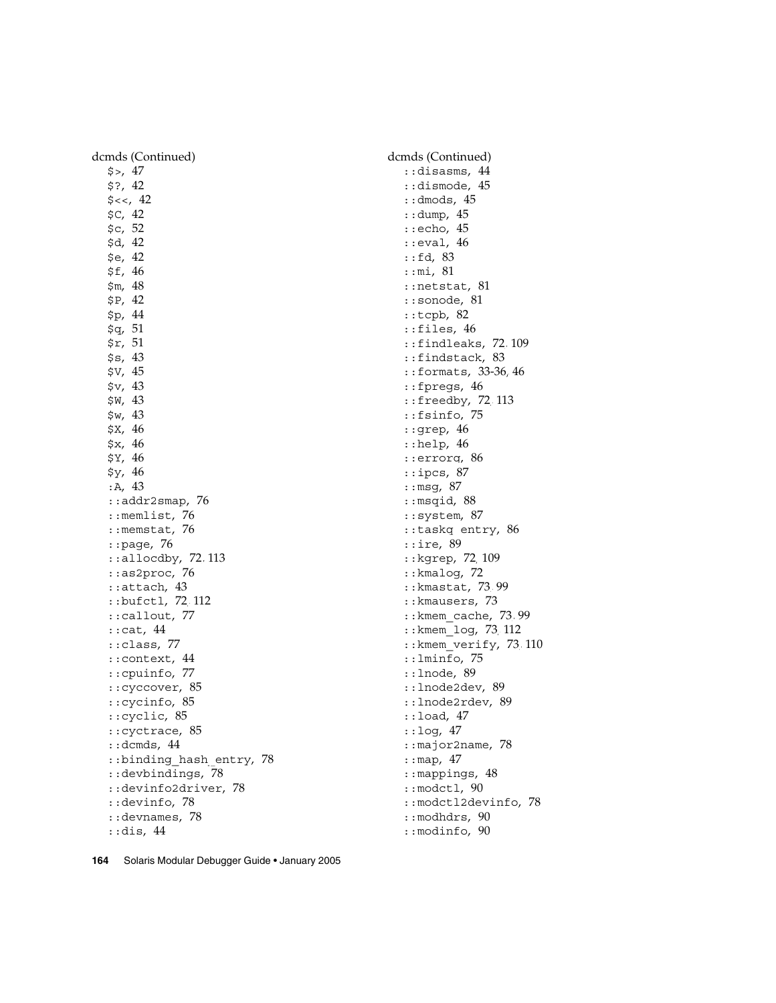dcmds (Continued)  $$>, 47$  $$>, 47$ \$?, [42](#page-41-0)  $$<<, 42$  $$<<, 42$ \$C, [42](#page-41-0) \$c, [52](#page-51-0) \$d, [42](#page-41-0) \$e, [42](#page-41-0) \$f, [46](#page-45-0) \$m, [48](#page-47-0) \$P, [42](#page-41-0) \$p, [44](#page-43-0)  $$q, 51$  $$q, 51$ \$r, [51](#page-50-0) \$s, [43](#page-42-0) \$V, [45](#page-44-0) \$v, [43](#page-42-0) \$W, [43](#page-42-0) \$w, [43](#page-42-0) \$X, [46](#page-45-0) \$x, [46](#page-45-0) \$Y, [46](#page-45-0) \$y, [46](#page-45-0) :A, [43](#page-42-0) ::addr2smap, [76](#page-75-0) ::memlist, [76](#page-75-0) ::memstat, [76](#page-75-0) ::page, [76](#page-75-0) ::allocdby, [72,](#page-71-0) [113](#page-112-0) ::as2proc, [76](#page-75-0) ::attach, [43](#page-42-0) ::bufctl, [72,](#page-71-0) [112](#page-111-0) ::callout, [77](#page-76-0) ::cat, [44](#page-43-0) ::class, [77](#page-76-0) ::context, [44](#page-43-0) ::cpuinfo, [77](#page-76-0) ::cyccover, [85](#page-84-0) ::cycinfo, [85](#page-84-0) ::cyclic, [85](#page-84-0) ::cyctrace, [85](#page-84-0) ::dcmds, [44](#page-43-0) :: binding hash entry, [78](#page-77-0) ::devbindings, [78](#page-77-0) ::devinfo2driver, [78](#page-77-0) ::devinfo, [78](#page-77-0) ::devnames, [78](#page-77-0) ::dis, [44](#page-43-0)

dcmds (Continued) ::disasms, [44](#page-43-0) ::dismode, [45](#page-44-0) ::dmods, [45](#page-44-0) ::dump, [45](#page-44-0) ::echo, [45](#page-44-0) ::eval, [46](#page-45-0) ::fd, [83](#page-82-0) ::mi, [81](#page-80-0) ::netstat, [81](#page-80-0) ::sonode, [81](#page-80-0) ::tcpb, [82](#page-81-0) ::files, [46](#page-45-0) ::findleaks, [72,](#page-71-0) [109](#page-108-0) ::findstack, [83](#page-82-0) ::formats, [33-36,](#page-32-0) [46](#page-45-0) ::fpregs, [46](#page-45-0) ::freedby, [72,](#page-71-0) [113](#page-112-0) ::fsinfo, [75](#page-74-0) ::grep, [46](#page-45-0) ::help, [46](#page-45-0) ::errorq, [86](#page-85-0) ::ipcs, [87](#page-86-0) ::msg, [87](#page-86-0) ::msqid, [88](#page-87-0) ::system, [87](#page-86-0) ::taskq\_entry, [86](#page-85-0) ::ire, [89](#page-88-0) ::kgrep, [72,](#page-71-0) [109](#page-108-0) ::kmalog, [72](#page-71-0) ::kmastat, [73,](#page-72-0) [99](#page-98-0) ::kmausers, [73](#page-72-0) ::kmem\_cache, [73,](#page-72-0) [99](#page-98-0) ::kmem\_log, [73,](#page-72-0) [112](#page-111-0) ::kmem\_verify, [73,](#page-72-0) [110](#page-109-0) ::lminfo, [75](#page-74-0) ::lnode, [89](#page-88-0) ::lnode2dev, [89](#page-88-0) ::lnode2rdev, [89](#page-88-0) ::load, [47](#page-46-0) ::log, [47](#page-46-0) ::major2name, [78](#page-77-0) ::map, [47](#page-46-0) ::mappings, [48](#page-47-0) ::modctl, [90](#page-89-0) ::modctl2devinfo, [78](#page-77-0) ::modhdrs, [90](#page-89-0) ::modinfo, [90](#page-89-0)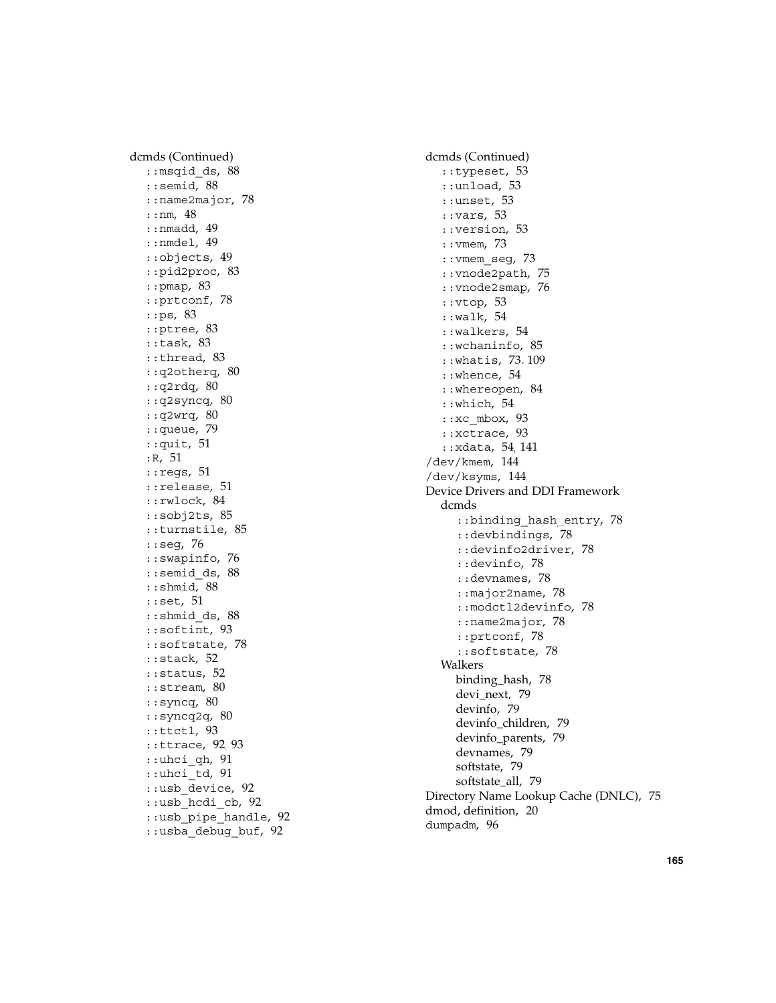dcmds (Continued) ::msqid\_ds, [88](#page-87-0) ::semid, [88](#page-87-0) ::name2major, [78](#page-77-0) ::nm, [48](#page-47-0) ::nmadd, [49](#page-48-0) ::nmdel, [49](#page-48-0) ::objects, [49](#page-48-0) ::pid2proc, [83](#page-82-0) ::pmap, [83](#page-82-0) ::prtconf, [78](#page-77-0) ::ps, [83](#page-82-0) ::ptree, [83](#page-82-0) ::task, [83](#page-82-0) ::thread, [83](#page-82-0) ::q2otherq, [80](#page-79-0) ::q2rdq, [80](#page-79-0) ::q2syncq, [80](#page-79-0) ::q2wrq, [80](#page-79-0) ::queue, [79](#page-78-0) ::quit, [51](#page-50-0) :R, [51](#page-50-0) ::regs, [51](#page-50-0) ::release, [51](#page-50-0) ::rwlock, [84](#page-83-0) ::sobj2ts, [85](#page-84-0) ::turnstile, [85](#page-84-0) ::seg, [76](#page-75-0) ::swapinfo, [76](#page-75-0) ::semid\_ds, [88](#page-87-0) ::shmid, [88](#page-87-0) ::set, [51](#page-50-0) ::shmid ds, [88](#page-87-0) ::softint, [93](#page-92-0) ::softstate, [78](#page-77-0) ::stack, [52](#page-51-0) ::status, [52](#page-51-0) ::stream, [80](#page-79-0) ::syncq, [80](#page-79-0) ::syncq2q, [80](#page-79-0) ::ttctl, [93](#page-92-0) ::ttrace, [92,](#page-91-0) [93](#page-92-0) ::uhci\_qh, [91](#page-90-0) :: uhci td, [91](#page-90-0) ::usb\_device, [92](#page-91-0) ::usb hcdi cb, [92](#page-91-0) ::usb\_pipe\_handle, [92](#page-91-0) ::usba\_debug\_buf, [92](#page-91-0)

dcmds (Continued) ::typeset, [53](#page-52-0) ::unload, [53](#page-52-0) ::unset, [53](#page-52-0) ::vars, [53](#page-52-0) ::version, [53](#page-52-0) ::vmem, [73](#page-72-0) ::vmem\_seg, [73](#page-72-0) ::vnode2path, [75](#page-74-0) ::vnode2smap, [76](#page-75-0) ::vtop, [53](#page-52-0) ::walk, [54](#page-53-0) ::walkers, [54](#page-53-0) ::wchaninfo, [85](#page-84-0) ::whatis, [73,](#page-72-0) [109](#page-108-0) ::whence, [54](#page-53-0) ::whereopen, [84](#page-83-0) ::which, [54](#page-53-0) ::xc\_mbox, [93](#page-92-0) ::xctrace, [93](#page-92-0) ::xdata, [54,](#page-53-0) [141](#page-140-0) /dev/kmem, [144](#page-143-0) /dev/ksyms, [144](#page-143-0) Device Drivers and DDI Framework dcmds :: binding hash entry, [78](#page-77-0) ::devbindings, [78](#page-77-0) ::devinfo2driver, [78](#page-77-0) ::devinfo, [78](#page-77-0) ::devnames, [78](#page-77-0) ::major2name, [78](#page-77-0) ::modctl2devinfo, [78](#page-77-0) ::name2major, [78](#page-77-0) ::prtconf, [78](#page-77-0) ::softstate, [78](#page-77-0) Walkers binding\_hash, [78](#page-77-0) devi\_next, [79](#page-78-0) devinfo, [79](#page-78-0) devinfo\_children, [79](#page-78-0) devinfo\_parents, [79](#page-78-0) devnames, [79](#page-78-0) softstate, [79](#page-78-0) softstate\_all, [79](#page-78-0) Directory Name Lookup Cache (DNLC), [75](#page-74-0) dmod, de finition, [20](#page-19-0) dumpadm, [96](#page-95-0)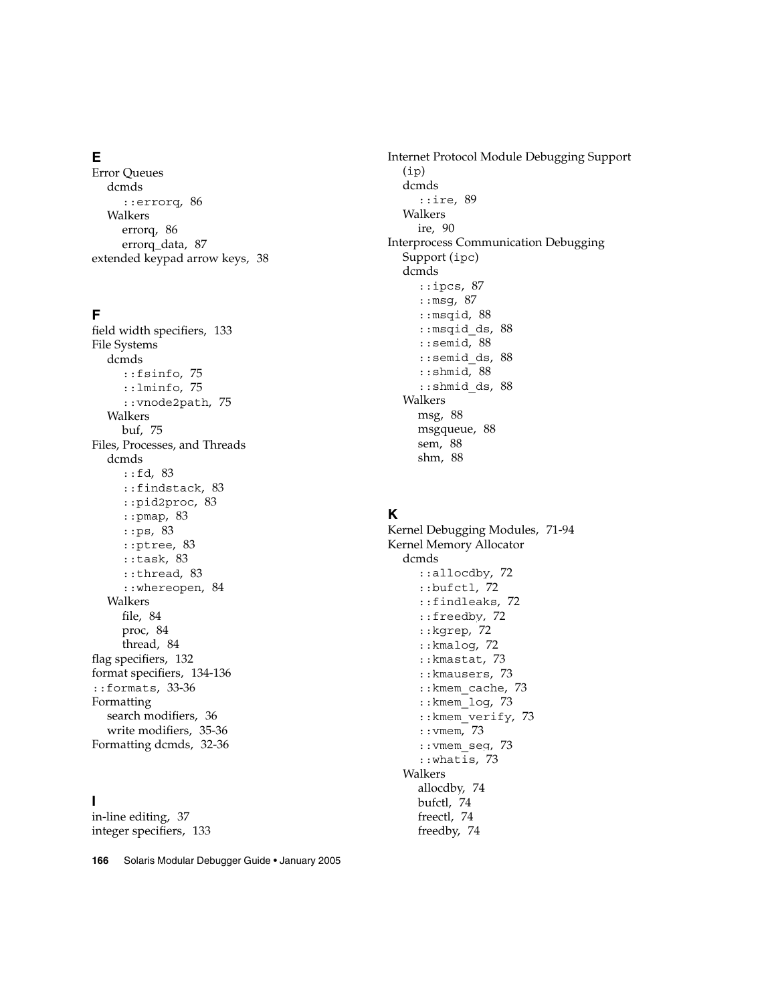### **E**

Error Queues dcmds ::errorq, [86](#page-85-0) Walkers errorq, [86](#page-85-0) errorq\_data, [87](#page-86-0) extended keypad arrow keys, [38](#page-37-0)

#### **F**

field width specifiers, [133](#page-132-0) File Systems dcmds ::fsinfo, [75](#page-74-0) ::lminfo, [75](#page-74-0) ::vnode2path, [75](#page-74-0) Walkers buf, [75](#page-74-0) Files, Processes, and Threads dcmds ::fd, [83](#page-82-0) ::findstack, [83](#page-82-0) ::pid2proc, [83](#page-82-0) ::pmap, [83](#page-82-0) ::ps, [83](#page-82-0) ::ptree, [83](#page-82-0) ::task, [83](#page-82-0) ::thread, [83](#page-82-0) ::whereopen, [84](#page-83-0) Walkers file, [84](#page-83-0) proc, [84](#page-83-0) thread, [84](#page-83-0) flag specifiers, [132](#page-131-0) format specifiers, [134-136](#page-133-0) ::formats, [33-36](#page-32-0) Formatting search modifiers, [36](#page-35-0) write modifiers, [35-36](#page-34-0) Formatting dcmds, [32-36](#page-31-0)

#### **I**

in-line editing, [37](#page-36-0) integer specifiers, [133](#page-132-0) Internet Protocol Module Debugging Support (ip) dcmds ::ire, [89](#page-88-0) Walkers ire, [90](#page-89-0) Interprocess Communication Debugging Support (ipc) dcmds ::ipcs, [87](#page-86-0) ::msg, [87](#page-86-0) ::msqid, [88](#page-87-0) ::msqid\_ds, [88](#page-87-0) ::semid, [88](#page-87-0) ::semid\_ds, [88](#page-87-0) ::shmid, [88](#page-87-0) ::shmid\_ds, [88](#page-87-0) Walkers msg, [88](#page-87-0) msgqueue, [88](#page-87-0) sem, [88](#page-87-0) shm, [88](#page-87-0)

#### **K**

Kernel Debugging Modules, [71-94](#page-70-0) Kernel Memory Allocator dcmds ::allocdby, [72](#page-71-0) ::bufctl, [72](#page-71-0) ::findleaks, [72](#page-71-0) ::freedby, [72](#page-71-0) ::kgrep, [72](#page-71-0) ::kmalog, [72](#page-71-0) ::kmastat, [73](#page-72-0) ::kmausers, [73](#page-72-0) ::kmem\_cache, [73](#page-72-0) ::kmem\_log, [73](#page-72-0) :: kmem verify, [73](#page-72-0) ::vmem, [73](#page-72-0) ::vmem\_seg, [73](#page-72-0) ::whatis, [73](#page-72-0) Walkers allocdby, [74](#page-73-0) bufctl, [74](#page-73-0) freectl, [74](#page-73-0) freedby, [74](#page-73-0)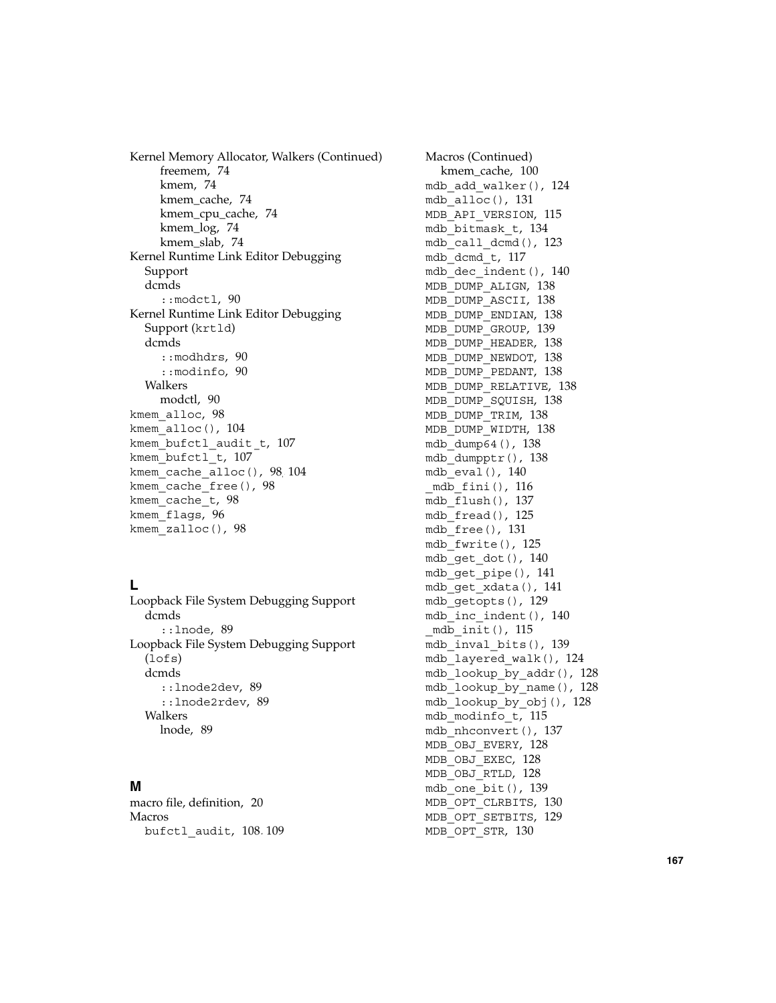Kernel Memory Allocator, Walkers (Continued) freemem, [74](#page-73-0) kmem, [74](#page-73-0) kmem\_cache, [74](#page-73-0) kmem\_cpu\_cache, [74](#page-73-0) kmem\_log, [74](#page-73-0) kmem\_slab, [74](#page-73-0) Kernel Runtime Link Editor Debugging Support dcmds ::modctl, [90](#page-89-0) Kernel Runtime Link Editor Debugging Support (krtld ) dcmds ::modhdrs, [90](#page-89-0) ::modinfo, [90](#page-89-0) Walkers modctl, [90](#page-89-0) kmem\_alloc, [98](#page-97-0) kmem\_alloc(), [104](#page-103-0) kmem bufctl audit t, [107](#page-106-0) kmem bufctl t, [107](#page-106-0) kmem cache alloc(), [98,](#page-97-0) [104](#page-103-0) kmem cache free(), [98](#page-97-0) kmem cache t, [98](#page-97-0) kmem\_flags, [96](#page-95-0) kmem\_zalloc(), [98](#page-97-0)

### **L**

Loopback File System Debugging Support dcmds ::lnode, [89](#page-88-0) Loopback File System Debugging Support (lofs) dcmds ::lnode2dev, [89](#page-88-0) ::lnode2rdev, [89](#page-88-0) Walkers lnode, [89](#page-88-0)

#### **M**

macro file, de finition, [20](#page-19-0) Macros bufctl\_audit, [108,](#page-107-0) [109](#page-108-0)

Macros (Continued) kmem\_cache, [100](#page-99-0) mdb\_add\_walker(), [124](#page-123-0) mdb\_alloc(), [131](#page-130-0) MDB\_API\_VERSION, [115](#page-114-0) mdb\_bitmask\_t, [134](#page-133-0) mdb\_call\_dcmd(), [123](#page-122-0) mdb\_dcmd\_t, [117](#page-116-0) mdb\_dec\_indent(), [140](#page-139-0) MDB\_DUMP\_ALIGN, [138](#page-137-0) MDB\_DUMP\_ASCII, [138](#page-137-0) MDB\_DUMP\_ENDIAN, [138](#page-137-0) MDB\_DUMP\_GROUP, [139](#page-138-0) MDB\_DUMP\_HEADER, [138](#page-137-0) MDB\_DUMP\_NEWDOT, [138](#page-137-0) MDB\_DUMP\_PEDANT, [138](#page-137-0) MDB\_DUMP\_RELATIVE, [138](#page-137-0) MDB\_DUMP\_SQUISH, [138](#page-137-0) MDB\_DUMP\_TRIM, [138](#page-137-0) MDB\_DUMP\_WIDTH, [138](#page-137-0) mdb\_dump64(), [138](#page-137-0) mdb\_dumpptr(), [138](#page-137-0) mdb\_eval(), [140](#page-139-0) \_mdb\_fini(), [116](#page-115-0) mdb\_flush(), [137](#page-136-0) mdb\_fread(), [125](#page-124-0) mdb\_free(), [131](#page-130-0) mdb\_fwrite(), [125](#page-124-0) mdb  $get dot()$ ,  $140$ mdb\_get\_pipe(), [141](#page-140-0) mdb\_get\_xdata(), [141](#page-140-0) mdb\_getopts(), [129](#page-128-0) mdb\_inc\_indent(), [140](#page-139-0) mdb  $init()$ , [115](#page-114-0) mdb\_inval\_bits(), [139](#page-138-0) mdb\_layered\_walk(), [124](#page-123-0) mdb\_lookup\_by\_addr(), [128](#page-127-0) mdb\_lookup\_by\_name(), [128](#page-127-0) mdb\_lookup\_by\_obj(), [128](#page-127-0) mdb\_modinfo\_t, [115](#page-114-0) mdb\_nhconvert(), [137](#page-136-0) MDB\_OBJ\_EVERY, [128](#page-127-0) MDB\_OBJ\_EXEC, [128](#page-127-0) MDB\_OBJ\_RTLD, [128](#page-127-0) mdb one  $bit()$ , [139](#page-138-0) MDB\_OPT\_CLRBITS, [130](#page-129-0) MDB\_OPT\_SETBITS, [129](#page-128-0) MDB\_OPT\_STR, [130](#page-129-0)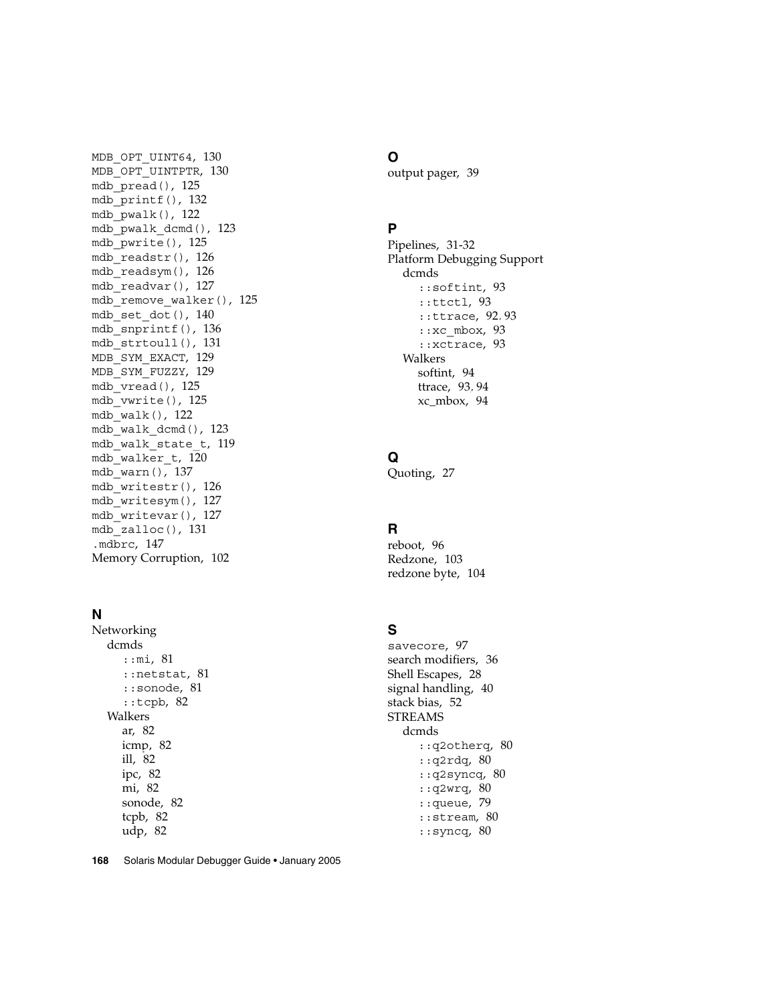MDB\_OPT\_UINT64, [130](#page-129-0) MDB\_OPT\_UINTPTR, [130](#page-129-0) mdb\_pread(), [125](#page-124-0) mdb\_printf(), [132](#page-131-0) mdb\_pwalk(), [122](#page-121-0) mdb\_pwalk\_dcmd(), [123](#page-122-0) mdb\_pwrite(), [125](#page-124-0) mdb\_readstr(), [126](#page-125-0) mdb\_readsym(), [126](#page-125-0) mdb\_readvar(), [127](#page-126-0) mdb remove walker(), [125](#page-124-0) mdb\_set\_dot(), [140](#page-139-0) mdb\_snprintf(), [136](#page-135-0) mdb\_strtoull(), [131](#page-130-0) MDB\_SYM\_EXACT, [129](#page-128-0) MDB\_SYM\_FUZZY, [129](#page-128-0) mdb\_vread(), [125](#page-124-0) mdb\_vwrite(), [125](#page-124-0) mdb  $walk()$ , [122](#page-121-0) mdb\_walk\_dcmd(), [123](#page-122-0) mdb\_walk\_state\_t, [119](#page-118-0) mdb\_walker\_t, [120](#page-119-0) mdb\_warn(), [137](#page-136-0) mdb\_writestr(), [126](#page-125-0) mdb\_writesym(), [127](#page-126-0) mdb\_writevar(), [127](#page-126-0) mdb\_zalloc(), [131](#page-130-0) .mdbrc, [147](#page-146-0) Memory Corruption, [102](#page-101-0)

#### **N**

Networking dcmds ::mi, [81](#page-80-0) ::netstat, [81](#page-80-0) ::sonode, [81](#page-80-0) ::tcpb, [82](#page-81-0) Walkers ar, [82](#page-81-0) icmp, [82](#page-81-0) ill, [82](#page-81-0) ipc, [82](#page-81-0) mi, [82](#page-81-0) sonode, [82](#page-81-0) tcpb, [82](#page-81-0) udp, [82](#page-81-0)

**O**

output pager, [39](#page-38-0)

#### **P**

Pipelines, [31-32](#page-30-0) Platform Debugging Support dcmds ::softint, [93](#page-92-0) ::ttctl, [93](#page-92-0) ::ttrace, [92,](#page-91-0) [93](#page-92-0) ::xc\_mbox, [93](#page-92-0) ::xctrace, [93](#page-92-0) Walkers softint, [94](#page-93-0) ttrace, [93,](#page-92-0) [94](#page-93-0) xc\_mbox, [94](#page-93-0)

### **Q**

Quoting, [27](#page-26-0)

### **R**

reboot, [96](#page-95-0) Redzone, [103](#page-102-0) redzone byte, [104](#page-103-0)

### **S**

savecore, [97](#page-96-0) search modifiers, [36](#page-35-0) Shell Escapes, [28](#page-27-0) signal handling, [40](#page-39-0) stack bias, [52](#page-51-0) STREAMS dcmds ::q2otherq, [80](#page-79-0) ::q2rdq, [80](#page-79-0) ::q2syncq, [80](#page-79-0) ::q2wrq, [80](#page-79-0) ::queue, [79](#page-78-0) ::stream, [80](#page-79-0) ::syncq, [80](#page-79-0)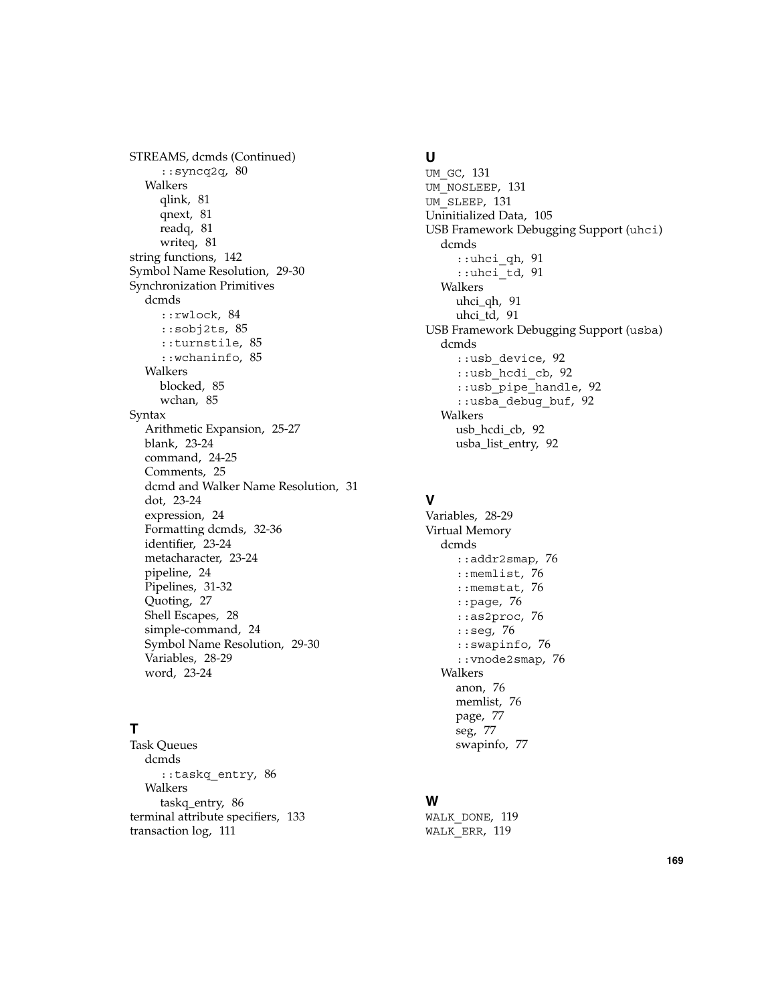STREAMS, dcmds (Continued) ::syncq2q, [80](#page-79-0) Walkers qlink, [81](#page-80-0) qnext, [81](#page-80-0) readq, [81](#page-80-0) writeq, [81](#page-80-0) string functions, [142](#page-141-0) Symbol Name Resolution, [29-30](#page-28-0) Synchronization Primitives dcmds ::rwlock, [84](#page-83-0) ::sobj2ts, [85](#page-84-0) ::turnstile, [85](#page-84-0) ::wchaninfo, [85](#page-84-0) Walkers blocked, [85](#page-84-0) wchan, [85](#page-84-0) Syntax Arithmetic Expansion, [25-27](#page-24-0) blank, [23-24](#page-22-0) command, [24-25](#page-23-0) Comments, [25](#page-24-0) dcmd and Walker Name Resolution, [31](#page-30-0) dot, [23-24](#page-22-0) expression, [24](#page-23-0) Formatting dcmds, [32-36](#page-31-0) identifier, [23-24](#page-22-0) metacharacter, [23-24](#page-22-0) pipeline, [24](#page-23-0) Pipelines, [31-32](#page-30-0) Quoting, [27](#page-26-0) Shell Escapes, [28](#page-27-0) simple-command, [24](#page-23-0) Symbol Name Resolution, [29-30](#page-28-0) Variables, [28-29](#page-27-0) word, [23-24](#page-22-0)

### **T**

Task Queues dcmds ::taskq\_entry, [86](#page-85-0) Walkers taskq\_entry, [86](#page-85-0) terminal attribute specifiers, [133](#page-132-0) transaction log, [111](#page-110-0)

#### **U**

UM\_GC, [131](#page-130-0) UM\_NOSLEEP, [131](#page-130-0) UM\_SLEEP, [131](#page-130-0) Uninitialized Data, [105](#page-104-0) USB Framework Debugging Support (uhci) dcmds ::uhci\_qh, [91](#page-90-0) :: uhci td, [91](#page-90-0) Walkers uhci\_qh, [91](#page-90-0) uhci\_td, [91](#page-90-0) USB Framework Debugging Support (usba) dcmds ::usb\_device, [92](#page-91-0) ::usb hcdi cb, [92](#page-91-0) ::usb\_pipe\_handle, [92](#page-91-0) ::usba\_debug\_buf, [92](#page-91-0) Walkers usb\_hcdi\_cb, [92](#page-91-0) usba\_list\_entry, [92](#page-91-0)

#### **V**

Variables, [28-29](#page-27-0) Virtual Memory dcmds ::addr2smap, [76](#page-75-0) ::memlist, [76](#page-75-0) ::memstat, [76](#page-75-0) ::page, [76](#page-75-0) ::as2proc, [76](#page-75-0) ::seg, [76](#page-75-0) ::swapinfo, [76](#page-75-0) ::vnode2smap, [76](#page-75-0) Walkers anon, [76](#page-75-0) memlist, [76](#page-75-0) page, [77](#page-76-0) seg, [77](#page-76-0) swapinfo, [77](#page-76-0)

#### **W**

```
 119
 119
```